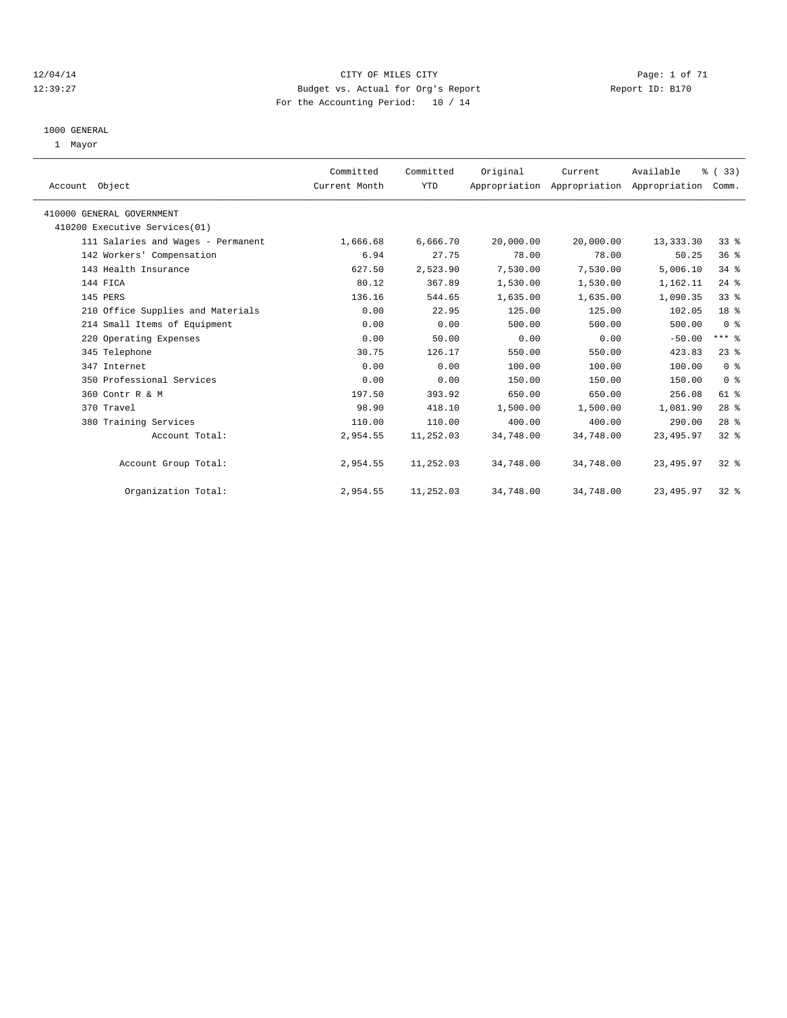#### 12/04/14 CITY OF MILES CITY Page: 1 of 71 12:39:27 Budget vs. Actual for Org's Report Report ID: B170 For the Accounting Period: 10 / 14

#### 1000 GENERAL

1 Mayor

| Account Object                     | Committed<br>Current Month | Committed<br>YTD | Original  | Current   | Available<br>Appropriation Appropriation Appropriation | % (33)<br>Comm. |  |
|------------------------------------|----------------------------|------------------|-----------|-----------|--------------------------------------------------------|-----------------|--|
| 410000 GENERAL GOVERNMENT          |                            |                  |           |           |                                                        |                 |  |
| 410200 Executive Services(01)      |                            |                  |           |           |                                                        |                 |  |
| 111 Salaries and Wages - Permanent | 1,666.68                   | 6,666.70         | 20,000.00 | 20,000.00 | 13,333.30                                              | 33%             |  |
| 142 Workers' Compensation          | 6.94                       | 27.75            | 78.00     | 78.00     | 50.25                                                  | 36%             |  |
| 143 Health Insurance               | 627.50                     | 2,523.90         | 7,530.00  | 7,530.00  | 5,006.10                                               | 34%             |  |
| 144 FICA                           | 80.12                      | 367.89           | 1,530.00  | 1,530.00  | 1,162.11                                               | $24$ %          |  |
| 145 PERS                           | 136.16                     | 544.65           | 1,635.00  | 1,635.00  | 1,090.35                                               | 33%             |  |
| 210 Office Supplies and Materials  | 0.00                       | 22.95            | 125.00    | 125.00    | 102.05                                                 | 18 %            |  |
| 214 Small Items of Equipment       | 0.00                       | 0.00             | 500.00    | 500.00    | 500.00                                                 | 0 <sup>8</sup>  |  |
| 220 Operating Expenses             | 0.00                       | 50.00            | 0.00      | 0.00      | $-50.00$                                               | $***$ $-$       |  |
| 345 Telephone                      | 30.75                      | 126.17           | 550.00    | 550.00    | 423.83                                                 | $23$ $%$        |  |
| 347 Internet                       | 0.00                       | 0.00             | 100.00    | 100.00    | 100.00                                                 | 0 <sup>8</sup>  |  |
| 350 Professional Services          | 0.00                       | 0.00             | 150.00    | 150.00    | 150.00                                                 | 0 <sup>8</sup>  |  |
| 360 Contr R & M                    | 197.50                     | 393.92           | 650.00    | 650.00    | 256.08                                                 | 61 %            |  |
| 370 Travel                         | 98.90                      | 418.10           | 1,500.00  | 1,500.00  | 1,081.90                                               | $28$ %          |  |
| 380 Training Services              | 110.00                     | 110.00           | 400.00    | 400.00    | 290.00                                                 | $28$ %          |  |
| Account Total:                     | 2,954.55                   | 11,252.03        | 34,748.00 | 34,748.00 | 23, 495.97                                             | 32%             |  |
| Account Group Total:               | 2,954.55                   | 11,252.03        | 34,748.00 | 34,748.00 | 23, 495.97                                             | 32%             |  |
| Organization Total:                | 2,954.55                   | 11,252.03        | 34,748.00 | 34,748.00 | 23, 495.97                                             | $32*$           |  |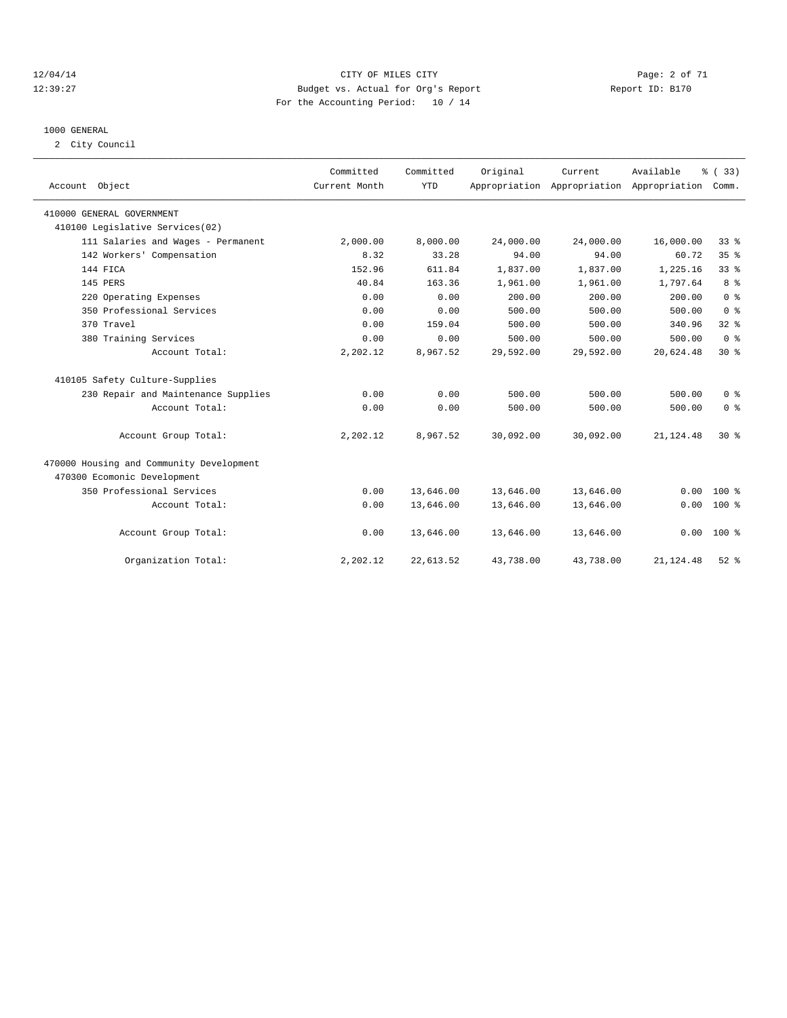#### 12/04/14 CITY OF MILES CITY Page: 2 of 71 12:39:27 Budget vs. Actual for Org's Report Report ID: B170 For the Accounting Period: 10 / 14

#### 1000 GENERAL

2 City Council

| Account Object                           | Committed<br>Current Month | Committed<br><b>YTD</b> | Original  | Current   | Available<br>Appropriation Appropriation Appropriation | % (33)<br>Comm. |  |
|------------------------------------------|----------------------------|-------------------------|-----------|-----------|--------------------------------------------------------|-----------------|--|
| 410000 GENERAL GOVERNMENT                |                            |                         |           |           |                                                        |                 |  |
| 410100 Legislative Services(02)          |                            |                         |           |           |                                                        |                 |  |
| 111 Salaries and Wages - Permanent       | 2,000.00                   | 8,000.00                | 24,000.00 | 24,000.00 | 16,000.00                                              | 33 <sup>8</sup> |  |
| 142 Workers' Compensation                | 8.32                       | 33.28                   | 94.00     | 94.00     | 60.72                                                  | 35%             |  |
| 144 FICA                                 | 152.96                     | 611.84                  | 1,837.00  | 1,837.00  | 1,225.16                                               | 33 <sup>8</sup> |  |
| 145 PERS                                 | 40.84                      | 163.36                  | 1,961.00  | 1,961.00  | 1,797.64                                               | 8 <sup>8</sup>  |  |
| 220 Operating Expenses                   | 0.00                       | 0.00                    | 200.00    | 200.00    | 200.00                                                 | 0 <sup>8</sup>  |  |
| 350 Professional Services                | 0.00                       | 0.00                    | 500.00    | 500.00    | 500.00                                                 | 0 <sup>8</sup>  |  |
| 370 Travel                               | 0.00                       | 159.04                  | 500.00    | 500.00    | 340.96                                                 | 32%             |  |
| 380 Training Services                    | 0.00                       | 0.00                    | 500.00    | 500.00    | 500.00                                                 | 0 <sup>8</sup>  |  |
| Account Total:                           | 2,202.12                   | 8,967.52                | 29,592.00 | 29,592.00 | 20,624.48                                              | $30*$           |  |
| 410105 Safety Culture-Supplies           |                            |                         |           |           |                                                        |                 |  |
| 230 Repair and Maintenance Supplies      | 0.00                       | 0.00                    | 500.00    | 500.00    | 500.00                                                 | 0 <sup>8</sup>  |  |
| Account Total:                           | 0.00                       | 0.00                    | 500.00    | 500.00    | 500.00                                                 | 0 <sup>8</sup>  |  |
| Account Group Total:                     | 2,202.12                   | 8,967.52                | 30,092.00 | 30,092.00 | 21, 124.48                                             | $30*$           |  |
| 470000 Housing and Community Development |                            |                         |           |           |                                                        |                 |  |
| 470300 Ecomonic Development              |                            |                         |           |           |                                                        |                 |  |
| 350 Professional Services                | 0.00                       | 13,646.00               | 13,646.00 | 13,646.00 | 0.00                                                   | 100 %           |  |
| Account Total:                           | 0.00                       | 13,646.00               | 13,646.00 | 13,646.00 | 0.00                                                   | $100*$          |  |
| Account Group Total:                     | 0.00                       | 13,646.00               | 13,646.00 | 13,646.00 | 0.00                                                   | $100*$          |  |
| Organization Total:                      | 2,202.12                   | 22,613.52               | 43,738.00 | 43,738.00 | 21, 124.48                                             | $52$ $%$        |  |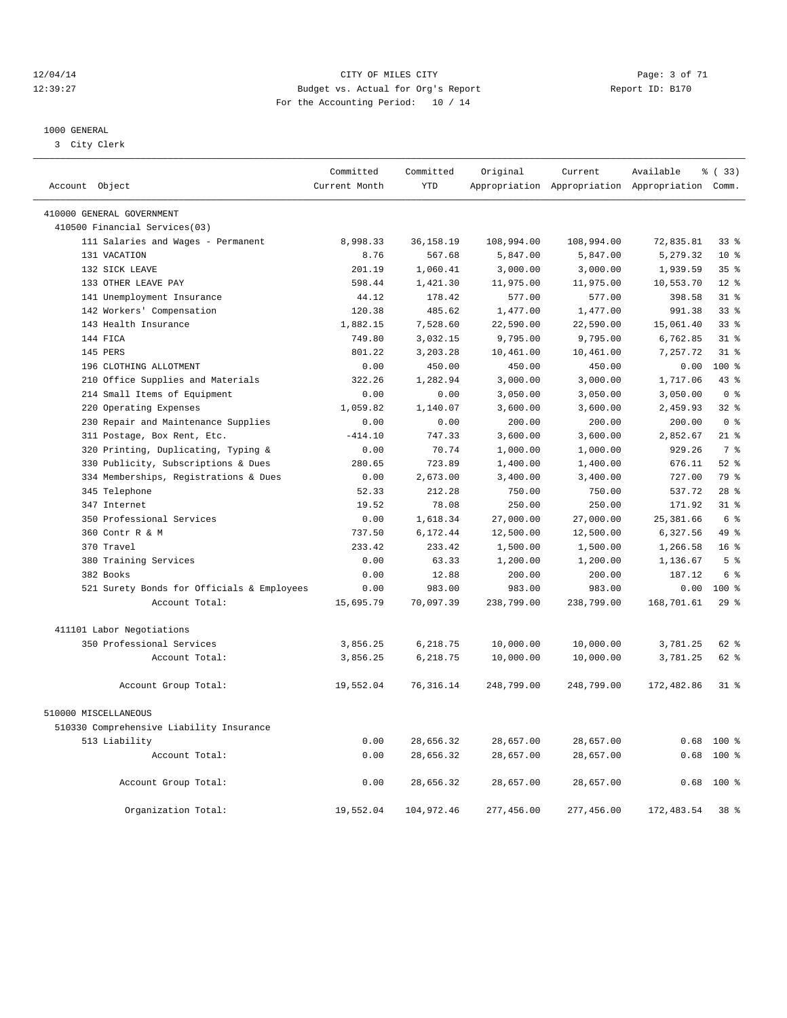#### 12/04/14 CITY OF MILES CITY Page: 3 of 71 12:39:27 Budget vs. Actual for Org's Report Report ID: B170 For the Accounting Period: 10 / 14

————————————————————————————————————————————————————————————————————————————————————————————————————————————————————————————————————

#### 1000 GENERAL

3 City Clerk

|                           |                                            | Committed     | Committed   | Original   | Current    | Available                                       | <sub>ර</sub> ි (33) |
|---------------------------|--------------------------------------------|---------------|-------------|------------|------------|-------------------------------------------------|---------------------|
| Account Object            |                                            | Current Month | <b>YTD</b>  |            |            | Appropriation Appropriation Appropriation Comm. |                     |
| 410000 GENERAL GOVERNMENT |                                            |               |             |            |            |                                                 |                     |
|                           | 410500 Financial Services(03)              |               |             |            |            |                                                 |                     |
|                           | 111 Salaries and Wages - Permanent         | 8,998.33      | 36, 158. 19 | 108,994.00 | 108,994.00 | 72,835.81                                       | $33$ $%$            |
| 131 VACATION              |                                            | 8.76          | 567.68      | 5,847.00   | 5,847.00   | 5,279.32                                        | $10*$               |
| 132 SICK LEAVE            |                                            | 201.19        | 1,060.41    | 3,000.00   | 3,000.00   | 1,939.59                                        | 35%                 |
|                           | 133 OTHER LEAVE PAY                        | 598.44        | 1,421.30    | 11,975.00  | 11,975.00  | 10,553.70                                       | $12*$               |
|                           | 141 Unemployment Insurance                 | 44.12         | 178.42      | 577.00     | 577.00     | 398.58                                          | 31.8                |
|                           | 142 Workers' Compensation                  | 120.38        | 485.62      | 1,477.00   | 1,477.00   | 991.38                                          | 33 <sup>8</sup>     |
|                           | 143 Health Insurance                       | 1,882.15      | 7,528.60    | 22,590.00  | 22,590.00  | 15,061.40                                       | 33 <sup>8</sup>     |
| 144 FICA                  |                                            | 749.80        | 3,032.15    | 9,795.00   | 9,795.00   | 6,762.85                                        | $31*$               |
| 145 PERS                  |                                            | 801.22        | 3,203.28    | 10,461.00  | 10,461.00  | 7,257.72                                        | 31.8                |
|                           | 196 CLOTHING ALLOTMENT                     | 0.00          | 450.00      | 450.00     | 450.00     | 0.00                                            | 100 %               |
|                           | 210 Office Supplies and Materials          | 322.26        | 1,282.94    | 3,000.00   | 3,000.00   | 1,717.06                                        | 43 %                |
|                           | 214 Small Items of Equipment               | 0.00          | 0.00        | 3,050.00   | 3,050.00   | 3,050.00                                        | 0 <sup>8</sup>      |
|                           | 220 Operating Expenses                     | 1,059.82      | 1,140.07    | 3,600.00   | 3,600.00   | 2,459.93                                        | $32*$               |
|                           | 230 Repair and Maintenance Supplies        | 0.00          | 0.00        | 200.00     | 200.00     | 200.00                                          | 0 <sup>8</sup>      |
|                           | 311 Postage, Box Rent, Etc.                | $-414.10$     | 747.33      | 3,600.00   | 3,600.00   | 2,852.67                                        | $21$ %              |
|                           | 320 Printing, Duplicating, Typing &        | 0.00          | 70.74       | 1,000.00   | 1,000.00   | 929.26                                          | 7 <sup>°</sup>      |
|                           | 330 Publicity, Subscriptions & Dues        | 280.65        | 723.89      | 1,400.00   | 1,400.00   | 676.11                                          | $52$ $%$            |
|                           | 334 Memberships, Registrations & Dues      | 0.00          | 2,673.00    | 3,400.00   | 3,400.00   | 727.00                                          | 79 %                |
| 345 Telephone             |                                            | 52.33         | 212.28      | 750.00     | 750.00     | 537.72                                          | $28$ %              |
| 347 Internet              |                                            | 19.52         | 78.08       | 250.00     | 250.00     | 171.92                                          | 31.8                |
|                           | 350 Professional Services                  | 0.00          | 1,618.34    | 27,000.00  | 27,000.00  | 25,381.66                                       | 6 %                 |
| 360 Contr R & M           |                                            | 737.50        | 6,172.44    | 12,500.00  | 12,500.00  | 6,327.56                                        | 49 %                |
| 370 Travel                |                                            | 233.42        | 233.42      | 1,500.00   | 1,500.00   | 1,266.58                                        | 16 <sup>8</sup>     |
|                           | 380 Training Services                      | 0.00          | 63.33       | 1,200.00   | 1,200.00   | 1,136.67                                        | 5 <sup>°</sup>      |
| 382 Books                 |                                            | 0.00          | 12.88       | 200.00     | 200.00     | 187.12                                          | 6 %                 |
|                           | 521 Surety Bonds for Officials & Employees | 0.00          | 983.00      | 983.00     | 983.00     | 0.00                                            | $100*$              |
|                           | Account Total:                             | 15,695.79     | 70,097.39   | 238,799.00 | 238,799.00 | 168,701.61                                      | 29%                 |
|                           |                                            |               |             |            |            |                                                 |                     |
|                           | 411101 Labor Negotiations                  |               |             |            |            |                                                 |                     |
|                           | 350 Professional Services                  | 3,856.25      | 6,218.75    | 10,000.00  | 10,000.00  | 3,781.25                                        | 62 %                |
|                           | Account Total:                             | 3,856.25      | 6,218.75    | 10,000.00  | 10,000.00  | 3,781.25                                        | 62 %                |
|                           | Account Group Total:                       | 19,552.04     | 76, 316.14  | 248,799.00 | 248,799.00 | 172,482.86                                      | $31$ %              |
| 510000 MISCELLANEOUS      |                                            |               |             |            |            |                                                 |                     |
|                           | 510330 Comprehensive Liability Insurance   |               |             |            |            |                                                 |                     |
| 513 Liability             |                                            | 0.00          | 28,656.32   | 28,657.00  | 28,657.00  | 0.68                                            | 100 %               |
|                           | Account Total:                             | 0.00          | 28,656.32   | 28,657.00  | 28,657.00  | 0.68                                            | 100 %               |
|                           |                                            |               |             |            |            |                                                 |                     |
|                           | Account Group Total:                       | 0.00          | 28,656.32   | 28,657.00  | 28,657.00  | 0.68                                            | $100*$              |
|                           | Organization Total:                        | 19,552.04     | 104,972.46  | 277,456.00 | 277,456.00 | 172,483.54                                      | 38 %                |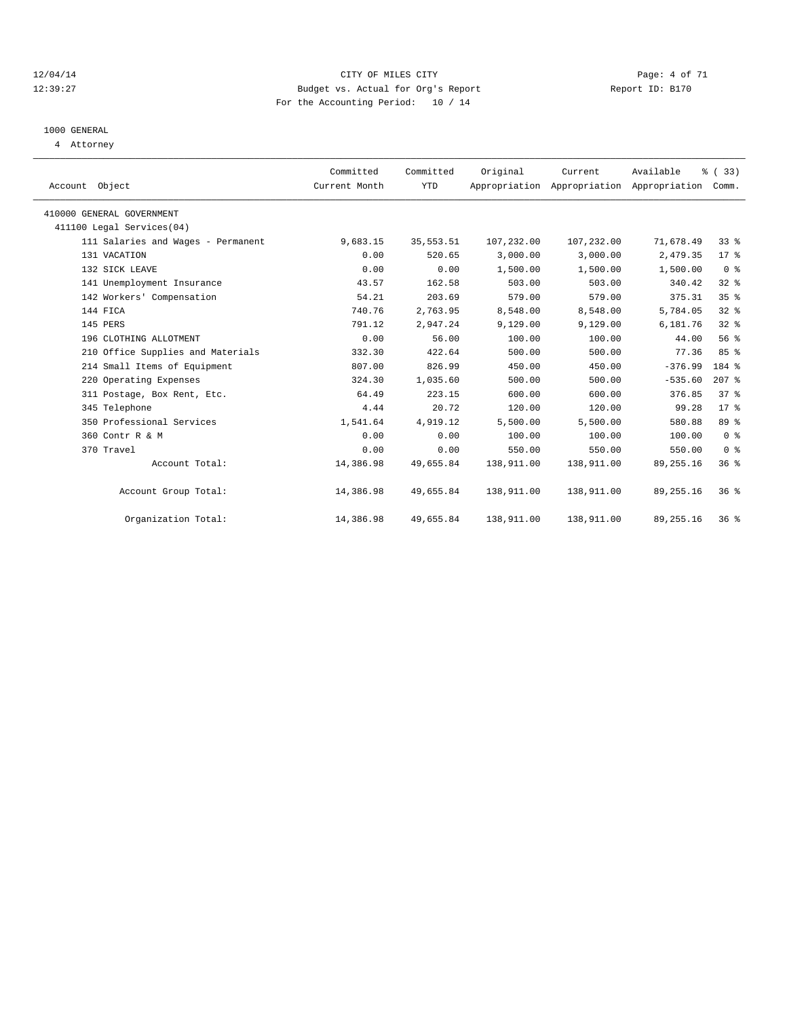#### 12/04/14 CITY OF MILES CITY Page: 4 of 71 12:39:27 Budget vs. Actual for Org's Report Report ID: B170 For the Accounting Period: 10 / 14

## 1000 GENERAL

4 Attorney

| Account Object                     | Committed<br>Current Month | Committed<br><b>YTD</b> | Original   | Current<br>Appropriation Appropriation Appropriation | Available   | % (33)<br>Comm. |
|------------------------------------|----------------------------|-------------------------|------------|------------------------------------------------------|-------------|-----------------|
| 410000 GENERAL GOVERNMENT          |                            |                         |            |                                                      |             |                 |
| 411100 Legal Services(04)          |                            |                         |            |                                                      |             |                 |
| 111 Salaries and Wages - Permanent | 9,683.15                   | 35, 553.51              | 107,232.00 | 107,232.00                                           | 71,678.49   | 33%             |
| 131 VACATION                       | 0.00                       | 520.65                  | 3,000.00   | 3,000.00                                             | 2,479.35    | 17.8            |
| 132 SICK LEAVE                     | 0.00                       | 0.00                    | 1,500.00   | 1,500.00                                             | 1,500.00    | 0 <sup>8</sup>  |
| 141 Unemployment Insurance         | 43.57                      | 162.58                  | 503.00     | 503.00                                               | 340.42      | $32$ $%$        |
| 142 Workers' Compensation          | 54.21                      | 203.69                  | 579.00     | 579.00                                               | 375.31      | 35%             |
| 144 FICA                           | 740.76                     | 2,763.95                | 8,548.00   | 8,548.00                                             | 5,784.05    | 32 <sup>8</sup> |
| 145 PERS                           | 791.12                     | 2,947.24                | 9,129.00   | 9,129.00                                             | 6,181.76    | 32%             |
| 196 CLOTHING ALLOTMENT             | 0.00                       | 56.00                   | 100.00     | 100.00                                               | 44.00       | 56%             |
| 210 Office Supplies and Materials  | 332.30                     | 422.64                  | 500.00     | 500.00                                               | 77.36       | 85%             |
| 214 Small Items of Equipment       | 807.00                     | 826.99                  | 450.00     | 450.00                                               | $-376.99$   | 184 %           |
| 220 Operating Expenses             | 324.30                     | 1,035.60                | 500.00     | 500.00                                               | $-535.60$   | $207$ $%$       |
| 311 Postage, Box Rent, Etc.        | 64.49                      | 223.15                  | 600.00     | 600.00                                               | 376.85      | 37%             |
| 345 Telephone                      | 4.44                       | 20.72                   | 120.00     | 120.00                                               | 99.28       | 17 <sup>8</sup> |
| 350 Professional Services          | 1,541.64                   | 4,919.12                | 5,500.00   | 5,500.00                                             | 580.88      | 89 %            |
| 360 Contr R & M                    | 0.00                       | 0.00                    | 100.00     | 100.00                                               | 100.00      | 0 <sup>8</sup>  |
| 370 Travel                         | 0.00                       | 0.00                    | 550.00     | 550.00                                               | 550.00      | 0 <sup>8</sup>  |
| Account Total:                     | 14,386.98                  | 49,655.84               | 138,911.00 | 138,911.00                                           | 89, 255. 16 | 36 <sup>8</sup> |
| Account Group Total:               | 14,386.98                  | 49,655.84               | 138,911.00 | 138,911.00                                           | 89, 255. 16 | $36*$           |
| Organization Total:                | 14,386.98                  | 49,655.84               | 138,911.00 | 138,911.00                                           | 89, 255. 16 | 36 <sup>8</sup> |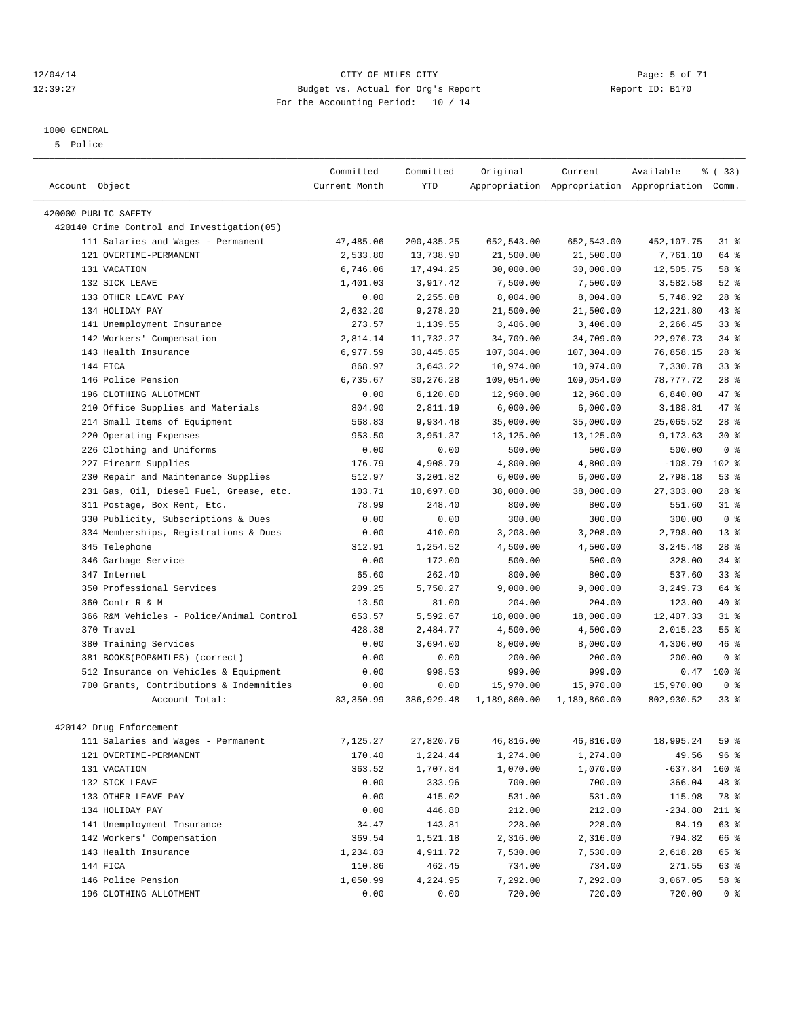#### 12/04/14 CITY OF MILES CITY Page: 5 of 71 12:39:27 Budget vs. Actual for Org's Report Report ID: B170 For the Accounting Period: 10 / 14

#### 1000 GENERAL

5 Police

|                                                                    | Committed          | Committed   | Original     | Current      | Available                                       | 8 (33)          |
|--------------------------------------------------------------------|--------------------|-------------|--------------|--------------|-------------------------------------------------|-----------------|
| Account Object                                                     | Current Month      | <b>YTD</b>  |              |              | Appropriation Appropriation Appropriation Comm. |                 |
|                                                                    |                    |             |              |              |                                                 |                 |
| 420000 PUBLIC SAFETY<br>420140 Crime Control and Investigation(05) |                    |             |              |              |                                                 |                 |
| 111 Salaries and Wages - Permanent                                 | 47,485.06          | 200, 435.25 | 652,543.00   | 652,543.00   | 452,107.75                                      | 31.8            |
| 121 OVERTIME-PERMANENT                                             | 2,533.80           | 13,738.90   | 21,500.00    | 21,500.00    | 7,761.10                                        | 64 %            |
| 131 VACATION                                                       | 6,746.06           | 17,494.25   | 30,000.00    | 30,000.00    | 12,505.75                                       | 58 %            |
| 132 SICK LEAVE                                                     | 1,401.03           | 3,917.42    | 7,500.00     | 7,500.00     | 3,582.58                                        | $52$ $%$        |
| 133 OTHER LEAVE PAY                                                | 0.00               | 2,255.08    | 8,004.00     | 8,004.00     | 5,748.92                                        | $28$ %          |
| 134 HOLIDAY PAY                                                    | 2,632.20           | 9,278.20    | 21,500.00    | 21,500.00    | 12,221.80                                       | $43$ %          |
| 141 Unemployment Insurance                                         | 273.57             | 1,139.55    | 3,406.00     | 3,406.00     | 2,266.45                                        | $33$ $%$        |
| 142 Workers' Compensation                                          | 2,814.14           | 11,732.27   | 34,709.00    | 34,709.00    | 22,976.73                                       | $34$ $%$        |
| 143 Health Insurance                                               |                    | 30,445.85   |              |              |                                                 | $28$ %          |
| 144 FICA                                                           | 6,977.59<br>868.97 |             | 107,304.00   | 107,304.00   | 76,858.15<br>7,330.78                           | 33 <sup>8</sup> |
|                                                                    |                    | 3,643.22    | 10,974.00    | 10,974.00    |                                                 |                 |
| 146 Police Pension                                                 | 6,735.67           | 30,276.28   | 109,054.00   | 109,054.00   | 78,777.72                                       | $28$ %          |
| 196 CLOTHING ALLOTMENT                                             | 0.00               | 6,120.00    | 12,960.00    | 12,960.00    | 6,840.00                                        | 47 %            |
| Office Supplies and Materials<br>210                               | 804.90             | 2,811.19    | 6,000.00     | 6,000.00     | 3,188.81                                        | 47 %            |
| 214 Small Items of Equipment                                       | 568.83             | 9,934.48    | 35,000.00    | 35,000.00    | 25,065.52                                       | $28$ %          |
| 220 Operating Expenses                                             | 953.50             | 3,951.37    | 13,125.00    | 13, 125.00   | 9,173.63                                        | $30*$           |
| 226 Clothing and Uniforms                                          | 0.00               | 0.00        | 500.00       | 500.00       | 500.00                                          | 0 <sup>8</sup>  |
| 227 Firearm Supplies                                               | 176.79             | 4,908.79    | 4,800.00     | 4,800.00     | $-108.79$                                       | 102 %           |
| Repair and Maintenance Supplies<br>230                             | 512.97             | 3,201.82    | 6,000.00     | 6,000.00     | 2,798.18                                        | $53$ $%$        |
| 231 Gas, Oil, Diesel Fuel, Grease, etc.                            | 103.71             | 10,697.00   | 38,000.00    | 38,000.00    | 27,303.00                                       | $28$ %          |
| 311 Postage, Box Rent, Etc.                                        | 78.99              | 248.40      | 800.00       | 800.00       | 551.60                                          | $31$ $%$        |
| 330 Publicity, Subscriptions & Dues                                | 0.00               | 0.00        | 300.00       | 300.00       | 300.00                                          | 0 <sup>8</sup>  |
| 334 Memberships, Registrations & Dues                              | 0.00               | 410.00      | 3,208.00     | 3,208.00     | 2,798.00                                        | $13*$           |
| 345 Telephone                                                      | 312.91             | 1,254.52    | 4,500.00     | 4,500.00     | 3, 245.48                                       | $28$ %          |
| 346 Garbage Service                                                | 0.00               | 172.00      | 500.00       | 500.00       | 328.00                                          | $34$ $%$        |
| 347 Internet                                                       | 65.60              | 262.40      | 800.00       | 800.00       | 537.60                                          | 33 <sup>8</sup> |
| 350 Professional Services                                          | 209.25             | 5,750.27    | 9,000.00     | 9,000.00     | 3,249.73                                        | 64 %            |
| 360 Contr R & M                                                    | 13.50              | 81.00       | 204.00       | 204.00       | 123.00                                          | 40 %            |
| 366 R&M Vehicles - Police/Animal Control                           | 653.57             | 5,592.67    | 18,000.00    | 18,000.00    | 12,407.33                                       | 31.8            |
| 370 Travel                                                         | 428.38             | 2,484.77    | 4,500.00     | 4,500.00     | 2,015.23                                        | 55 <sup>8</sup> |
| 380 Training Services                                              | 0.00               | 3,694.00    | 8,000.00     | 8,000.00     | 4,306.00                                        | 46%             |
| 381 BOOKS(POP&MILES) (correct)                                     | 0.00               | 0.00        | 200.00       | 200.00       | 200.00                                          | 0 <sup>8</sup>  |
| 512 Insurance on Vehicles & Equipment                              | 0.00               | 998.53      | 999.00       | 999.00       | 0.47                                            | $100*$          |
| 700 Grants, Contributions & Indemnities                            | 0.00               | 0.00        | 15,970.00    | 15,970.00    | 15,970.00                                       | 0 <sup>8</sup>  |
| Account Total:                                                     | 83,350.99          | 386,929.48  | 1,189,860.00 | 1,189,860.00 | 802,930.52                                      | 33%             |
|                                                                    |                    |             |              |              |                                                 |                 |
| 420142 Drug Enforcement                                            |                    |             |              |              |                                                 |                 |
| 111 Salaries and Wages - Permanent                                 | 7,125.27           | 27,820.76   | 46,816.00    | 46,816.00    | 18,995.24                                       | 59 %            |
| 121 OVERTIME-PERMANENT                                             | 170.40             | 1,224.44    | 1,274.00     | 1,274.00     | 49.56                                           | 96 %            |
| 131 VACATION                                                       | 363.52             | 1,707.84    | 1,070.00     | 1,070.00     | $-637.84$                                       | 160 %           |
| 132 SICK LEAVE                                                     | 0.00               | 333.96      | 700.00       | 700.00       | 366.04                                          | 48 %            |
| 133 OTHER LEAVE PAY                                                | 0.00               | 415.02      | 531.00       | 531.00       | 115.98                                          | 78 %            |
| 134 HOLIDAY PAY                                                    | 0.00               | 446.80      | 212.00       | 212.00       | $-234.80$                                       | $211$ %         |
| 141 Unemployment Insurance                                         | 34.47              | 143.81      | 228.00       | 228.00       | 84.19                                           | 63 %            |
| 142 Workers' Compensation                                          | 369.54             | 1,521.18    | 2,316.00     | 2,316.00     | 794.82                                          | 66 %            |
| 143 Health Insurance                                               | 1,234.83           | 4,911.72    | 7,530.00     | 7,530.00     | 2,618.28                                        | 65 %            |
| 144 FICA                                                           | 110.86             | 462.45      | 734.00       | 734.00       | 271.55                                          | 63 %            |
| 146 Police Pension                                                 | 1,050.99           | 4,224.95    | 7,292.00     | 7,292.00     | 3,067.05                                        | 58 %            |
| 196 CLOTHING ALLOTMENT                                             | 0.00               | 0.00        | 720.00       | 720.00       | 720.00                                          | 0 <sup>8</sup>  |
|                                                                    |                    |             |              |              |                                                 |                 |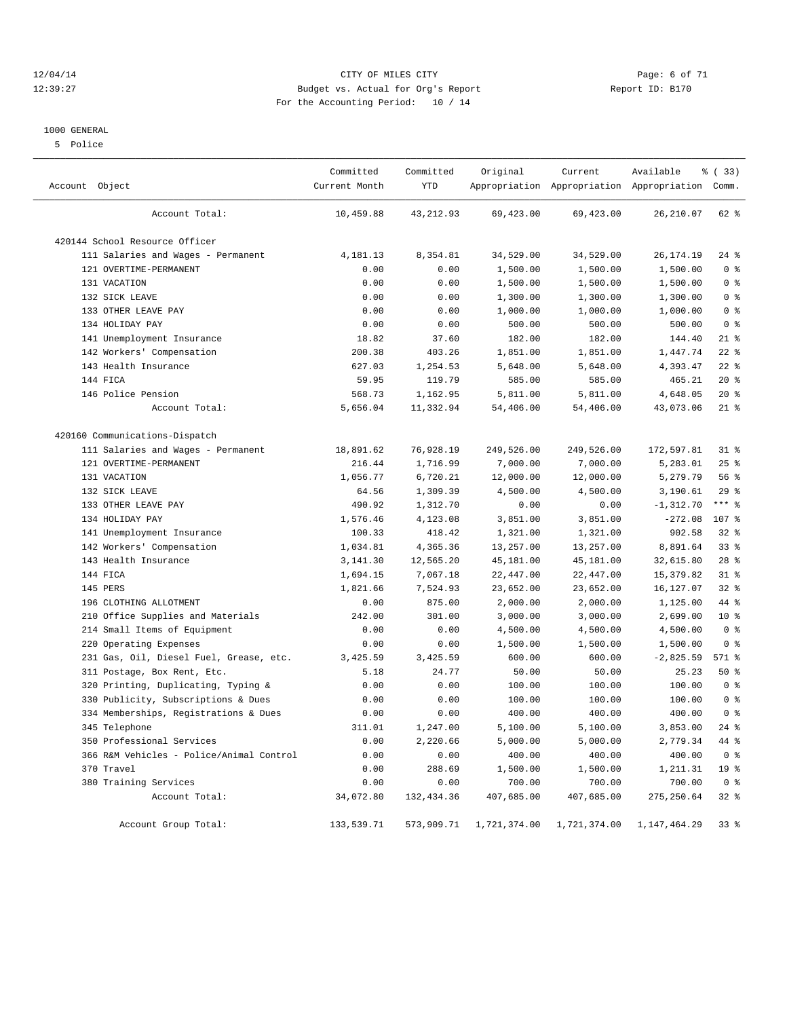#### 12/04/14 CITY OF MILES CITY Page: 6 of 71 12:39:27 Budget vs. Actual for Org's Report Report ID: B170 For the Accounting Period: 10 / 14

#### 1000 GENERAL

5 Police

| Account Object                           | Committed<br>Current Month | Committed<br>YTD | Original     | Current<br>Appropriation Appropriation Appropriation Comm. | Available    | % (33)          |
|------------------------------------------|----------------------------|------------------|--------------|------------------------------------------------------------|--------------|-----------------|
| Account Total:                           | 10,459.88                  | 43,212.93        | 69,423.00    | 69,423.00                                                  | 26, 210.07   | 62 %            |
| 420144 School Resource Officer           |                            |                  |              |                                                            |              |                 |
| 111 Salaries and Wages - Permanent       | 4,181.13                   | 8,354.81         | 34,529.00    | 34,529.00                                                  | 26, 174. 19  | $24$ %          |
| 121 OVERTIME-PERMANENT                   | 0.00                       | 0.00             | 1,500.00     | 1,500.00                                                   | 1,500.00     | 0 <sup>8</sup>  |
| 131 VACATION                             | 0.00                       | 0.00             | 1,500.00     | 1,500.00                                                   | 1,500.00     | 0 <sup>8</sup>  |
| 132 SICK LEAVE                           | 0.00                       | 0.00             | 1,300.00     | 1,300.00                                                   | 1,300.00     | 0 <sup>8</sup>  |
| 133 OTHER LEAVE PAY                      | 0.00                       | 0.00             | 1,000.00     | 1,000.00                                                   | 1,000.00     | 0 <sup>8</sup>  |
| 134 HOLIDAY PAY                          | 0.00                       | 0.00             | 500.00       | 500.00                                                     | 500.00       | 0 <sup>8</sup>  |
| 141 Unemployment Insurance               | 18.82                      | 37.60            | 182.00       | 182.00                                                     | 144.40       | $21$ %          |
| 142 Workers' Compensation                | 200.38                     | 403.26           | 1,851.00     | 1,851.00                                                   | 1,447.74     | $22$ %          |
| 143 Health Insurance                     | 627.03                     | 1,254.53         | 5,648.00     | 5,648.00                                                   | 4,393.47     | $22$ %          |
| 144 FICA                                 | 59.95                      | 119.79           | 585.00       | 585.00                                                     | 465.21       | $20*$           |
| 146 Police Pension                       | 568.73                     | 1,162.95         | 5,811.00     | 5,811.00                                                   | 4,648.05     | $20*$           |
| Account Total:                           | 5,656.04                   | 11,332.94        | 54,406.00    | 54,406.00                                                  | 43,073.06    | $21$ %          |
| 420160 Communications-Dispatch           |                            |                  |              |                                                            |              |                 |
| 111 Salaries and Wages - Permanent       | 18,891.62                  | 76,928.19        | 249,526.00   | 249,526.00                                                 | 172,597.81   | $31$ $%$        |
| 121 OVERTIME-PERMANENT                   | 216.44                     | 1,716.99         | 7,000.00     | 7,000.00                                                   | 5,283.01     | 25%             |
| 131 VACATION                             | 1,056.77                   | 6,720.21         | 12,000.00    | 12,000.00                                                  | 5,279.79     | 56 %            |
| 132 SICK LEAVE                           | 64.56                      | 1,309.39         | 4,500.00     | 4,500.00                                                   | 3,190.61     | 29%             |
| 133 OTHER LEAVE PAY                      | 490.92                     | 1,312.70         | 0.00         | 0.00                                                       | $-1, 312.70$ | $***$ $-$       |
| 134 HOLIDAY PAY                          | 1,576.46                   | 4,123.08         | 3,851.00     | 3,851.00                                                   | $-272.08$    | 107 %           |
| 141 Unemployment Insurance               | 100.33                     | 418.42           | 1,321.00     | 1,321.00                                                   | 902.58       | 32%             |
| 142 Workers' Compensation                | 1,034.81                   | 4,365.36         | 13,257.00    | 13,257.00                                                  | 8,891.64     | 33%             |
| 143 Health Insurance                     | 3,141.30                   | 12,565.20        | 45,181.00    | 45,181.00                                                  | 32,615.80    | $28$ %          |
| 144 FICA                                 | 1,694.15                   | 7,067.18         | 22,447.00    | 22,447.00                                                  | 15,379.82    | $31$ $%$        |
| 145 PERS                                 | 1,821.66                   | 7,524.93         | 23,652.00    | 23,652.00                                                  | 16,127.07    | $32$ $%$        |
| 196 CLOTHING ALLOTMENT                   | 0.00                       | 875.00           | 2,000.00     | 2,000.00                                                   | 1,125.00     | 44 %            |
| Office Supplies and Materials<br>210     | 242.00                     | 301.00           | 3,000.00     | 3,000.00                                                   | 2,699.00     | $10*$           |
| 214 Small Items of Equipment             | 0.00                       | 0.00             | 4,500.00     | 4,500.00                                                   | 4,500.00     | 0 <sup>8</sup>  |
| 220 Operating Expenses                   | 0.00                       | 0.00             | 1,500.00     | 1,500.00                                                   | 1,500.00     | 0 <sup>8</sup>  |
| 231 Gas, Oil, Diesel Fuel, Grease, etc.  | 3,425.59                   | 3,425.59         | 600.00       | 600.00                                                     | $-2,825.59$  | 571 %           |
| 311 Postage, Box Rent, Etc.              | 5.18                       | 24.77            | 50.00        | 50.00                                                      | 25.23        | 50%             |
| Printing, Duplicating, Typing &<br>320   | 0.00                       | 0.00             | 100.00       | 100.00                                                     | 100.00       | 0 <sup>8</sup>  |
| 330 Publicity, Subscriptions & Dues      | 0.00                       | 0.00             | 100.00       | 100.00                                                     | 100.00       | 0 <sup>8</sup>  |
| 334 Memberships, Registrations & Dues    | 0.00                       | 0.00             | 400.00       | 400.00                                                     | 400.00       | 0 <sup>8</sup>  |
| 345 Telephone                            | 311.01                     | 1,247.00         | 5,100.00     | 5,100.00                                                   | 3,853.00     | $24$ %          |
| 350 Professional Services                | 0.00                       | 2,220.66         | 5,000.00     | 5,000.00                                                   | 2,779.34     | 44 %            |
| 366 R&M Vehicles - Police/Animal Control | 0.00                       | 0.00             | 400.00       | 400.00                                                     | 400.00       | 0 <sup>8</sup>  |
| 370 Travel                               | 0.00                       | 288.69           | 1,500.00     | 1,500.00                                                   | 1,211.31     | 19 <sup>°</sup> |
| 380 Training Services                    | 0.00                       | 0.00             | 700.00       | 700.00                                                     | 700.00       | 0 <sup>8</sup>  |
| Account Total:                           | 34,072.80                  | 132,434.36       | 407,685.00   | 407,685.00                                                 | 275, 250.64  | $32$ $%$        |
| Account Group Total:                     | 133,539.71                 | 573,909.71       | 1,721,374.00 | 1,721,374.00                                               | 1,147,464.29 | $33*$           |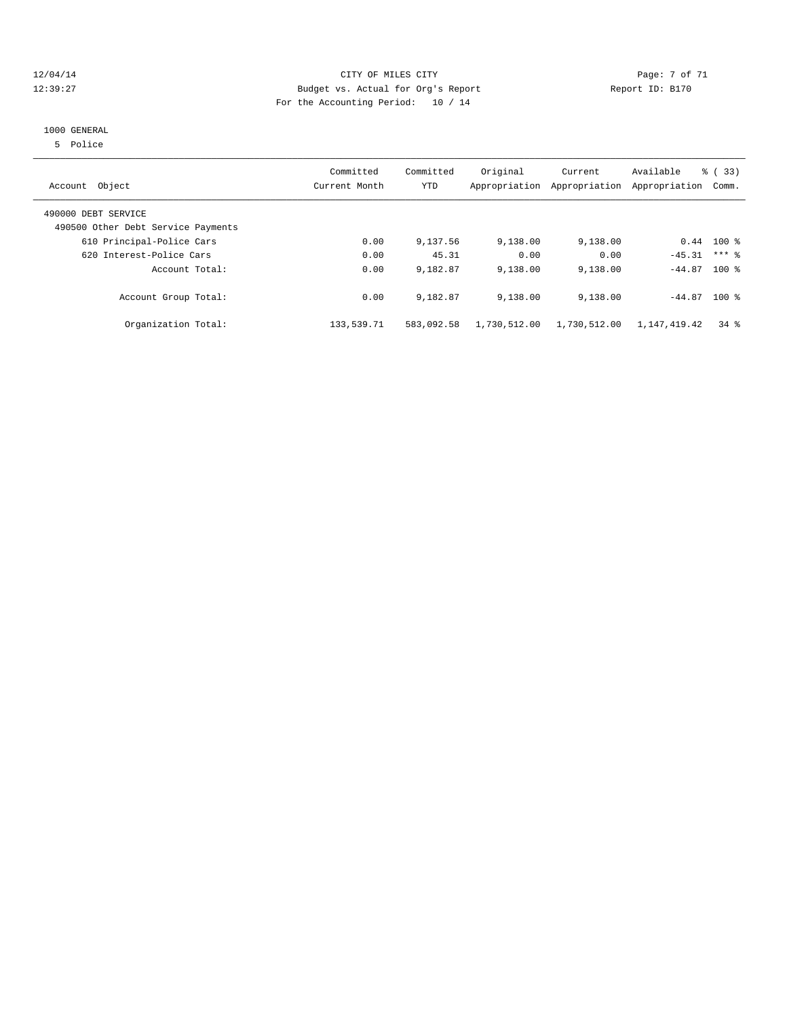#### 12/04/14 CITY OF MILES CITY Page: 7 of 71 12:39:27 Budget vs. Actual for Org's Report Report ID: B170 For the Accounting Period: 10 / 14

#### 1000 GENERAL

5 Police

| Account Object                                            | Committed<br>Current Month | Committed<br>YTD | Original     | Current<br>Appropriation Appropriation | Available<br>Appropriation | % (33)<br>Comm.    |
|-----------------------------------------------------------|----------------------------|------------------|--------------|----------------------------------------|----------------------------|--------------------|
| 490000 DEBT SERVICE<br>490500 Other Debt Service Payments |                            |                  |              |                                        |                            |                    |
| 610 Principal-Police Cars                                 | 0.00                       | 9,137.56         | 9,138.00     | 9,138.00                               |                            | $0.44$ 100 %       |
| 620 Interest-Police Cars                                  | 0.00                       | 45.31            | 0.00         | 0.00                                   | $-45.31$                   | $***$ 2            |
| Account Total:                                            | 0.00                       | 9,182.87         | 9,138.00     | 9,138.00                               | $-44.87$ 100 %             |                    |
| Account Group Total:                                      | 0.00                       | 9,182.87         | 9,138.00     | 9,138.00                               | $-44.87$ 100 %             |                    |
| Organization Total:                                       | 133,539.71                 | 583,092.58       | 1,730,512.00 | 1,730,512.00                           | 1,147,419.42               | $34$ $\frac{6}{3}$ |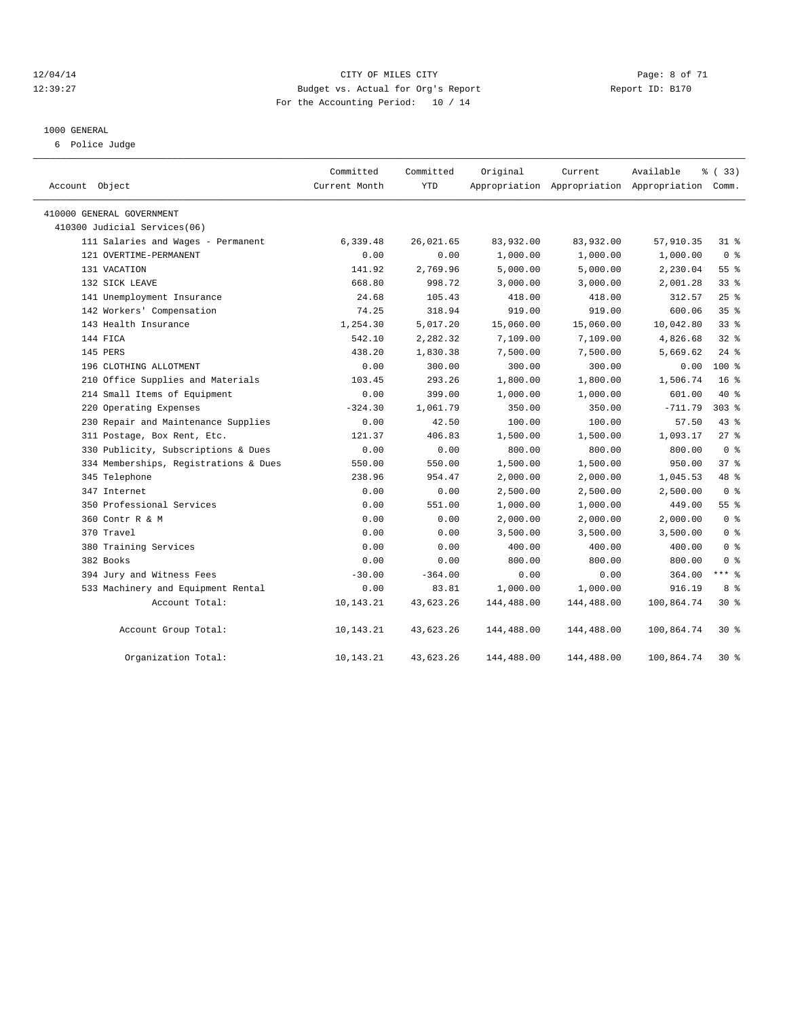#### 12/04/14 CITY OF MILES CITY Page: 8 of 71 12:39:27 Budget vs. Actual for Org's Report Report ID: B170 For the Accounting Period: 10 / 14

#### 1000 GENERAL

6 Police Judge

| Account Object                        | Committed<br>Current Month | Committed<br><b>YTD</b> | Original   | Current    | Available<br>Appropriation Appropriation Appropriation Comm. | % (33)          |
|---------------------------------------|----------------------------|-------------------------|------------|------------|--------------------------------------------------------------|-----------------|
| 410000 GENERAL GOVERNMENT             |                            |                         |            |            |                                                              |                 |
| 410300 Judicial Services(06)          |                            |                         |            |            |                                                              |                 |
| 111 Salaries and Wages - Permanent    | 6,339.48                   | 26,021.65               | 83,932.00  | 83,932.00  | 57,910.35                                                    | $31$ %          |
| 121 OVERTIME-PERMANENT                | 0.00                       | 0.00                    | 1,000.00   | 1,000.00   | 1,000.00                                                     | 0 <sup>8</sup>  |
| 131 VACATION                          | 141.92                     | 2,769.96                | 5,000.00   | 5,000.00   | 2,230.04                                                     | $55$ $%$        |
| 132 SICK LEAVE                        | 668.80                     | 998.72                  | 3,000.00   | 3,000.00   | 2,001.28                                                     | 33 <sup>8</sup> |
| 141 Unemployment Insurance            | 24.68                      | 105.43                  | 418.00     | 418.00     | 312.57                                                       | 25%             |
| 142 Workers' Compensation             | 74.25                      | 318.94                  | 919.00     | 919.00     | 600.06                                                       | 35 <sup>8</sup> |
| 143 Health Insurance                  | 1,254.30                   | 5,017.20                | 15,060.00  | 15,060.00  | 10,042.80                                                    | 33 <sup>8</sup> |
| 144 FICA                              | 542.10                     | 2,282.32                | 7,109.00   | 7,109.00   | 4,826.68                                                     | 32 <sub>8</sub> |
| 145 PERS                              | 438.20                     | 1,830.38                | 7,500.00   | 7,500.00   | 5,669.62                                                     | $24$ $%$        |
| 196 CLOTHING ALLOTMENT                | 0.00                       | 300.00                  | 300.00     | 300.00     | 0.00                                                         | $100*$          |
| 210 Office Supplies and Materials     | 103.45                     | 293.26                  | 1,800.00   | 1,800.00   | 1,506.74                                                     | 16 <sup>°</sup> |
| 214 Small Items of Equipment          | 0.00                       | 399.00                  | 1,000.00   | 1,000.00   | 601.00                                                       | $40*$           |
| 220 Operating Expenses                | $-324.30$                  | 1,061.79                | 350.00     | 350.00     | $-711.79$                                                    | $303$ $%$       |
| 230 Repair and Maintenance Supplies   | 0.00                       | 42.50                   | 100.00     | 100.00     | 57.50                                                        | $43$ $%$        |
| 311 Postage, Box Rent, Etc.           | 121.37                     | 406.83                  | 1,500.00   | 1,500.00   | 1,093.17                                                     | $27$ $%$        |
| 330 Publicity, Subscriptions & Dues   | 0.00                       | 0.00                    | 800.00     | 800.00     | 800.00                                                       | 0 <sup>8</sup>  |
| 334 Memberships, Registrations & Dues | 550.00                     | 550.00                  | 1,500.00   | 1,500.00   | 950.00                                                       | 37%             |
| 345 Telephone                         | 238.96                     | 954.47                  | 2,000.00   | 2,000.00   | 1,045.53                                                     | 48 %            |
| 347 Internet                          | 0.00                       | 0.00                    | 2,500.00   | 2,500.00   | 2,500.00                                                     | 0 <sup>8</sup>  |
| 350 Professional Services             | 0.00                       | 551.00                  | 1,000.00   | 1,000.00   | 449.00                                                       | 55 %            |
| 360 Contr R & M                       | 0.00                       | 0.00                    | 2,000.00   | 2,000.00   | 2,000.00                                                     | 0 <sup>8</sup>  |
| 370 Travel                            | 0.00                       | 0.00                    | 3,500.00   | 3,500.00   | 3,500.00                                                     | 0 <sup>8</sup>  |
| 380 Training Services                 | 0.00                       | 0.00                    | 400.00     | 400.00     | 400.00                                                       | 0 <sup>8</sup>  |
| 382 Books                             | 0.00                       | 0.00                    | 800.00     | 800.00     | 800.00                                                       | 0 <sup>8</sup>  |
| 394 Jury and Witness Fees             | $-30.00$                   | $-364.00$               | 0.00       | 0.00       | 364.00                                                       | $***$ 8         |
| 533 Machinery and Equipment Rental    | 0.00                       | 83.81                   | 1,000.00   | 1,000.00   | 916.19                                                       | 8 %             |
| Account Total:                        | 10,143.21                  | 43,623.26               | 144,488.00 | 144,488.00 | 100,864.74                                                   | $30*$           |
| Account Group Total:                  | 10,143.21                  | 43,623.26               | 144,488.00 | 144,488.00 | 100,864.74                                                   | $30*$           |
| Organization Total:                   | 10,143.21                  | 43,623.26               | 144,488.00 | 144,488.00 | 100,864.74                                                   | $30*$           |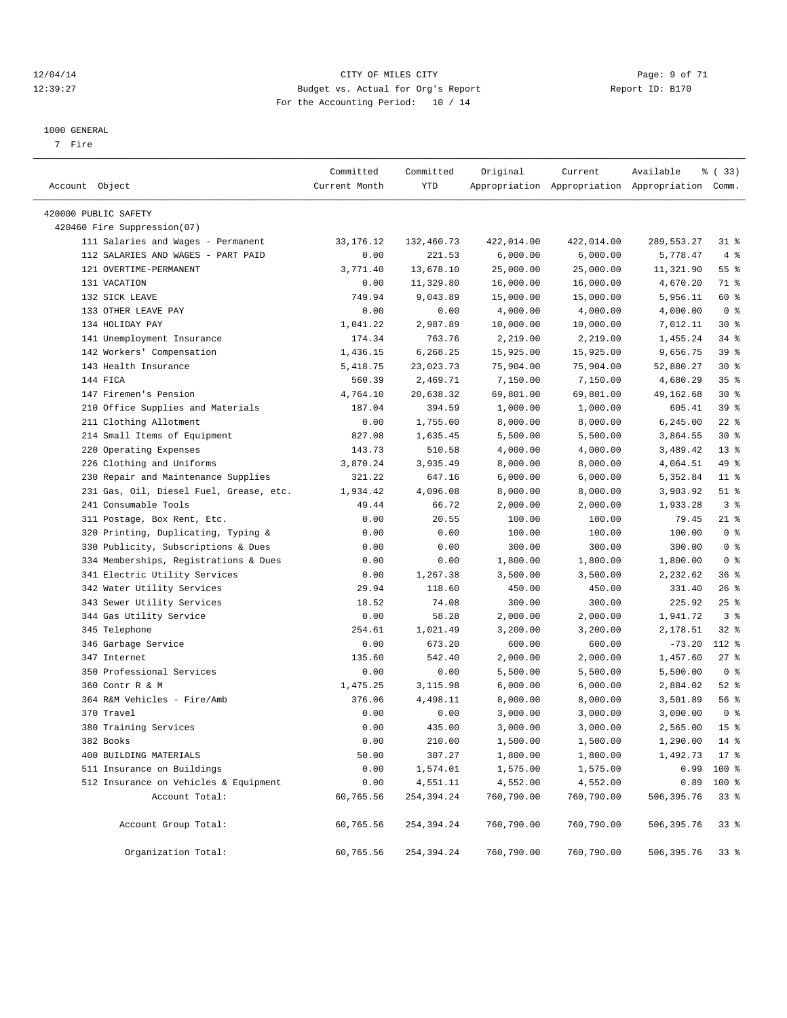#### 12/04/14 CITY OF MILES CITY Page: 9 of 71 12:39:27 Budget vs. Actual for Org's Report Report ID: B170 For the Accounting Period: 10 / 14

————————————————————————————————————————————————————————————————————————————————————————————————————————————————————————————————————

#### 1000 GENERAL

7 Fire

|                                         | Committed     | Committed  | Original   | Current                                         | Available       | % (33)          |
|-----------------------------------------|---------------|------------|------------|-------------------------------------------------|-----------------|-----------------|
| Account Object                          | Current Month | YTD        |            | Appropriation Appropriation Appropriation Comm. |                 |                 |
| 420000 PUBLIC SAFETY                    |               |            |            |                                                 |                 |                 |
| 420460 Fire Suppression(07)             |               |            |            |                                                 |                 |                 |
| 111 Salaries and Wages - Permanent      | 33, 176. 12   | 132,460.73 | 422,014.00 | 422,014.00                                      | 289, 553. 27    | 31 %            |
| 112 SALARIES AND WAGES - PART PAID      | 0.00          | 221.53     | 6,000.00   | 6,000.00                                        | 5,778.47        | 4%              |
| 121 OVERTIME-PERMANENT                  | 3,771.40      | 13,678.10  | 25,000.00  | 25,000.00                                       | 11,321.90       | $55$ $%$        |
| 131 VACATION                            | 0.00          | 11,329.80  | 16,000.00  | 16,000.00                                       | 4,670.20        | 71 %            |
| 132 SICK LEAVE                          | 749.94        | 9,043.89   | 15,000.00  | 15,000.00                                       | 5,956.11        | 60 %            |
| 133 OTHER LEAVE PAY                     | 0.00          | 0.00       | 4,000.00   | 4,000.00                                        | 4,000.00        | 0 <sup>8</sup>  |
| 134 HOLIDAY PAY                         | 1,041.22      | 2,987.89   | 10,000.00  | 10,000.00                                       | 7,012.11        | $30*$           |
| 141 Unemployment Insurance              | 174.34        | 763.76     | 2,219.00   | 2,219.00                                        | 1,455.24        | $34$ $%$        |
| 142 Workers' Compensation               | 1,436.15      | 6,268.25   | 15,925.00  | 15,925.00                                       | 9,656.75        | 39 %            |
| 143 Health Insurance                    | 5,418.75      | 23,023.73  | 75,904.00  | 75,904.00                                       | 52,880.27       | $30*$           |
| 144 FICA                                | 560.39        | 2,469.71   | 7,150.00   | 7,150.00                                        | 4,680.29        | 35%             |
| 147 Firemen's Pension                   | 4,764.10      | 20,638.32  | 69,801.00  | 69,801.00                                       | 49,162.68       | $30*$           |
| 210 Office Supplies and Materials       | 187.04        | 394.59     | 1,000.00   | 1,000.00                                        | 605.41          | 39 %            |
| 211 Clothing Allotment                  | 0.00          | 1,755.00   | 8,000.00   | 8,000.00                                        | 6,245.00        | $22$ %          |
| 214 Small Items of Equipment            | 827.08        | 1,635.45   | 5,500.00   | 5,500.00                                        | 3,864.55        | $30*$           |
| 220 Operating Expenses                  | 143.73        | 510.58     | 4,000.00   | 4,000.00                                        | 3,489.42        | $13*$           |
| 226 Clothing and Uniforms               | 3,870.24      | 3,935.49   | 8,000.00   | 8,000.00                                        | 4,064.51        | 49 %            |
| 230 Repair and Maintenance Supplies     | 321.22        | 647.16     | 6,000.00   | 6,000.00                                        | 5,352.84        | $11$ %          |
| 231 Gas, Oil, Diesel Fuel, Grease, etc. | 1,934.42      | 4,096.08   | 8,000.00   | 8,000.00                                        | 3,903.92        | $51$ %          |
| 241 Consumable Tools                    | 49.44         | 66.72      | 2,000.00   | 2,000.00                                        | 1,933.28        | 3%              |
| 311 Postage, Box Rent, Etc.             | 0.00          | 20.55      | 100.00     | 100.00                                          | 79.45           | $21$ %          |
| 320 Printing, Duplicating, Typing &     | 0.00          | 0.00       | 100.00     | 100.00                                          | 100.00          | 0 <sup>8</sup>  |
| 330 Publicity, Subscriptions & Dues     | 0.00          | 0.00       | 300.00     | 300.00                                          | 300.00          | 0 <sup>8</sup>  |
| 334 Memberships, Registrations & Dues   | 0.00          | 0.00       | 1,800.00   | 1,800.00                                        | 1,800.00        | 0 <sup>8</sup>  |
| 341 Electric Utility Services           | 0.00          | 1,267.38   | 3,500.00   | 3,500.00                                        | 2,232.62        | 36%             |
| 342 Water Utility Services              | 29.94         | 118.60     | 450.00     | 450.00                                          | 331.40          | $26$ %          |
| 343 Sewer Utility Services              | 18.52         | 74.08      | 300.00     | 300.00                                          | 225.92          | $25$ $%$        |
| 344 Gas Utility Service                 | 0.00          | 58.28      | 2,000.00   | 2,000.00                                        | 1,941.72        | 3 <sup>8</sup>  |
| 345 Telephone                           | 254.61        | 1,021.49   | 3,200.00   | 3,200.00                                        | 2,178.51        | $32$ $%$        |
| 346 Garbage Service                     | 0.00          | 673.20     | 600.00     | 600.00                                          | $-73.20$        | $112$ %         |
| 347 Internet                            | 135.60        | 542.40     | 2,000.00   | 2,000.00                                        | 1,457.60        | $27$ %          |
| 350 Professional Services               | 0.00          | 0.00       | 5,500.00   | 5,500.00                                        | 5,500.00        | 0 <sup>8</sup>  |
| 360 Contr R & M                         | 1,475.25      | 3,115.98   | 6,000.00   | 6,000.00                                        | 2,884.02        | $52$ $%$        |
| 364 R&M Vehicles - Fire/Amb             | 376.06        | 4,498.11   | 8,000.00   | 8,000.00                                        | 3,501.89        | 56 %            |
| 370 Travel                              | 0.00          | 0.00       | 3,000.00   | 3,000.00                                        | 3,000.00        | 0 <sup>8</sup>  |
| 380 Training Services                   | 0.00          | 435.00     | 3,000.00   | 3,000.00                                        | 2,565.00        | 15 <sup>8</sup> |
| 382 Books                               | 0.00          | 210.00     | 1,500.00   | $1\,, 500\,.$ 00                                | 1,290.00        | $14*$           |
| 400 BUILDING MATERIALS                  | 50.00         | 307.27     | 1,800.00   | 1,800.00                                        | $1,492.73$ 17 % |                 |
| 511 Insurance on Buildings              | 0.00          | 1,574.01   | 1,575.00   | 1,575.00                                        | 0.99            | 100 %           |
| 512 Insurance on Vehicles & Equipment   | 0.00          | 4,551.11   | 4,552.00   | 4,552.00                                        | 0.89            | 100 %           |
| Account Total:                          | 60,765.56     | 254,394.24 | 760,790.00 | 760,790.00                                      | 506,395.76      | 33%             |
| Account Group Total:                    | 60,765.56     | 254,394.24 | 760,790.00 | 760,790.00                                      | 506,395.76      | 33%             |
| Organization Total:                     | 60,765.56     | 254,394.24 | 760,790.00 | 760,790.00                                      | 506,395.76      | 33 %            |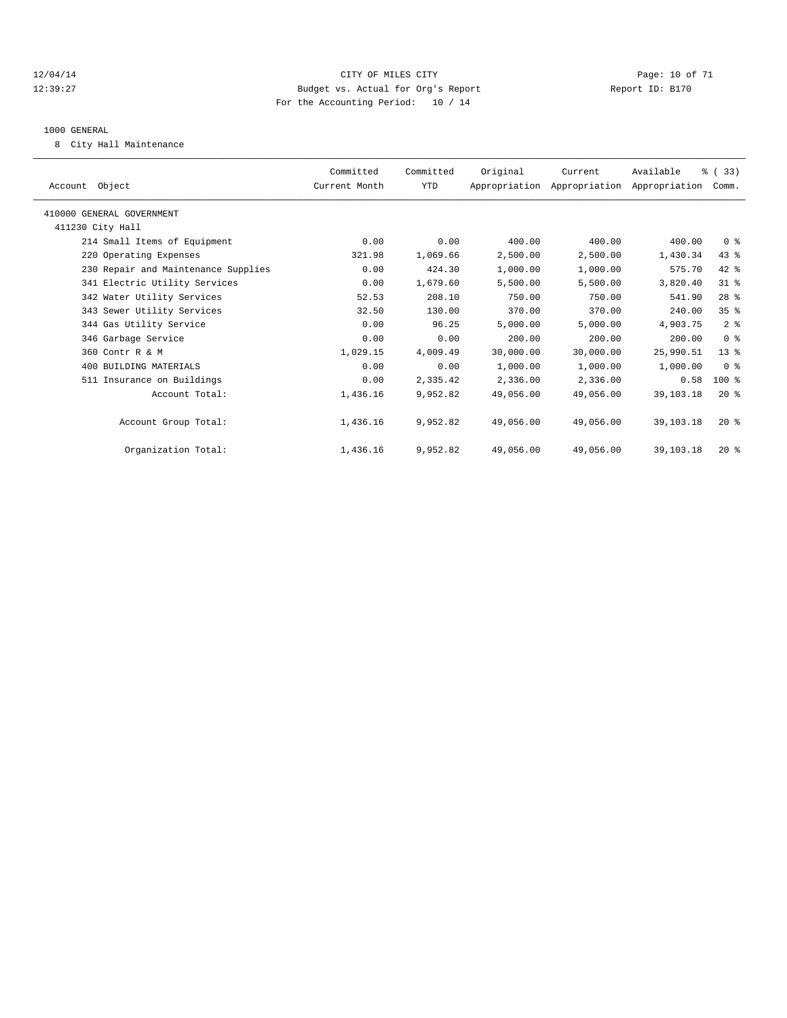#### 12/04/14 Page: 10 of 71 12:39:27 Budget vs. Actual for Org's Report Report ID: B170 For the Accounting Period: 10 / 14

#### 1000 GENERAL

8 City Hall Maintenance

| Account Object                      | Committed<br>Current Month | Committed<br>YTD | Original  | Current<br>Appropriation Appropriation Appropriation Comm. | Available   | % (33)          |  |
|-------------------------------------|----------------------------|------------------|-----------|------------------------------------------------------------|-------------|-----------------|--|
| 410000 GENERAL GOVERNMENT           |                            |                  |           |                                                            |             |                 |  |
| 411230 City Hall                    |                            |                  |           |                                                            |             |                 |  |
| 214 Small Items of Equipment        | 0.00                       | 0.00             | 400.00    | 400.00                                                     | 400.00      | 0 <sup>8</sup>  |  |
| 220 Operating Expenses              | 321.98                     | 1,069.66         | 2,500.00  | 2,500.00                                                   | 1,430.34    | 43 %            |  |
| 230 Repair and Maintenance Supplies | 0.00                       | 424.30           | 1,000.00  | 1,000.00                                                   | 575.70      | $42$ $%$        |  |
| 341 Electric Utility Services       | 0.00                       | 1,679.60         | 5,500.00  | 5,500.00                                                   | 3,820.40    | 31.8            |  |
| 342 Water Utility Services          | 52.53                      | 208.10           | 750.00    | 750.00                                                     | 541.90      | 28 <sup>8</sup> |  |
| 343 Sewer Utility Services          | 32.50                      | 130.00           | 370.00    | 370.00                                                     | 240.00      | 35 <sup>8</sup> |  |
| 344 Gas Utility Service             | 0.00                       | 96.25            | 5,000.00  | 5,000.00                                                   | 4,903.75    | 2 <sup>8</sup>  |  |
| 346 Garbage Service                 | 0.00                       | 0.00             | 200.00    | 200.00                                                     | 200.00      | 0 <sup>8</sup>  |  |
| 360 Contr R & M                     | 1,029.15                   | 4,009.49         | 30,000.00 | 30,000.00                                                  | 25,990.51   | $13*$           |  |
| 400 BUILDING MATERIALS              | 0.00                       | 0.00             | 1,000.00  | 1,000.00                                                   | 1,000.00    | 0 <sup>8</sup>  |  |
| 511 Insurance on Buildings          | 0.00                       | 2,335.42         | 2,336.00  | 2,336.00                                                   | 0.58        | $100*$          |  |
| Account Total:                      | 1,436.16                   | 9,952.82         | 49,056.00 | 49,056.00                                                  | 39, 103. 18 | $20*$           |  |
| Account Group Total:                | 1,436.16                   | 9,952.82         | 49,056.00 | 49,056.00                                                  | 39, 103. 18 | $20*$           |  |
| Organization Total:                 | 1,436.16                   | 9,952.82         | 49,056.00 | 49,056.00                                                  | 39,103.18   | $20*$           |  |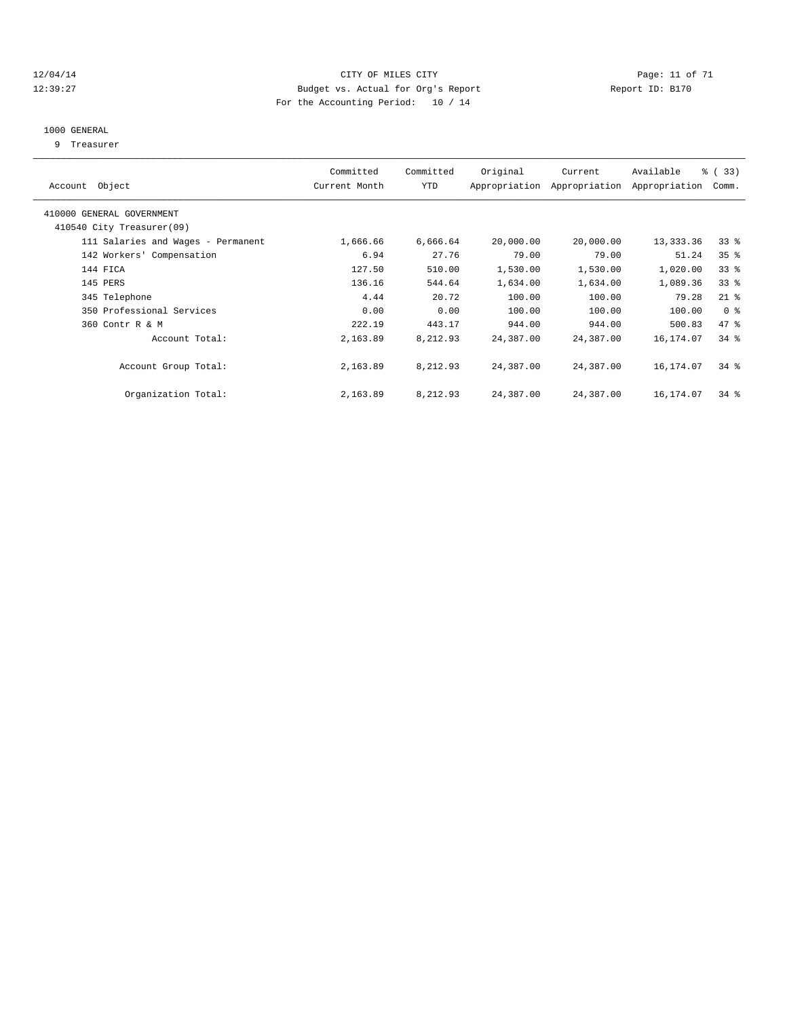#### 12/04/14 Page: 11 of 71 12:39:27 Budget vs. Actual for Org's Report Report ID: B170 For the Accounting Period: 10 / 14

#### 1000 GENERAL

9 Treasurer

| Account Object                     | Committed<br>Current Month | Committed<br>YTD | Original  | Current<br>Appropriation Appropriation | Available<br>Appropriation | % ( 33 )<br>Comm. |
|------------------------------------|----------------------------|------------------|-----------|----------------------------------------|----------------------------|-------------------|
| 410000 GENERAL GOVERNMENT          |                            |                  |           |                                        |                            |                   |
| 410540 City Treasurer(09)          |                            |                  |           |                                        |                            |                   |
| 111 Salaries and Wages - Permanent | 1,666.66                   | 6,666.64         | 20,000.00 | 20,000.00                              | 13,333.36                  | $33*$             |
| 142 Workers' Compensation          | 6.94                       | 27.76            | 79.00     | 79.00                                  | 51.24                      | 35 <sup>8</sup>   |
| 144 FICA                           | 127.50                     | 510.00           | 1,530.00  | 1,530.00                               | 1,020.00                   | 33 <sup>8</sup>   |
| 145 PERS                           | 136.16                     | 544.64           | 1,634.00  | 1,634.00                               | 1,089.36                   | $33*$             |
| 345 Telephone                      | 4.44                       | 20.72            | 100.00    | 100.00                                 | 79.28                      | $21$ %            |
| 350 Professional Services          | 0.00                       | 0.00             | 100.00    | 100.00                                 | 100.00                     | 0 <sup>8</sup>    |
| 360 Contr R & M                    | 222.19                     | 443.17           | 944.00    | 944.00                                 | 500.83                     | 47 %              |
| Account Total:                     | 2,163.89                   | 8,212.93         | 24,387.00 | 24,387.00                              | 16,174.07                  | $34$ $%$          |
| Account Group Total:               | 2,163.89                   | 8,212.93         | 24,387.00 | 24,387.00                              | 16,174.07                  | $34$ $%$          |
| Organization Total:                | 2,163.89                   | 8,212.93         | 24,387.00 | 24,387.00                              | 16,174.07                  | $34$ $%$          |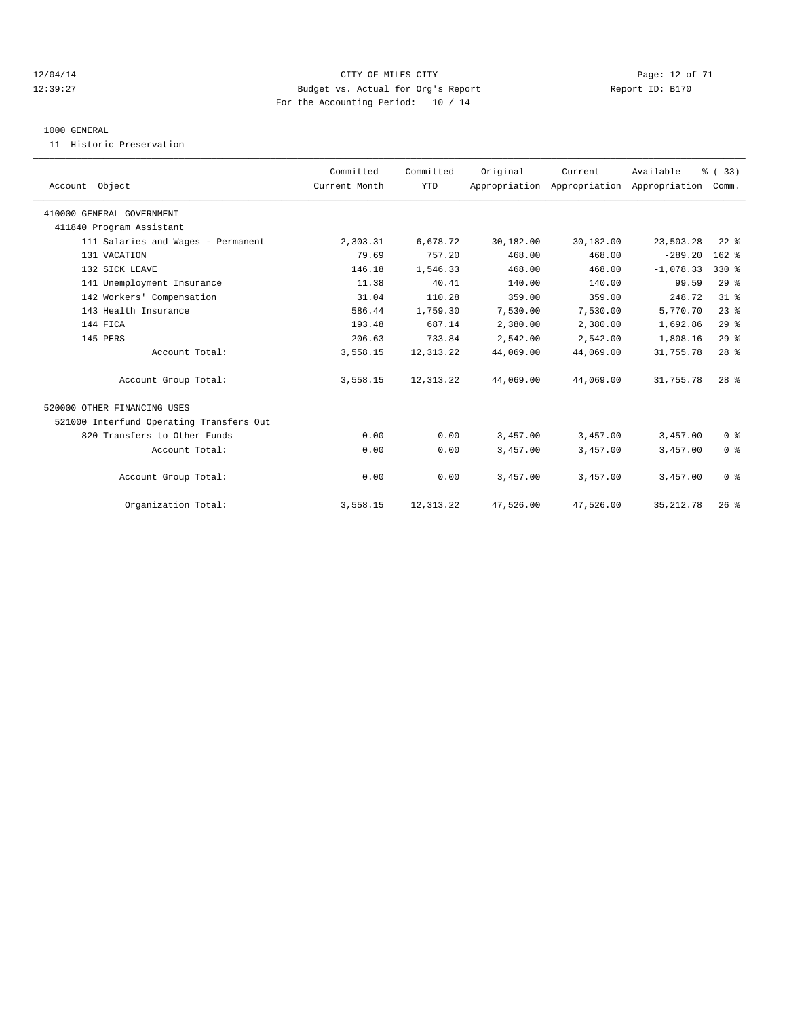#### 12/04/14 Page: 12 of 71 12:39:27 Budget vs. Actual for Org's Report Report ID: B170 For the Accounting Period: 10 / 14

#### 1000 GENERAL

11 Historic Preservation

|                                          | Committed     | Committed  | Original  | Current                                   | Available   | % (33)          |  |
|------------------------------------------|---------------|------------|-----------|-------------------------------------------|-------------|-----------------|--|
| Account Object                           | Current Month | <b>YTD</b> |           | Appropriation Appropriation Appropriation |             | Comm.           |  |
| 410000 GENERAL GOVERNMENT                |               |            |           |                                           |             |                 |  |
| 411840 Program Assistant                 |               |            |           |                                           |             |                 |  |
| 111 Salaries and Wages - Permanent       | 2,303.31      | 6,678.72   | 30,182.00 | 30,182.00                                 | 23,503.28   | $22$ $%$        |  |
| 131 VACATION                             | 79.69         | 757.20     | 468.00    | 468.00                                    | $-289.20$   | 162 %           |  |
| 132 SICK LEAVE                           | 146.18        | 1,546.33   | 468.00    | 468.00                                    | $-1,078.33$ | 330 %           |  |
| 141 Unemployment Insurance               | 11.38         | 40.41      | 140.00    | 140.00                                    | 99.59       | 29%             |  |
| 142 Workers' Compensation                | 31.04         | 110.28     | 359.00    | 359.00                                    | 248.72      | 31.8            |  |
| 143 Health Insurance                     | 586.44        | 1,759.30   | 7,530.00  | 7,530.00                                  | 5,770.70    | 23%             |  |
| 144 FICA                                 | 193.48        | 687.14     | 2,380.00  | 2,380.00                                  | 1,692.86    | 29%             |  |
| 145 PERS                                 | 206.63        | 733.84     | 2,542.00  | 2,542.00                                  | 1,808.16    | 29%             |  |
| Account Total:                           | 3,558.15      | 12, 313.22 | 44,069.00 | 44,069.00                                 | 31,755.78   | 28 <sup>8</sup> |  |
| Account Group Total:                     | 3,558.15      | 12, 313.22 | 44,069.00 | 44,069.00                                 | 31,755.78   | 28 <sup>8</sup> |  |
| 520000 OTHER FINANCING USES              |               |            |           |                                           |             |                 |  |
| 521000 Interfund Operating Transfers Out |               |            |           |                                           |             |                 |  |
| 820 Transfers to Other Funds             | 0.00          | 0.00       | 3,457.00  | 3,457.00                                  | 3,457.00    | 0 <sup>8</sup>  |  |
| Account Total:                           | 0.00          | 0.00       | 3,457.00  | 3,457.00                                  | 3,457.00    | 0 <sup>8</sup>  |  |
| Account Group Total:                     | 0.00          | 0.00       | 3,457.00  | 3,457.00                                  | 3,457.00    | 0 <sup>8</sup>  |  |
| Organization Total:                      | 3,558.15      | 12, 313.22 | 47,526.00 | 47,526.00                                 | 35, 212.78  | 26%             |  |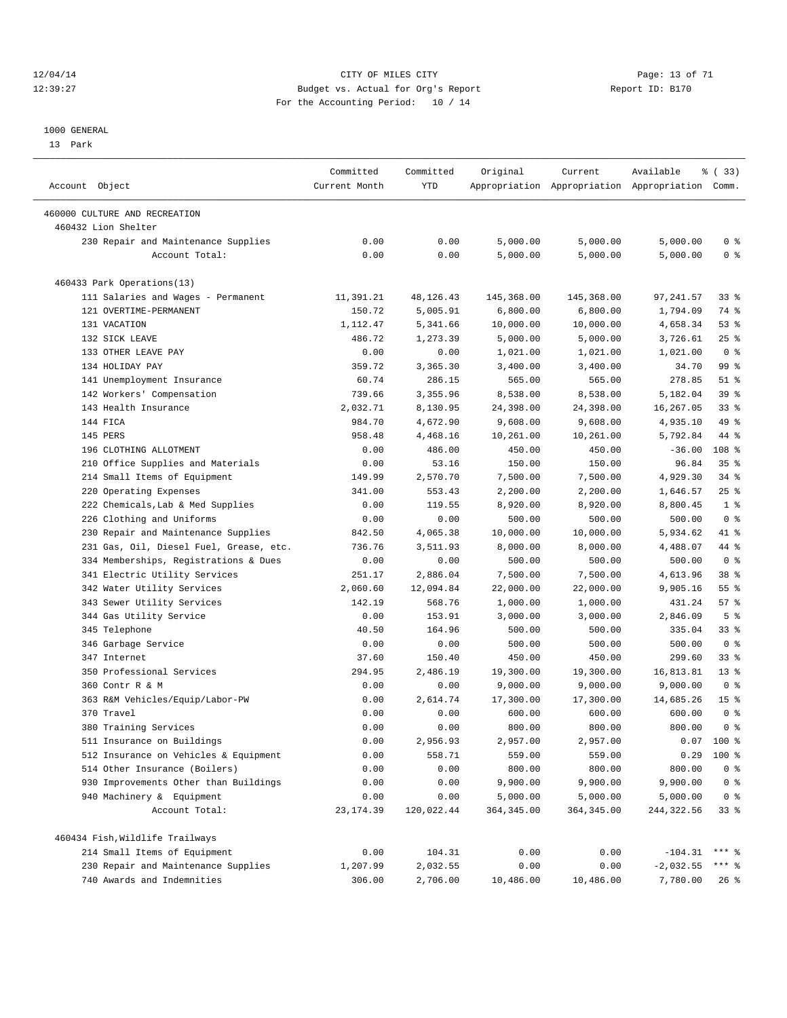#### 12/04/14 Page: 13 of 71 12:39:27 Budget vs. Actual for Org's Report Report ID: B170 For the Accounting Period: 10 / 14

————————————————————————————————————————————————————————————————————————————————————————————————————————————————————————————————————

#### 1000 GENERAL

13 Park

|                                         | Committed     | Committed  | Original    | Current     | Available                                       | 8 (33)          |
|-----------------------------------------|---------------|------------|-------------|-------------|-------------------------------------------------|-----------------|
| Account Object                          | Current Month | YTD        |             |             | Appropriation Appropriation Appropriation Comm. |                 |
| 460000 CULTURE AND RECREATION           |               |            |             |             |                                                 |                 |
| 460432 Lion Shelter                     |               |            |             |             |                                                 |                 |
| 230 Repair and Maintenance Supplies     | 0.00          | 0.00       | 5,000.00    | 5,000.00    | 5,000.00                                        | 0 %             |
| Account Total:                          | 0.00          | 0.00       | 5,000.00    | 5,000.00    | 5,000.00                                        | 0 <sup>8</sup>  |
|                                         |               |            |             |             |                                                 |                 |
| 460433 Park Operations(13)              |               |            |             |             |                                                 |                 |
| 111 Salaries and Wages - Permanent      | 11,391.21     | 48,126.43  | 145,368.00  | 145,368.00  | 97, 241.57                                      | $33*$           |
| 121 OVERTIME-PERMANENT                  | 150.72        | 5,005.91   | 6,800.00    | 6,800.00    | 1,794.09                                        | 74 %            |
| 131 VACATION                            | 1,112.47      | 5,341.66   | 10,000.00   | 10,000.00   | 4,658.34                                        | 53%             |
| 132 SICK LEAVE                          | 486.72        | 1,273.39   | 5,000.00    | 5,000.00    | 3,726.61                                        | $25$ $%$        |
| 133 OTHER LEAVE PAY                     | 0.00          | 0.00       | 1,021.00    | 1,021.00    | 1,021.00                                        | 0 <sup>8</sup>  |
| 134 HOLIDAY PAY                         | 359.72        | 3,365.30   | 3,400.00    | 3,400.00    | 34.70                                           | 99 %            |
| 141 Unemployment Insurance              | 60.74         | 286.15     | 565.00      | 565.00      | 278.85                                          | $51$ %          |
| 142 Workers' Compensation               | 739.66        | 3,355.96   | 8,538.00    | 8,538.00    | 5,182.04                                        | 39 %            |
| 143 Health Insurance                    | 2,032.71      | 8,130.95   | 24,398.00   | 24,398.00   | 16,267.05                                       | $33$ $%$        |
| 144 FICA                                | 984.70        | 4,672.90   | 9,608.00    | 9,608.00    | 4,935.10                                        | 49 %            |
| 145 PERS                                | 958.48        | 4,468.16   | 10,261.00   | 10,261.00   | 5,792.84                                        | 44 %            |
| 196 CLOTHING ALLOTMENT                  | 0.00          | 486.00     | 450.00      | 450.00      | $-36.00$                                        | 108 %           |
| 210 Office Supplies and Materials       | 0.00          | 53.16      | 150.00      | 150.00      | 96.84                                           | 35 <sup>8</sup> |
| 214 Small Items of Equipment            | 149.99        | 2,570.70   | 7,500.00    | 7,500.00    | 4,929.30                                        | $34$ $%$        |
| 220 Operating Expenses                  | 341.00        | 553.43     | 2,200.00    | 2,200.00    | 1,646.57                                        | $25$ %          |
| 222 Chemicals, Lab & Med Supplies       | 0.00          | 119.55     | 8,920.00    | 8,920.00    | 8,800.45                                        | 1 <sup>°</sup>  |
| 226 Clothing and Uniforms               | 0.00          | 0.00       | 500.00      | 500.00      | 500.00                                          | 0 <sup>8</sup>  |
| 230 Repair and Maintenance Supplies     | 842.50        | 4,065.38   | 10,000.00   | 10,000.00   | 5,934.62                                        | 41 %            |
| 231 Gas, Oil, Diesel Fuel, Grease, etc. | 736.76        | 3,511.93   | 8,000.00    | 8,000.00    | 4,488.07                                        | 44 %            |
| 334 Memberships, Registrations & Dues   | 0.00          | 0.00       | 500.00      | 500.00      | 500.00                                          | 0 <sup>8</sup>  |
| 341 Electric Utility Services           | 251.17        | 2,886.04   | 7,500.00    | 7,500.00    | 4,613.96                                        | 38 %            |
| 342 Water Utility Services              | 2,060.60      | 12,094.84  | 22,000.00   | 22,000.00   | 9,905.16                                        | $55$ $%$        |
| 343 Sewer Utility Services              | 142.19        | 568.76     | 1,000.00    | 1,000.00    | 431.24                                          | 57%             |
| 344 Gas Utility Service                 | 0.00          | 153.91     | 3,000.00    | 3,000.00    | 2,846.09                                        | 5 <sup>°</sup>  |
| 345 Telephone                           | 40.50         | 164.96     | 500.00      | 500.00      | 335.04                                          | $33$ $%$        |
| 346 Garbage Service                     | 0.00          | 0.00       | 500.00      | 500.00      | 500.00                                          | 0 <sup>8</sup>  |
| 347 Internet                            | 37.60         | 150.40     | 450.00      | 450.00      | 299.60                                          | $33$ $%$        |
| 350 Professional Services               | 294.95        | 2,486.19   | 19,300.00   | 19,300.00   | 16,813.81                                       | $13*$           |
| 360 Contr R & M                         | 0.00          | 0.00       | 9,000.00    | 9,000.00    | 9,000.00                                        | 0 <sup>8</sup>  |
| 363 R&M Vehicles/Equip/Labor-PW         | 0.00          | 2,614.74   | 17,300.00   | 17,300.00   | 14,685.26                                       | 15 <sup>°</sup> |
| 370 Travel                              | 0.00          | 0.00       | 600.00      | 600.00      | 600.00                                          | 0 <sup>8</sup>  |
| 380 Training Services                   | 0.00          | 0.00       | 800.00      | 800.00      | 800.00                                          | 0 <sup>8</sup>  |
| 511 Insurance on Buildings              | 0.00          | 2,956.93   | 2,957.00    | 2,957.00    |                                                 | $0.07$ 100 %    |
| 512 Insurance on Vehicles & Equipment   | 0.00          | 558.71     | 559.00      | 559.00      | 0.29                                            | 100 %           |
| 514 Other Insurance (Boilers)           | 0.00          | 0.00       | 800.00      | 800.00      | 800.00                                          | $0$ %           |
| 930 Improvements Other than Buildings   | 0.00          | 0.00       | 9,900.00    | 9,900.00    | 9,900.00                                        | 0 <sup>8</sup>  |
| 940 Machinery & Equipment               | 0.00          | 0.00       | 5,000.00    | 5,000.00    | 5,000.00                                        | 0 <sup>8</sup>  |
| Account Total:                          | 23, 174.39    | 120,022.44 | 364, 345.00 | 364, 345.00 | 244, 322.56                                     | 33%             |
|                                         |               |            |             |             |                                                 |                 |
| 460434 Fish, Wildlife Trailways         |               |            |             |             |                                                 |                 |
| 214 Small Items of Equipment            | 0.00          | 104.31     | 0.00        | 0.00        | $-104.31$                                       | *** 음           |
| 230 Repair and Maintenance Supplies     | 1,207.99      | 2,032.55   | 0.00        | 0.00        | $-2,032.55$                                     | *** 음           |
| 740 Awards and Indemnities              | 306.00        | 2,706.00   | 10,486.00   | 10,486.00   | 7,780.00                                        | 26 %            |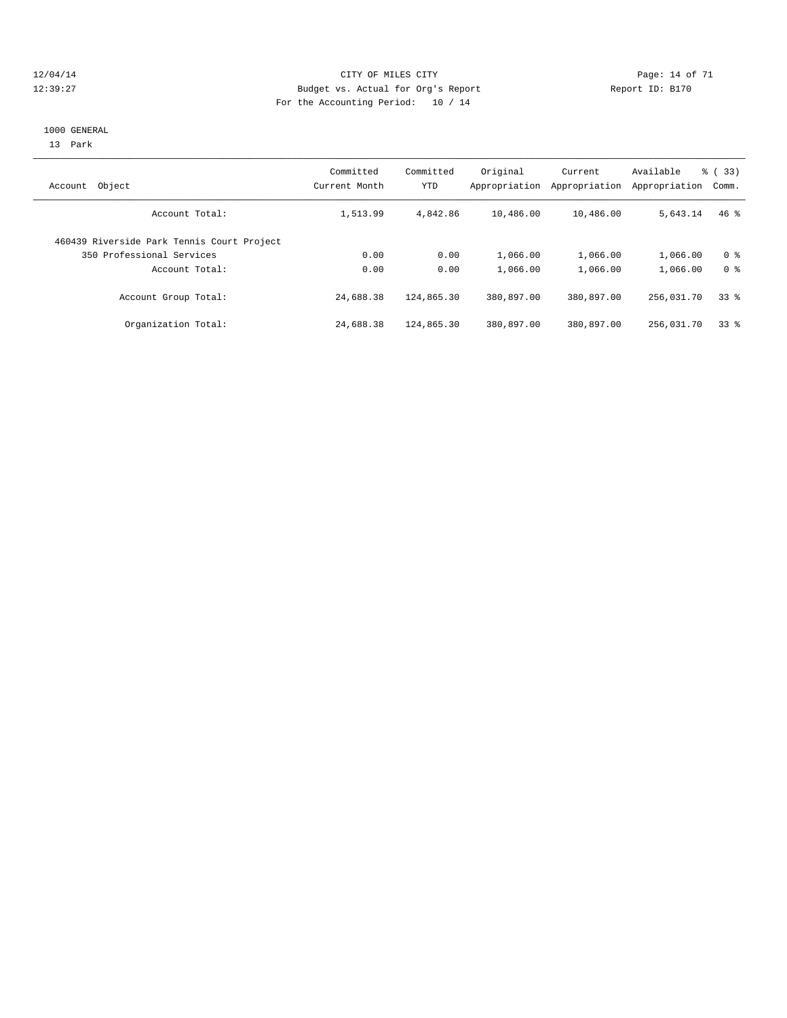#### 12/04/14 Page: 14 of 71 12:39:27 Budget vs. Actual for Org's Report Report ID: B170 For the Accounting Period: 10 / 14

#### 1000 GENERAL

13 Park

| Object<br>Account                          | Committed<br>Current Month | Committed<br>YTD | Original<br>Appropriation | Current<br>Appropriation | Available<br>Appropriation | % (33)<br>Comm. |
|--------------------------------------------|----------------------------|------------------|---------------------------|--------------------------|----------------------------|-----------------|
| Account Total:                             | 1,513.99                   | 4,842.86         | 10,486.00                 | 10,486.00                | 5,643.14                   | $46*$           |
| 460439 Riverside Park Tennis Court Project |                            |                  |                           |                          |                            |                 |
| 350 Professional Services                  | 0.00                       | 0.00             | 1,066.00                  | 1,066.00                 | 1,066.00                   | 0 <sup>8</sup>  |
| Account Total:                             | 0.00                       | 0.00             | 1,066.00                  | 1,066.00                 | 1,066.00                   | 0 <sup>8</sup>  |
| Account Group Total:                       | 24,688.38                  | 124,865.30       | 380,897.00                | 380,897.00               | 256,031.70                 | 338             |
| Organization Total:                        | 24,688.38                  | 124,865.30       | 380,897.00                | 380,897.00               | 256,031.70                 | 338             |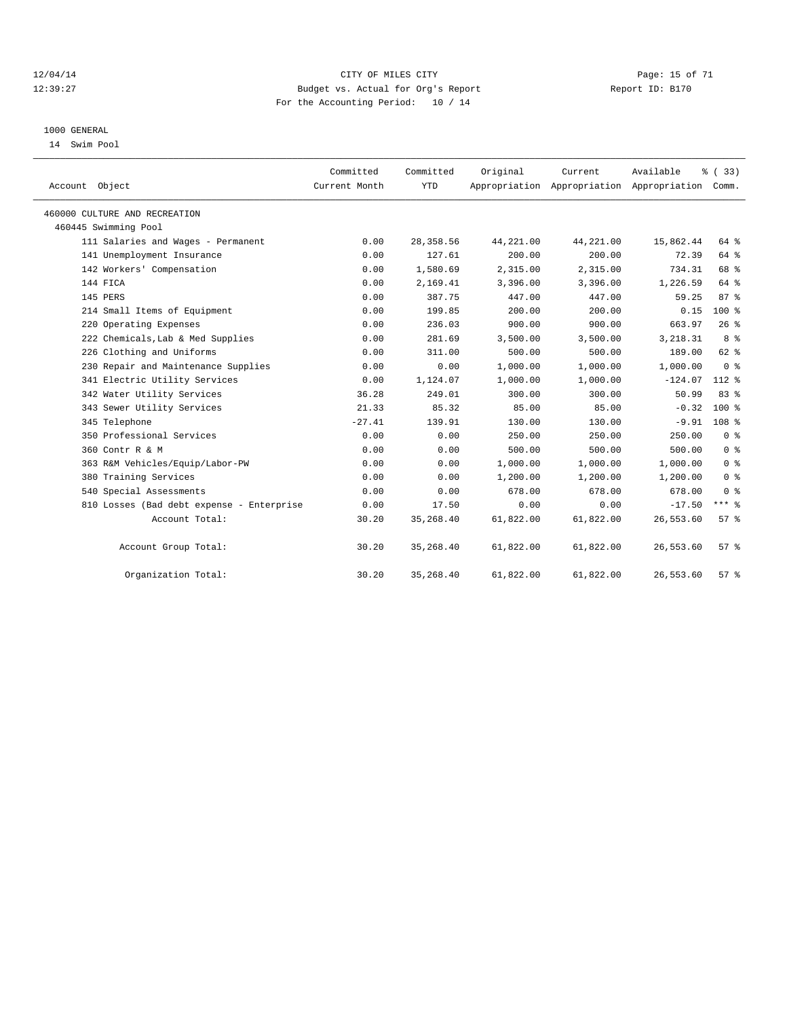#### 12/04/14 Page: 15 of 71 12:39:27 Budget vs. Actual for Org's Report Report ID: B170 For the Accounting Period: 10 / 14

#### 1000 GENERAL

14 Swim Pool

| Account Object                            | Committed<br>Current Month | Committed<br><b>YTD</b> | Original  | Current   | Available<br>Appropriation Appropriation Appropriation | % (33)<br>Comm.  |  |
|-------------------------------------------|----------------------------|-------------------------|-----------|-----------|--------------------------------------------------------|------------------|--|
| 460000 CULTURE AND RECREATION             |                            |                         |           |           |                                                        |                  |  |
| 460445 Swimming Pool                      |                            |                         |           |           |                                                        |                  |  |
| 111 Salaries and Wages - Permanent        | 0.00                       | 28, 358.56              | 44,221.00 | 44,221.00 | 15,862.44                                              | 64 %             |  |
| 141 Unemployment Insurance                | 0.00                       | 127.61                  | 200.00    | 200.00    | 72.39                                                  | 64 %             |  |
| 142 Workers' Compensation                 | 0.00                       | 1,580.69                | 2,315.00  | 2,315.00  | 734.31                                                 | 68 %             |  |
| 144 FICA                                  | 0.00                       | 2,169.41                | 3,396.00  | 3,396.00  | 1,226.59                                               | 64 %             |  |
| 145 PERS                                  | 0.00                       | 387.75                  | 447.00    | 447.00    | 59.25                                                  | 87%              |  |
| 214 Small Items of Equipment              | 0.00                       | 199.85                  | 200.00    | 200.00    | 0.15                                                   | $100*$           |  |
| 220 Operating Expenses                    | 0.00                       | 236.03                  | 900.00    | 900.00    | 663.97                                                 | 26%              |  |
| 222 Chemicals, Lab & Med Supplies         | 0.00                       | 281.69                  | 3,500.00  | 3,500.00  | 3,218.31                                               | 8 <sup>8</sup>   |  |
| 226 Clothing and Uniforms                 | 0.00                       | 311.00                  | 500.00    | 500.00    | 189.00                                                 | 62 %             |  |
| 230 Repair and Maintenance Supplies       | 0.00                       | 0.00                    | 1,000.00  | 1,000.00  | 1,000.00                                               | 0 <sup>8</sup>   |  |
| 341 Electric Utility Services             | 0.00                       | 1,124.07                | 1,000.00  | 1,000.00  | $-124.07$                                              | $112*$           |  |
| 342 Water Utility Services                | 36.28                      | 249.01                  | 300.00    | 300.00    | 50.99                                                  | 83 %             |  |
| 343 Sewer Utility Services                | 21.33                      | 85.32                   | 85.00     | 85.00     | $-0.32$                                                | $100*$           |  |
| 345 Telephone                             | $-27.41$                   | 139.91                  | 130.00    | 130.00    | $-9.91$                                                | 108 <sup>8</sup> |  |
| 350 Professional Services                 | 0.00                       | 0.00                    | 250.00    | 250.00    | 250.00                                                 | 0 <sup>8</sup>   |  |
| 360 Contr R & M                           | 0.00                       | 0.00                    | 500.00    | 500.00    | 500.00                                                 | 0 <sup>8</sup>   |  |
| 363 R&M Vehicles/Equip/Labor-PW           | 0.00                       | 0.00                    | 1,000.00  | 1,000.00  | 1,000.00                                               | 0 <sup>8</sup>   |  |
| 380 Training Services                     | 0.00                       | 0.00                    | 1,200.00  | 1,200.00  | 1,200.00                                               | 0 <sup>8</sup>   |  |
| 540 Special Assessments                   | 0.00                       | 0.00                    | 678.00    | 678.00    | 678.00                                                 | 0 <sup>8</sup>   |  |
| 810 Losses (Bad debt expense - Enterprise | 0.00                       | 17.50                   | 0.00      | 0.00      | $-17.50$                                               | $***$ $-$        |  |
| Account Total:                            | 30.20                      | 35, 268.40              | 61,822.00 | 61,822.00 | 26,553.60                                              | 57 <sup>8</sup>  |  |
| Account Group Total:                      | 30.20                      | 35, 268.40              | 61,822.00 | 61,822.00 | 26,553.60                                              | 57%              |  |
| Organization Total:                       | 30.20                      | 35, 268.40              | 61,822.00 | 61,822.00 | 26,553.60                                              | 57 <sup>8</sup>  |  |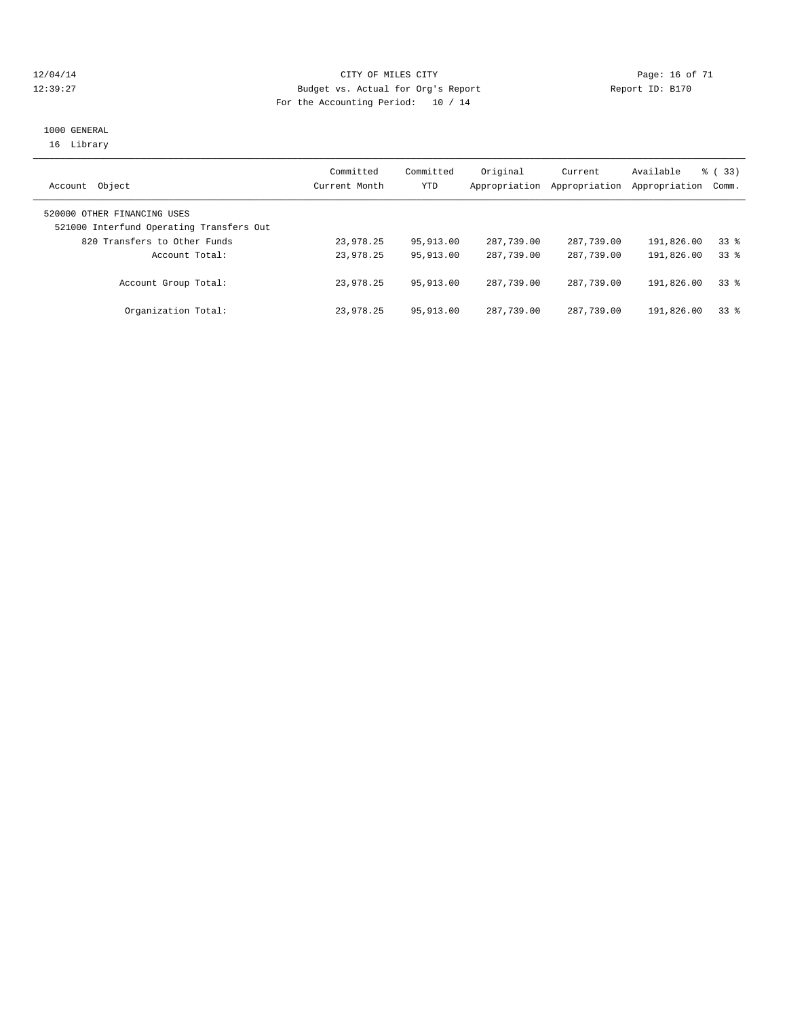#### 12/04/14 Page: 16 of 71 12:39:27 Budget vs. Actual for Org's Report Report ID: B170 For the Accounting Period: 10 / 14

#### 1000 GENERAL 16 Library

| Object<br>Account                        | Committed<br>Current Month | Committed<br><b>YTD</b> | Original<br>Appropriation | Current<br>Appropriation | Available<br>Appropriation | $\frac{1}{6}$ (33)<br>Comm. |
|------------------------------------------|----------------------------|-------------------------|---------------------------|--------------------------|----------------------------|-----------------------------|
| 520000 OTHER FINANCING USES              |                            |                         |                           |                          |                            |                             |
| 521000 Interfund Operating Transfers Out |                            |                         |                           |                          |                            |                             |
| 820 Transfers to Other Funds             | 23,978.25                  | 95,913.00               | 287,739.00                | 287,739.00               | 191,826.00                 | 338                         |
| Account Total:                           | 23,978.25                  | 95,913.00               | 287,739.00                | 287,739.00               | 191,826.00                 | 338                         |
| Account Group Total:                     | 23,978.25                  | 95, 913, 00             | 287,739.00                | 287,739.00               | 191,826.00                 | 33 <sup>8</sup>             |
| Organization Total:                      | 23,978.25                  | 95,913.00               | 287,739.00                | 287,739.00               | 191,826.00                 | $33*$                       |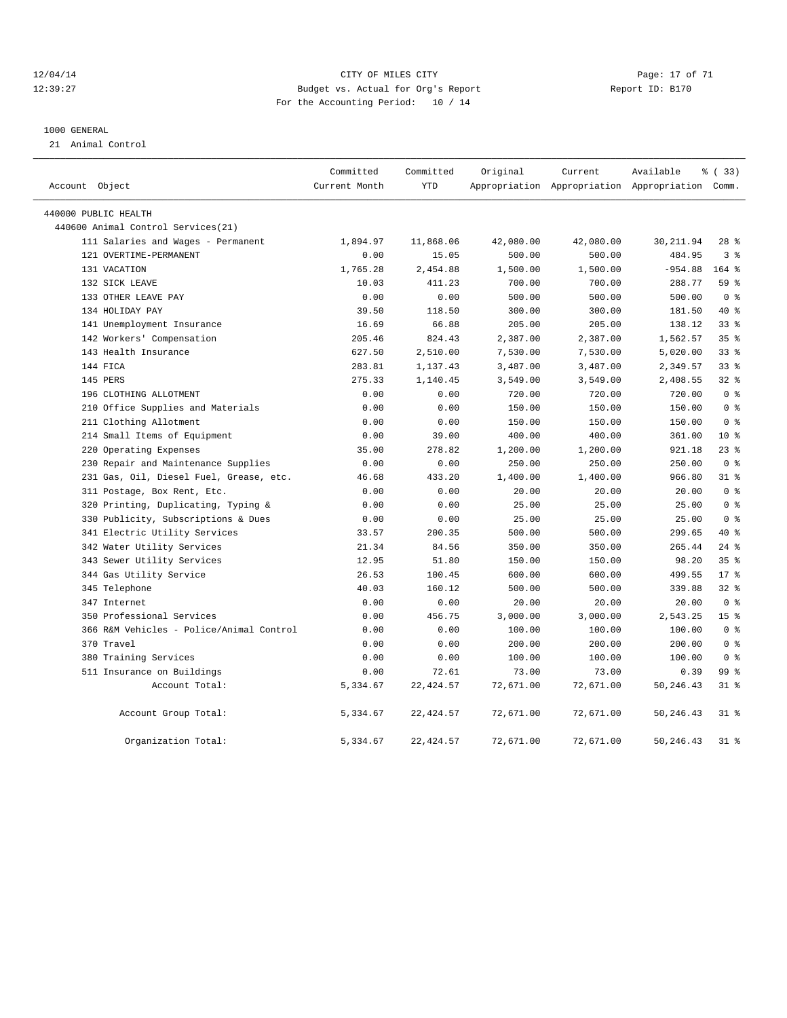#### 12/04/14 Page: 17 of 71 CHT CHE CITY CONTROL CITY Page: 17 of 71 12:39:27 Budget vs. Actual for Org's Report Report ID: B170 For the Accounting Period: 10 / 14

#### 1000 GENERAL

21 Animal Control

|                      |                                          | Committed     | Committed  | Original  | Current   | Available                                       | % (33)          |
|----------------------|------------------------------------------|---------------|------------|-----------|-----------|-------------------------------------------------|-----------------|
| Account Object       |                                          | Current Month | <b>YTD</b> |           |           | Appropriation Appropriation Appropriation Comm. |                 |
| 440000 PUBLIC HEALTH |                                          |               |            |           |           |                                                 |                 |
|                      | 440600 Animal Control Services(21)       |               |            |           |           |                                                 |                 |
|                      | 111 Salaries and Wages - Permanent       | 1,894.97      | 11,868.06  | 42,080.00 | 42,080.00 | 30, 211.94                                      | $28$ %          |
|                      | 121 OVERTIME-PERMANENT                   | 0.00          | 15.05      | 500.00    | 500.00    | 484.95                                          | 3%              |
|                      | 131 VACATION                             | 1,765.28      | 2,454.88   | 1,500.00  | 1,500.00  | $-954.88$                                       | 164 %           |
|                      | 132 SICK LEAVE                           | 10.03         | 411.23     | 700.00    | 700.00    | 288.77                                          | 59 <sub>8</sub> |
|                      | 133 OTHER LEAVE PAY                      | 0.00          | 0.00       | 500.00    | 500.00    | 500.00                                          | 0 <sup>8</sup>  |
|                      | 134 HOLIDAY PAY                          | 39.50         | 118.50     | 300.00    | 300.00    | 181.50                                          | 40 %            |
|                      | 141 Unemployment Insurance               | 16.69         | 66.88      | 205.00    | 205.00    | 138.12                                          | 33%             |
|                      | 142 Workers' Compensation                | 205.46        | 824.43     | 2,387.00  | 2,387.00  | 1,562.57                                        | 35 <sup>8</sup> |
|                      | 143 Health Insurance                     | 627.50        | 2,510.00   | 7,530.00  | 7,530.00  | 5,020.00                                        | 33%             |
|                      | 144 FICA                                 | 283.81        | 1,137.43   | 3,487.00  | 3,487.00  | 2,349.57                                        | 33%             |
|                      | 145 PERS                                 | 275.33        | 1,140.45   | 3,549.00  | 3,549.00  | 2,408.55                                        | $32$ %          |
|                      | 196 CLOTHING ALLOTMENT                   | 0.00          | 0.00       | 720.00    | 720.00    | 720.00                                          | 0 <sup>8</sup>  |
|                      | 210 Office Supplies and Materials        | 0.00          | 0.00       | 150.00    | 150.00    | 150.00                                          | 0 <sup>8</sup>  |
|                      | 211 Clothing Allotment                   | 0.00          | 0.00       | 150.00    | 150.00    | 150.00                                          | 0 <sup>°</sup>  |
|                      | 214 Small Items of Equipment             | 0.00          | 39.00      | 400.00    | 400.00    | 361.00                                          | $10*$           |
|                      | 220 Operating Expenses                   | 35.00         | 278.82     | 1,200.00  | 1,200.00  | 921.18                                          | $23$ $%$        |
|                      | 230 Repair and Maintenance Supplies      | 0.00          | 0.00       | 250.00    | 250.00    | 250.00                                          | 0 <sup>8</sup>  |
|                      | 231 Gas, Oil, Diesel Fuel, Grease, etc.  | 46.68         | 433.20     | 1,400.00  | 1,400.00  | 966.80                                          | $31$ $%$        |
|                      | 311 Postage, Box Rent, Etc.              | 0.00          | 0.00       | 20.00     | 20.00     | 20.00                                           | 0 <sup>8</sup>  |
|                      | 320 Printing, Duplicating, Typing &      | 0.00          | 0.00       | 25.00     | 25.00     | 25.00                                           | 0 <sup>8</sup>  |
|                      | 330 Publicity, Subscriptions & Dues      | 0.00          | 0.00       | 25.00     | 25.00     | 25.00                                           | 0 <sup>8</sup>  |
|                      | 341 Electric Utility Services            | 33.57         | 200.35     | 500.00    | 500.00    | 299.65                                          | $40*$           |
|                      | 342 Water Utility Services               | 21.34         | 84.56      | 350.00    | 350.00    | 265.44                                          | $24$ $%$        |
|                      | 343 Sewer Utility Services               | 12.95         | 51.80      | 150.00    | 150.00    | 98.20                                           | 35 <sup>8</sup> |
|                      | 344 Gas Utility Service                  | 26.53         | 100.45     | 600.00    | 600.00    | 499.55                                          | $17*$           |
|                      | 345 Telephone                            | 40.03         | 160.12     | 500.00    | 500.00    | 339.88                                          | 32 <sub>8</sub> |
|                      | 347 Internet                             | 0.00          | 0.00       | 20.00     | 20.00     | 20.00                                           | 0 <sup>8</sup>  |
|                      | 350 Professional Services                | 0.00          | 456.75     | 3,000.00  | 3,000.00  | 2,543.25                                        | 15 <sup>°</sup> |
|                      | 366 R&M Vehicles - Police/Animal Control | 0.00          | 0.00       | 100.00    | 100.00    | 100.00                                          | 0 <sup>8</sup>  |
|                      | 370 Travel                               | 0.00          | 0.00       | 200.00    | 200.00    | 200.00                                          | 0 <sup>8</sup>  |
|                      | 380 Training Services                    | 0.00          | 0.00       | 100.00    | 100.00    | 100.00                                          | 0 <sup>8</sup>  |
|                      | 511 Insurance on Buildings               | 0.00          | 72.61      | 73.00     | 73.00     | 0.39                                            | 99 %            |
|                      | Account Total:                           | 5,334.67      | 22, 424.57 | 72,671.00 | 72,671.00 | 50, 246. 43                                     | 31.8            |
|                      | Account Group Total:                     | 5,334.67      | 22, 424.57 | 72,671.00 | 72,671.00 | 50,246.43                                       | $31$ %          |
|                      | Organization Total:                      | 5,334.67      | 22, 424.57 | 72,671.00 | 72,671.00 | 50,246.43                                       | 31.8            |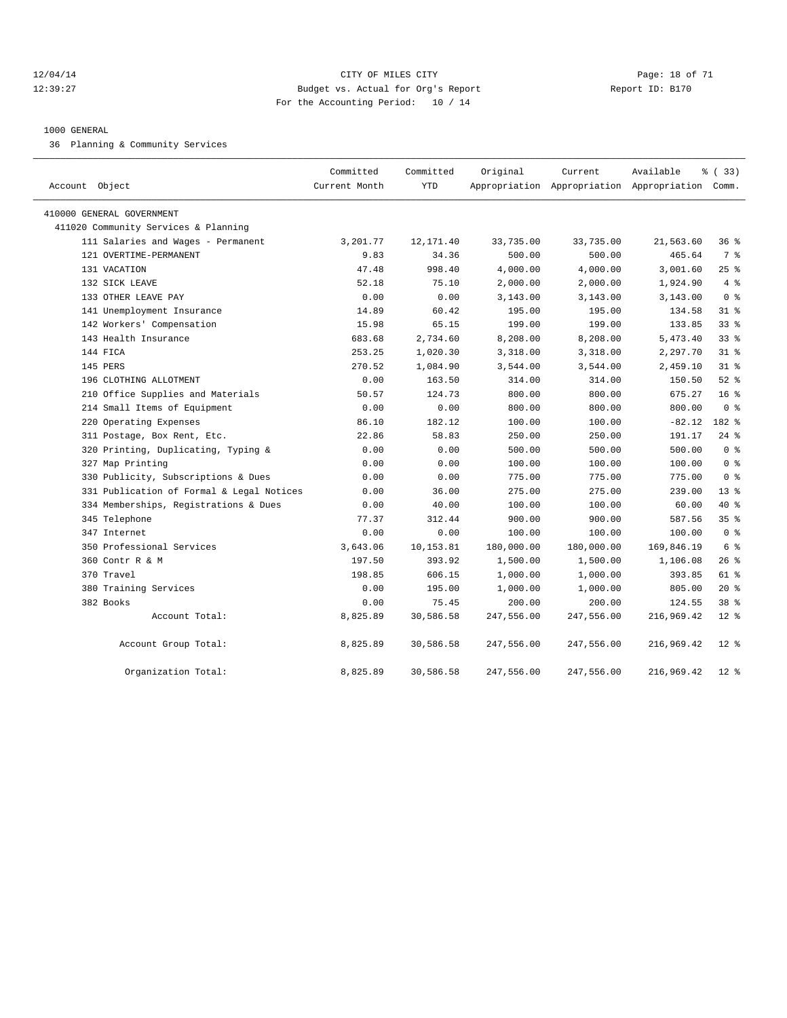#### 12/04/14 Page: 18 of 71 12:39:27 Budget vs. Actual for Org's Report Report ID: B170 For the Accounting Period: 10 / 14

#### 1000 GENERAL

36 Planning & Community Services

| Account Object                            | Committed<br>Current Month | Committed<br><b>YTD</b> | Original   | Current    | Available<br>Appropriation Appropriation Appropriation Comm. | % (33)          |
|-------------------------------------------|----------------------------|-------------------------|------------|------------|--------------------------------------------------------------|-----------------|
| 410000 GENERAL GOVERNMENT                 |                            |                         |            |            |                                                              |                 |
| 411020 Community Services & Planning      |                            |                         |            |            |                                                              |                 |
| 111 Salaries and Wages - Permanent        | 3,201.77                   | 12, 171.40              | 33,735.00  | 33,735.00  | 21,563.60                                                    | 36%             |
| 121 OVERTIME-PERMANENT                    | 9.83                       | 34.36                   | 500.00     | 500.00     | 465.64                                                       | 7 %             |
| 131 VACATION                              | 47.48                      | 998.40                  | 4,000.00   | 4,000.00   | 3,001.60                                                     | 25%             |
| 132 SICK LEAVE                            | 52.18                      | 75.10                   | 2,000.00   | 2,000.00   | 1,924.90                                                     | 4%              |
| 133 OTHER LEAVE PAY                       | 0.00                       | 0.00                    | 3,143.00   | 3,143.00   | 3,143.00                                                     | 0 <sup>8</sup>  |
| 141 Unemployment Insurance                | 14.89                      | 60.42                   | 195.00     | 195.00     | 134.58                                                       | $31$ $%$        |
| 142 Workers' Compensation                 | 15.98                      | 65.15                   | 199.00     | 199.00     | 133.85                                                       | 338             |
| 143 Health Insurance                      | 683.68                     | 2,734.60                | 8,208.00   | 8,208.00   | 5,473.40                                                     | 33 <sup>8</sup> |
| 144 FICA                                  | 253.25                     | 1,020.30                | 3,318.00   | 3,318.00   | 2,297.70                                                     | 31.8            |
| 145 PERS                                  | 270.52                     | 1,084.90                | 3,544.00   | 3,544.00   | 2,459.10                                                     | 31.8            |
| 196 CLOTHING ALLOTMENT                    | 0.00                       | 163.50                  | 314.00     | 314.00     | 150.50                                                       | $52$ $%$        |
| 210 Office Supplies and Materials         | 50.57                      | 124.73                  | 800.00     | 800.00     | 675.27                                                       | 16 <sup>8</sup> |
| 214 Small Items of Equipment              | 0.00                       | 0.00                    | 800.00     | 800.00     | 800.00                                                       | 0 <sup>8</sup>  |
| 220 Operating Expenses                    | 86.10                      | 182.12                  | 100.00     | 100.00     | $-82.12$                                                     | 182 %           |
| 311 Postage, Box Rent, Etc.               | 22.86                      | 58.83                   | 250.00     | 250.00     | 191.17                                                       | $24$ %          |
| 320 Printing, Duplicating, Typing &       | 0.00                       | 0.00                    | 500.00     | 500.00     | 500.00                                                       | 0 <sup>8</sup>  |
| 327 Map Printing                          | 0.00                       | 0.00                    | 100.00     | 100.00     | 100.00                                                       | 0 <sup>8</sup>  |
| 330 Publicity, Subscriptions & Dues       | 0.00                       | 0.00                    | 775.00     | 775.00     | 775.00                                                       | 0 <sup>8</sup>  |
| 331 Publication of Formal & Legal Notices | 0.00                       | 36.00                   | 275.00     | 275.00     | 239.00                                                       | $13*$           |
| 334 Memberships, Registrations & Dues     | 0.00                       | 40.00                   | 100.00     | 100.00     | 60.00                                                        | 40 %            |
| 345 Telephone                             | 77.37                      | 312.44                  | 900.00     | 900.00     | 587.56                                                       | 35%             |
| 347 Internet                              | 0.00                       | 0.00                    | 100.00     | 100.00     | 100.00                                                       | 0 <sup>8</sup>  |
| 350 Professional Services                 | 3,643.06                   | 10,153.81               | 180,000.00 | 180,000.00 | 169,846.19                                                   | 6 %             |
| 360 Contr R & M                           | 197.50                     | 393.92                  | 1,500.00   | 1,500.00   | 1,106.08                                                     | $26$ %          |
| 370 Travel                                | 198.85                     | 606.15                  | 1,000.00   | 1,000.00   | 393.85                                                       | 61 %            |
| 380 Training Services                     | 0.00                       | 195.00                  | 1,000.00   | 1,000.00   | 805.00                                                       | $20*$           |
| 382 Books                                 | 0.00                       | 75.45                   | 200.00     | 200.00     | 124.55                                                       | 38 %            |
| Account Total:                            | 8,825.89                   | 30,586.58               | 247,556.00 | 247,556.00 | 216,969.42                                                   | $12*$           |
| Account Group Total:                      | 8,825.89                   | 30,586.58               | 247,556.00 | 247,556.00 | 216,969.42                                                   | $12*$           |
| Organization Total:                       | 8,825.89                   | 30,586.58               | 247,556.00 | 247,556.00 | 216,969.42                                                   | $12$ %          |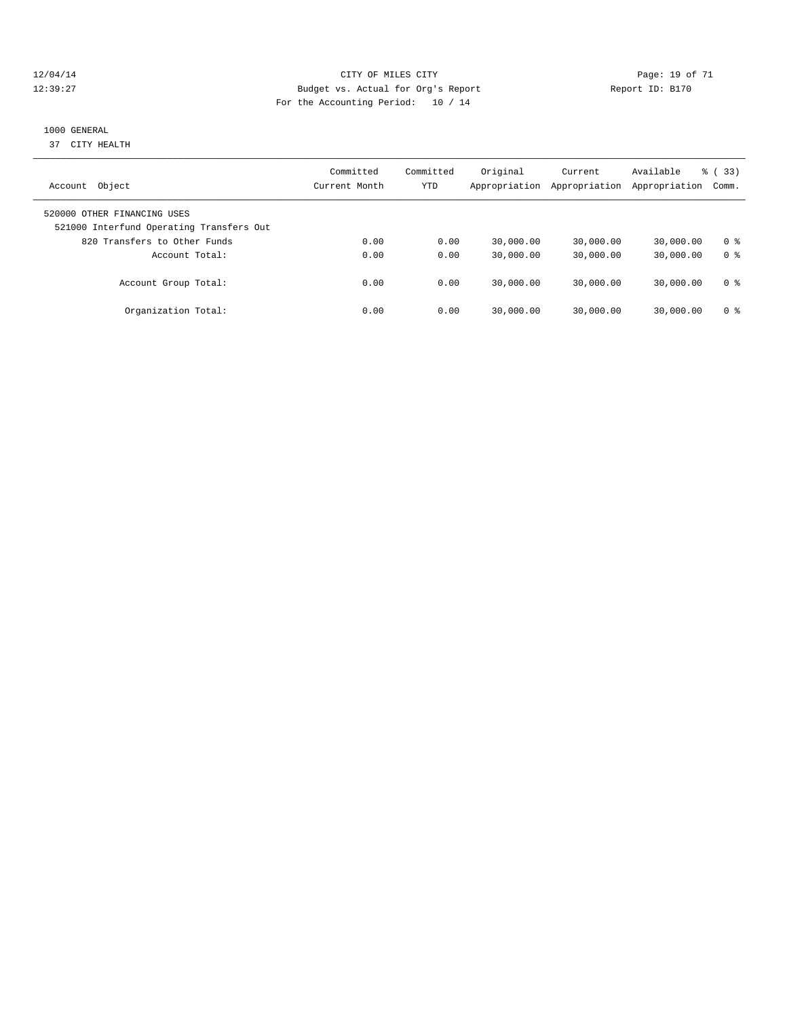#### 12/04/14 Page: 19 of 71 12:39:27 Budget vs. Actual for Org's Report Report ID: B170 For the Accounting Period: 10 / 14

#### 1000 GENERAL

37 CITY HEALTH

| Object<br>Account                                                       | Committed<br>Current Month | Committed<br><b>YTD</b> | Original<br>Appropriation | Current<br>Appropriation | Available<br>Appropriation | % (33)<br>Comm.       |
|-------------------------------------------------------------------------|----------------------------|-------------------------|---------------------------|--------------------------|----------------------------|-----------------------|
| 520000 OTHER FINANCING USES<br>521000 Interfund Operating Transfers Out |                            |                         |                           |                          |                            |                       |
| 820 Transfers to Other Funds<br>Account Total:                          | 0.00<br>0.00               | 0.00<br>0.00            | 30,000.00<br>30,000.00    | 30,000.00<br>30,000.00   | 30,000.00<br>30,000.00     | 0 ક<br>0 <sup>8</sup> |
| Account Group Total:                                                    | 0.00                       | 0.00                    | 30,000.00                 | 30,000.00                | 30,000.00                  | 0 ક                   |
| Organization Total:                                                     | 0.00                       | 0.00                    | 30,000.00                 | 30,000.00                | 30,000.00                  | 0 ક                   |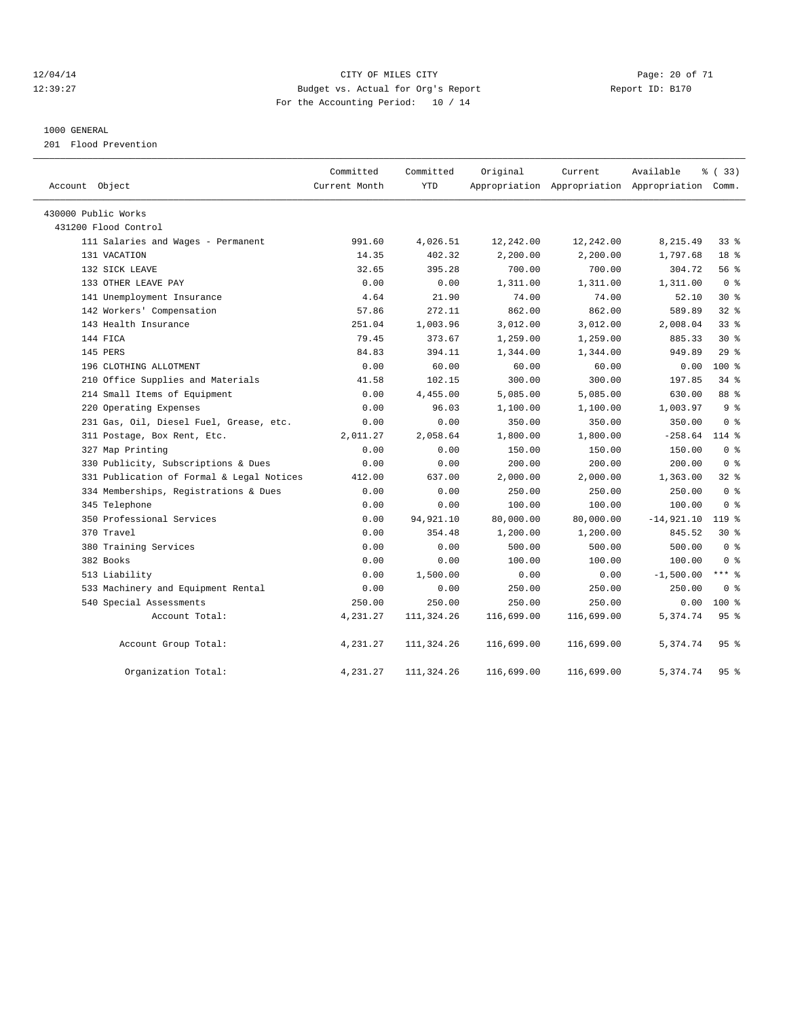#### 12/04/14 Page: 20 of 71 12:39:27 Budget vs. Actual for Org's Report Report ID: B170 For the Accounting Period: 10 / 14

#### 1000 GENERAL

201 Flood Prevention

| Account Object                            | Committed<br>Current Month | Committed<br><b>YTD</b> | Original   | Current    | Available<br>Appropriation Appropriation Appropriation Comm. | % (33)          |  |
|-------------------------------------------|----------------------------|-------------------------|------------|------------|--------------------------------------------------------------|-----------------|--|
| 430000 Public Works                       |                            |                         |            |            |                                                              |                 |  |
| 431200 Flood Control                      |                            |                         |            |            |                                                              |                 |  |
| 111 Salaries and Wages - Permanent        | 991.60                     | 4,026.51                | 12,242.00  | 12,242.00  | 8,215.49                                                     | $33$ $%$        |  |
| 131 VACATION                              | 14.35                      | 402.32                  | 2,200.00   | 2,200.00   | 1,797.68                                                     | 18 <sup>°</sup> |  |
| 132 SICK LEAVE                            | 32.65                      | 395.28                  | 700.00     | 700.00     | 304.72                                                       | 56 %            |  |
| 133 OTHER LEAVE PAY                       | 0.00                       | 0.00                    | 1,311.00   | 1,311.00   | 1,311.00                                                     | 0 <sup>8</sup>  |  |
| 141 Unemployment Insurance                | 4.64                       | 21.90                   | 74.00      | 74.00      | 52.10                                                        | $30*$           |  |
| 142 Workers' Compensation                 | 57.86                      | 272.11                  | 862.00     | 862.00     | 589.89                                                       | 32 <sub>8</sub> |  |
| 143 Health Insurance                      | 251.04                     | 1,003.96                | 3,012.00   | 3,012.00   | 2,008.04                                                     | 33%             |  |
| 144 FICA                                  | 79.45                      | 373.67                  | 1,259.00   | 1,259.00   | 885.33                                                       | $30*$           |  |
| 145 PERS                                  | 84.83                      | 394.11                  | 1,344.00   | 1,344.00   | 949.89                                                       | 29%             |  |
| 196 CLOTHING ALLOTMENT                    | 0.00                       | 60.00                   | 60.00      | 60.00      | 0.00                                                         | $100*$          |  |
| 210 Office Supplies and Materials         | 41.58                      | 102.15                  | 300.00     | 300.00     | 197.85                                                       | $34$ $%$        |  |
| 214 Small Items of Equipment              | 0.00                       | 4,455.00                | 5,085.00   | 5,085.00   | 630.00                                                       | 88 %            |  |
| 220 Operating Expenses                    | 0.00                       | 96.03                   | 1,100.00   | 1,100.00   | 1,003.97                                                     | 9 <sup>8</sup>  |  |
| 231 Gas, Oil, Diesel Fuel, Grease, etc.   | 0.00                       | 0.00                    | 350.00     | 350.00     | 350.00                                                       | 0 <sup>8</sup>  |  |
| 311 Postage, Box Rent, Etc.               | 2,011.27                   | 2,058.64                | 1,800.00   | 1,800.00   | $-258.64$                                                    | $114$ %         |  |
| 327 Map Printing                          | 0.00                       | 0.00                    | 150.00     | 150.00     | 150.00                                                       | 0 <sup>8</sup>  |  |
| 330 Publicity, Subscriptions & Dues       | 0.00                       | 0.00                    | 200.00     | 200.00     | 200.00                                                       | 0 <sup>8</sup>  |  |
| 331 Publication of Formal & Legal Notices | 412.00                     | 637.00                  | 2,000.00   | 2,000.00   | 1,363.00                                                     | 328             |  |
| 334 Memberships, Registrations & Dues     | 0.00                       | 0.00                    | 250.00     | 250.00     | 250.00                                                       | 0 <sup>8</sup>  |  |
| 345 Telephone                             | 0.00                       | 0.00                    | 100.00     | 100.00     | 100.00                                                       | 0 <sup>8</sup>  |  |
| 350 Professional Services                 | 0.00                       | 94,921.10               | 80,000.00  | 80,000.00  | $-14,921.10$                                                 | 119 %           |  |
| 370 Travel                                | 0.00                       | 354.48                  | 1,200.00   | 1,200.00   | 845.52                                                       | $30*$           |  |
| 380 Training Services                     | 0.00                       | 0.00                    | 500.00     | 500.00     | 500.00                                                       | 0 <sup>8</sup>  |  |
| 382 Books                                 | 0.00                       | 0.00                    | 100.00     | 100.00     | 100.00                                                       | 0 <sup>8</sup>  |  |
| 513 Liability                             | 0.00                       | 1,500.00                | 0.00       | 0.00       | $-1,500.00$                                                  | *** 8           |  |
| 533 Machinery and Equipment Rental        | 0.00                       | 0.00                    | 250.00     | 250.00     | 250.00                                                       | 0 <sup>8</sup>  |  |
| 540 Special Assessments                   | 250.00                     | 250.00                  | 250.00     | 250.00     | 0.00                                                         | $100*$          |  |
| Account Total:                            | 4,231.27                   | 111,324.26              | 116,699.00 | 116,699.00 | 5,374.74                                                     | 95%             |  |
| Account Group Total:                      | 4,231.27                   | 111,324.26              | 116,699.00 | 116,699.00 | 5,374.74                                                     | 95%             |  |
| Organization Total:                       | 4,231.27                   | 111,324.26              | 116,699.00 | 116,699.00 | 5,374.74                                                     | 95%             |  |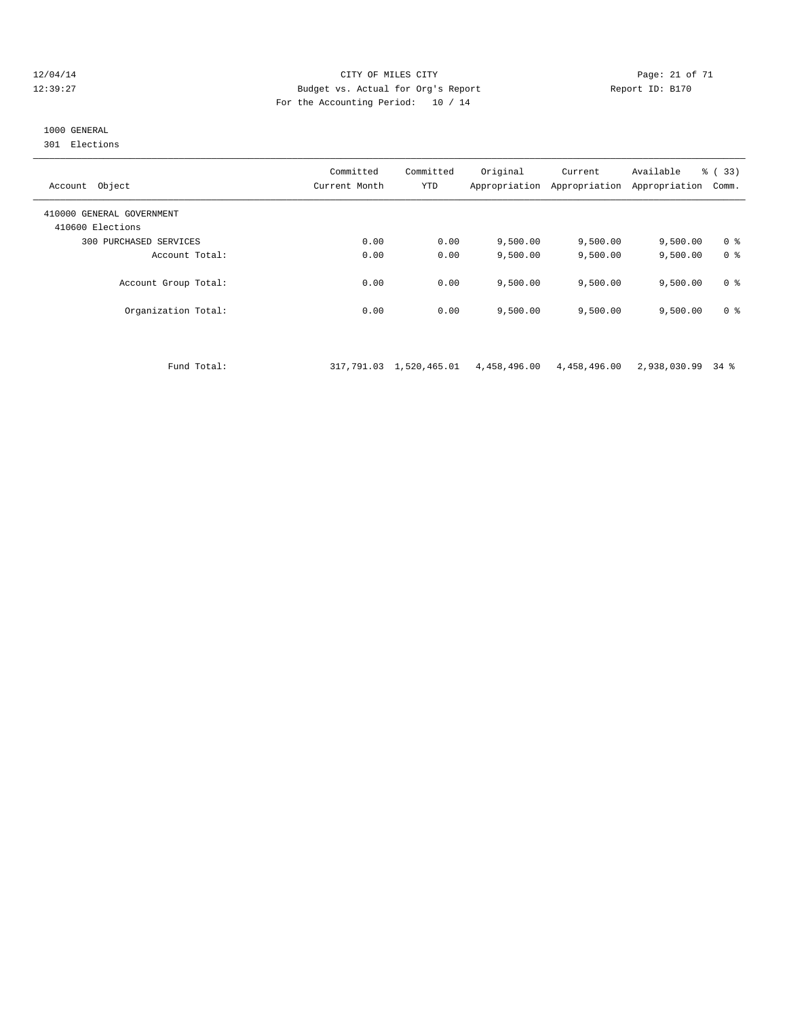#### 12/04/14 Page: 21 of 71 12:39:27 Budget vs. Actual for Org's Report Report ID: B170 For the Accounting Period: 10 / 14

## 1000 GENERAL

301 Elections

| Object<br>Account                             | Committed<br>Current Month | Committed<br><b>YTD</b> | Original<br>Appropriation | Current<br>Appropriation | Available<br>Appropriation | % (33)<br>Comm. |
|-----------------------------------------------|----------------------------|-------------------------|---------------------------|--------------------------|----------------------------|-----------------|
| 410000 GENERAL GOVERNMENT<br>410600 Elections |                            |                         |                           |                          |                            |                 |
| 300 PURCHASED SERVICES                        | 0.00                       | 0.00                    | 9,500.00                  | 9,500.00                 | 9,500.00                   | 0 ક             |
| Account Total:                                | 0.00                       | 0.00                    | 9.500.00                  | 9.500.00                 | 9,500.00                   | 0 <sup>8</sup>  |
| Account Group Total:                          | 0.00                       | 0.00                    | 9.500.00                  | 9.500.00                 | 9,500.00                   | 0 ક             |
| Organization Total:                           | 0.00                       | 0.00                    | 9.500.00                  | 9,500.00                 | 9,500.00                   | 0 ક             |

Fund Total: 317,791.03 1,520,465.01 4,458,496.00 4,458,496.00 2,938,030.99 34 %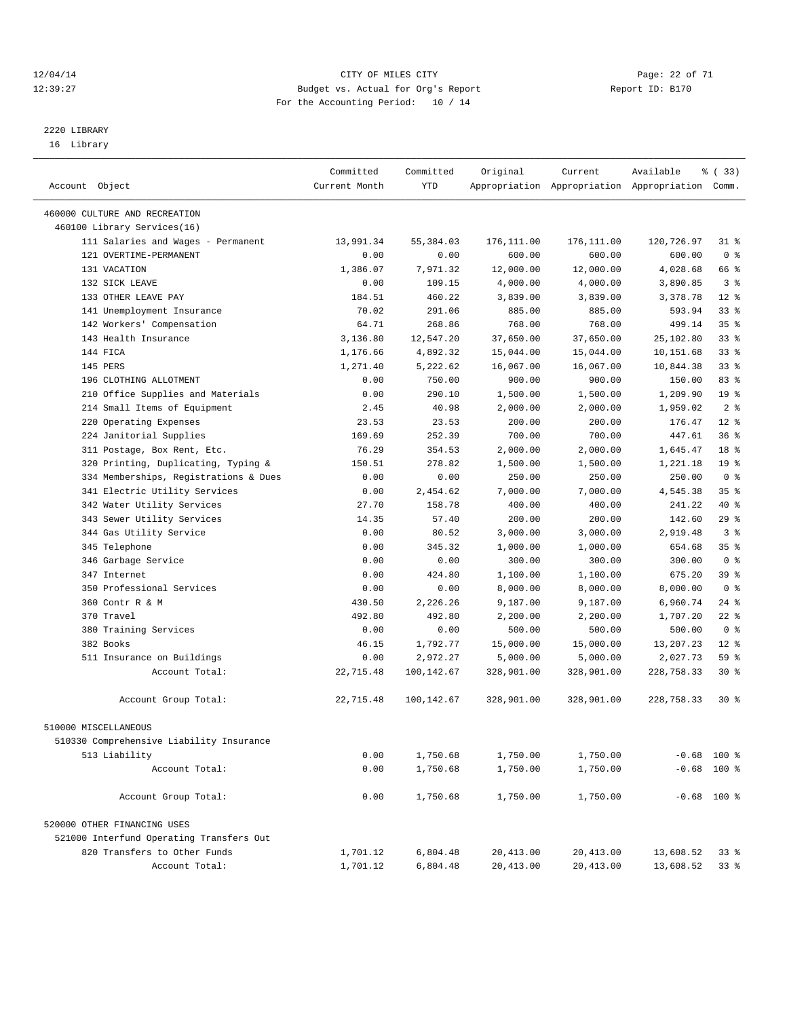#### 12/04/14 Page: 22 of 71 12:39:27 Budget vs. Actual for Org's Report Report ID: B170 For the Accounting Period: 10 / 14

————————————————————————————————————————————————————————————————————————————————————————————————————————————————————————————————————

## 2220 LIBRARY

16 Library

|                                          | Committed     | Committed  | Original   | Current    | Available                                       | % (33)          |  |
|------------------------------------------|---------------|------------|------------|------------|-------------------------------------------------|-----------------|--|
| Account Object                           | Current Month | YTD        |            |            | Appropriation Appropriation Appropriation Comm. |                 |  |
|                                          |               |            |            |            |                                                 |                 |  |
| 460000 CULTURE AND RECREATION            |               |            |            |            |                                                 |                 |  |
| 460100 Library Services(16)              |               |            |            |            |                                                 |                 |  |
| 111 Salaries and Wages - Permanent       | 13,991.34     | 55,384.03  | 176,111.00 | 176,111.00 | 120,726.97                                      | $31$ %          |  |
| 121 OVERTIME-PERMANENT                   | 0.00          | 0.00       | 600.00     | 600.00     | 600.00                                          | 0 <sup>8</sup>  |  |
| 131 VACATION                             | 1,386.07      | 7,971.32   | 12,000.00  | 12,000.00  | 4,028.68                                        | 66 %            |  |
| 132 SICK LEAVE                           | 0.00          | 109.15     | 4,000.00   | 4,000.00   | 3,890.85                                        | 3 <sup>8</sup>  |  |
| 133 OTHER LEAVE PAY                      | 184.51        | 460.22     | 3,839.00   | 3,839.00   | 3,378.78                                        | $12*$           |  |
| 141 Unemployment Insurance               | 70.02         | 291.06     | 885.00     | 885.00     | 593.94                                          | $33$ %          |  |
| 142 Workers' Compensation                | 64.71         | 268.86     | 768.00     | 768.00     | 499.14                                          | 35 <sup>8</sup> |  |
| 143 Health Insurance                     | 3,136.80      | 12,547.20  | 37,650.00  | 37,650.00  | 25,102.80                                       | 33 <sup>8</sup> |  |
| 144 FICA                                 | 1,176.66      | 4,892.32   | 15,044.00  | 15,044.00  | 10,151.68                                       | 33%             |  |
| 145 PERS                                 | 1,271.40      | 5,222.62   | 16,067.00  | 16,067.00  | 10,844.38                                       | $33$ $%$        |  |
| 196 CLOTHING ALLOTMENT                   | 0.00          | 750.00     | 900.00     | 900.00     | 150.00                                          | 83%             |  |
| 210 Office Supplies and Materials        | 0.00          | 290.10     | 1,500.00   | 1,500.00   | 1,209.90                                        | 19 <sup>°</sup> |  |
| 214 Small Items of Equipment             | 2.45          | 40.98      | 2,000.00   | 2,000.00   | 1,959.02                                        | 2 <sup>8</sup>  |  |
| 220 Operating Expenses                   | 23.53         | 23.53      | 200.00     | 200.00     | 176.47                                          | $12*$           |  |
| 224 Janitorial Supplies                  | 169.69        | 252.39     | 700.00     | 700.00     | 447.61                                          | 36%             |  |
| 311 Postage, Box Rent, Etc.              | 76.29         | 354.53     | 2,000.00   | 2,000.00   | 1,645.47                                        | 18 %            |  |
| 320 Printing, Duplicating, Typing &      | 150.51        | 278.82     | 1,500.00   | 1,500.00   | 1,221.18                                        | 19 <sup>°</sup> |  |
| 334 Memberships, Registrations & Dues    | 0.00          | 0.00       | 250.00     | 250.00     | 250.00                                          | 0 <sup>8</sup>  |  |
| 341 Electric Utility Services            | 0.00          | 2,454.62   | 7,000.00   | 7,000.00   | 4,545.38                                        | 35%             |  |
| 342 Water Utility Services               | 27.70         | 158.78     | 400.00     | 400.00     | 241.22                                          | 40 %            |  |
| 343 Sewer Utility Services               | 14.35         | 57.40      | 200.00     | 200.00     | 142.60                                          | 29%             |  |
| 344 Gas Utility Service                  | 0.00          | 80.52      | 3,000.00   | 3,000.00   | 2,919.48                                        | 3 <sup>8</sup>  |  |
| 345 Telephone                            | 0.00          | 345.32     | 1,000.00   | 1,000.00   | 654.68                                          | 35 <sup>8</sup> |  |
| 346 Garbage Service                      | 0.00          | 0.00       | 300.00     | 300.00     | 300.00                                          | 0 <sup>8</sup>  |  |
| 347 Internet                             | 0.00          | 424.80     | 1,100.00   | 1,100.00   | 675.20                                          | 39 %            |  |
| 350 Professional Services                | 0.00          | 0.00       | 8,000.00   | 8,000.00   | 8,000.00                                        | 0 <sup>8</sup>  |  |
| 360 Contr R & M                          | 430.50        | 2,226.26   | 9,187.00   | 9,187.00   | 6,960.74                                        | $24$ %          |  |
| 370 Travel                               | 492.80        | 492.80     | 2,200.00   | 2,200.00   | 1,707.20                                        | $22$ %          |  |
| 380 Training Services                    | 0.00          | 0.00       | 500.00     | 500.00     | 500.00                                          | 0 <sup>8</sup>  |  |
| 382 Books                                | 46.15         | 1,792.77   | 15,000.00  | 15,000.00  | 13,207.23                                       | $12*$           |  |
| 511 Insurance on Buildings               | 0.00          | 2,972.27   | 5,000.00   | 5,000.00   | 2,027.73                                        | 59 %            |  |
| Account Total:                           | 22,715.48     | 100,142.67 | 328,901.00 | 328,901.00 | 228,758.33                                      | $30*$           |  |
| Account Group Total:                     | 22,715.48     | 100,142.67 | 328,901.00 | 328,901.00 | 228,758.33                                      | $30*$           |  |
| 510000 MISCELLANEOUS                     |               |            |            |            |                                                 |                 |  |
|                                          |               |            |            |            |                                                 |                 |  |
| 510330 Comprehensive Liability Insurance |               |            |            |            |                                                 | $-0.68$ 100 %   |  |
| 513 Liability                            | 0.00          | 1,750.68   | 1,750.00   | 1,750.00   |                                                 |                 |  |
| Account Total:                           | 0.00          | 1,750.68   | 1,750.00   | 1,750.00   |                                                 | $-0.68$ 100 %   |  |
| Account Group Total:                     | 0.00          | 1,750.68   | 1,750.00   | 1,750.00   |                                                 | $-0.68$ 100 %   |  |
| 520000 OTHER FINANCING USES              |               |            |            |            |                                                 |                 |  |
| 521000 Interfund Operating Transfers Out |               |            |            |            |                                                 |                 |  |
| 820 Transfers to Other Funds             | 1,701.12      | 6,804.48   | 20,413.00  | 20,413.00  | 13,608.52                                       | 33 %            |  |
| Account Total:                           | 1,701.12      | 6,804.48   | 20, 413.00 | 20,413.00  | 13,608.52                                       | 33 %            |  |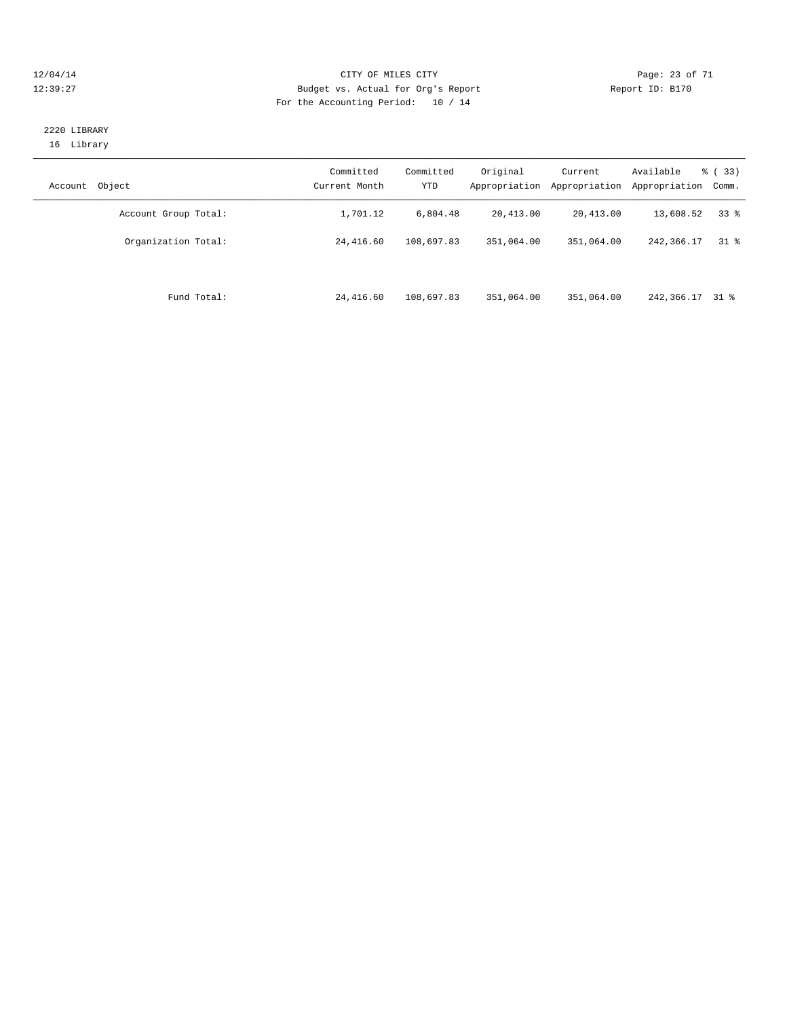#### 12/04/14 Page: 23 of 71 12:39:27 Budget vs. Actual for Org's Report Report ID: B170 For the Accounting Period: 10 / 14

#### 2220 LIBRARY 16 Library

| Object<br>Account    | Committed<br>Current Month | Committed<br><b>YTD</b> | Original<br>Appropriation | Current<br>Appropriation | Available<br>Appropriation | % (33)<br>Comm. |
|----------------------|----------------------------|-------------------------|---------------------------|--------------------------|----------------------------|-----------------|
| Account Group Total: | 1,701.12                   | 6,804.48                | 20,413.00                 | 20,413.00                | 13,608.52                  | 338             |
| Organization Total:  | 24,416.60                  | 108,697.83              | 351,064.00                | 351,064.00               | 242, 366. 17               | $31*$           |
| Fund Total:          | 24,416.60                  | 108,697.83              | 351,064.00                | 351,064.00               | 242,366.17 31 %            |                 |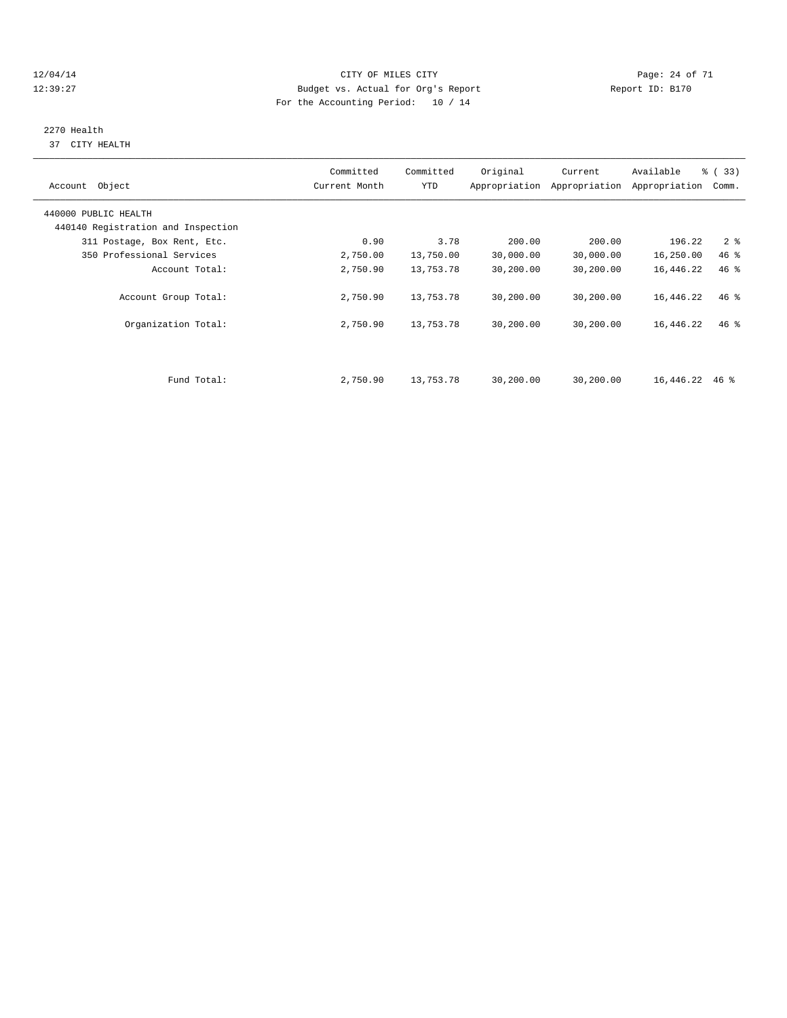#### 12/04/14 Page: 24 of 71 12:39:27 Budget vs. Actual for Org's Report Report ID: B170 For the Accounting Period: 10 / 14

# 2270 Health

37 CITY HEALTH

| Account Object                     | Committed<br>Current Month | Committed<br>YTD | Original  | Current<br>Appropriation Appropriation | Available<br>Appropriation | % (33)<br>Comm. |
|------------------------------------|----------------------------|------------------|-----------|----------------------------------------|----------------------------|-----------------|
| 440000 PUBLIC HEALTH               |                            |                  |           |                                        |                            |                 |
| 440140 Registration and Inspection |                            |                  |           |                                        |                            |                 |
| 311 Postage, Box Rent, Etc.        | 0.90                       | 3.78             | 200.00    | 200.00                                 | 196.22                     | 2 <sub>8</sub>  |
| 350 Professional Services          | 2,750.00                   | 13,750.00        | 30,000.00 | 30,000.00                              | 16,250.00                  | 46 %            |
| Account Total:                     | 2,750.90                   | 13,753.78        | 30,200.00 | 30,200.00                              | 16,446.22                  | $46*$           |
| Account Group Total:               | 2,750.90                   | 13,753.78        | 30,200.00 | 30,200.00                              | 16,446.22                  | $46$ %          |
| Organization Total:                | 2,750.90                   | 13,753.78        | 30,200.00 | 30,200.00                              | 16,446.22                  | $46*$           |
|                                    |                            |                  |           |                                        |                            |                 |
| Fund Total:                        | 2,750.90                   | 13,753.78        | 30,200.00 | 30,200.00                              | 16,446.22                  | 46 %            |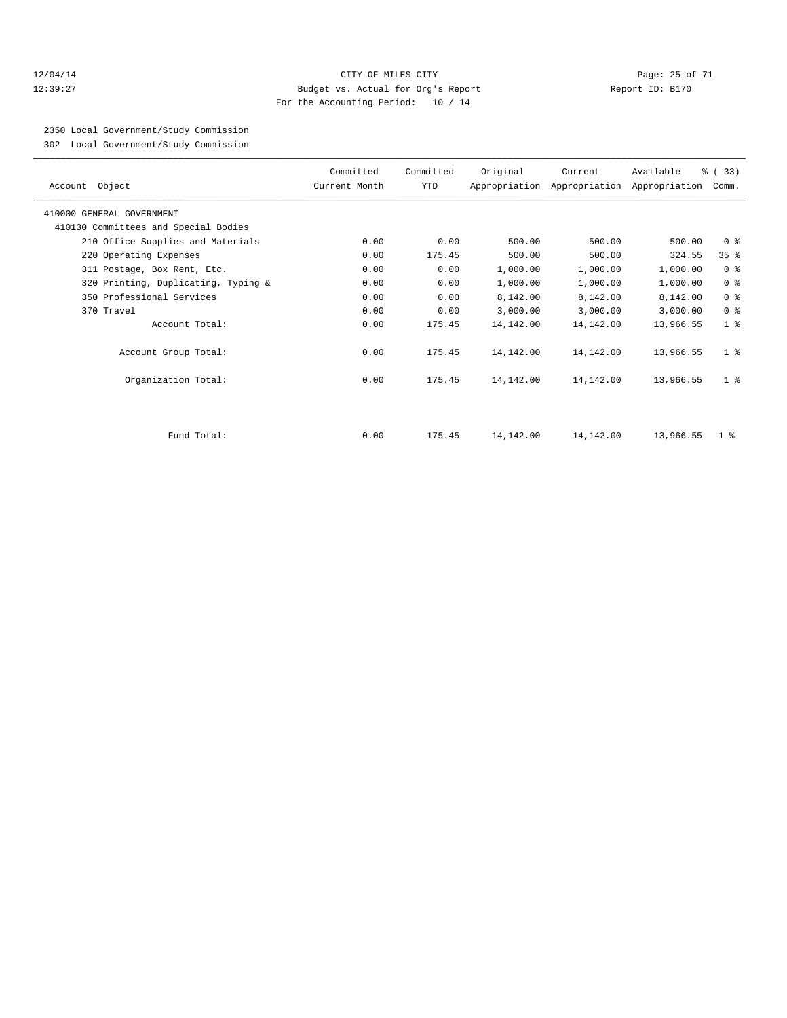#### 12/04/14 Page: 25 of 71 12:39:27 Budget vs. Actual for Org's Report Report ID: B170 For the Accounting Period: 10 / 14

2350 Local Government/Study Commission

302 Local Government/Study Commission

| Account Object                       | Committed<br>Current Month | Committed<br><b>YTD</b> | Original  | Current   | Available<br>Appropriation Appropriation Appropriation | % (33)<br>Comm. |
|--------------------------------------|----------------------------|-------------------------|-----------|-----------|--------------------------------------------------------|-----------------|
| 410000 GENERAL GOVERNMENT            |                            |                         |           |           |                                                        |                 |
| 410130 Committees and Special Bodies |                            |                         |           |           |                                                        |                 |
| 210 Office Supplies and Materials    | 0.00                       | 0.00                    | 500.00    | 500.00    | 500.00                                                 | 0 <sup>8</sup>  |
| 220 Operating Expenses               | 0.00                       | 175.45                  | 500.00    | 500.00    | 324.55                                                 | 35%             |
| 311 Postage, Box Rent, Etc.          | 0.00                       | 0.00                    | 1,000.00  | 1,000.00  | 1,000.00                                               | 0 <sup>8</sup>  |
| 320 Printing, Duplicating, Typing &  | 0.00                       | 0.00                    | 1,000.00  | 1,000.00  | 1,000.00                                               | 0 <sup>8</sup>  |
| 350 Professional Services            | 0.00                       | 0.00                    | 8,142.00  | 8,142.00  | 8,142.00                                               | 0 <sup>8</sup>  |
| 370 Travel                           | 0.00                       | 0.00                    | 3,000.00  | 3,000.00  | 3,000.00                                               | 0 <sup>8</sup>  |
| Account Total:                       | 0.00                       | 175.45                  | 14,142.00 | 14,142.00 | 13,966.55                                              | 1 <sup>8</sup>  |
| Account Group Total:                 | 0.00                       | 175.45                  | 14,142.00 | 14,142.00 | 13,966.55                                              | 1 <sup>8</sup>  |
| Organization Total:                  | 0.00                       | 175.45                  | 14,142.00 | 14,142.00 | 13,966.55                                              | 1 <sup>8</sup>  |
|                                      |                            |                         |           |           |                                                        |                 |
| Fund Total:                          | 0.00                       | 175.45                  | 14,142.00 | 14,142.00 | 13,966.55                                              | 1 <sup>8</sup>  |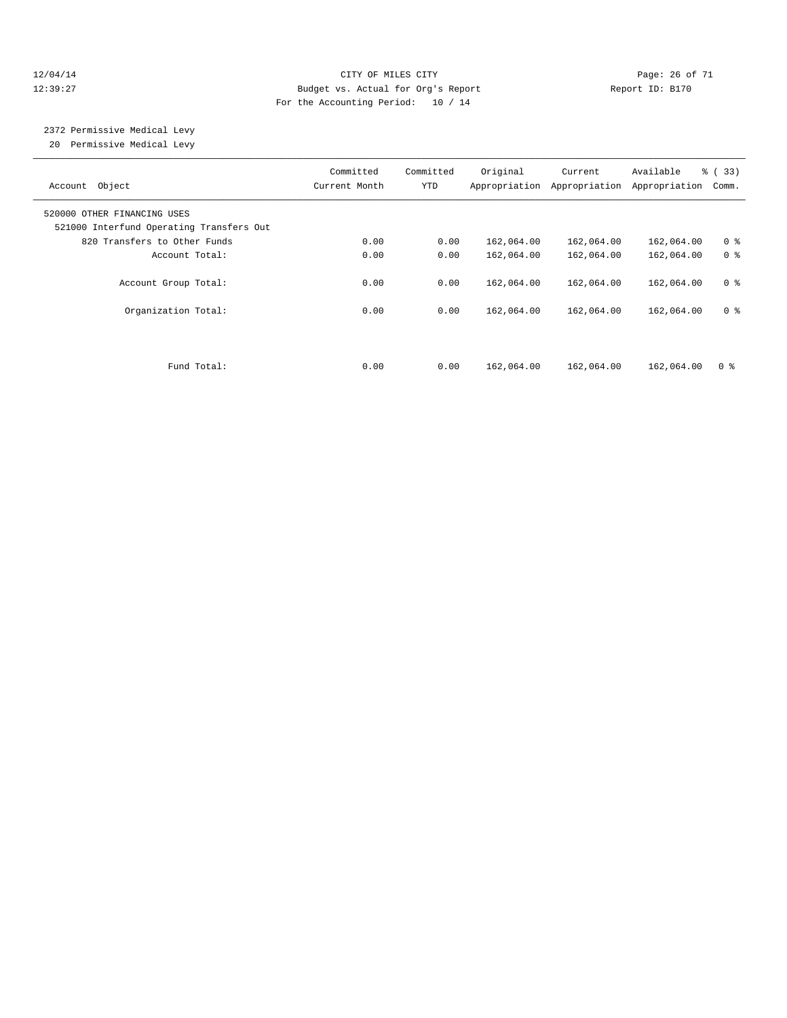#### 12/04/14 Page: 26 of 71 12:39:27 Budget vs. Actual for Org's Report Report ID: B170 For the Accounting Period: 10 / 14

# 2372 Permissive Medical Levy

20 Permissive Medical Levy

| Object<br>Account                                                       | Committed<br>Current Month | Committed<br>YTD | Original<br>Appropriation | Current<br>Appropriation | Available<br>Appropriation | % (33)<br>Comm. |
|-------------------------------------------------------------------------|----------------------------|------------------|---------------------------|--------------------------|----------------------------|-----------------|
| 520000 OTHER FINANCING USES<br>521000 Interfund Operating Transfers Out |                            |                  |                           |                          |                            |                 |
| 820 Transfers to Other Funds                                            | 0.00                       | 0.00             | 162,064.00                | 162,064.00               | 162,064.00                 | 0 <sup>8</sup>  |
| Account Total:                                                          | 0.00                       | 0.00             | 162,064.00                | 162,064.00               | 162,064.00                 | 0 <sup>8</sup>  |
| Account Group Total:                                                    | 0.00                       | 0.00             | 162,064.00                | 162,064.00               | 162,064.00                 | 0 <sup>8</sup>  |
| Organization Total:                                                     | 0.00                       | 0.00             | 162,064.00                | 162,064.00               | 162,064.00                 | 0 <sup>8</sup>  |
| Fund Total:                                                             | 0.00                       | 0.00             | 162,064.00                | 162,064.00               | 162,064.00                 | 0 <sup>8</sup>  |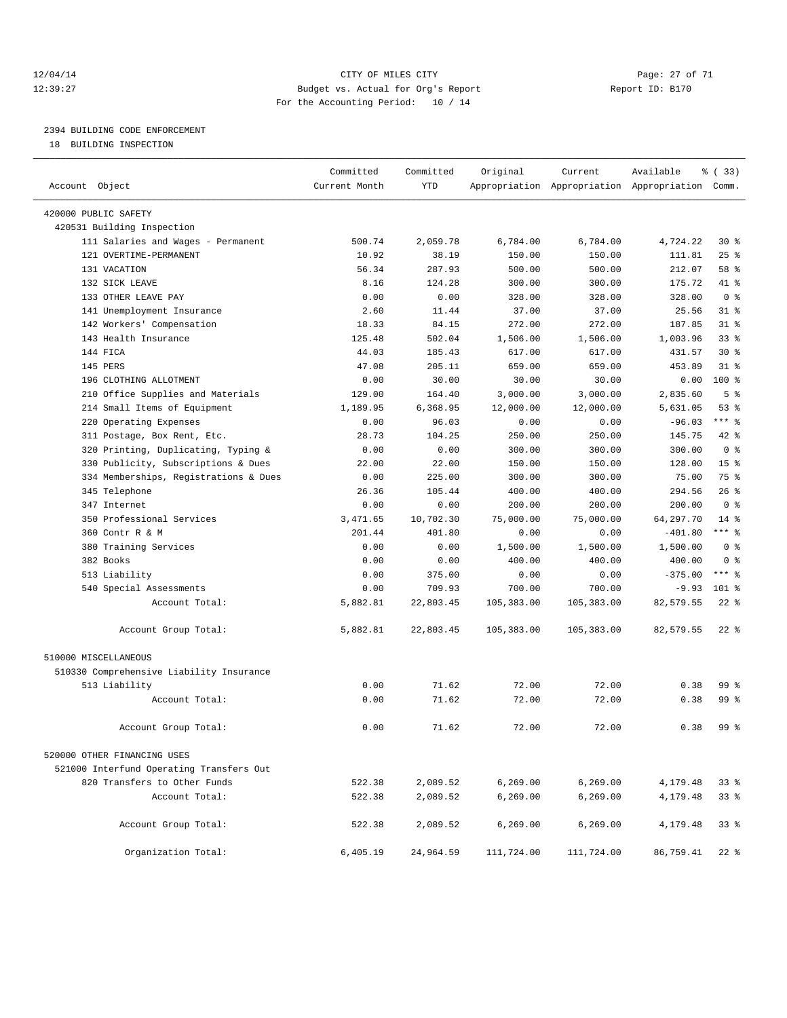#### 12/04/14 Page: 27 of 71 CHTY OF MILES CITY 12:39:27 Budget vs. Actual for Org's Report Report ID: B170 For the Accounting Period: 10 / 14

————————————————————————————————————————————————————————————————————————————————————————————————————————————————————————————————————

## 2394 BUILDING CODE ENFORCEMENT

18 BUILDING INSPECTION

|                                          | Committed     | Committed | Original   | Current                                         | Available | % (33)          |
|------------------------------------------|---------------|-----------|------------|-------------------------------------------------|-----------|-----------------|
| Account Object                           | Current Month | YTD       |            | Appropriation Appropriation Appropriation Comm. |           |                 |
| 420000 PUBLIC SAFETY                     |               |           |            |                                                 |           |                 |
| 420531 Building Inspection               |               |           |            |                                                 |           |                 |
| 111 Salaries and Wages - Permanent       | 500.74        | 2,059.78  | 6,784.00   | 6,784.00                                        | 4,724.22  | $30*$           |
| 121 OVERTIME-PERMANENT                   | 10.92         | 38.19     | 150.00     | 150.00                                          | 111.81    | $25$ %          |
| 131 VACATION                             | 56.34         | 287.93    | 500.00     | 500.00                                          | 212.07    | 58 %            |
| 132 SICK LEAVE                           | 8.16          | 124.28    | 300.00     | 300.00                                          | 175.72    | 41 %            |
| 133 OTHER LEAVE PAY                      | 0.00          | 0.00      | 328.00     | 328.00                                          | 328.00    | 0 <sup>8</sup>  |
| 141 Unemployment Insurance               | 2.60          | 11.44     | 37.00      | 37.00                                           | 25.56     | $31$ $%$        |
| 142 Workers' Compensation                | 18.33         | 84.15     | 272.00     | 272.00                                          | 187.85    | $31$ $%$        |
| 143 Health Insurance                     | 125.48        | 502.04    | 1,506.00   | 1,506.00                                        | 1,003.96  | 33%             |
| 144 FICA                                 | 44.03         | 185.43    | 617.00     | 617.00                                          | 431.57    | $30*$           |
| 145 PERS                                 | 47.08         | 205.11    | 659.00     | 659.00                                          | 453.89    | $31$ %          |
| 196 CLOTHING ALLOTMENT                   | 0.00          | 30.00     | 30.00      | 30.00                                           | 0.00      | 100 %           |
| 210 Office Supplies and Materials        | 129.00        | 164.40    | 3,000.00   | 3,000.00                                        | 2,835.60  | 5 <sup>°</sup>  |
| 214 Small Items of Equipment             | 1,189.95      | 6,368.95  | 12,000.00  | 12,000.00                                       | 5,631.05  | 53%             |
| 220 Operating Expenses                   | 0.00          | 96.03     | 0.00       | 0.00                                            | $-96.03$  | $***$ $-$       |
| 311 Postage, Box Rent, Etc.              | 28.73         | 104.25    | 250.00     | 250.00                                          | 145.75    | 42 %            |
| 320 Printing, Duplicating, Typing &      | 0.00          | 0.00      | 300.00     | 300.00                                          | 300.00    | 0 <sup>8</sup>  |
| 330 Publicity, Subscriptions & Dues      | 22.00         | 22.00     | 150.00     | 150.00                                          | 128.00    | 15 <sup>°</sup> |
| 334 Memberships, Registrations & Dues    | 0.00          | 225.00    | 300.00     | 300.00                                          | 75.00     | 75 %            |
| 345 Telephone                            | 26.36         | 105.44    | 400.00     | 400.00                                          | 294.56    | 26%             |
| 347 Internet                             | 0.00          | 0.00      | 200.00     | 200.00                                          | 200.00    | 0 <sup>8</sup>  |
| 350 Professional Services                | 3,471.65      | 10,702.30 | 75,000.00  | 75,000.00                                       | 64,297.70 | $14$ %          |
| 360 Contr R & M                          | 201.44        | 401.80    | 0.00       | 0.00                                            | $-401.80$ | $***$ $_{8}$    |
| 380 Training Services                    | 0.00          | 0.00      | 1,500.00   | 1,500.00                                        | 1,500.00  | 0 <sup>8</sup>  |
| 382 Books                                | 0.00          | 0.00      | 400.00     | 400.00                                          | 400.00    | 0 <sup>8</sup>  |
| 513 Liability                            | 0.00          | 375.00    | 0.00       | 0.00                                            | $-375.00$ | $***$ 8         |
| 540 Special Assessments                  | 0.00          | 709.93    | 700.00     | 700.00                                          | $-9.93$   | 101 %           |
| Account Total:                           | 5,882.81      | 22,803.45 | 105,383.00 | 105,383.00                                      | 82,579.55 | $22$ %          |
|                                          |               |           |            |                                                 |           |                 |
| Account Group Total:                     | 5,882.81      | 22,803.45 | 105,383.00 | 105,383.00                                      | 82,579.55 | $22$ %          |
| 510000 MISCELLANEOUS                     |               |           |            |                                                 |           |                 |
| 510330 Comprehensive Liability Insurance |               |           |            |                                                 |           |                 |
| 513 Liability                            | 0.00          | 71.62     | 72.00      | 72.00                                           | 0.38      | 99 %            |
| Account Total:                           | 0.00          | 71.62     | 72.00      | 72.00                                           | 0.38      | 99 %            |
| Account Group Total:                     | 0.00          | 71.62     | 72.00      | 72.00                                           | 0.38      | 99 %            |
|                                          |               |           |            |                                                 |           |                 |
| 520000 OTHER FINANCING USES              |               |           |            |                                                 |           |                 |
| 521000 Interfund Operating Transfers Out |               |           |            |                                                 |           |                 |
| 820 Transfers to Other Funds             | 522.38        | 2,089.52  | 6, 269.00  | 6, 269.00                                       | 4,179.48  | 338             |
| Account Total:                           | 522.38        | 2,089.52  | 6,269.00   | 6, 269.00                                       | 4,179.48  | 338             |
| Account Group Total:                     | 522.38        | 2,089.52  | 6, 269.00  | 6, 269.00                                       | 4,179.48  | 338             |
| Organization Total:                      | 6,405.19      | 24,964.59 | 111,724.00 | 111,724.00                                      | 86,759.41 | $22$ %          |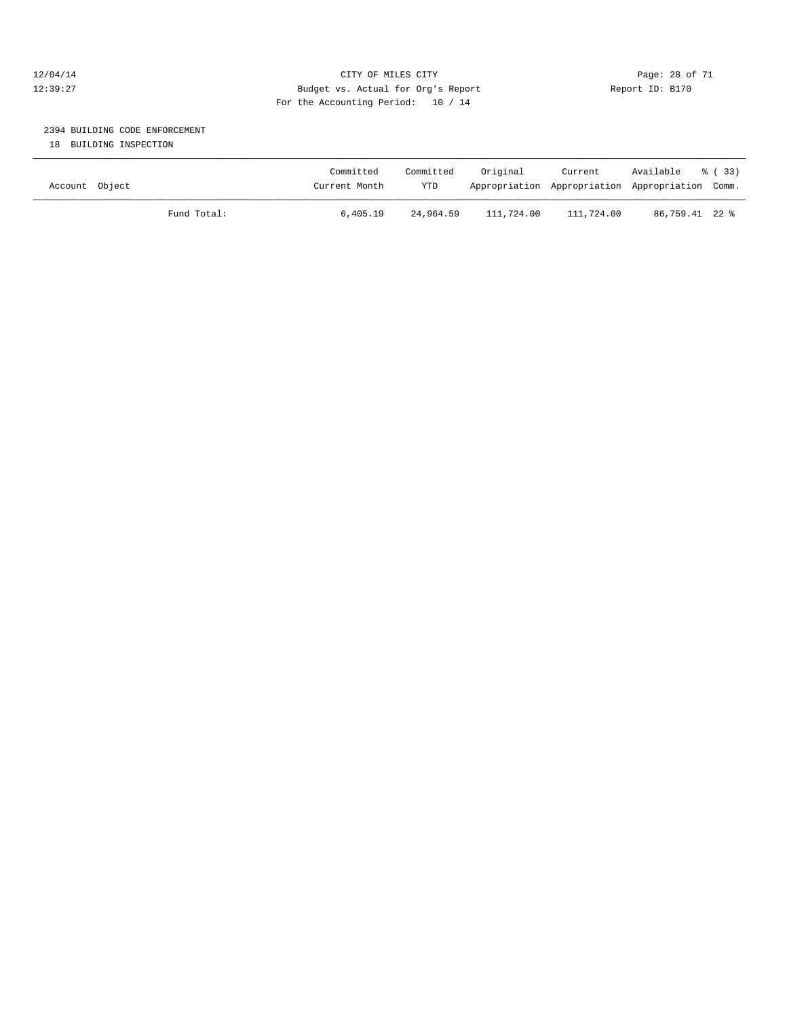#### 12/04/14 Page: 28 of 71 12:39:27 Budget vs. Actual for Org's Report Report ID: B170 For the Accounting Period: 10 / 14

## 2394 BUILDING CODE ENFORCEMENT

18 BUILDING INSPECTION

| Account Object |             | Committed<br>Current Month | Committed<br><b>YTD</b> | Original   | Current<br>Appropriation Appropriation Appropriation Comm. | Available      | ී (33) |
|----------------|-------------|----------------------------|-------------------------|------------|------------------------------------------------------------|----------------|--------|
|                | Fund Total: | 6,405.19                   | 24,964.59               | 111,724.00 | 111,724.00                                                 | 86,759.41 22 % |        |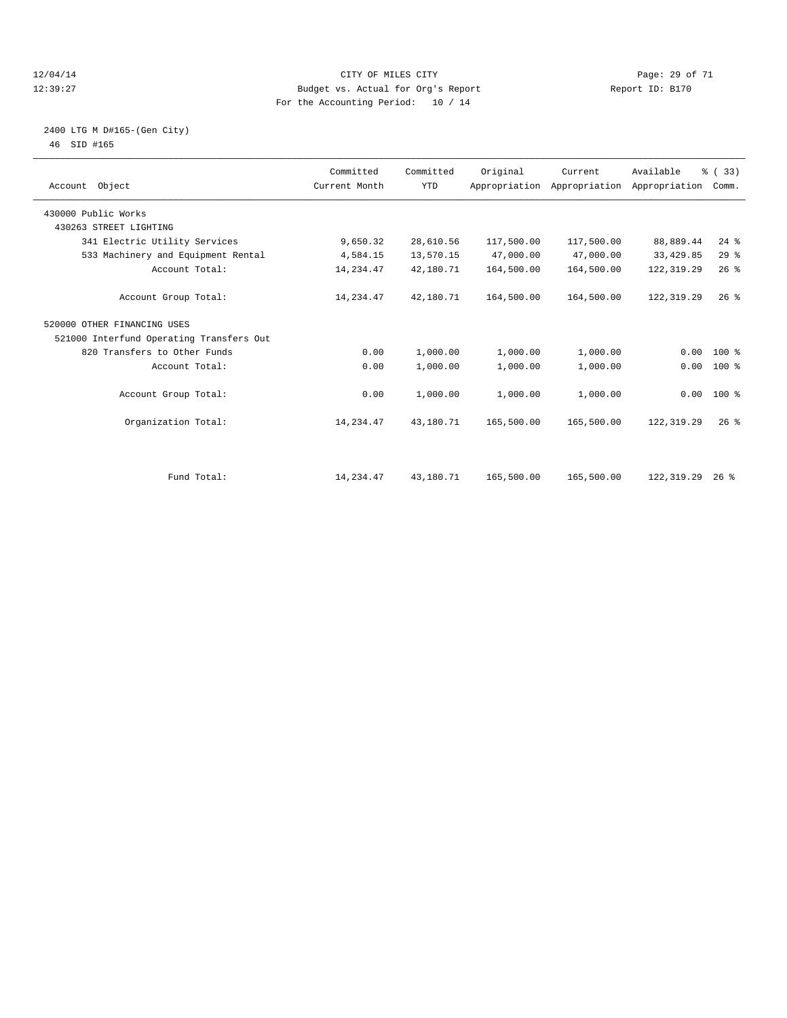#### 12/04/14 Page: 29 of 71 12:39:27 Budget vs. Actual for Org's Report Report ID: B170 For the Accounting Period: 10 / 14

#### 2400 LTG M D#165-(Gen City) 46 SID #165

| Account Object                           | Committed<br>Current Month | Committed<br><b>YTD</b> | Original   | Current<br>Appropriation Appropriation Appropriation | Available   | % (33)<br>Comm. |  |
|------------------------------------------|----------------------------|-------------------------|------------|------------------------------------------------------|-------------|-----------------|--|
| 430000 Public Works                      |                            |                         |            |                                                      |             |                 |  |
| 430263 STREET LIGHTING                   |                            |                         |            |                                                      |             |                 |  |
| 341 Electric Utility Services            | 9,650.32                   | 28,610.56               | 117,500.00 | 117,500.00                                           | 88,889.44   | $24$ $%$        |  |
| 533 Machinery and Equipment Rental       | 4,584.15                   | 13,570.15               | 47,000.00  | 47,000.00                                            | 33, 429.85  | 29%             |  |
| Account Total:                           | 14,234.47                  | 42,180.71               | 164,500.00 | 164,500.00                                           | 122, 319.29 | 26%             |  |
| Account Group Total:                     | 14,234.47                  | 42,180.71               | 164,500.00 | 164,500.00                                           | 122, 319.29 | 26%             |  |
| 520000 OTHER FINANCING USES              |                            |                         |            |                                                      |             |                 |  |
| 521000 Interfund Operating Transfers Out |                            |                         |            |                                                      |             |                 |  |
| 820 Transfers to Other Funds             | 0.00                       | 1,000.00                | 1,000.00   | 1,000.00                                             | 0.00        | $100*$          |  |
| Account Total:                           | 0.00                       | 1,000.00                | 1,000.00   | 1,000.00                                             | 0.00        | $100*$          |  |
| Account Group Total:                     | 0.00                       | 1,000.00                | 1,000.00   | 1,000.00                                             |             | $0.00$ 100 %    |  |
| Organization Total:                      | 14,234.47                  | 43,180.71               | 165,500.00 | 165,500.00                                           | 122, 319.29 | $26$ $%$        |  |
|                                          |                            |                         |            |                                                      |             |                 |  |
| Fund Total:                              | 14, 234. 47                | 43,180.71               | 165,500.00 | 165,500.00                                           | 122,319.29  | $26$ %          |  |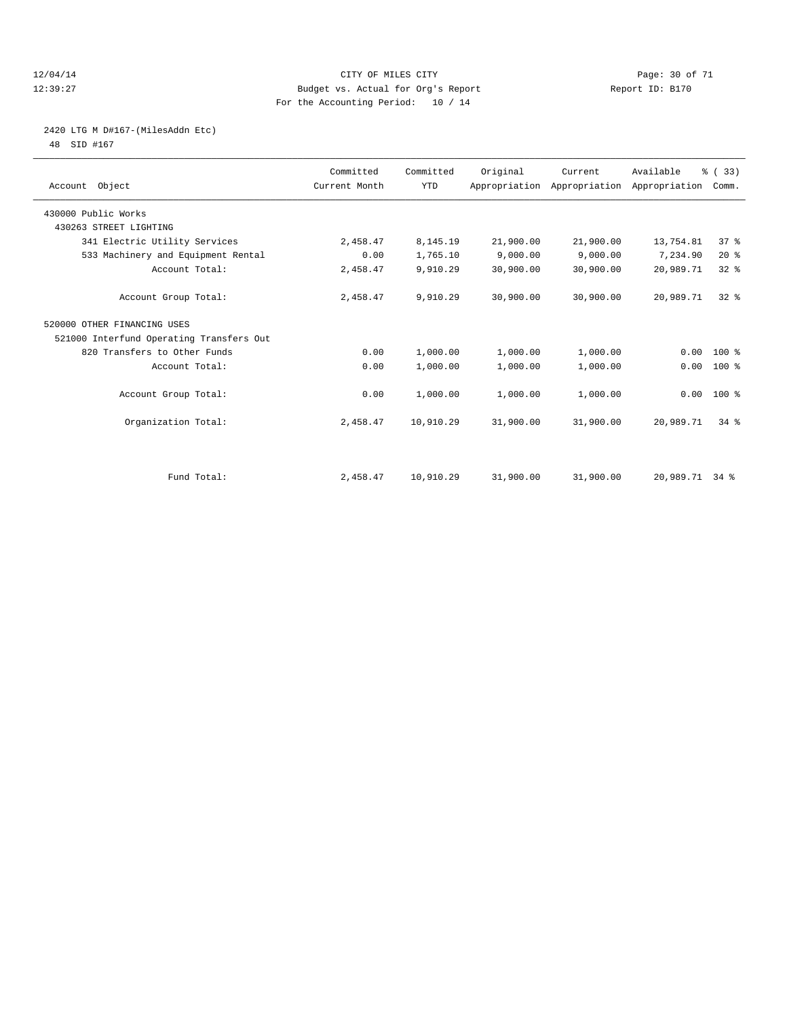#### 12/04/14 Page: 30 of 71 12:39:27 Budget vs. Actual for Org's Report Report ID: B170 For the Accounting Period: 10 / 14

## 2420 LTG M D#167-(MilesAddn Etc)

48 SID #167

| Account Object                           | Committed<br>Current Month | Committed<br><b>YTD</b> | Original  | Current<br>Appropriation Appropriation Appropriation | Available      | % (33)<br>Comm. |  |
|------------------------------------------|----------------------------|-------------------------|-----------|------------------------------------------------------|----------------|-----------------|--|
| 430000 Public Works                      |                            |                         |           |                                                      |                |                 |  |
| 430263 STREET LIGHTING                   |                            |                         |           |                                                      |                |                 |  |
| 341 Electric Utility Services            | 2,458.47                   | 8,145.19                | 21,900.00 | 21,900.00                                            | 13,754.81      | 37 <sup>8</sup> |  |
| 533 Machinery and Equipment Rental       | 0.00                       | 1,765.10                | 9,000.00  | 9,000.00                                             | 7,234.90       | $20*$           |  |
| Account Total:                           | 2,458.47                   | 9,910.29                | 30,900.00 | 30,900.00                                            | 20,989.71      | 32 <sup>8</sup> |  |
| Account Group Total:                     | 2,458.47                   | 9,910.29                | 30,900.00 | 30,900.00                                            | 20,989.71      | $32*$           |  |
| 520000 OTHER FINANCING USES              |                            |                         |           |                                                      |                |                 |  |
| 521000 Interfund Operating Transfers Out |                            |                         |           |                                                      |                |                 |  |
| 820 Transfers to Other Funds             | 0.00                       | 1,000.00                | 1,000.00  | 1,000.00                                             | 0.00           | $100*$          |  |
| Account Total:                           | 0.00                       | 1,000.00                | 1,000.00  | 1,000.00                                             | 0.00           | 100 %           |  |
| Account Group Total:                     | 0.00                       | 1,000.00                | 1,000.00  | 1,000.00                                             |                | $0.00$ 100 %    |  |
| Organization Total:                      | 2,458.47                   | 10,910.29               | 31,900.00 | 31,900.00                                            | 20,989.71      | 34.8            |  |
|                                          |                            |                         |           |                                                      |                |                 |  |
| Fund Total:                              | 2,458.47                   | 10,910.29               | 31,900.00 | 31,900.00                                            | 20,989.71 34 % |                 |  |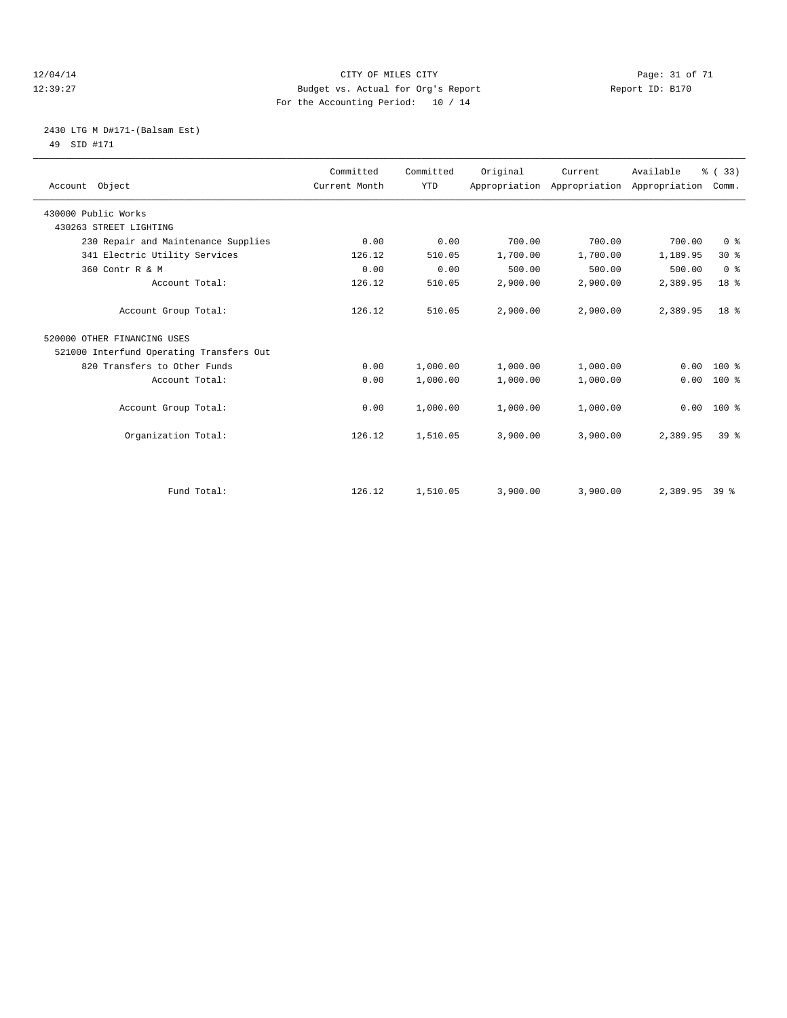#### 12/04/14 Page: 31 of 71 12:39:27 Budget vs. Actual for Org's Report Report ID: B170 For the Accounting Period: 10 / 14

#### 2430 LTG M D#171-(Balsam Est) 49 SID #171

| Account Object                           | Committed<br>Current Month | Committed<br><b>YTD</b> | Original | Current<br>Appropriation Appropriation Appropriation | Available     | % (33)<br>Comm. |  |
|------------------------------------------|----------------------------|-------------------------|----------|------------------------------------------------------|---------------|-----------------|--|
| 430000 Public Works                      |                            |                         |          |                                                      |               |                 |  |
| 430263 STREET LIGHTING                   |                            |                         |          |                                                      |               |                 |  |
| 230 Repair and Maintenance Supplies      | 0.00                       | 0.00                    | 700.00   | 700.00                                               | 700.00        | 0 <sup>8</sup>  |  |
| 341 Electric Utility Services            | 126.12                     | 510.05                  | 1,700.00 | 1,700.00                                             | 1,189.95      | $30*$           |  |
| 360 Contr R & M                          | 0.00                       | 0.00                    | 500.00   | 500.00                                               | 500.00        | 0 <sup>8</sup>  |  |
| Account Total:                           | 126.12                     | 510.05                  | 2,900.00 | 2,900.00                                             | 2,389.95      | 18 <sup>8</sup> |  |
| Account Group Total:                     | 126.12                     | 510.05                  | 2,900.00 | 2,900.00                                             | 2,389.95      | 18 %            |  |
| 520000 OTHER FINANCING USES              |                            |                         |          |                                                      |               |                 |  |
| 521000 Interfund Operating Transfers Out |                            |                         |          |                                                      |               |                 |  |
| 820 Transfers to Other Funds             | 0.00                       | 1,000.00                | 1,000.00 | 1,000.00                                             | 0.00          | $100*$          |  |
| Account Total:                           | 0.00                       | 1,000.00                | 1,000.00 | 1,000.00                                             | 0.00          | 100 %           |  |
| Account Group Total:                     | 0.00                       | 1,000.00                | 1,000.00 | 1,000.00                                             | 0.00          | 100 %           |  |
| Organization Total:                      | 126.12                     | 1,510.05                | 3,900.00 | 3,900.00                                             | 2,389.95      | 39 <sup>8</sup> |  |
|                                          |                            |                         |          |                                                      |               |                 |  |
| Fund Total:                              | 126.12                     | 1,510.05                | 3,900.00 | 3,900.00                                             | 2,389.95 39 % |                 |  |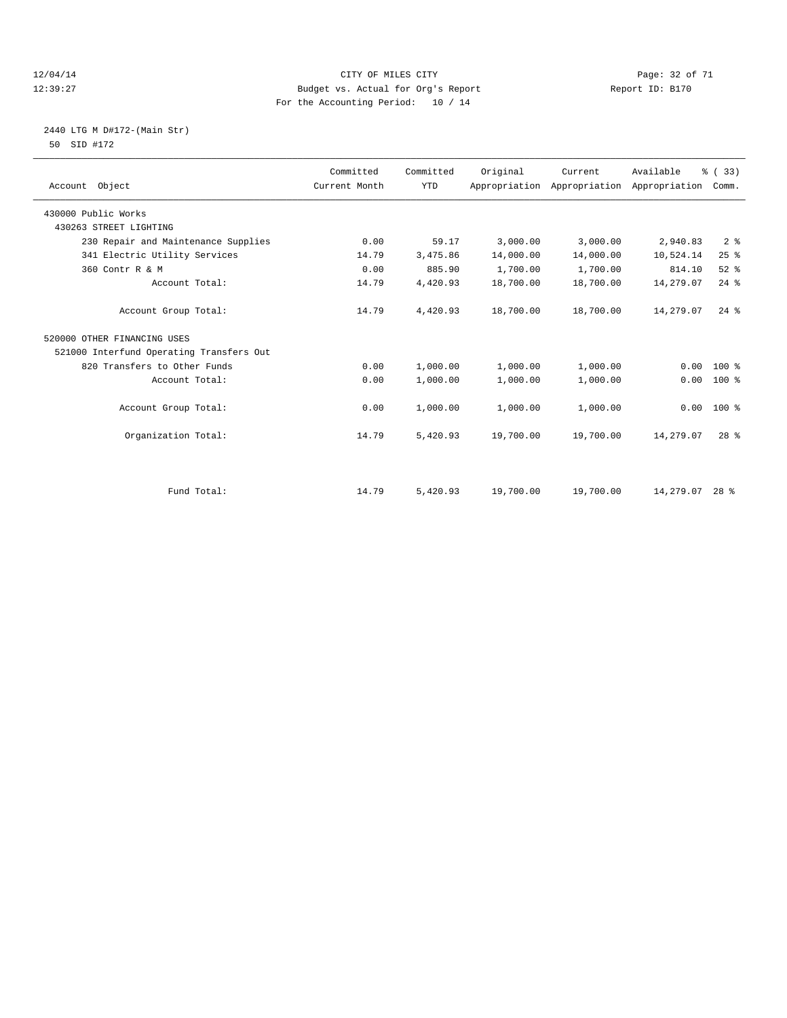#### 12/04/14 Page: 32 of 71 12:39:27 Budget vs. Actual for Org's Report Report ID: B170 For the Accounting Period: 10 / 14

#### 2440 LTG M D#172-(Main Str) 50 SID #172

| Account Object                           | Committed<br>Current Month | Committed<br><b>YTD</b> | Original  | Current<br>Appropriation Appropriation | Available<br>Appropriation | % (33)<br>Comm. |
|------------------------------------------|----------------------------|-------------------------|-----------|----------------------------------------|----------------------------|-----------------|
| 430000 Public Works                      |                            |                         |           |                                        |                            |                 |
| 430263 STREET LIGHTING                   |                            |                         |           |                                        |                            |                 |
| 230 Repair and Maintenance Supplies      | 0.00                       | 59.17                   | 3,000.00  | 3,000.00                               | 2,940.83                   | 2 <sup>8</sup>  |
| 341 Electric Utility Services            | 14.79                      | 3,475.86                | 14,000.00 | 14,000.00                              | 10,524.14                  | 25%             |
| 360 Contr R & M                          | 0.00                       | 885.90                  | 1,700.00  | 1,700.00                               | 814.10                     | $52$ $%$        |
| Account Total:                           | 14.79                      | 4,420.93                | 18,700.00 | 18,700.00                              | 14,279.07                  | $24$ $%$        |
| Account Group Total:                     | 14.79                      | 4,420.93                | 18,700.00 | 18,700.00                              | 14,279.07                  | $24$ $%$        |
| 520000 OTHER FINANCING USES              |                            |                         |           |                                        |                            |                 |
| 521000 Interfund Operating Transfers Out |                            |                         |           |                                        |                            |                 |
| 820 Transfers to Other Funds             | 0.00                       | 1,000.00                | 1,000.00  | 1,000.00                               | 0.00                       | $100*$          |
| Account Total:                           | 0.00                       | 1,000.00                | 1,000.00  | 1,000.00                               | 0.00                       | $100*$          |
| Account Group Total:                     | 0.00                       | 1,000.00                | 1,000.00  | 1,000.00                               | 0.00                       | $100*$          |
| Organization Total:                      | 14.79                      | 5,420.93                | 19,700.00 | 19,700.00                              | 14,279.07                  | 28 <sup>8</sup> |
|                                          |                            |                         |           |                                        |                            |                 |
| Fund Total:                              | 14.79                      | 5,420.93                | 19,700.00 | 19,700.00                              | 14,279.07 28 %             |                 |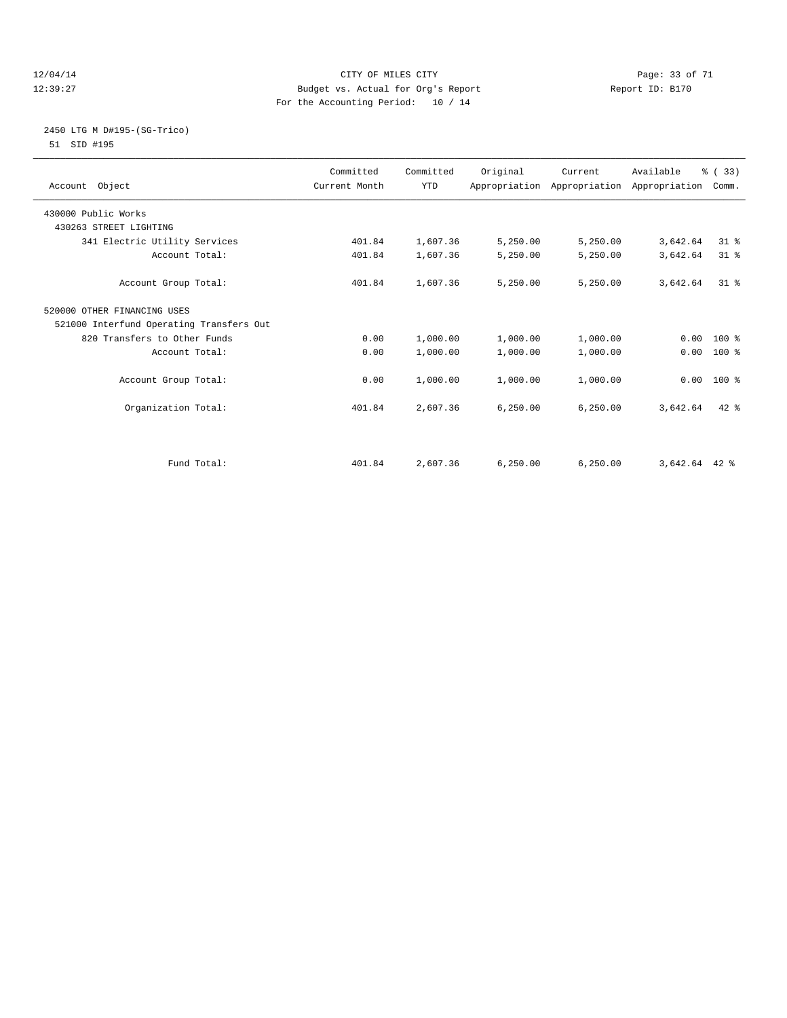#### 12/04/14 Page: 33 of 71 12:39:27 Budget vs. Actual for Org's Report Report ID: B170 For the Accounting Period: 10 / 14

#### 2450 LTG M D#195-(SG-Trico) 51 SID #195

| Account Object                           | Committed<br>Current Month | Committed<br><b>YTD</b> | Original  | Current   | Available<br>Appropriation Appropriation Appropriation | % (33)<br>Comm. |  |
|------------------------------------------|----------------------------|-------------------------|-----------|-----------|--------------------------------------------------------|-----------------|--|
| 430000 Public Works                      |                            |                         |           |           |                                                        |                 |  |
| 430263 STREET LIGHTING                   |                            |                         |           |           |                                                        |                 |  |
| 341 Electric Utility Services            | 401.84                     | 1,607.36                | 5,250.00  | 5,250.00  | 3,642.64                                               | $31$ %          |  |
| Account Total:                           | 401.84                     | 1,607.36                | 5,250.00  | 5,250.00  | 3,642.64                                               | $31$ $%$        |  |
| Account Group Total:                     | 401.84                     | 1,607.36                | 5,250.00  | 5,250.00  | 3,642.64                                               | $31*$           |  |
| 520000 OTHER FINANCING USES              |                            |                         |           |           |                                                        |                 |  |
| 521000 Interfund Operating Transfers Out |                            |                         |           |           |                                                        |                 |  |
| 820 Transfers to Other Funds             | 0.00                       | 1,000.00                | 1,000.00  | 1,000.00  |                                                        | $0.00 100$ %    |  |
| Account Total:                           | 0.00                       | 1,000.00                | 1,000.00  | 1,000.00  | 0.00                                                   | 100 %           |  |
| Account Group Total:                     | 0.00                       | 1,000.00                | 1,000.00  | 1,000.00  |                                                        | $0.00 100$ %    |  |
| Organization Total:                      | 401.84                     | 2,607.36                | 6, 250.00 | 6, 250.00 | 3,642.64                                               | $42$ $%$        |  |
|                                          |                            |                         |           |           |                                                        |                 |  |
| Fund Total:                              | 401.84                     | 2,607.36                | 6, 250.00 | 6, 250.00 | $3,642.64$ 42 %                                        |                 |  |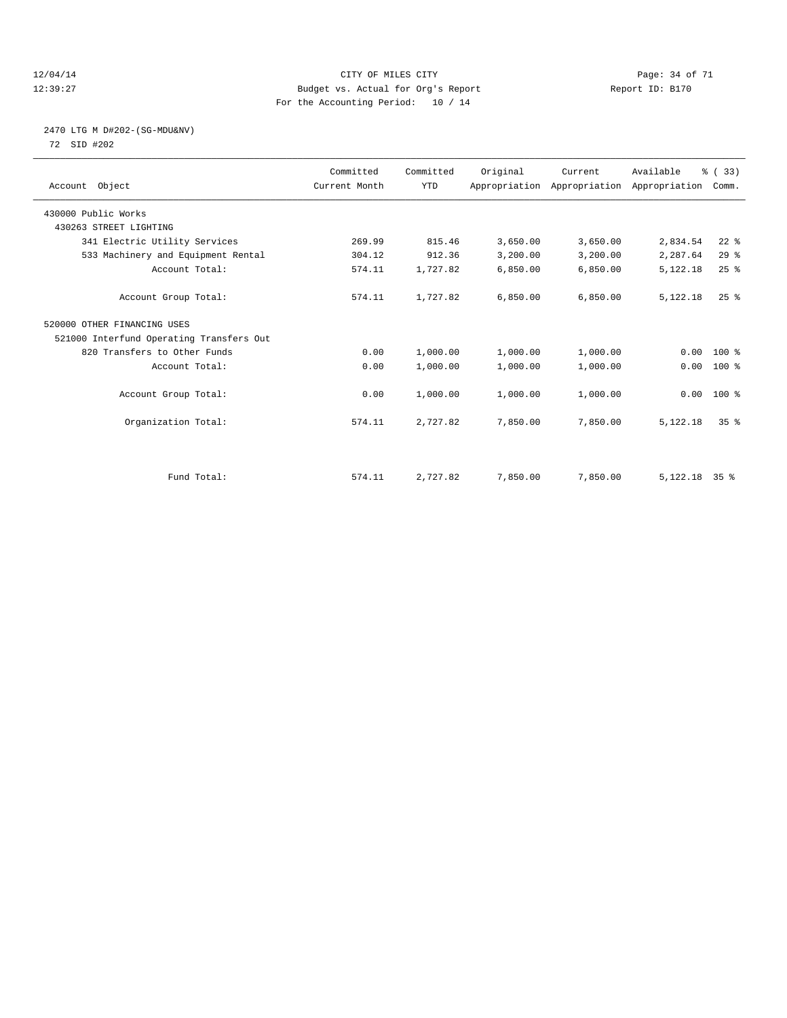#### 12/04/14 Page: 34 of 71 12:39:27 Budget vs. Actual for Org's Report Report ID: B170 For the Accounting Period: 10 / 14

#### 2470 LTG M D#202-(SG-MDU&NV) 72 SID #202

| Account Object                           | Committed<br>Current Month | Committed<br><b>YTD</b> | Original | Current<br>Appropriation Appropriation Appropriation | Available       | % (33)<br>Comm. |  |
|------------------------------------------|----------------------------|-------------------------|----------|------------------------------------------------------|-----------------|-----------------|--|
| 430000 Public Works                      |                            |                         |          |                                                      |                 |                 |  |
| 430263 STREET LIGHTING                   |                            |                         |          |                                                      |                 |                 |  |
| 341 Electric Utility Services            | 269.99                     | 815.46                  | 3,650.00 | 3,650.00                                             | 2,834.54        | $22$ %          |  |
| 533 Machinery and Equipment Rental       | 304.12                     | 912.36                  | 3,200.00 | 3,200.00                                             | 2,287.64        | 29%             |  |
| Account Total:                           | 574.11                     | 1,727.82                | 6,850.00 | 6,850.00                                             | 5,122.18        | $25$ $%$        |  |
| Account Group Total:                     | 574.11                     | 1,727.82                | 6.850.00 | 6,850.00                                             | 5,122.18        | $25$ $%$        |  |
| 520000 OTHER FINANCING USES              |                            |                         |          |                                                      |                 |                 |  |
| 521000 Interfund Operating Transfers Out |                            |                         |          |                                                      |                 |                 |  |
| 820 Transfers to Other Funds             | 0.00                       | 1,000.00                | 1,000.00 | 1,000.00                                             | 0.00            | 100 %           |  |
| Account Total:                           | 0.00                       | 1,000.00                | 1,000.00 | 1,000.00                                             | 0.00            | 100 %           |  |
| Account Group Total:                     | 0.00                       | 1,000.00                | 1,000.00 | 1,000.00                                             |                 | $0.00$ 100 %    |  |
| Organization Total:                      | 574.11                     | 2,727.82                | 7,850.00 | 7,850.00                                             | 5,122.18        | 35 <sup>8</sup> |  |
|                                          |                            |                         |          |                                                      |                 |                 |  |
| Fund Total:                              | 574.11                     | 2,727.82                | 7,850.00 | 7,850.00                                             | $5,122.18$ 35 % |                 |  |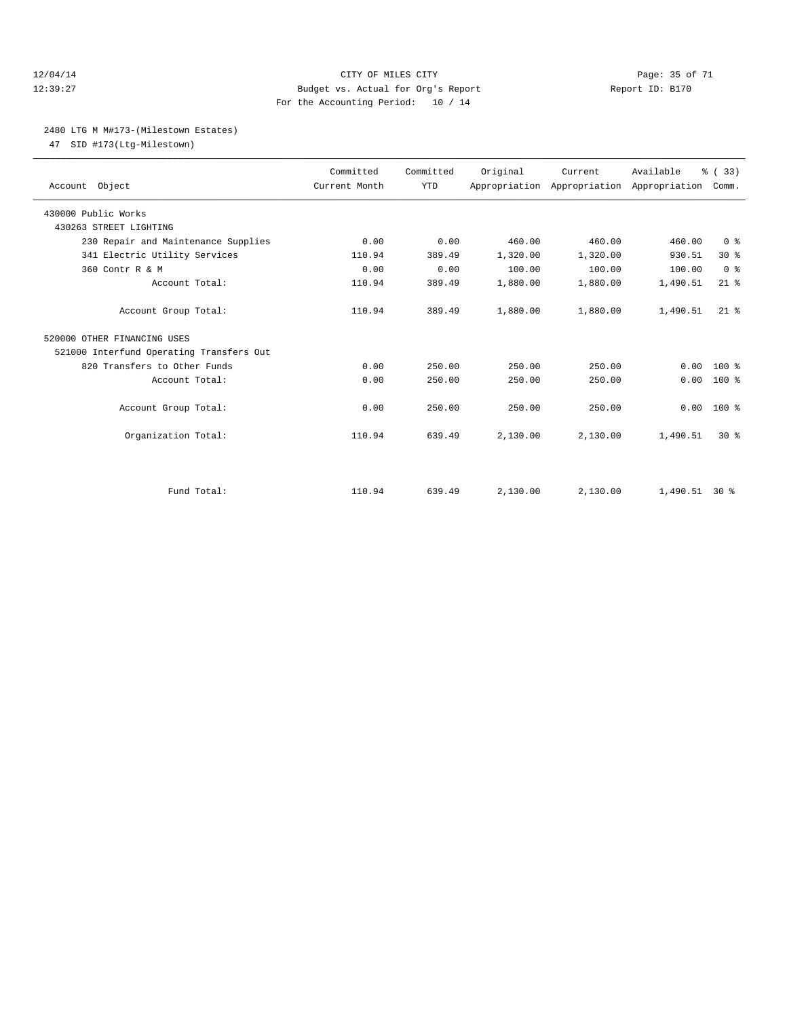#### 12/04/14 Page: 35 of 71 12:39:27 Budget vs. Actual for Org's Report Report ID: B170 For the Accounting Period: 10 / 14

#### 2480 LTG M M#173-(Milestown Estates)

47 SID #173(Ltg-Milestown)

| Account Object                           | Committed<br>Current Month | Committed<br><b>YTD</b> | Original | Current  | Available<br>Appropriation Appropriation Appropriation | % (33)<br>Comm. |
|------------------------------------------|----------------------------|-------------------------|----------|----------|--------------------------------------------------------|-----------------|
| 430000 Public Works                      |                            |                         |          |          |                                                        |                 |
| 430263 STREET LIGHTING                   |                            |                         |          |          |                                                        |                 |
| 230 Repair and Maintenance Supplies      | 0.00                       | 0.00                    | 460.00   | 460.00   | 460.00                                                 | 0 <sup>8</sup>  |
| 341 Electric Utility Services            | 110.94                     | 389.49                  | 1,320.00 | 1,320.00 | 930.51                                                 | $30*$           |
| 360 Contr R & M                          | 0.00                       | 0.00                    | 100.00   | 100.00   | 100.00                                                 | 0 <sup>8</sup>  |
| Account Total:                           | 110.94                     | 389.49                  | 1,880.00 | 1,880.00 | 1,490.51                                               | $21$ %          |
| Account Group Total:                     | 110.94                     | 389.49                  | 1,880.00 | 1,880.00 | 1,490.51                                               | $21$ $%$        |
| 520000 OTHER FINANCING USES              |                            |                         |          |          |                                                        |                 |
| 521000 Interfund Operating Transfers Out |                            |                         |          |          |                                                        |                 |
| 820 Transfers to Other Funds             | 0.00                       | 250.00                  | 250.00   | 250.00   | 0.00                                                   | $100*$          |
| Account Total:                           | 0.00                       | 250.00                  | 250.00   | 250.00   | 0.00                                                   | $100*$          |
|                                          |                            |                         |          |          |                                                        |                 |
| Account Group Total:                     | 0.00                       | 250.00                  | 250.00   | 250.00   | 0.00                                                   | $100*$          |
|                                          |                            |                         |          |          |                                                        |                 |
| Organization Total:                      | 110.94                     | 639.49                  | 2,130.00 | 2,130.00 | 1,490.51                                               | $30*$           |
|                                          |                            |                         |          |          |                                                        |                 |
| Fund Total:                              | 110.94                     | 639.49                  | 2,130.00 | 2.130.00 | $1.490.51$ 30 %                                        |                 |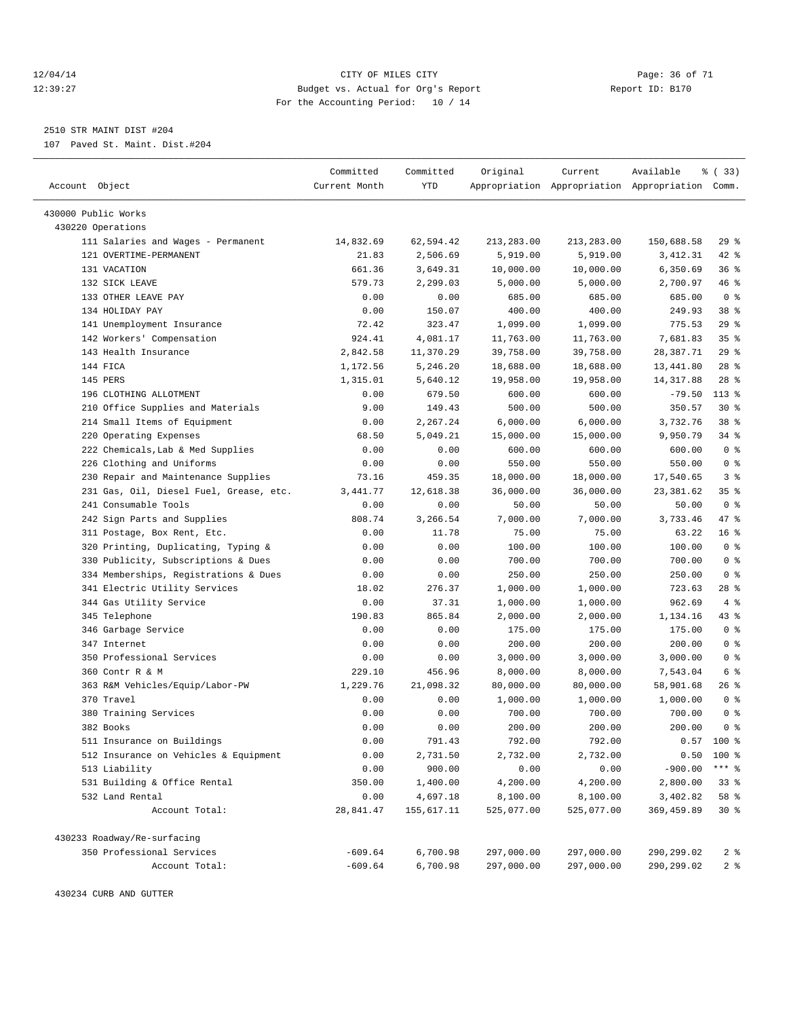#### 12/04/14 Page: 36 of 71 12:39:27 Budget vs. Actual for Org's Report Report ID: B170 For the Accounting Period: 10 / 14

————————————————————————————————————————————————————————————————————————————————————————————————————————————————————————————————————

2510 STR MAINT DIST #204

107 Paved St. Maint. Dist.#204

| Account Object<br>Current Month<br>YTD<br>Appropriation Appropriation Appropriation Comm.<br>430000 Public Works<br>430220 Operations<br>29%<br>111 Salaries and Wages - Permanent<br>14,832.69<br>62,594.42<br>213,283.00<br>213,283.00<br>150,688.58<br>121 OVERTIME-PERMANENT<br>42 %<br>21.83<br>2,506.69<br>5,919.00<br>5,919.00<br>3,412.31<br>131 VACATION<br>661.36<br>10,000.00<br>6,350.69<br>36%<br>3,649.31<br>10,000.00<br>132 SICK LEAVE<br>579.73<br>2,299.03<br>5,000.00<br>5,000.00<br>2,700.97<br>46 %<br>0 <sup>8</sup><br>133 OTHER LEAVE PAY<br>0.00<br>0.00<br>685.00<br>685.00<br>685.00<br>134 HOLIDAY PAY<br>0.00<br>150.07<br>400.00<br>400.00<br>249.93<br>38 %<br>29%<br>141 Unemployment Insurance<br>72.42<br>323.47<br>1,099.00<br>775.53<br>1,099.00<br>142 Workers' Compensation<br>924.41<br>4,081.17<br>11,763.00<br>11,763.00<br>35 <sup>8</sup><br>7,681.83<br>29%<br>2,842.58<br>11,370.29<br>39,758.00<br>28,387.71<br>143 Health Insurance<br>39,758.00<br>144 FICA<br>$28$ %<br>1,172.56<br>5,246.20<br>18,688.00<br>18,688.00<br>13,441.80<br>145 PERS<br>$28$ %<br>1,315.01<br>5,640.12<br>19,958.00<br>19,958.00<br>14, 317.88<br>196 CLOTHING ALLOTMENT<br>$113*$<br>0.00<br>679.50<br>600.00<br>600.00<br>$-79.50$<br>210 Office Supplies and Materials<br>149.43<br>500.00<br>500.00<br>350.57<br>$30*$<br>9.00<br>38 %<br>214 Small Items of Equipment<br>2,267.24<br>6,000.00<br>6,000.00<br>3,732.76<br>0.00<br>220 Operating Expenses<br>5,049.21<br>9,950.79<br>34 %<br>68.50<br>15,000.00<br>15,000.00<br>222 Chemicals, Lab & Med Supplies<br>0.00<br>0.00<br>600.00<br>0 <sup>8</sup><br>600.00<br>600.00<br>226 Clothing and Uniforms<br>0 <sup>8</sup><br>0.00<br>0.00<br>550.00<br>550.00<br>550.00<br>230 Repair and Maintenance Supplies<br>459.35<br>18,000.00<br>18,000.00<br>17,540.65<br>3 <sup>8</sup><br>73.16<br>231 Gas, Oil, Diesel Fuel, Grease, etc.<br>12,618.38<br>36,000.00<br>36,000.00<br>23,381.62<br>35%<br>3,441.77<br>241 Consumable Tools<br>0 <sup>8</sup><br>0.00<br>0.00<br>50.00<br>50.00<br>50.00<br>242 Sign Parts and Supplies<br>3,733.46<br>47 %<br>808.74<br>3,266.54<br>7,000.00<br>7,000.00<br>311 Postage, Box Rent, Etc.<br>16 <sup>8</sup><br>0.00<br>11.78<br>75.00<br>75.00<br>63.22<br>320 Printing, Duplicating, Typing &<br>0.00<br>0.00<br>100.00<br>100.00<br>0 <sup>8</sup><br>100.00<br>0 <sup>8</sup><br>330 Publicity, Subscriptions & Dues<br>0.00<br>0.00<br>700.00<br>700.00<br>700.00<br>334 Memberships, Registrations & Dues<br>250.00<br>250.00<br>250.00<br>0 <sup>8</sup><br>0.00<br>0.00<br>341 Electric Utility Services<br>1,000.00<br>1,000.00<br>723.63<br>$28$ %<br>18.02<br>276.37<br>344 Gas Utility Service<br>37.31<br>962.69<br>4%<br>0.00<br>1,000.00<br>1,000.00<br>345 Telephone<br>190.83<br>865.84<br>1,134.16<br>43 %<br>2,000.00<br>2,000.00<br>0 <sup>8</sup><br>346 Garbage Service<br>0.00<br>175.00<br>175.00<br>0.00<br>175.00<br>0 <sup>8</sup><br>200.00<br>347 Internet<br>0.00<br>0.00<br>200.00<br>200.00<br>350 Professional Services<br>3,000.00<br>3,000.00<br>3,000.00<br>0 <sup>8</sup><br>0.00<br>0.00<br>360 Contr R & M<br>6 %<br>229.10<br>456.96<br>8,000.00<br>8,000.00<br>7,543.04<br>363 R&M Vehicles/Equip/Labor-PW<br>1,229.76<br>21,098.32<br>80,000.00<br>80,000.00<br>58,901.68<br>26 %<br>370 Travel<br>1,000.00<br>0 <sup>8</sup><br>0.00<br>0.00<br>1,000.00<br>1,000.00<br>380 Training Services<br>700.00<br>0 <sup>8</sup><br>0.00<br>0.00<br>700.00<br>700.00<br>0 <sup>8</sup><br>382 Books<br>0.00<br>200.00<br>0.00<br>200.00<br>200.00<br>791.43<br>792.00<br>792.00<br>$0.57$ 100 %<br>511 Insurance on Buildings<br>0.00<br>100 %<br>512 Insurance on Vehicles & Equipment<br>0.00<br>2,731.50<br>2,732.00<br>2,732.00<br>0.50<br>900.00<br>0.00<br>$-900.00$<br>$***$ $_{8}$<br>513 Liability<br>0.00<br>0.00<br>531 Building & Office Rental<br>350.00<br>1,400.00<br>4,200.00<br>4,200.00<br>2,800.00<br>$33*$<br>532 Land Rental<br>0.00<br>4,697.18<br>8,100.00<br>8,100.00<br>3,402.82<br>58 %<br>Account Total:<br>28,841.47<br>155,617.11<br>525,077.00<br>369, 459.89<br>$30*$<br>525,077.00<br>430233 Roadway/Re-surfacing<br>350 Professional Services<br>$-609.64$<br>6,700.98<br>297,000.00<br>297,000.00<br>290,299.02<br>2 <sub>8</sub> |                | Committed | Committed | Original   | Current    | Available  | % (33) |
|---------------------------------------------------------------------------------------------------------------------------------------------------------------------------------------------------------------------------------------------------------------------------------------------------------------------------------------------------------------------------------------------------------------------------------------------------------------------------------------------------------------------------------------------------------------------------------------------------------------------------------------------------------------------------------------------------------------------------------------------------------------------------------------------------------------------------------------------------------------------------------------------------------------------------------------------------------------------------------------------------------------------------------------------------------------------------------------------------------------------------------------------------------------------------------------------------------------------------------------------------------------------------------------------------------------------------------------------------------------------------------------------------------------------------------------------------------------------------------------------------------------------------------------------------------------------------------------------------------------------------------------------------------------------------------------------------------------------------------------------------------------------------------------------------------------------------------------------------------------------------------------------------------------------------------------------------------------------------------------------------------------------------------------------------------------------------------------------------------------------------------------------------------------------------------------------------------------------------------------------------------------------------------------------------------------------------------------------------------------------------------------------------------------------------------------------------------------------------------------------------------------------------------------------------------------------------------------------------------------------------------------------------------------------------------------------------------------------------------------------------------------------------------------------------------------------------------------------------------------------------------------------------------------------------------------------------------------------------------------------------------------------------------------------------------------------------------------------------------------------------------------------------------------------------------------------------------------------------------------------------------------------------------------------------------------------------------------------------------------------------------------------------------------------------------------------------------------------------------------------------------------------------------------------------------------------------------------------------------------------------------------------------------------------------------------------------------------------------------------------------------------------------------------------------------------------------------------------------------------------------------------------------------------------------------------------------------------------------------------------------------------------------------------------------------------------------------------------------------------------------------------------------------------------------------------------------------------------------------------------------------------------------------------------------------------------------------------|----------------|-----------|-----------|------------|------------|------------|--------|
|                                                                                                                                                                                                                                                                                                                                                                                                                                                                                                                                                                                                                                                                                                                                                                                                                                                                                                                                                                                                                                                                                                                                                                                                                                                                                                                                                                                                                                                                                                                                                                                                                                                                                                                                                                                                                                                                                                                                                                                                                                                                                                                                                                                                                                                                                                                                                                                                                                                                                                                                                                                                                                                                                                                                                                                                                                                                                                                                                                                                                                                                                                                                                                                                                                                                                                                                                                                                                                                                                                                                                                                                                                                                                                                                                                                                                                                                                                                                                                                                                                                                                                                                                                                                                                                                                                                                       |                |           |           |            |            |            |        |
|                                                                                                                                                                                                                                                                                                                                                                                                                                                                                                                                                                                                                                                                                                                                                                                                                                                                                                                                                                                                                                                                                                                                                                                                                                                                                                                                                                                                                                                                                                                                                                                                                                                                                                                                                                                                                                                                                                                                                                                                                                                                                                                                                                                                                                                                                                                                                                                                                                                                                                                                                                                                                                                                                                                                                                                                                                                                                                                                                                                                                                                                                                                                                                                                                                                                                                                                                                                                                                                                                                                                                                                                                                                                                                                                                                                                                                                                                                                                                                                                                                                                                                                                                                                                                                                                                                                                       |                |           |           |            |            |            |        |
|                                                                                                                                                                                                                                                                                                                                                                                                                                                                                                                                                                                                                                                                                                                                                                                                                                                                                                                                                                                                                                                                                                                                                                                                                                                                                                                                                                                                                                                                                                                                                                                                                                                                                                                                                                                                                                                                                                                                                                                                                                                                                                                                                                                                                                                                                                                                                                                                                                                                                                                                                                                                                                                                                                                                                                                                                                                                                                                                                                                                                                                                                                                                                                                                                                                                                                                                                                                                                                                                                                                                                                                                                                                                                                                                                                                                                                                                                                                                                                                                                                                                                                                                                                                                                                                                                                                                       |                |           |           |            |            |            |        |
|                                                                                                                                                                                                                                                                                                                                                                                                                                                                                                                                                                                                                                                                                                                                                                                                                                                                                                                                                                                                                                                                                                                                                                                                                                                                                                                                                                                                                                                                                                                                                                                                                                                                                                                                                                                                                                                                                                                                                                                                                                                                                                                                                                                                                                                                                                                                                                                                                                                                                                                                                                                                                                                                                                                                                                                                                                                                                                                                                                                                                                                                                                                                                                                                                                                                                                                                                                                                                                                                                                                                                                                                                                                                                                                                                                                                                                                                                                                                                                                                                                                                                                                                                                                                                                                                                                                                       |                |           |           |            |            |            |        |
|                                                                                                                                                                                                                                                                                                                                                                                                                                                                                                                                                                                                                                                                                                                                                                                                                                                                                                                                                                                                                                                                                                                                                                                                                                                                                                                                                                                                                                                                                                                                                                                                                                                                                                                                                                                                                                                                                                                                                                                                                                                                                                                                                                                                                                                                                                                                                                                                                                                                                                                                                                                                                                                                                                                                                                                                                                                                                                                                                                                                                                                                                                                                                                                                                                                                                                                                                                                                                                                                                                                                                                                                                                                                                                                                                                                                                                                                                                                                                                                                                                                                                                                                                                                                                                                                                                                                       |                |           |           |            |            |            |        |
|                                                                                                                                                                                                                                                                                                                                                                                                                                                                                                                                                                                                                                                                                                                                                                                                                                                                                                                                                                                                                                                                                                                                                                                                                                                                                                                                                                                                                                                                                                                                                                                                                                                                                                                                                                                                                                                                                                                                                                                                                                                                                                                                                                                                                                                                                                                                                                                                                                                                                                                                                                                                                                                                                                                                                                                                                                                                                                                                                                                                                                                                                                                                                                                                                                                                                                                                                                                                                                                                                                                                                                                                                                                                                                                                                                                                                                                                                                                                                                                                                                                                                                                                                                                                                                                                                                                                       |                |           |           |            |            |            |        |
|                                                                                                                                                                                                                                                                                                                                                                                                                                                                                                                                                                                                                                                                                                                                                                                                                                                                                                                                                                                                                                                                                                                                                                                                                                                                                                                                                                                                                                                                                                                                                                                                                                                                                                                                                                                                                                                                                                                                                                                                                                                                                                                                                                                                                                                                                                                                                                                                                                                                                                                                                                                                                                                                                                                                                                                                                                                                                                                                                                                                                                                                                                                                                                                                                                                                                                                                                                                                                                                                                                                                                                                                                                                                                                                                                                                                                                                                                                                                                                                                                                                                                                                                                                                                                                                                                                                                       |                |           |           |            |            |            |        |
|                                                                                                                                                                                                                                                                                                                                                                                                                                                                                                                                                                                                                                                                                                                                                                                                                                                                                                                                                                                                                                                                                                                                                                                                                                                                                                                                                                                                                                                                                                                                                                                                                                                                                                                                                                                                                                                                                                                                                                                                                                                                                                                                                                                                                                                                                                                                                                                                                                                                                                                                                                                                                                                                                                                                                                                                                                                                                                                                                                                                                                                                                                                                                                                                                                                                                                                                                                                                                                                                                                                                                                                                                                                                                                                                                                                                                                                                                                                                                                                                                                                                                                                                                                                                                                                                                                                                       |                |           |           |            |            |            |        |
|                                                                                                                                                                                                                                                                                                                                                                                                                                                                                                                                                                                                                                                                                                                                                                                                                                                                                                                                                                                                                                                                                                                                                                                                                                                                                                                                                                                                                                                                                                                                                                                                                                                                                                                                                                                                                                                                                                                                                                                                                                                                                                                                                                                                                                                                                                                                                                                                                                                                                                                                                                                                                                                                                                                                                                                                                                                                                                                                                                                                                                                                                                                                                                                                                                                                                                                                                                                                                                                                                                                                                                                                                                                                                                                                                                                                                                                                                                                                                                                                                                                                                                                                                                                                                                                                                                                                       |                |           |           |            |            |            |        |
|                                                                                                                                                                                                                                                                                                                                                                                                                                                                                                                                                                                                                                                                                                                                                                                                                                                                                                                                                                                                                                                                                                                                                                                                                                                                                                                                                                                                                                                                                                                                                                                                                                                                                                                                                                                                                                                                                                                                                                                                                                                                                                                                                                                                                                                                                                                                                                                                                                                                                                                                                                                                                                                                                                                                                                                                                                                                                                                                                                                                                                                                                                                                                                                                                                                                                                                                                                                                                                                                                                                                                                                                                                                                                                                                                                                                                                                                                                                                                                                                                                                                                                                                                                                                                                                                                                                                       |                |           |           |            |            |            |        |
|                                                                                                                                                                                                                                                                                                                                                                                                                                                                                                                                                                                                                                                                                                                                                                                                                                                                                                                                                                                                                                                                                                                                                                                                                                                                                                                                                                                                                                                                                                                                                                                                                                                                                                                                                                                                                                                                                                                                                                                                                                                                                                                                                                                                                                                                                                                                                                                                                                                                                                                                                                                                                                                                                                                                                                                                                                                                                                                                                                                                                                                                                                                                                                                                                                                                                                                                                                                                                                                                                                                                                                                                                                                                                                                                                                                                                                                                                                                                                                                                                                                                                                                                                                                                                                                                                                                                       |                |           |           |            |            |            |        |
|                                                                                                                                                                                                                                                                                                                                                                                                                                                                                                                                                                                                                                                                                                                                                                                                                                                                                                                                                                                                                                                                                                                                                                                                                                                                                                                                                                                                                                                                                                                                                                                                                                                                                                                                                                                                                                                                                                                                                                                                                                                                                                                                                                                                                                                                                                                                                                                                                                                                                                                                                                                                                                                                                                                                                                                                                                                                                                                                                                                                                                                                                                                                                                                                                                                                                                                                                                                                                                                                                                                                                                                                                                                                                                                                                                                                                                                                                                                                                                                                                                                                                                                                                                                                                                                                                                                                       |                |           |           |            |            |            |        |
|                                                                                                                                                                                                                                                                                                                                                                                                                                                                                                                                                                                                                                                                                                                                                                                                                                                                                                                                                                                                                                                                                                                                                                                                                                                                                                                                                                                                                                                                                                                                                                                                                                                                                                                                                                                                                                                                                                                                                                                                                                                                                                                                                                                                                                                                                                                                                                                                                                                                                                                                                                                                                                                                                                                                                                                                                                                                                                                                                                                                                                                                                                                                                                                                                                                                                                                                                                                                                                                                                                                                                                                                                                                                                                                                                                                                                                                                                                                                                                                                                                                                                                                                                                                                                                                                                                                                       |                |           |           |            |            |            |        |
|                                                                                                                                                                                                                                                                                                                                                                                                                                                                                                                                                                                                                                                                                                                                                                                                                                                                                                                                                                                                                                                                                                                                                                                                                                                                                                                                                                                                                                                                                                                                                                                                                                                                                                                                                                                                                                                                                                                                                                                                                                                                                                                                                                                                                                                                                                                                                                                                                                                                                                                                                                                                                                                                                                                                                                                                                                                                                                                                                                                                                                                                                                                                                                                                                                                                                                                                                                                                                                                                                                                                                                                                                                                                                                                                                                                                                                                                                                                                                                                                                                                                                                                                                                                                                                                                                                                                       |                |           |           |            |            |            |        |
|                                                                                                                                                                                                                                                                                                                                                                                                                                                                                                                                                                                                                                                                                                                                                                                                                                                                                                                                                                                                                                                                                                                                                                                                                                                                                                                                                                                                                                                                                                                                                                                                                                                                                                                                                                                                                                                                                                                                                                                                                                                                                                                                                                                                                                                                                                                                                                                                                                                                                                                                                                                                                                                                                                                                                                                                                                                                                                                                                                                                                                                                                                                                                                                                                                                                                                                                                                                                                                                                                                                                                                                                                                                                                                                                                                                                                                                                                                                                                                                                                                                                                                                                                                                                                                                                                                                                       |                |           |           |            |            |            |        |
|                                                                                                                                                                                                                                                                                                                                                                                                                                                                                                                                                                                                                                                                                                                                                                                                                                                                                                                                                                                                                                                                                                                                                                                                                                                                                                                                                                                                                                                                                                                                                                                                                                                                                                                                                                                                                                                                                                                                                                                                                                                                                                                                                                                                                                                                                                                                                                                                                                                                                                                                                                                                                                                                                                                                                                                                                                                                                                                                                                                                                                                                                                                                                                                                                                                                                                                                                                                                                                                                                                                                                                                                                                                                                                                                                                                                                                                                                                                                                                                                                                                                                                                                                                                                                                                                                                                                       |                |           |           |            |            |            |        |
|                                                                                                                                                                                                                                                                                                                                                                                                                                                                                                                                                                                                                                                                                                                                                                                                                                                                                                                                                                                                                                                                                                                                                                                                                                                                                                                                                                                                                                                                                                                                                                                                                                                                                                                                                                                                                                                                                                                                                                                                                                                                                                                                                                                                                                                                                                                                                                                                                                                                                                                                                                                                                                                                                                                                                                                                                                                                                                                                                                                                                                                                                                                                                                                                                                                                                                                                                                                                                                                                                                                                                                                                                                                                                                                                                                                                                                                                                                                                                                                                                                                                                                                                                                                                                                                                                                                                       |                |           |           |            |            |            |        |
|                                                                                                                                                                                                                                                                                                                                                                                                                                                                                                                                                                                                                                                                                                                                                                                                                                                                                                                                                                                                                                                                                                                                                                                                                                                                                                                                                                                                                                                                                                                                                                                                                                                                                                                                                                                                                                                                                                                                                                                                                                                                                                                                                                                                                                                                                                                                                                                                                                                                                                                                                                                                                                                                                                                                                                                                                                                                                                                                                                                                                                                                                                                                                                                                                                                                                                                                                                                                                                                                                                                                                                                                                                                                                                                                                                                                                                                                                                                                                                                                                                                                                                                                                                                                                                                                                                                                       |                |           |           |            |            |            |        |
|                                                                                                                                                                                                                                                                                                                                                                                                                                                                                                                                                                                                                                                                                                                                                                                                                                                                                                                                                                                                                                                                                                                                                                                                                                                                                                                                                                                                                                                                                                                                                                                                                                                                                                                                                                                                                                                                                                                                                                                                                                                                                                                                                                                                                                                                                                                                                                                                                                                                                                                                                                                                                                                                                                                                                                                                                                                                                                                                                                                                                                                                                                                                                                                                                                                                                                                                                                                                                                                                                                                                                                                                                                                                                                                                                                                                                                                                                                                                                                                                                                                                                                                                                                                                                                                                                                                                       |                |           |           |            |            |            |        |
|                                                                                                                                                                                                                                                                                                                                                                                                                                                                                                                                                                                                                                                                                                                                                                                                                                                                                                                                                                                                                                                                                                                                                                                                                                                                                                                                                                                                                                                                                                                                                                                                                                                                                                                                                                                                                                                                                                                                                                                                                                                                                                                                                                                                                                                                                                                                                                                                                                                                                                                                                                                                                                                                                                                                                                                                                                                                                                                                                                                                                                                                                                                                                                                                                                                                                                                                                                                                                                                                                                                                                                                                                                                                                                                                                                                                                                                                                                                                                                                                                                                                                                                                                                                                                                                                                                                                       |                |           |           |            |            |            |        |
|                                                                                                                                                                                                                                                                                                                                                                                                                                                                                                                                                                                                                                                                                                                                                                                                                                                                                                                                                                                                                                                                                                                                                                                                                                                                                                                                                                                                                                                                                                                                                                                                                                                                                                                                                                                                                                                                                                                                                                                                                                                                                                                                                                                                                                                                                                                                                                                                                                                                                                                                                                                                                                                                                                                                                                                                                                                                                                                                                                                                                                                                                                                                                                                                                                                                                                                                                                                                                                                                                                                                                                                                                                                                                                                                                                                                                                                                                                                                                                                                                                                                                                                                                                                                                                                                                                                                       |                |           |           |            |            |            |        |
|                                                                                                                                                                                                                                                                                                                                                                                                                                                                                                                                                                                                                                                                                                                                                                                                                                                                                                                                                                                                                                                                                                                                                                                                                                                                                                                                                                                                                                                                                                                                                                                                                                                                                                                                                                                                                                                                                                                                                                                                                                                                                                                                                                                                                                                                                                                                                                                                                                                                                                                                                                                                                                                                                                                                                                                                                                                                                                                                                                                                                                                                                                                                                                                                                                                                                                                                                                                                                                                                                                                                                                                                                                                                                                                                                                                                                                                                                                                                                                                                                                                                                                                                                                                                                                                                                                                                       |                |           |           |            |            |            |        |
|                                                                                                                                                                                                                                                                                                                                                                                                                                                                                                                                                                                                                                                                                                                                                                                                                                                                                                                                                                                                                                                                                                                                                                                                                                                                                                                                                                                                                                                                                                                                                                                                                                                                                                                                                                                                                                                                                                                                                                                                                                                                                                                                                                                                                                                                                                                                                                                                                                                                                                                                                                                                                                                                                                                                                                                                                                                                                                                                                                                                                                                                                                                                                                                                                                                                                                                                                                                                                                                                                                                                                                                                                                                                                                                                                                                                                                                                                                                                                                                                                                                                                                                                                                                                                                                                                                                                       |                |           |           |            |            |            |        |
|                                                                                                                                                                                                                                                                                                                                                                                                                                                                                                                                                                                                                                                                                                                                                                                                                                                                                                                                                                                                                                                                                                                                                                                                                                                                                                                                                                                                                                                                                                                                                                                                                                                                                                                                                                                                                                                                                                                                                                                                                                                                                                                                                                                                                                                                                                                                                                                                                                                                                                                                                                                                                                                                                                                                                                                                                                                                                                                                                                                                                                                                                                                                                                                                                                                                                                                                                                                                                                                                                                                                                                                                                                                                                                                                                                                                                                                                                                                                                                                                                                                                                                                                                                                                                                                                                                                                       |                |           |           |            |            |            |        |
|                                                                                                                                                                                                                                                                                                                                                                                                                                                                                                                                                                                                                                                                                                                                                                                                                                                                                                                                                                                                                                                                                                                                                                                                                                                                                                                                                                                                                                                                                                                                                                                                                                                                                                                                                                                                                                                                                                                                                                                                                                                                                                                                                                                                                                                                                                                                                                                                                                                                                                                                                                                                                                                                                                                                                                                                                                                                                                                                                                                                                                                                                                                                                                                                                                                                                                                                                                                                                                                                                                                                                                                                                                                                                                                                                                                                                                                                                                                                                                                                                                                                                                                                                                                                                                                                                                                                       |                |           |           |            |            |            |        |
|                                                                                                                                                                                                                                                                                                                                                                                                                                                                                                                                                                                                                                                                                                                                                                                                                                                                                                                                                                                                                                                                                                                                                                                                                                                                                                                                                                                                                                                                                                                                                                                                                                                                                                                                                                                                                                                                                                                                                                                                                                                                                                                                                                                                                                                                                                                                                                                                                                                                                                                                                                                                                                                                                                                                                                                                                                                                                                                                                                                                                                                                                                                                                                                                                                                                                                                                                                                                                                                                                                                                                                                                                                                                                                                                                                                                                                                                                                                                                                                                                                                                                                                                                                                                                                                                                                                                       |                |           |           |            |            |            |        |
|                                                                                                                                                                                                                                                                                                                                                                                                                                                                                                                                                                                                                                                                                                                                                                                                                                                                                                                                                                                                                                                                                                                                                                                                                                                                                                                                                                                                                                                                                                                                                                                                                                                                                                                                                                                                                                                                                                                                                                                                                                                                                                                                                                                                                                                                                                                                                                                                                                                                                                                                                                                                                                                                                                                                                                                                                                                                                                                                                                                                                                                                                                                                                                                                                                                                                                                                                                                                                                                                                                                                                                                                                                                                                                                                                                                                                                                                                                                                                                                                                                                                                                                                                                                                                                                                                                                                       |                |           |           |            |            |            |        |
|                                                                                                                                                                                                                                                                                                                                                                                                                                                                                                                                                                                                                                                                                                                                                                                                                                                                                                                                                                                                                                                                                                                                                                                                                                                                                                                                                                                                                                                                                                                                                                                                                                                                                                                                                                                                                                                                                                                                                                                                                                                                                                                                                                                                                                                                                                                                                                                                                                                                                                                                                                                                                                                                                                                                                                                                                                                                                                                                                                                                                                                                                                                                                                                                                                                                                                                                                                                                                                                                                                                                                                                                                                                                                                                                                                                                                                                                                                                                                                                                                                                                                                                                                                                                                                                                                                                                       |                |           |           |            |            |            |        |
|                                                                                                                                                                                                                                                                                                                                                                                                                                                                                                                                                                                                                                                                                                                                                                                                                                                                                                                                                                                                                                                                                                                                                                                                                                                                                                                                                                                                                                                                                                                                                                                                                                                                                                                                                                                                                                                                                                                                                                                                                                                                                                                                                                                                                                                                                                                                                                                                                                                                                                                                                                                                                                                                                                                                                                                                                                                                                                                                                                                                                                                                                                                                                                                                                                                                                                                                                                                                                                                                                                                                                                                                                                                                                                                                                                                                                                                                                                                                                                                                                                                                                                                                                                                                                                                                                                                                       |                |           |           |            |            |            |        |
|                                                                                                                                                                                                                                                                                                                                                                                                                                                                                                                                                                                                                                                                                                                                                                                                                                                                                                                                                                                                                                                                                                                                                                                                                                                                                                                                                                                                                                                                                                                                                                                                                                                                                                                                                                                                                                                                                                                                                                                                                                                                                                                                                                                                                                                                                                                                                                                                                                                                                                                                                                                                                                                                                                                                                                                                                                                                                                                                                                                                                                                                                                                                                                                                                                                                                                                                                                                                                                                                                                                                                                                                                                                                                                                                                                                                                                                                                                                                                                                                                                                                                                                                                                                                                                                                                                                                       |                |           |           |            |            |            |        |
|                                                                                                                                                                                                                                                                                                                                                                                                                                                                                                                                                                                                                                                                                                                                                                                                                                                                                                                                                                                                                                                                                                                                                                                                                                                                                                                                                                                                                                                                                                                                                                                                                                                                                                                                                                                                                                                                                                                                                                                                                                                                                                                                                                                                                                                                                                                                                                                                                                                                                                                                                                                                                                                                                                                                                                                                                                                                                                                                                                                                                                                                                                                                                                                                                                                                                                                                                                                                                                                                                                                                                                                                                                                                                                                                                                                                                                                                                                                                                                                                                                                                                                                                                                                                                                                                                                                                       |                |           |           |            |            |            |        |
|                                                                                                                                                                                                                                                                                                                                                                                                                                                                                                                                                                                                                                                                                                                                                                                                                                                                                                                                                                                                                                                                                                                                                                                                                                                                                                                                                                                                                                                                                                                                                                                                                                                                                                                                                                                                                                                                                                                                                                                                                                                                                                                                                                                                                                                                                                                                                                                                                                                                                                                                                                                                                                                                                                                                                                                                                                                                                                                                                                                                                                                                                                                                                                                                                                                                                                                                                                                                                                                                                                                                                                                                                                                                                                                                                                                                                                                                                                                                                                                                                                                                                                                                                                                                                                                                                                                                       |                |           |           |            |            |            |        |
|                                                                                                                                                                                                                                                                                                                                                                                                                                                                                                                                                                                                                                                                                                                                                                                                                                                                                                                                                                                                                                                                                                                                                                                                                                                                                                                                                                                                                                                                                                                                                                                                                                                                                                                                                                                                                                                                                                                                                                                                                                                                                                                                                                                                                                                                                                                                                                                                                                                                                                                                                                                                                                                                                                                                                                                                                                                                                                                                                                                                                                                                                                                                                                                                                                                                                                                                                                                                                                                                                                                                                                                                                                                                                                                                                                                                                                                                                                                                                                                                                                                                                                                                                                                                                                                                                                                                       |                |           |           |            |            |            |        |
|                                                                                                                                                                                                                                                                                                                                                                                                                                                                                                                                                                                                                                                                                                                                                                                                                                                                                                                                                                                                                                                                                                                                                                                                                                                                                                                                                                                                                                                                                                                                                                                                                                                                                                                                                                                                                                                                                                                                                                                                                                                                                                                                                                                                                                                                                                                                                                                                                                                                                                                                                                                                                                                                                                                                                                                                                                                                                                                                                                                                                                                                                                                                                                                                                                                                                                                                                                                                                                                                                                                                                                                                                                                                                                                                                                                                                                                                                                                                                                                                                                                                                                                                                                                                                                                                                                                                       |                |           |           |            |            |            |        |
|                                                                                                                                                                                                                                                                                                                                                                                                                                                                                                                                                                                                                                                                                                                                                                                                                                                                                                                                                                                                                                                                                                                                                                                                                                                                                                                                                                                                                                                                                                                                                                                                                                                                                                                                                                                                                                                                                                                                                                                                                                                                                                                                                                                                                                                                                                                                                                                                                                                                                                                                                                                                                                                                                                                                                                                                                                                                                                                                                                                                                                                                                                                                                                                                                                                                                                                                                                                                                                                                                                                                                                                                                                                                                                                                                                                                                                                                                                                                                                                                                                                                                                                                                                                                                                                                                                                                       |                |           |           |            |            |            |        |
|                                                                                                                                                                                                                                                                                                                                                                                                                                                                                                                                                                                                                                                                                                                                                                                                                                                                                                                                                                                                                                                                                                                                                                                                                                                                                                                                                                                                                                                                                                                                                                                                                                                                                                                                                                                                                                                                                                                                                                                                                                                                                                                                                                                                                                                                                                                                                                                                                                                                                                                                                                                                                                                                                                                                                                                                                                                                                                                                                                                                                                                                                                                                                                                                                                                                                                                                                                                                                                                                                                                                                                                                                                                                                                                                                                                                                                                                                                                                                                                                                                                                                                                                                                                                                                                                                                                                       |                |           |           |            |            |            |        |
|                                                                                                                                                                                                                                                                                                                                                                                                                                                                                                                                                                                                                                                                                                                                                                                                                                                                                                                                                                                                                                                                                                                                                                                                                                                                                                                                                                                                                                                                                                                                                                                                                                                                                                                                                                                                                                                                                                                                                                                                                                                                                                                                                                                                                                                                                                                                                                                                                                                                                                                                                                                                                                                                                                                                                                                                                                                                                                                                                                                                                                                                                                                                                                                                                                                                                                                                                                                                                                                                                                                                                                                                                                                                                                                                                                                                                                                                                                                                                                                                                                                                                                                                                                                                                                                                                                                                       |                |           |           |            |            |            |        |
|                                                                                                                                                                                                                                                                                                                                                                                                                                                                                                                                                                                                                                                                                                                                                                                                                                                                                                                                                                                                                                                                                                                                                                                                                                                                                                                                                                                                                                                                                                                                                                                                                                                                                                                                                                                                                                                                                                                                                                                                                                                                                                                                                                                                                                                                                                                                                                                                                                                                                                                                                                                                                                                                                                                                                                                                                                                                                                                                                                                                                                                                                                                                                                                                                                                                                                                                                                                                                                                                                                                                                                                                                                                                                                                                                                                                                                                                                                                                                                                                                                                                                                                                                                                                                                                                                                                                       |                |           |           |            |            |            |        |
|                                                                                                                                                                                                                                                                                                                                                                                                                                                                                                                                                                                                                                                                                                                                                                                                                                                                                                                                                                                                                                                                                                                                                                                                                                                                                                                                                                                                                                                                                                                                                                                                                                                                                                                                                                                                                                                                                                                                                                                                                                                                                                                                                                                                                                                                                                                                                                                                                                                                                                                                                                                                                                                                                                                                                                                                                                                                                                                                                                                                                                                                                                                                                                                                                                                                                                                                                                                                                                                                                                                                                                                                                                                                                                                                                                                                                                                                                                                                                                                                                                                                                                                                                                                                                                                                                                                                       |                |           |           |            |            |            |        |
|                                                                                                                                                                                                                                                                                                                                                                                                                                                                                                                                                                                                                                                                                                                                                                                                                                                                                                                                                                                                                                                                                                                                                                                                                                                                                                                                                                                                                                                                                                                                                                                                                                                                                                                                                                                                                                                                                                                                                                                                                                                                                                                                                                                                                                                                                                                                                                                                                                                                                                                                                                                                                                                                                                                                                                                                                                                                                                                                                                                                                                                                                                                                                                                                                                                                                                                                                                                                                                                                                                                                                                                                                                                                                                                                                                                                                                                                                                                                                                                                                                                                                                                                                                                                                                                                                                                                       |                |           |           |            |            |            |        |
|                                                                                                                                                                                                                                                                                                                                                                                                                                                                                                                                                                                                                                                                                                                                                                                                                                                                                                                                                                                                                                                                                                                                                                                                                                                                                                                                                                                                                                                                                                                                                                                                                                                                                                                                                                                                                                                                                                                                                                                                                                                                                                                                                                                                                                                                                                                                                                                                                                                                                                                                                                                                                                                                                                                                                                                                                                                                                                                                                                                                                                                                                                                                                                                                                                                                                                                                                                                                                                                                                                                                                                                                                                                                                                                                                                                                                                                                                                                                                                                                                                                                                                                                                                                                                                                                                                                                       |                |           |           |            |            |            |        |
|                                                                                                                                                                                                                                                                                                                                                                                                                                                                                                                                                                                                                                                                                                                                                                                                                                                                                                                                                                                                                                                                                                                                                                                                                                                                                                                                                                                                                                                                                                                                                                                                                                                                                                                                                                                                                                                                                                                                                                                                                                                                                                                                                                                                                                                                                                                                                                                                                                                                                                                                                                                                                                                                                                                                                                                                                                                                                                                                                                                                                                                                                                                                                                                                                                                                                                                                                                                                                                                                                                                                                                                                                                                                                                                                                                                                                                                                                                                                                                                                                                                                                                                                                                                                                                                                                                                                       |                |           |           |            |            |            |        |
|                                                                                                                                                                                                                                                                                                                                                                                                                                                                                                                                                                                                                                                                                                                                                                                                                                                                                                                                                                                                                                                                                                                                                                                                                                                                                                                                                                                                                                                                                                                                                                                                                                                                                                                                                                                                                                                                                                                                                                                                                                                                                                                                                                                                                                                                                                                                                                                                                                                                                                                                                                                                                                                                                                                                                                                                                                                                                                                                                                                                                                                                                                                                                                                                                                                                                                                                                                                                                                                                                                                                                                                                                                                                                                                                                                                                                                                                                                                                                                                                                                                                                                                                                                                                                                                                                                                                       |                |           |           |            |            |            |        |
|                                                                                                                                                                                                                                                                                                                                                                                                                                                                                                                                                                                                                                                                                                                                                                                                                                                                                                                                                                                                                                                                                                                                                                                                                                                                                                                                                                                                                                                                                                                                                                                                                                                                                                                                                                                                                                                                                                                                                                                                                                                                                                                                                                                                                                                                                                                                                                                                                                                                                                                                                                                                                                                                                                                                                                                                                                                                                                                                                                                                                                                                                                                                                                                                                                                                                                                                                                                                                                                                                                                                                                                                                                                                                                                                                                                                                                                                                                                                                                                                                                                                                                                                                                                                                                                                                                                                       |                |           |           |            |            |            |        |
|                                                                                                                                                                                                                                                                                                                                                                                                                                                                                                                                                                                                                                                                                                                                                                                                                                                                                                                                                                                                                                                                                                                                                                                                                                                                                                                                                                                                                                                                                                                                                                                                                                                                                                                                                                                                                                                                                                                                                                                                                                                                                                                                                                                                                                                                                                                                                                                                                                                                                                                                                                                                                                                                                                                                                                                                                                                                                                                                                                                                                                                                                                                                                                                                                                                                                                                                                                                                                                                                                                                                                                                                                                                                                                                                                                                                                                                                                                                                                                                                                                                                                                                                                                                                                                                                                                                                       |                |           |           |            |            |            |        |
|                                                                                                                                                                                                                                                                                                                                                                                                                                                                                                                                                                                                                                                                                                                                                                                                                                                                                                                                                                                                                                                                                                                                                                                                                                                                                                                                                                                                                                                                                                                                                                                                                                                                                                                                                                                                                                                                                                                                                                                                                                                                                                                                                                                                                                                                                                                                                                                                                                                                                                                                                                                                                                                                                                                                                                                                                                                                                                                                                                                                                                                                                                                                                                                                                                                                                                                                                                                                                                                                                                                                                                                                                                                                                                                                                                                                                                                                                                                                                                                                                                                                                                                                                                                                                                                                                                                                       |                |           |           |            |            |            |        |
|                                                                                                                                                                                                                                                                                                                                                                                                                                                                                                                                                                                                                                                                                                                                                                                                                                                                                                                                                                                                                                                                                                                                                                                                                                                                                                                                                                                                                                                                                                                                                                                                                                                                                                                                                                                                                                                                                                                                                                                                                                                                                                                                                                                                                                                                                                                                                                                                                                                                                                                                                                                                                                                                                                                                                                                                                                                                                                                                                                                                                                                                                                                                                                                                                                                                                                                                                                                                                                                                                                                                                                                                                                                                                                                                                                                                                                                                                                                                                                                                                                                                                                                                                                                                                                                                                                                                       |                |           |           |            |            |            |        |
|                                                                                                                                                                                                                                                                                                                                                                                                                                                                                                                                                                                                                                                                                                                                                                                                                                                                                                                                                                                                                                                                                                                                                                                                                                                                                                                                                                                                                                                                                                                                                                                                                                                                                                                                                                                                                                                                                                                                                                                                                                                                                                                                                                                                                                                                                                                                                                                                                                                                                                                                                                                                                                                                                                                                                                                                                                                                                                                                                                                                                                                                                                                                                                                                                                                                                                                                                                                                                                                                                                                                                                                                                                                                                                                                                                                                                                                                                                                                                                                                                                                                                                                                                                                                                                                                                                                                       |                |           |           |            |            |            |        |
|                                                                                                                                                                                                                                                                                                                                                                                                                                                                                                                                                                                                                                                                                                                                                                                                                                                                                                                                                                                                                                                                                                                                                                                                                                                                                                                                                                                                                                                                                                                                                                                                                                                                                                                                                                                                                                                                                                                                                                                                                                                                                                                                                                                                                                                                                                                                                                                                                                                                                                                                                                                                                                                                                                                                                                                                                                                                                                                                                                                                                                                                                                                                                                                                                                                                                                                                                                                                                                                                                                                                                                                                                                                                                                                                                                                                                                                                                                                                                                                                                                                                                                                                                                                                                                                                                                                                       | Account Total: | $-609.64$ | 6,700.98  | 297,000.00 | 297,000.00 | 290,299.02 | 2 %    |

430234 CURB AND GUTTER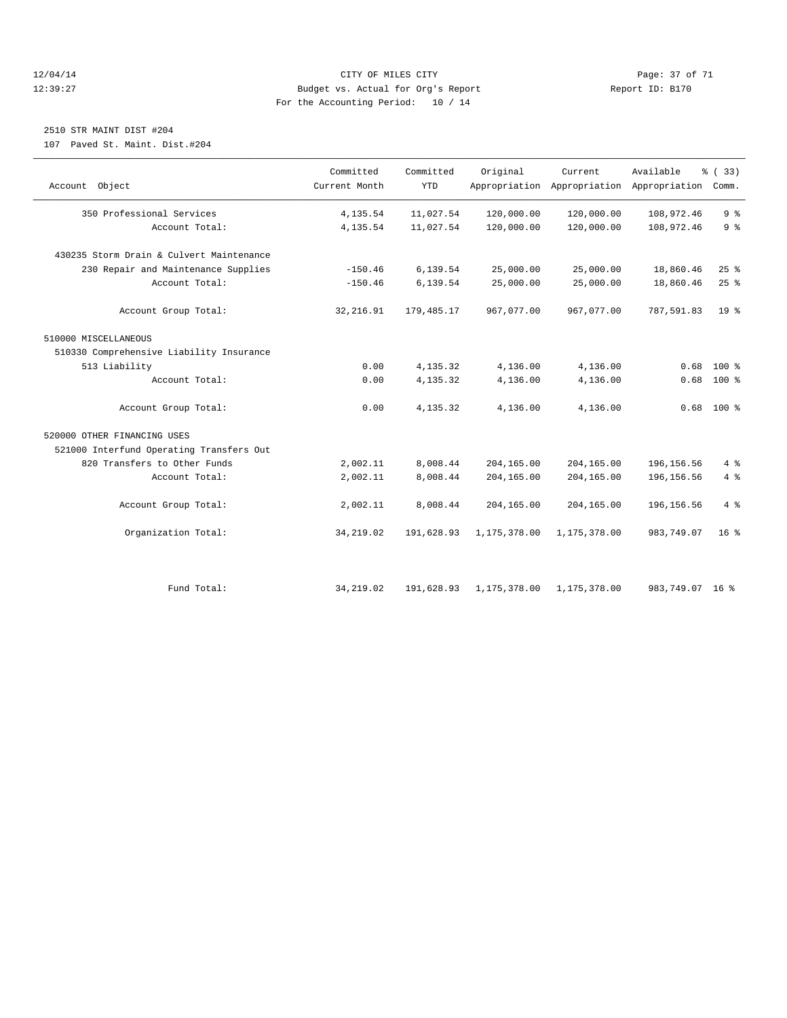#### 12/04/14 Page: 37 of 71 12:39:27 Budget vs. Actual for Org's Report Report ID: B170 For the Accounting Period: 10 / 14

## 2510 STR MAINT DIST #204

107 Paved St. Maint. Dist.#204

| Account Object                           | Committed<br>Current Month | Committed<br><b>YTD</b> | Original     | Current      | Available<br>Appropriation Appropriation Appropriation Comm. | % (33)          |
|------------------------------------------|----------------------------|-------------------------|--------------|--------------|--------------------------------------------------------------|-----------------|
| 350 Professional Services                | 4,135.54                   | 11,027.54               | 120,000.00   | 120,000.00   | 108,972.46                                                   | 9 <sup>°</sup>  |
| Account Total:                           | 4,135.54                   | 11,027.54               | 120,000.00   | 120,000.00   | 108,972.46                                                   | 9 <sup>°</sup>  |
| 430235 Storm Drain & Culvert Maintenance |                            |                         |              |              |                                                              |                 |
| 230 Repair and Maintenance Supplies      | $-150.46$                  | 6,139.54                | 25,000.00    | 25,000.00    | 18,860.46                                                    | 25%             |
| Account Total:                           | $-150.46$                  | 6,139.54                | 25,000.00    | 25,000.00    | 18,860.46                                                    | 25%             |
| Account Group Total:                     | 32, 216.91                 | 179,485.17              | 967,077.00   | 967,077.00   | 787,591.83                                                   | 19 <sup>°</sup> |
| 510000 MISCELLANEOUS                     |                            |                         |              |              |                                                              |                 |
| 510330 Comprehensive Liability Insurance |                            |                         |              |              |                                                              |                 |
| 513 Liability                            | 0.00                       | 4,135.32                | 4,136.00     | 4,136.00     | 0.68                                                         | $100*$          |
| Account Total:                           | 0.00                       | 4,135.32                | 4,136.00     | 4,136.00     | 0.68                                                         | $100*$          |
| Account Group Total:                     | 0.00                       | 4,135.32                | 4,136.00     | 4,136.00     | 0.68                                                         | $100*$          |
| 520000 OTHER FINANCING USES              |                            |                         |              |              |                                                              |                 |
| 521000 Interfund Operating Transfers Out |                            |                         |              |              |                                                              |                 |
| 820 Transfers to Other Funds             | 2,002.11                   | 8,008.44                | 204,165.00   | 204,165.00   | 196, 156.56                                                  | 4%              |
| Account Total:                           | 2,002.11                   | 8,008.44                | 204,165.00   | 204,165.00   | 196, 156.56                                                  | 4%              |
| Account Group Total:                     | 2,002.11                   | 8,008.44                | 204,165.00   | 204,165.00   | 196, 156.56                                                  | 4%              |
| Organization Total:                      | 34, 219.02                 | 191,628.93              | 1,175,378.00 | 1,175,378.00 | 983,749.07                                                   | 16 <sup>8</sup> |
|                                          |                            |                         |              |              |                                                              |                 |
| Fund Total:                              | 34, 219, 02                | 191,628.93              | 1,175,378.00 | 1,175,378.00 | 983,749.07 16 %                                              |                 |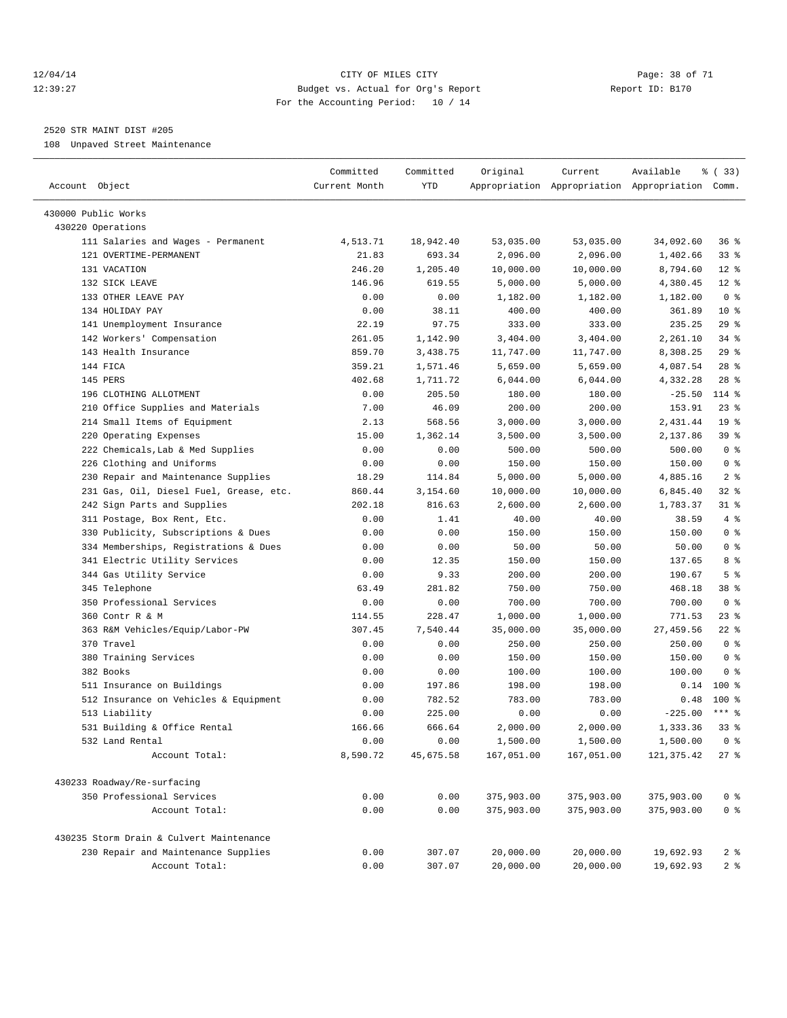#### 12/04/14 Page: 38 of 71 12:39:27 Budget vs. Actual for Org's Report Report ID: B170 For the Accounting Period: 10 / 14

————————————————————————————————————————————————————————————————————————————————————————————————————————————————————————————————————

#### 2520 STR MAINT DIST #205

108 Unpaved Street Maintenance

|                                                        | Committed      | Committed         | Original             | Current                | Available                                       | % (33)                |
|--------------------------------------------------------|----------------|-------------------|----------------------|------------------------|-------------------------------------------------|-----------------------|
| Account Object                                         | Current Month  | YTD               |                      |                        | Appropriation Appropriation Appropriation Comm. |                       |
| 430000 Public Works                                    |                |                   |                      |                        |                                                 |                       |
| 430220 Operations                                      |                |                   |                      |                        |                                                 |                       |
| 111 Salaries and Wages - Permanent                     | 4,513.71       | 18,942.40         | 53,035.00            | 53,035.00              | 34,092.60                                       | 36%                   |
| 121 OVERTIME-PERMANENT                                 | 21.83          | 693.34            | 2,096.00             | 2,096.00               | 1,402.66                                        | 338                   |
| 131 VACATION                                           | 246.20         | 1,205.40          | 10,000.00            | 10,000.00              | 8,794.60                                        | $12*$                 |
| 132 SICK LEAVE                                         | 146.96         | 619.55            | 5,000.00             | 5,000.00               | 4,380.45                                        | $12*$                 |
| 133 OTHER LEAVE PAY                                    | 0.00           | 0.00              | 1,182.00             | 1,182.00               | 1,182.00                                        | 0 <sup>8</sup>        |
| 134 HOLIDAY PAY                                        | 0.00           | 38.11             | 400.00               | 400.00                 | 361.89                                          | $10*$                 |
| 141 Unemployment Insurance                             | 22.19          | 97.75             | 333.00               | 333.00                 | 235.25                                          | $29$ %                |
| 142 Workers' Compensation                              | 261.05         | 1,142.90          | 3,404.00             | 3,404.00               | 2,261.10                                        | $34$ $%$              |
| 143 Health Insurance                                   | 859.70         | 3,438.75          | 11,747.00            | 11,747.00              | 8,308.25                                        | 29%                   |
| 144 FICA                                               | 359.21         | 1,571.46          | 5,659.00             | 5,659.00               | 4,087.54                                        | $28$ %                |
| 145 PERS                                               | 402.68         | 1,711.72          | 6,044.00             | 6,044.00               | 4,332.28                                        | $28$ %                |
| 196 CLOTHING ALLOTMENT                                 | 0.00           | 205.50            | 180.00               | 180.00                 | $-25.50$                                        | 114 %                 |
| 210 Office Supplies and Materials                      | 7.00           | 46.09             | 200.00               | 200.00                 | 153.91                                          | $23$ $%$              |
| 214 Small Items of Equipment                           | 2.13           | 568.56            | 3,000.00             | 3,000.00               | 2,431.44                                        | 19 <sup>°</sup>       |
| 220 Operating Expenses                                 | 15.00          | 1,362.14          | 3,500.00             | 3,500.00               | 2,137.86                                        | 39 %                  |
| 222 Chemicals, Lab & Med Supplies                      | 0.00           | 0.00              | 500.00               | 500.00                 | 500.00                                          | 0 <sup>8</sup>        |
| 226 Clothing and Uniforms                              | 0.00           | 0.00              | 150.00               | 150.00                 | 150.00                                          | 0 <sup>8</sup>        |
| 230 Repair and Maintenance Supplies                    | 18.29          | 114.84            | 5,000.00             | 5,000.00               | 4,885.16                                        | 2 <sup>8</sup>        |
| 231 Gas, Oil, Diesel Fuel, Grease, etc.                | 860.44         | 3,154.60          | 10,000.00            | 10,000.00              | 6,845.40                                        | $32$ $%$              |
| 242 Sign Parts and Supplies                            | 202.18         | 816.63            | 2,600.00             | 2,600.00               | 1,783.37                                        | $31$ %                |
| 311 Postage, Box Rent, Etc.                            | 0.00           | 1.41              | 40.00                | 40.00                  | 38.59                                           | 4%                    |
| 330 Publicity, Subscriptions & Dues                    | 0.00           | 0.00              | 150.00               | 150.00                 | 150.00                                          | 0 <sup>8</sup>        |
| 334 Memberships, Registrations & Dues                  | 0.00           | 0.00              | 50.00                | 50.00                  | 50.00                                           | 0 <sup>8</sup>        |
| 341 Electric Utility Services                          | 0.00           | 12.35             | 150.00               | 150.00                 | 137.65                                          | 8 %                   |
| 344 Gas Utility Service                                | 0.00           | 9.33              | 200.00               | 200.00                 | 190.67                                          | 5 <sup>°</sup>        |
| 345 Telephone                                          | 63.49          | 281.82            | 750.00               | 750.00                 | 468.18                                          | 38 %                  |
| 350 Professional Services                              | 0.00           | 0.00              | 700.00               | 700.00                 | 700.00                                          | 0 <sup>8</sup>        |
| 360 Contr R & M                                        | 114.55         | 228.47            | 1,000.00             | 1,000.00               | 771.53                                          | $23$ %                |
|                                                        | 307.45         | 7,540.44          |                      |                        | 27,459.56                                       | $22$ %                |
| 363 R&M Vehicles/Equip/Labor-PW<br>370 Travel          | 0.00           | 0.00              | 35,000.00<br>250.00  | 35,000.00<br>250.00    | 250.00                                          | 0 <sup>8</sup>        |
| 380 Training Services                                  | 0.00           | 0.00              | 150.00               | 150.00                 | 150.00                                          | 0 <sup>8</sup>        |
| 382 Books                                              | 0.00           | 0.00              | 100.00               | 100.00                 | 100.00                                          | 0 <sup>8</sup>        |
| 511 Insurance on Buildings                             |                | 197.86            | 198.00               |                        |                                                 | $0.14$ 100 %          |
|                                                        | 0.00           |                   |                      | 198.00                 | 0.48                                            | 100 %                 |
| 512 Insurance on Vehicles & Equipment<br>513 Liability | 0.00<br>0.00   | 782.52<br>225.00  | 783.00<br>0.00       | 783.00<br>0.00         | $-225.00$                                       | *** 음                 |
|                                                        |                |                   |                      | 2,000.00               |                                                 |                       |
| 531 Building & Office Rental<br>532 Land Rental        | 166.66<br>0.00 | 666.64            | 2,000.00<br>1,500.00 |                        | 1,333.36<br>1,500.00                            | 338<br>0 <sup>8</sup> |
| Account Total:                                         | 8,590.72       | 0.00<br>45,675.58 | 167,051.00           | 1,500.00<br>167,051.00 | 121, 375.42                                     | $27$ %                |
|                                                        |                |                   |                      |                        |                                                 |                       |
| 430233 Roadway/Re-surfacing                            |                |                   |                      |                        |                                                 |                       |
| 350 Professional Services                              | 0.00           | 0.00              | 375,903.00           | 375,903.00             | 375,903.00                                      | 0 <sup>8</sup>        |
| Account Total:                                         | 0.00           | 0.00              | 375,903.00           | 375,903.00             | 375,903.00                                      | $0$ %                 |
| 430235 Storm Drain & Culvert Maintenance               |                |                   |                      |                        |                                                 |                       |
| 230 Repair and Maintenance Supplies                    | 0.00           | 307.07            | 20,000.00            | 20,000.00              | 19,692.93                                       | 2 <sub>8</sub>        |
| Account Total:                                         | 0.00           | 307.07            | 20,000.00            | 20,000.00              | 19,692.93                                       | 2 <sup>8</sup>        |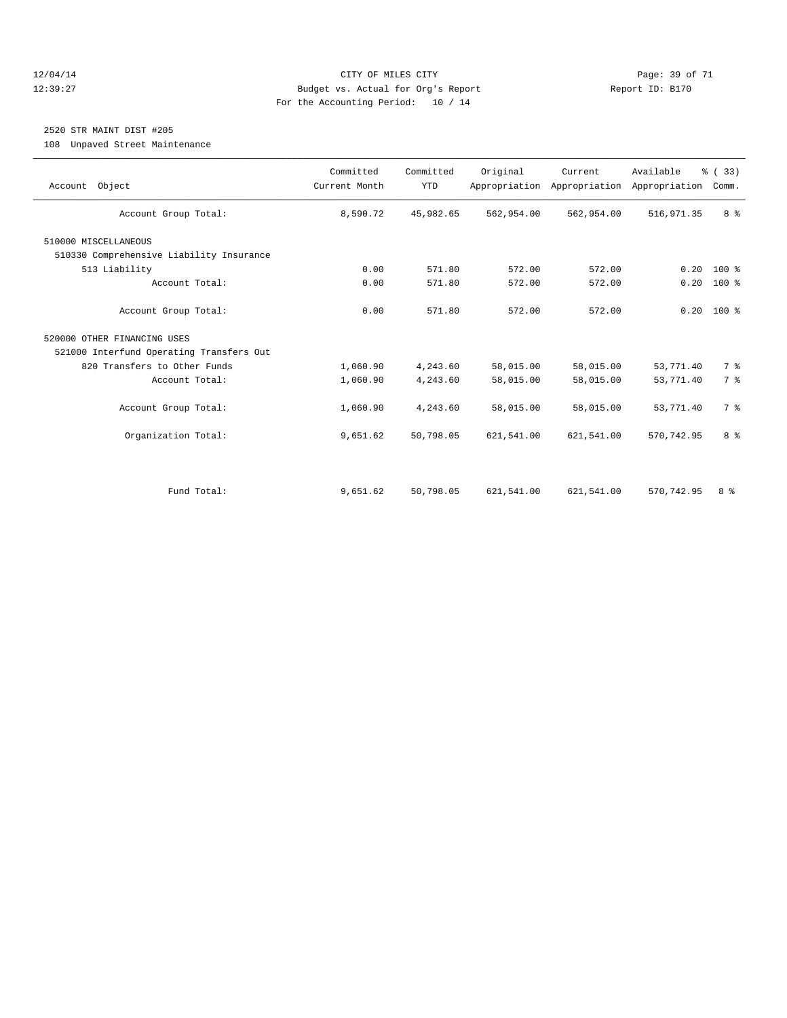#### 12/04/14 Page: 39 of 71 12:39:27 Budget vs. Actual for Org's Report Report ID: B170 For the Accounting Period: 10 / 14

## 2520 STR MAINT DIST #205

108 Unpaved Street Maintenance

| Account Object                           | Committed<br>Current Month | Committed<br><b>YTD</b> | Original   | Current<br>Appropriation Appropriation | Available<br>Appropriation | % (33)<br>Comm. |
|------------------------------------------|----------------------------|-------------------------|------------|----------------------------------------|----------------------------|-----------------|
| Account Group Total:                     | 8,590.72                   | 45,982.65               | 562,954.00 | 562,954.00                             | 516,971.35                 | 8 %             |
| 510000 MISCELLANEOUS                     |                            |                         |            |                                        |                            |                 |
| 510330 Comprehensive Liability Insurance |                            |                         |            |                                        |                            |                 |
| 513 Liability                            | 0.00                       | 571.80                  | 572.00     | 572.00                                 | 0.20                       | $100*$          |
| Account Total:                           | 0.00                       | 571.80                  | 572.00     | 572.00                                 | 0.20                       | 100 %           |
| Account Group Total:                     | 0.00                       | 571.80                  | 572.00     | 572.00                                 |                            | $0.20$ 100 %    |
| 520000 OTHER FINANCING USES              |                            |                         |            |                                        |                            |                 |
| 521000 Interfund Operating Transfers Out |                            |                         |            |                                        |                            |                 |
| 820 Transfers to Other Funds             | 1,060.90                   | 4,243.60                | 58,015.00  | 58,015.00                              | 53,771.40                  | 7 <sup>°</sup>  |
| Account Total:                           | 1,060.90                   | 4,243.60                | 58,015.00  | 58,015.00                              | 53,771.40                  | 7 <sup>°</sup>  |
| Account Group Total:                     | 1,060.90                   | 4,243.60                | 58,015.00  | 58,015.00                              | 53,771.40                  | 7 <sup>°</sup>  |
| Organization Total:                      | 9,651.62                   | 50,798.05               | 621,541.00 | 621,541.00                             | 570, 742.95                | 8 %             |
|                                          |                            |                         |            |                                        |                            |                 |
| Fund Total:                              | 9,651.62                   | 50,798.05               | 621,541.00 | 621,541.00                             | 570, 742.95                | 8 %             |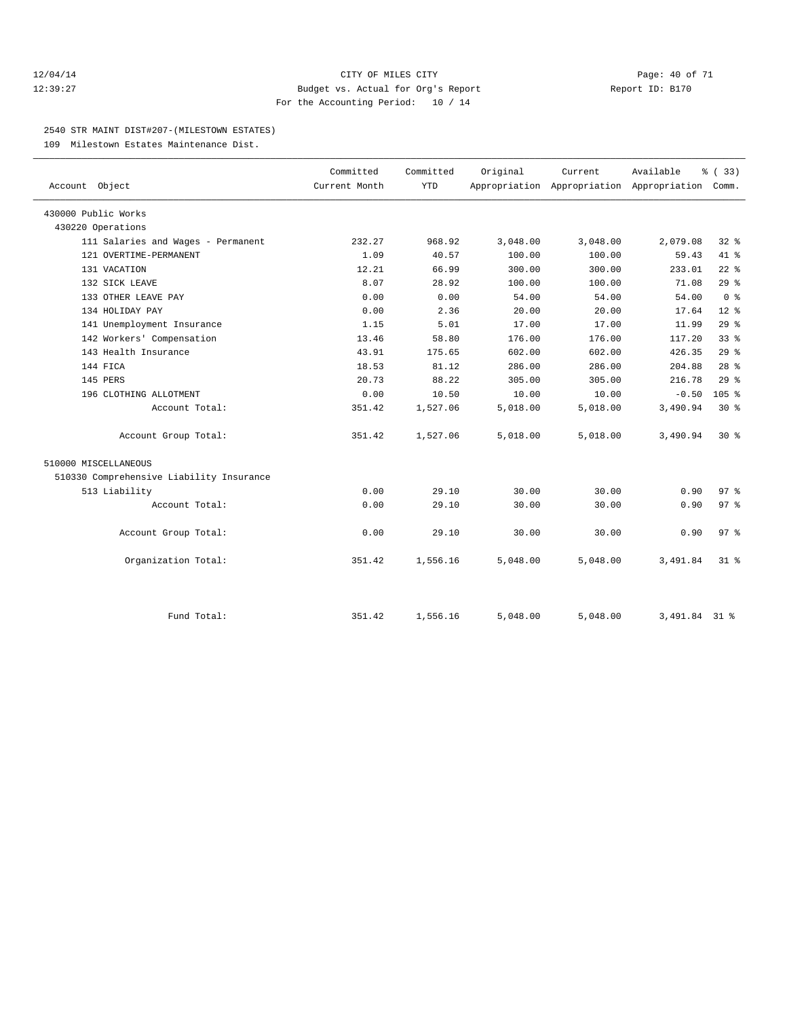#### 12/04/14 Page: 40 of 71 12:39:27 Budget vs. Actual for Org's Report Report ID: B170 For the Accounting Period: 10 / 14

#### 2540 STR MAINT DIST#207-(MILESTOWN ESTATES)

109 Milestown Estates Maintenance Dist.

|                                          | Committed     | Committed  | Original | Current  | Available                                 | % (33)          |  |
|------------------------------------------|---------------|------------|----------|----------|-------------------------------------------|-----------------|--|
| Account Object                           | Current Month | <b>YTD</b> |          |          | Appropriation Appropriation Appropriation | Comm.           |  |
| 430000 Public Works                      |               |            |          |          |                                           |                 |  |
| 430220 Operations                        |               |            |          |          |                                           |                 |  |
| 111 Salaries and Wages - Permanent       | 232.27        | 968.92     | 3,048.00 | 3,048.00 | 2,079.08                                  | $32$ $%$        |  |
| 121 OVERTIME-PERMANENT                   | 1.09          | 40.57      | 100.00   | 100.00   | 59.43                                     | 41.8            |  |
| 131 VACATION                             | 12.21         | 66.99      | 300.00   | 300.00   | 233.01                                    | $22$ $%$        |  |
| 132 SICK LEAVE                           | 8.07          | 28.92      | 100.00   | 100.00   | 71.08                                     | 29%             |  |
| 133 OTHER LEAVE PAY                      | 0.00          | 0.00       | 54.00    | 54.00    | 54.00                                     | 0 <sup>8</sup>  |  |
| 134 HOLIDAY PAY                          | 0.00          | 2.36       | 20.00    | 20.00    | 17.64                                     | $12*$           |  |
| 141 Unemployment Insurance               | 1.15          | 5.01       | 17.00    | 17.00    | 11.99                                     | 29%             |  |
| 142 Workers' Compensation                | 13.46         | 58.80      | 176.00   | 176.00   | 117.20                                    | 33 <sup>8</sup> |  |
| 143 Health Insurance                     | 43.91         | 175.65     | 602.00   | 602.00   | 426.35                                    | 29%             |  |
| 144 FICA                                 | 18.53         | 81.12      | 286.00   | 286.00   | 204.88                                    | 28 <sup>8</sup> |  |
| 145 PERS                                 | 20.73         | 88.22      | 305.00   | 305.00   | 216.78                                    | 29%             |  |
| 196 CLOTHING ALLOTMENT                   | 0.00          | 10.50      | 10.00    | 10.00    | $-0.50$                                   | 105%            |  |
| Account Total:                           | 351.42        | 1,527.06   | 5,018.00 | 5,018.00 | 3,490.94                                  | $30*$           |  |
| Account Group Total:                     | 351.42        | 1,527.06   | 5,018.00 | 5,018.00 | 3,490.94                                  | $30*$           |  |
| 510000 MISCELLANEOUS                     |               |            |          |          |                                           |                 |  |
| 510330 Comprehensive Liability Insurance |               |            |          |          |                                           |                 |  |
| 513 Liability                            | 0.00          | 29.10      | 30.00    | 30.00    | 0.90                                      | 97 <sub>8</sub> |  |
| Account Total:                           | 0.00          | 29.10      | 30.00    | 30.00    | 0.90                                      | 97%             |  |
| Account Group Total:                     | 0.00          | 29.10      | 30.00    | 30.00    | 0.90                                      | 97 <sub>8</sub> |  |
| Organization Total:                      | 351.42        | 1,556.16   | 5,048.00 | 5,048.00 | 3,491.84                                  | $31*$           |  |
|                                          |               |            |          |          |                                           |                 |  |
| Fund Total:                              | 351.42        | 1,556.16   | 5,048.00 | 5,048.00 | 3,491.84 31 %                             |                 |  |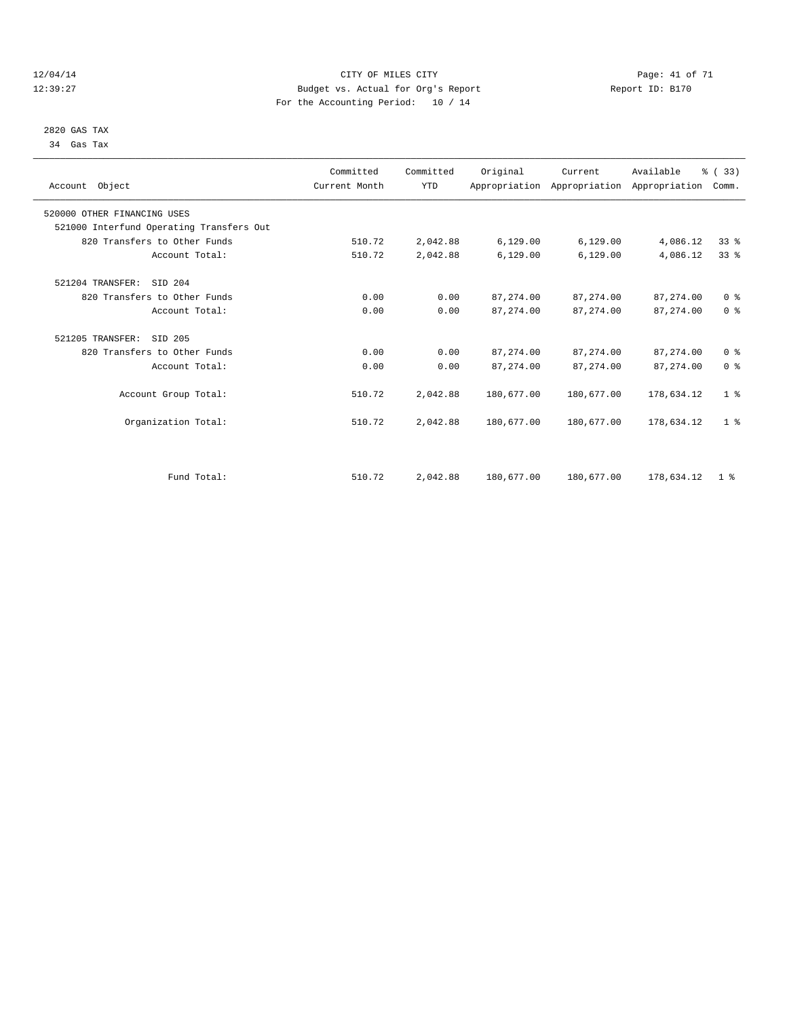#### 12/04/14 Page: 41 of 71 12:39:27 Budget vs. Actual for Org's Report Report ID: B170 For the Accounting Period: 10 / 14

 2820 GAS TAX 34 Gas Tax

| Account Object                           | Committed<br>Current Month | Committed<br><b>YTD</b> | Original   | Current<br>Appropriation Appropriation Appropriation | Available   | % (33)<br>Comm. |  |
|------------------------------------------|----------------------------|-------------------------|------------|------------------------------------------------------|-------------|-----------------|--|
| 520000 OTHER FINANCING USES              |                            |                         |            |                                                      |             |                 |  |
| 521000 Interfund Operating Transfers Out |                            |                         |            |                                                      |             |                 |  |
| 820 Transfers to Other Funds             | 510.72                     | 2,042.88                | 6,129.00   | 6, 129.00                                            | 4,086.12    | 33%             |  |
| Account Total:                           | 510.72                     | 2,042.88                | 6,129.00   | 6,129.00                                             | 4,086.12    | 33 <sup>8</sup> |  |
| 521204 TRANSFER:<br>SID 204              |                            |                         |            |                                                      |             |                 |  |
| 820 Transfers to Other Funds             | 0.00                       | 0.00                    | 87, 274.00 | 87, 274, 00                                          | 87, 274, 00 | 0 <sup>8</sup>  |  |
| Account Total:                           | 0.00                       | 0.00                    | 87, 274.00 | 87, 274.00                                           | 87, 274.00  | 0 <sup>8</sup>  |  |
| 521205 TRANSFER:<br>SID 205              |                            |                         |            |                                                      |             |                 |  |
| 820 Transfers to Other Funds             | 0.00                       | 0.00                    | 87, 274.00 | 87, 274.00                                           | 87, 274.00  | 0 <sup>8</sup>  |  |
| Account Total:                           | 0.00                       | 0.00                    | 87, 274.00 | 87, 274.00                                           | 87, 274.00  | 0 <sup>8</sup>  |  |
| Account Group Total:                     | 510.72                     | 2,042.88                | 180,677.00 | 180,677.00                                           | 178,634.12  | 1 <sup>8</sup>  |  |
| Organization Total:                      | 510.72                     | 2,042.88                | 180,677.00 | 180,677.00                                           | 178,634.12  | 1 <sup>8</sup>  |  |
|                                          |                            |                         |            |                                                      |             |                 |  |
| Fund Total:                              | 510.72                     | 2,042.88                | 180,677.00 | 180,677.00                                           | 178,634.12  | 1 <sup>8</sup>  |  |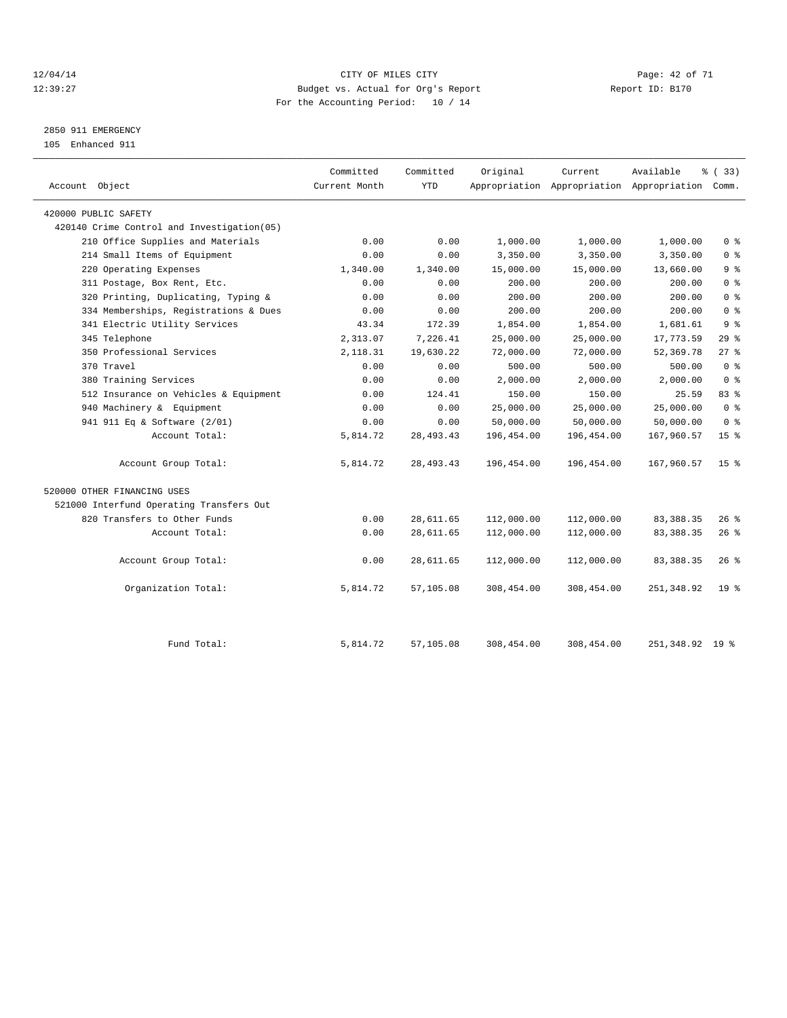#### 12/04/14 Page: 42 of 71 12:39:27 Budget vs. Actual for Org's Report Report ID: B170 For the Accounting Period: 10 / 14

## 2850 911 EMERGENCY

105 Enhanced 911

| Account Object                             | Committed<br>Current Month | Committed<br><b>YTD</b> | Original   | Current    | Available<br>Appropriation Appropriation Appropriation Comm. | % (33)          |
|--------------------------------------------|----------------------------|-------------------------|------------|------------|--------------------------------------------------------------|-----------------|
| 420000 PUBLIC SAFETY                       |                            |                         |            |            |                                                              |                 |
| 420140 Crime Control and Investigation(05) |                            |                         |            |            |                                                              |                 |
| 210 Office Supplies and Materials          | 0.00                       | 0.00                    | 1,000.00   | 1,000.00   | 1,000.00                                                     | 0 <sup>8</sup>  |
| 214 Small Items of Equipment               | 0.00                       | 0.00                    | 3,350.00   | 3,350.00   | 3,350.00                                                     | 0 <sup>8</sup>  |
| 220 Operating Expenses                     | 1,340.00                   | 1,340.00                | 15,000.00  | 15,000.00  | 13,660.00                                                    | 9 <sup>8</sup>  |
| 311 Postage, Box Rent, Etc.                | 0.00                       | 0.00                    | 200.00     | 200.00     | 200.00                                                       | 0 <sup>8</sup>  |
| 320 Printing, Duplicating, Typing &        | 0.00                       | 0.00                    | 200.00     | 200.00     | 200.00                                                       | 0 <sup>8</sup>  |
| 334 Memberships, Registrations & Dues      | 0.00                       | 0.00                    | 200.00     | 200.00     | 200.00                                                       | 0 <sup>8</sup>  |
| 341 Electric Utility Services              | 43.34                      | 172.39                  | 1,854.00   | 1,854.00   | 1,681.61                                                     | 9 <sup>8</sup>  |
| 345 Telephone                              | 2,313.07                   | 7,226.41                | 25,000.00  | 25,000.00  | 17,773.59                                                    | 29%             |
| 350 Professional Services                  | 2,118.31                   | 19,630.22               | 72,000.00  | 72,000.00  | 52,369.78                                                    | $27$ $%$        |
| 370 Travel                                 | 0.00                       | 0.00                    | 500.00     | 500.00     | 500.00                                                       | 0 <sup>8</sup>  |
| 380 Training Services                      | 0.00                       | 0.00                    | 2,000.00   | 2,000.00   | 2,000.00                                                     | 0 <sup>8</sup>  |
| 512 Insurance on Vehicles & Equipment      | 0.00                       | 124.41                  | 150.00     | 150.00     | 25.59                                                        | 83%             |
| 940 Machinery & Equipment                  | 0.00                       | 0.00                    | 25,000.00  | 25,000.00  | 25,000.00                                                    | 0 <sup>8</sup>  |
| 941 911 Eq & Software (2/01)               | 0.00                       | 0.00                    | 50,000.00  | 50,000.00  | 50,000.00                                                    | 0 <sup>8</sup>  |
| Account Total:                             | 5,814.72                   | 28, 493. 43             | 196,454.00 | 196,454.00 | 167,960.57                                                   | 15 <sup>°</sup> |
| Account Group Total:                       | 5,814.72                   | 28, 493. 43             | 196,454.00 | 196,454.00 | 167,960.57                                                   | 15 <sup>8</sup> |
| 520000 OTHER FINANCING USES                |                            |                         |            |            |                                                              |                 |
| 521000 Interfund Operating Transfers Out   |                            |                         |            |            |                                                              |                 |
| 820 Transfers to Other Funds               | 0.00                       | 28,611.65               | 112,000.00 | 112,000.00 | 83, 388.35                                                   | 26%             |
| Account Total:                             | 0.00                       | 28,611.65               | 112,000.00 | 112,000.00 | 83, 388.35                                                   | 26%             |
| Account Group Total:                       | 0.00                       | 28,611.65               | 112,000.00 | 112,000.00 | 83, 388. 35                                                  | $26$ %          |
| Organization Total:                        | 5,814.72                   | 57,105.08               | 308,454.00 | 308,454.00 | 251,348.92                                                   | 19 <sup>8</sup> |
| Fund Total:                                | 5,814.72                   | 57,105.08               | 308,454.00 | 308,454.00 | 251,348.92 19 %                                              |                 |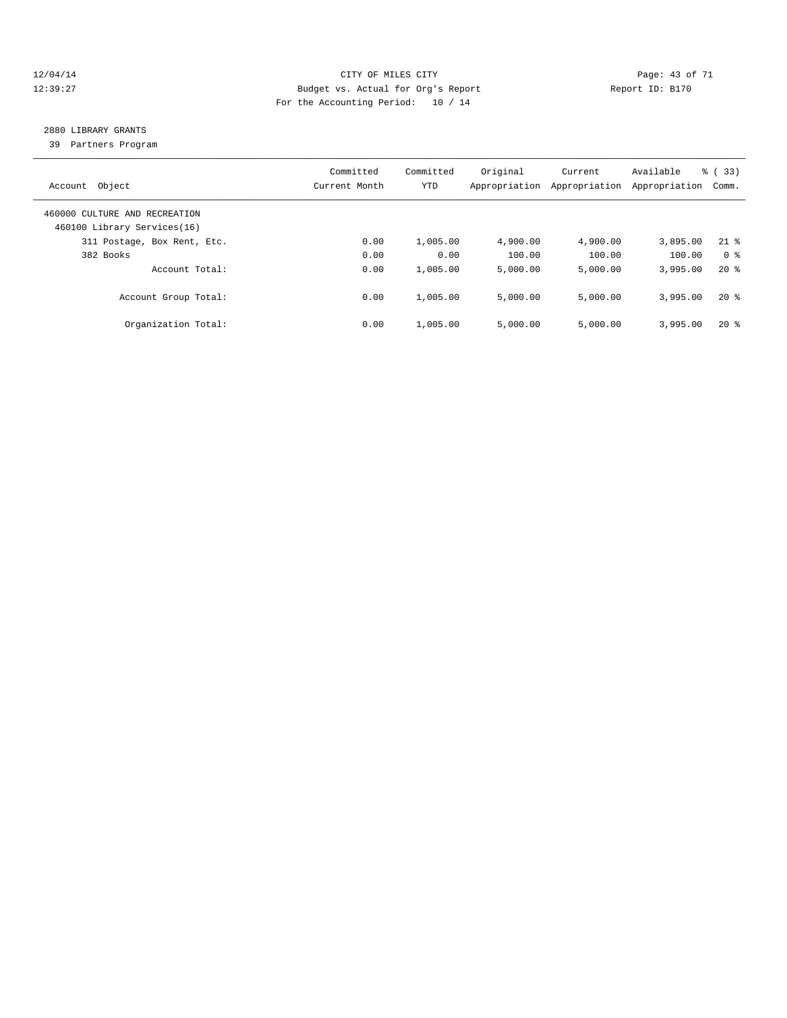#### 12/04/14 Page: 43 of 71 12:39:27 Budget vs. Actual for Org's Report Report ID: B170 For the Accounting Period: 10 / 14

## 2880 LIBRARY GRANTS

39 Partners Program

| Object<br>Account                                            | Committed<br>Current Month | Committed<br><b>YTD</b> | Original<br>Appropriation | Current<br>Appropriation | Available<br>Appropriation | % (33)<br>Comm. |
|--------------------------------------------------------------|----------------------------|-------------------------|---------------------------|--------------------------|----------------------------|-----------------|
| 460000 CULTURE AND RECREATION<br>460100 Library Services(16) |                            |                         |                           |                          |                            |                 |
| 311 Postage, Box Rent, Etc.                                  | 0.00                       | 1,005.00                | 4,900.00                  | 4,900.00                 | 3,895.00                   | $21$ %          |
| 382 Books                                                    | 0.00                       | 0.00                    | 100.00                    | 100.00                   | 100.00                     | 0 <sup>8</sup>  |
| Account Total:                                               | 0.00                       | 1,005.00                | 5.000.00                  | 5.000.00                 | 3,995.00                   | $20*$           |
| Account Group Total:                                         | 0.00                       | 1,005.00                | 5.000.00                  | 5.000.00                 | 3,995.00                   | $20*$           |
| Organization Total:                                          | 0.00                       | 1,005.00                | 5.000.00                  | 5.000.00                 | 3,995.00                   | $20*$           |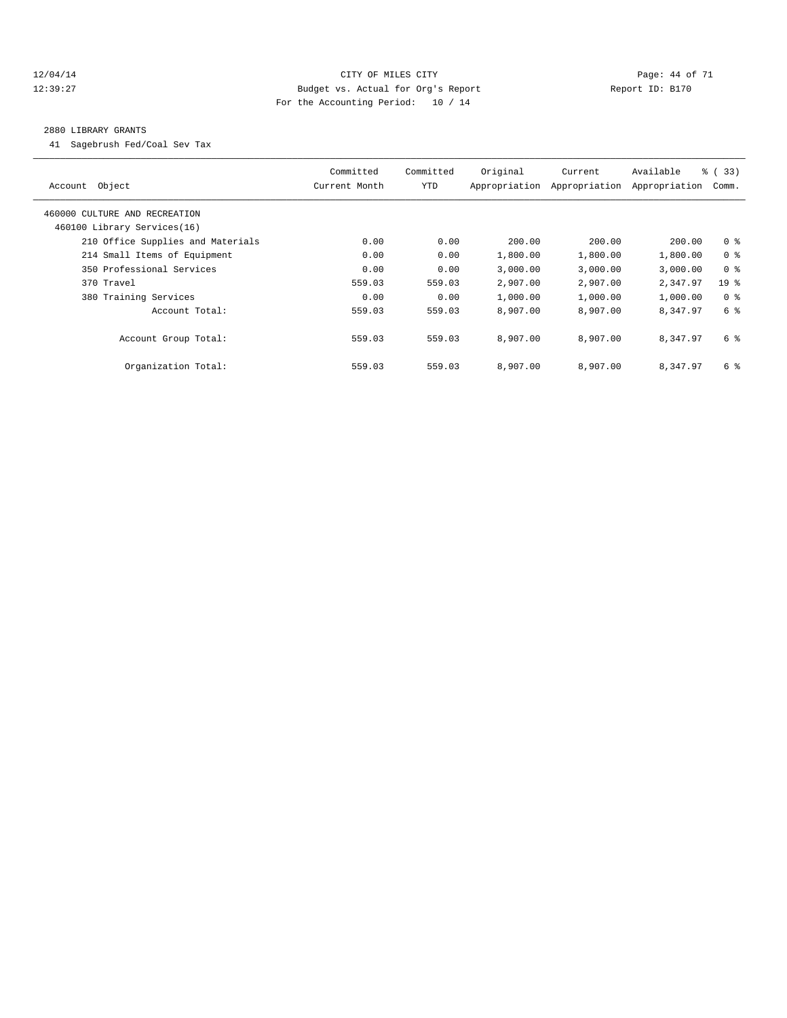#### 12/04/14 Page: 44 of 71 12:39:27 Budget vs. Actual for Org's Report Report ID: B170 For the Accounting Period: 10 / 14

#### 2880 LIBRARY GRANTS

41 Sagebrush Fed/Coal Sev Tax

| Object<br>Account                 | Committed<br>Current Month | Committed<br>YTD | Original<br>Appropriation | Current<br>Appropriation | Available<br>Appropriation | $\frac{3}{2}$ (33)<br>Comm. |
|-----------------------------------|----------------------------|------------------|---------------------------|--------------------------|----------------------------|-----------------------------|
| 460000 CULTURE AND RECREATION     |                            |                  |                           |                          |                            |                             |
| 460100 Library Services(16)       |                            |                  |                           |                          |                            |                             |
| 210 Office Supplies and Materials | 0.00                       | 0.00             | 200.00                    | 200.00                   | 200.00                     | 0 <sup>8</sup>              |
| 214 Small Items of Equipment      | 0.00                       | 0.00             | 1,800.00                  | 1,800.00                 | 1,800.00                   | 0 <sup>8</sup>              |
| 350 Professional Services         | 0.00                       | 0.00             | 3,000.00                  | 3,000.00                 | 3,000.00                   | 0 <sup>8</sup>              |
| 370 Travel                        | 559.03                     | 559.03           | 2,907.00                  | 2,907.00                 | 2,347.97                   | 19 <sub>8</sub>             |
| 380 Training Services             | 0.00                       | 0.00             | 1,000.00                  | 1,000.00                 | 1,000.00                   | 0 <sup>8</sup>              |
| Account Total:                    | 559.03                     | 559.03           | 8,907.00                  | 8,907.00                 | 8.347.97                   | 6 %                         |
| Account Group Total:              | 559.03                     | 559.03           | 8,907.00                  | 8,907.00                 | 8,347.97                   | 6 %                         |
| Organization Total:               | 559.03                     | 559.03           | 8,907.00                  | 8,907.00                 | 8,347.97                   | 6 %                         |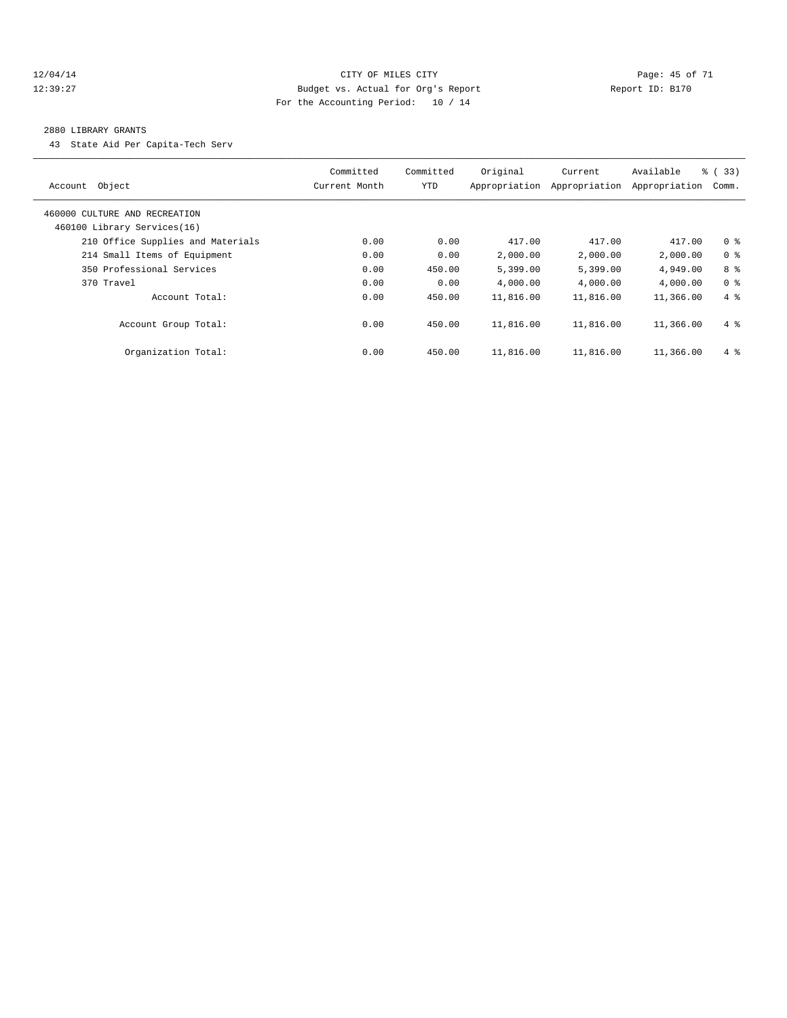#### 12/04/14 Page: 45 of 71 12:39:27 Budget vs. Actual for Org's Report Report ID: B170 For the Accounting Period: 10 / 14

#### 2880 LIBRARY GRANTS

43 State Aid Per Capita-Tech Serv

| Object<br>Account                                            | Committed<br>Current Month | Committed<br><b>YTD</b> | Original<br>Appropriation | Current<br>Appropriation | Available<br>Appropriation | $\frac{3}{2}$ (33)<br>Comm. |
|--------------------------------------------------------------|----------------------------|-------------------------|---------------------------|--------------------------|----------------------------|-----------------------------|
| 460000 CULTURE AND RECREATION<br>460100 Library Services(16) |                            |                         |                           |                          |                            |                             |
| 210 Office Supplies and Materials                            | 0.00                       | 0.00                    | 417.00                    | 417.00                   | 417.00                     | 0 <sup>8</sup>              |
| 214 Small Items of Equipment                                 | 0.00                       | 0.00                    | 2,000.00                  | 2,000.00                 | 2,000.00                   | 0 <sup>8</sup>              |
| 350 Professional Services                                    | 0.00                       | 450.00                  | 5,399.00                  | 5,399.00                 | 4,949.00                   | 8 %                         |
| 370 Travel                                                   | 0.00                       | 0.00                    | 4,000.00                  | 4,000.00                 | 4,000.00                   | 0 <sup>8</sup>              |
| Account Total:                                               | 0.00                       | 450.00                  | 11,816.00                 | 11,816.00                | 11,366.00                  | $4\degree$                  |
| Account Group Total:                                         | 0.00                       | 450.00                  | 11,816.00                 | 11,816.00                | 11,366.00                  | $4 \text{ }$                |
| Organization Total:                                          | 0.00                       | 450.00                  | 11,816.00                 | 11,816.00                | 11,366.00                  | $4\degree$                  |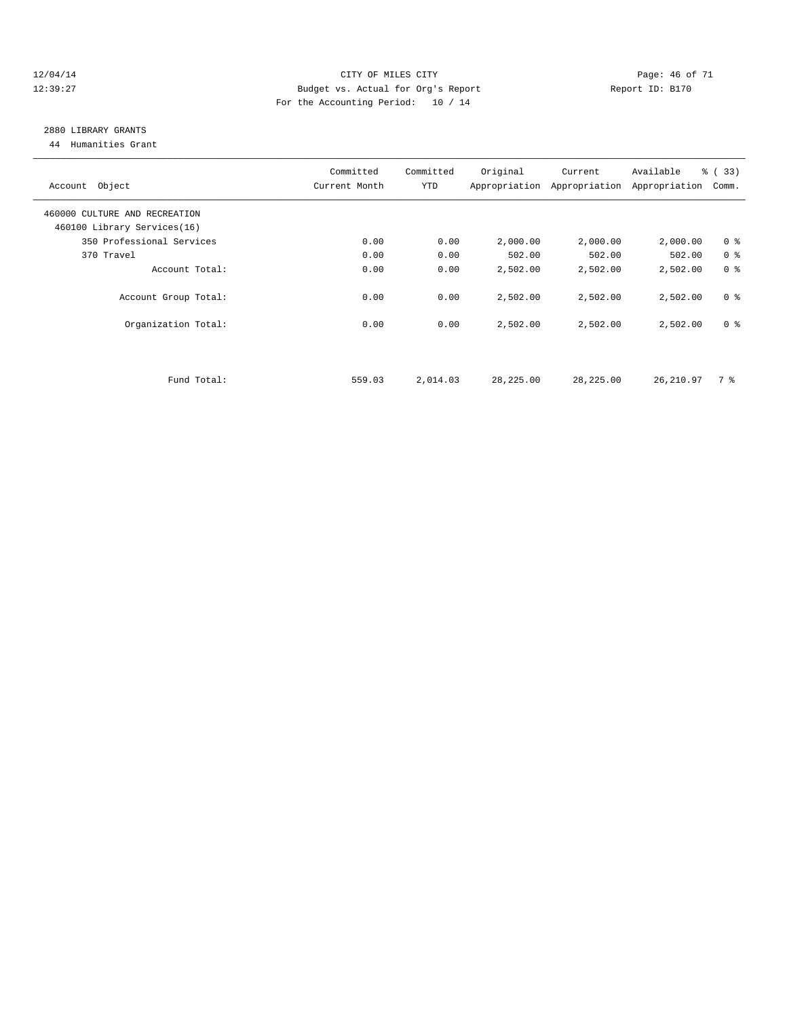#### 12/04/14 Page: 46 of 71 12:39:27 Budget vs. Actual for Org's Report Report ID: B170 For the Accounting Period: 10 / 14

## 2880 LIBRARY GRANTS

44 Humanities Grant

| Account Object                | Committed<br>Current Month | Committed<br><b>YTD</b> | Original  | Current<br>Appropriation Appropriation | Available<br>Appropriation | % (33)<br>Comm. |
|-------------------------------|----------------------------|-------------------------|-----------|----------------------------------------|----------------------------|-----------------|
| 460000 CULTURE AND RECREATION |                            |                         |           |                                        |                            |                 |
| 460100 Library Services(16)   |                            |                         |           |                                        |                            |                 |
| 350 Professional Services     | 0.00                       | 0.00                    | 2,000.00  | 2,000.00                               | 2,000.00                   | 0 <sup>8</sup>  |
| 370 Travel                    | 0.00                       | 0.00                    | 502.00    | 502.00                                 | 502.00                     | 0 <sup>8</sup>  |
| Account Total:                | 0.00                       | 0.00                    | 2,502.00  | 2,502.00                               | 2,502.00                   | 0 <sup>8</sup>  |
| Account Group Total:          | 0.00                       | 0.00                    | 2,502.00  | 2,502.00                               | 2,502.00                   | 0 <sup>8</sup>  |
| Organization Total:           | 0.00                       | 0.00                    | 2,502.00  | 2,502.00                               | 2,502.00                   | 0 <sup>8</sup>  |
|                               |                            |                         |           |                                        |                            |                 |
| Fund Total:                   | 559.03                     | 2,014.03                | 28,225.00 | 28,225.00                              | 26, 210.97                 | 7 %             |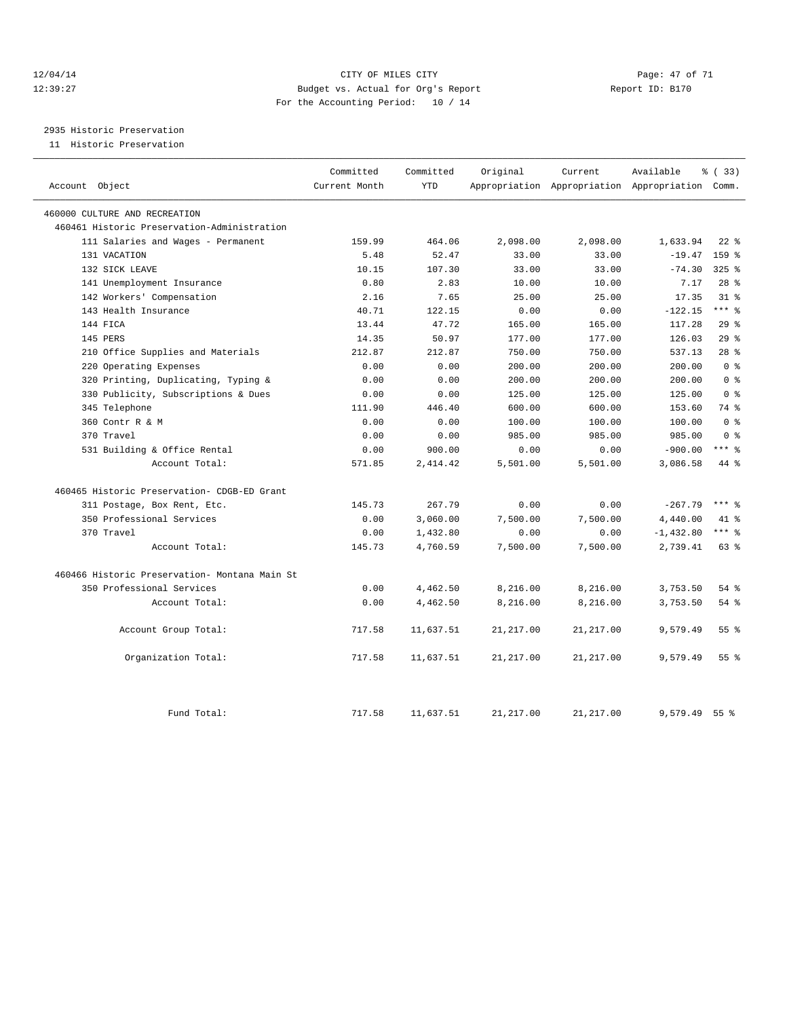#### 12/04/14 Page: 47 of 71 12:39:27 Budget vs. Actual for Org's Report Report ID: B170 For the Accounting Period: 10 / 14

2935 Historic Preservation

11 Historic Preservation

| Account Object                                | Committed<br>Current Month | Committed<br><b>YTD</b> | Original   | Current    | Available<br>Appropriation Appropriation Appropriation Comm. | <sub>ර</sub> ි (33) |
|-----------------------------------------------|----------------------------|-------------------------|------------|------------|--------------------------------------------------------------|---------------------|
| 460000 CULTURE AND RECREATION                 |                            |                         |            |            |                                                              |                     |
| 460461 Historic Preservation-Administration   |                            |                         |            |            |                                                              |                     |
| 111 Salaries and Wages - Permanent            | 159.99                     | 464.06                  | 2,098.00   | 2,098.00   | 1,633.94                                                     | $22$ $%$            |
| 131 VACATION                                  | 5.48                       | 52.47                   | 33.00      | 33.00      | $-19.47$                                                     | 159 %               |
| 132 SICK LEAVE                                | 10.15                      | 107.30                  | 33.00      | 33.00      | $-74.30$                                                     | $325$ $%$           |
| 141 Unemployment Insurance                    | 0.80                       | 2.83                    | 10.00      | 10.00      | 7.17                                                         | 28 <sup>8</sup>     |
| 142 Workers' Compensation                     | 2.16                       | 7.65                    | 25.00      | 25.00      | 17.35                                                        | 31.8                |
| 143 Health Insurance                          | 40.71                      | 122.15                  | 0.00       | 0.00       | $-122.15$                                                    | $***$ $-$           |
| 144 FICA                                      | 13.44                      | 47.72                   | 165.00     | 165.00     | 117.28                                                       | 29%                 |
| 145 PERS                                      | 14.35                      | 50.97                   | 177.00     | 177.00     | 126.03                                                       | $29$ $%$            |
| 210 Office Supplies and Materials             | 212.87                     | 212.87                  | 750.00     | 750.00     | 537.13                                                       | $28$ $%$            |
| 220 Operating Expenses                        | 0.00                       | 0.00                    | 200.00     | 200.00     | 200.00                                                       | 0 <sup>8</sup>      |
| 320 Printing, Duplicating, Typing &           | 0.00                       | 0.00                    | 200.00     | 200.00     | 200.00                                                       | 0 <sup>8</sup>      |
| 330 Publicity, Subscriptions & Dues           | 0.00                       | 0.00                    | 125.00     | 125.00     | 125.00                                                       | 0 <sup>8</sup>      |
| 345 Telephone                                 | 111.90                     | 446.40                  | 600.00     | 600.00     | 153.60                                                       | 74 %                |
| 360 Contr R & M                               | 0.00                       | 0.00                    | 100.00     | 100.00     | 100.00                                                       | 0 <sup>8</sup>      |
| 370 Travel                                    | 0.00                       | 0.00                    | 985.00     | 985.00     | 985.00                                                       | 0 <sup>8</sup>      |
| 531 Building & Office Rental                  | 0.00                       | 900.00                  | 0.00       | 0.00       | $-900.00$                                                    | $***$ 8             |
| Account Total:                                | 571.85                     | 2, 414.42               | 5,501.00   | 5,501.00   | 3,086.58                                                     | 44 %                |
| 460465 Historic Preservation- CDGB-ED Grant   |                            |                         |            |            |                                                              |                     |
| 311 Postage, Box Rent, Etc.                   | 145.73                     | 267.79                  | 0.00       | 0.00       | $-267.79$                                                    | $***$ $=$           |
| 350 Professional Services                     | 0.00                       | 3,060.00                | 7,500.00   | 7,500.00   | 4,440.00                                                     | $41*$               |
| 370 Travel                                    | 0.00                       | 1,432.80                | 0.00       | 0.00       | $-1,432.80$                                                  | $***$ 8             |
| Account Total:                                | 145.73                     | 4,760.59                | 7,500.00   | 7,500.00   | 2,739.41                                                     | 63 %                |
| 460466 Historic Preservation- Montana Main St |                            |                         |            |            |                                                              |                     |
| 350 Professional Services                     | 0.00                       | 4,462.50                | 8,216.00   | 8,216.00   | 3,753.50                                                     | 54 %                |
| Account Total:                                | 0.00                       | 4,462.50                | 8,216.00   | 8,216.00   | 3,753.50                                                     | 54%                 |
| Account Group Total:                          | 717.58                     | 11,637.51               | 21, 217.00 | 21, 217.00 | 9,579.49                                                     | 55 <sup>8</sup>     |
| Organization Total:                           | 717.58                     | 11,637.51               | 21, 217.00 | 21, 217.00 | 9,579.49                                                     | 55 <sup>8</sup>     |
| Fund Total:                                   | 717.58                     | 11,637.51               | 21, 217.00 | 21, 217.00 | 9,579.49                                                     | 55 <sup>8</sup>     |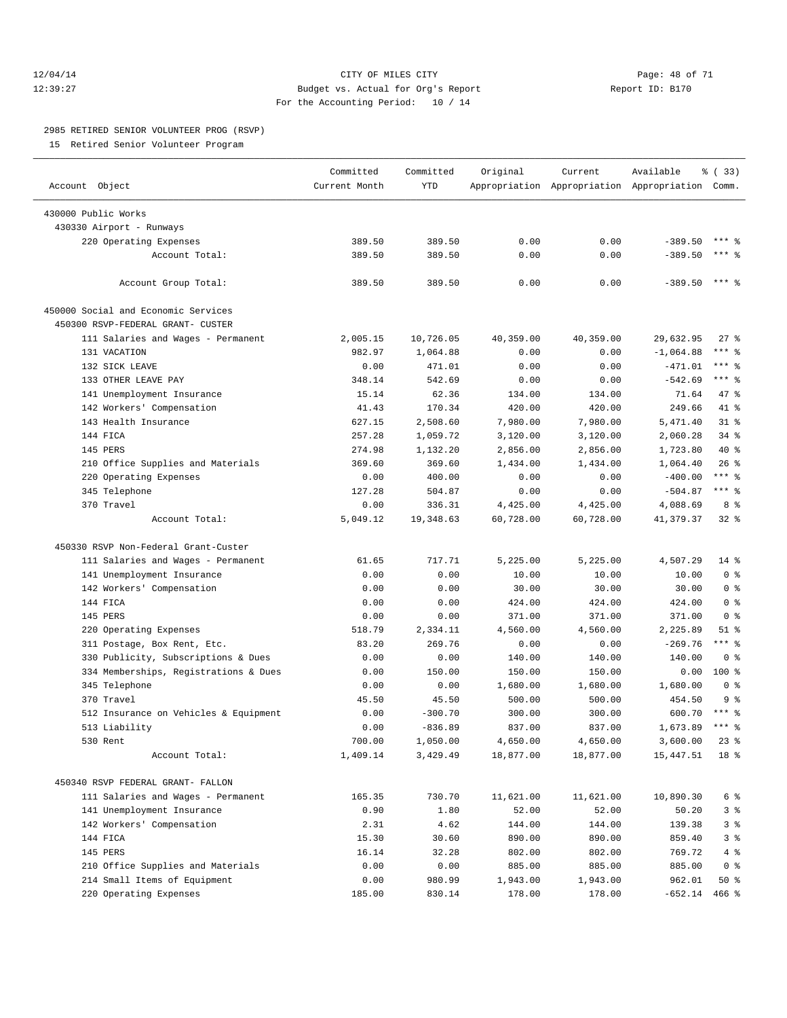#### 12/04/14 Page: 48 of 71 12:39:27 Budget vs. Actual for Org's Report Report ID: B170 For the Accounting Period: 10 / 14

#### 2985 RETIRED SENIOR VOLUNTEER PROG (RSVP)

15 Retired Senior Volunteer Program

|                                       | Committed     | Committed  | Original  | Current   | Available                                       | 8 (33)          |
|---------------------------------------|---------------|------------|-----------|-----------|-------------------------------------------------|-----------------|
| Account Object                        | Current Month | <b>YTD</b> |           |           | Appropriation Appropriation Appropriation Comm. |                 |
|                                       |               |            |           |           |                                                 |                 |
| 430000 Public Works                   |               |            |           |           |                                                 |                 |
| 430330 Airport - Runways              |               |            |           |           |                                                 |                 |
| 220 Operating Expenses                | 389.50        | 389.50     | 0.00      | 0.00      | $-389.50$                                       |                 |
| Account Total:                        | 389.50        | 389.50     | 0.00      | 0.00      | $-389.50$                                       | $***$ %         |
| Account Group Total:                  | 389.50        | 389.50     | 0.00      | 0.00      | $-389.50$                                       | $***$ $%$       |
| 450000 Social and Economic Services   |               |            |           |           |                                                 |                 |
| 450300 RSVP-FEDERAL GRANT- CUSTER     |               |            |           |           |                                                 |                 |
| 111 Salaries and Wages - Permanent    | 2,005.15      | 10,726.05  | 40,359.00 | 40,359.00 | 29,632.95                                       | $27$ %          |
| 131 VACATION                          | 982.97        | 1,064.88   | 0.00      | 0.00      | $-1,064.88$                                     | *** %           |
| 132 SICK LEAVE                        | 0.00          | 471.01     | 0.00      | 0.00      | $-471.01$                                       | $***$ $-$       |
| 133 OTHER LEAVE PAY                   | 348.14        | 542.69     | 0.00      | 0.00      | $-542.69$                                       | $***$ $=$       |
| 141 Unemployment Insurance            | 15.14         | 62.36      | 134.00    | 134.00    | 71.64                                           | 47 %            |
| 142 Workers' Compensation             | 41.43         | 170.34     | 420.00    | 420.00    | 249.66                                          | 41 %            |
| 143 Health Insurance                  | 627.15        | 2,508.60   | 7,980.00  | 7,980.00  | 5,471.40                                        | 31.8            |
| 144 FICA                              | 257.28        | 1,059.72   | 3,120.00  | 3,120.00  | 2,060.28                                        | 34.8            |
| 145 PERS                              | 274.98        | 1,132.20   | 2,856.00  | 2,856.00  | 1,723.80                                        | 40 %            |
| 210 Office Supplies and Materials     | 369.60        | 369.60     | 1,434.00  | 1,434.00  | 1,064.40                                        | 26%             |
| Operating Expenses<br>220             | 0.00          | 400.00     | 0.00      | 0.00      | $-400.00$                                       | $***$ $-$       |
| 345 Telephone                         | 127.28        | 504.87     | 0.00      | 0.00      | $-504.87$                                       | $***$ $_{8}$    |
| 370 Travel                            | 0.00          | 336.31     | 4,425.00  | 4,425.00  | 4,088.69                                        | 8 %             |
| Account Total:                        | 5,049.12      | 19,348.63  | 60,728.00 | 60,728.00 | 41,379.37                                       | $32$ $%$        |
|                                       |               |            |           |           |                                                 |                 |
| 450330 RSVP Non-Federal Grant-Custer  |               |            |           |           |                                                 |                 |
| 111 Salaries and Wages - Permanent    | 61.65         | 717.71     | 5,225.00  | 5,225.00  | 4,507.29                                        | $14$ %          |
| 141 Unemployment Insurance            | 0.00          | 0.00       | 10.00     | 10.00     | 10.00                                           | 0 <sup>8</sup>  |
| 142 Workers' Compensation             | 0.00          | 0.00       | 30.00     | 30.00     | 30.00                                           | 0 <sup>8</sup>  |
| 144 FICA                              | 0.00          | 0.00       | 424.00    | 424.00    | 424.00                                          | 0 <sup>8</sup>  |
| 145 PERS                              | 0.00          | 0.00       | 371.00    | 371.00    | 371.00                                          | 0 <sup>8</sup>  |
| 220 Operating Expenses                | 518.79        | 2,334.11   | 4,560.00  | 4,560.00  | 2,225.89                                        | $51$ %          |
| 311 Postage, Box Rent, Etc.           | 83.20         | 269.76     | 0.00      | 0.00      | $-269.76$                                       | $***$ $-$       |
| 330 Publicity, Subscriptions & Dues   | 0.00          | 0.00       | 140.00    | 140.00    | 140.00                                          | 0 <sup>8</sup>  |
| 334 Memberships, Registrations & Dues | 0.00          | 150.00     | 150.00    | 150.00    | 0.00                                            | 100 %           |
| 345 Telephone                         | 0.00          | 0.00       | 1,680.00  | 1,680.00  | 1,680.00                                        | 0 <sup>8</sup>  |
| 370 Travel                            | 45.50         | 45.50      | 500.00    | 500.00    | 454.50                                          | 9 <sup>8</sup>  |
| 512 Insurance on Vehicles & Equipment | 0.00          | $-300.70$  | 300.00    | 300.00    | 600.70                                          | $***$ %         |
| 513 Liability                         | 0.00          | $-836.89$  | 837.00    | 837.00    | 1,673.89                                        | $***$ $%$       |
| 530 Rent                              | 700.00        | 1,050.00   | 4,650.00  | 4,650.00  | 3,600.00                                        | $23$ $%$        |
| Account Total:                        | 1,409.14      | 3,429.49   | 18,877.00 | 18,877.00 | 15,447.51                                       | 18 <sup>8</sup> |
| 450340 RSVP FEDERAL GRANT- FALLON     |               |            |           |           |                                                 |                 |
| 111 Salaries and Wages - Permanent    | 165.35        | 730.70     | 11,621.00 | 11,621.00 | 10,890.30                                       | 6 %             |
| 141 Unemployment Insurance            | 0.90          | 1.80       | 52.00     | 52.00     | 50.20                                           | 3%              |
| 142 Workers' Compensation             | 2.31          | 4.62       | 144.00    | 144.00    | 139.38                                          | 3 <sup>°</sup>  |
| 144 FICA                              |               |            |           |           | 859.40                                          |                 |
|                                       | 15.30         | 30.60      | 890.00    | 890.00    | 769.72                                          | 3 <sup>°</sup>  |
| 145 PERS                              | 16.14         | 32.28      | 802.00    | 802.00    |                                                 | 4 %             |
| 210 Office Supplies and Materials     | 0.00          | 0.00       | 885.00    | 885.00    | 885.00                                          | $0$ %           |
| 214 Small Items of Equipment          | 0.00          | 980.99     | 1,943.00  | 1,943.00  | 962.01                                          | 50%             |
| 220 Operating Expenses                | 185.00        | 830.14     | 178.00    | 178.00    | $-652.14$ 466 %                                 |                 |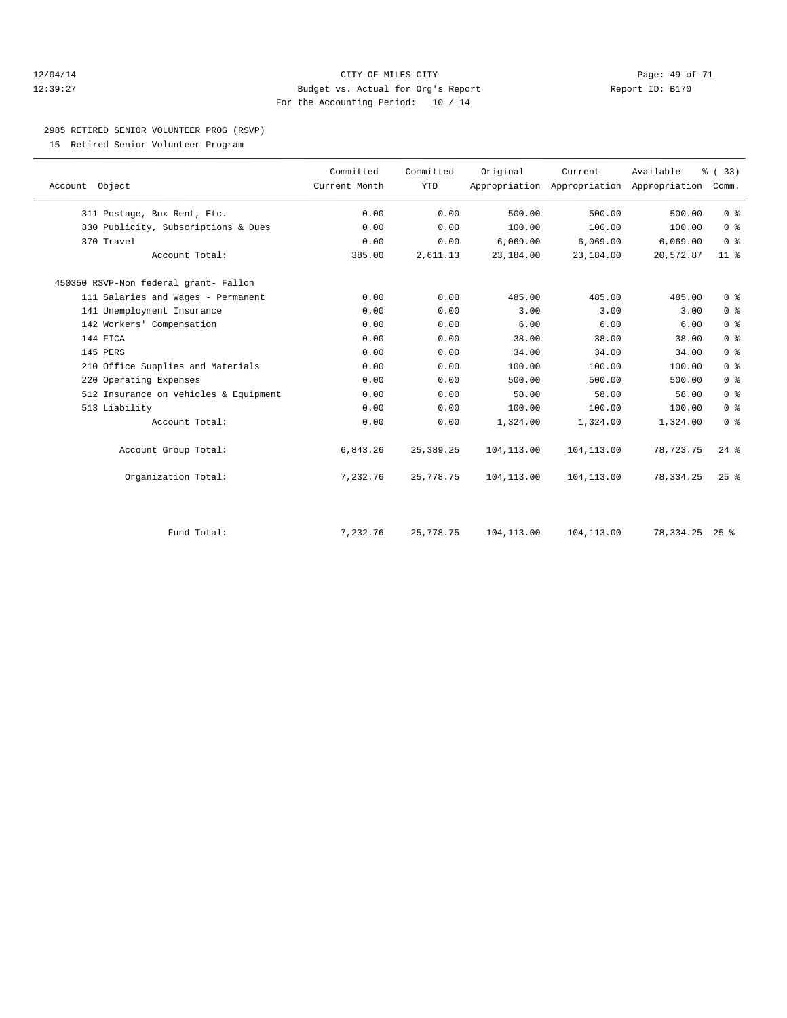#### 12/04/14 Page: 49 of 71 12:39:27 Budget vs. Actual for Org's Report Report ID: B170 For the Accounting Period: 10 / 14

#### 2985 RETIRED SENIOR VOLUNTEER PROG (RSVP)

15 Retired Senior Volunteer Program

| Account Object                        | Committed<br>Current Month | Committed<br><b>YTD</b> | Original    | Current<br>Appropriation Appropriation Appropriation | Available        | % (33)<br>Comm. |  |
|---------------------------------------|----------------------------|-------------------------|-------------|------------------------------------------------------|------------------|-----------------|--|
| 311 Postage, Box Rent, Etc.           | 0.00                       | 0.00                    | 500.00      | 500.00                                               | 500.00           | 0 <sup>8</sup>  |  |
| 330 Publicity, Subscriptions & Dues   | 0.00                       | 0.00                    | 100.00      | 100.00                                               | 100.00           | 0 <sup>8</sup>  |  |
| 370 Travel                            | 0.00                       | 0.00                    | 6,069.00    | 6,069.00                                             | 6,069.00         | 0 <sup>8</sup>  |  |
| Account Total:                        | 385.00                     | 2,611.13                | 23,184.00   | 23,184.00                                            | 20,572.87        | $11$ %          |  |
| 450350 RSVP-Non federal grant- Fallon |                            |                         |             |                                                      |                  |                 |  |
| 111 Salaries and Wages - Permanent    | 0.00                       | 0.00                    | 485.00      | 485.00                                               | 485.00           | 0 <sup>8</sup>  |  |
| 141 Unemployment Insurance            | 0.00                       | 0.00                    | 3.00        | 3.00                                                 | 3.00             | 0 <sup>°</sup>  |  |
| 142 Workers' Compensation             | 0.00                       | 0.00                    | 6.00        | 6.00                                                 | 6.00             | 0 <sup>°</sup>  |  |
| 144 FICA                              | 0.00                       | 0.00                    | 38.00       | 38.00                                                | 38.00            | 0 <sup>8</sup>  |  |
| 145 PERS                              | 0.00                       | 0.00                    | 34.00       | 34.00                                                | 34.00            | 0 <sup>°</sup>  |  |
| 210 Office Supplies and Materials     | 0.00                       | 0.00                    | 100.00      | 100.00                                               | 100.00           | 0 <sup>°</sup>  |  |
| 220 Operating Expenses                | 0.00                       | 0.00                    | 500.00      | 500.00                                               | 500.00           | 0 <sup>8</sup>  |  |
| 512 Insurance on Vehicles & Equipment | 0.00                       | 0.00                    | 58.00       | 58.00                                                | 58.00            | 0 <sup>8</sup>  |  |
| 513 Liability                         | 0.00                       | 0.00                    | 100.00      | 100.00                                               | 100.00           | 0 <sup>8</sup>  |  |
| Account Total:                        | 0.00                       | 0.00                    | 1,324.00    | 1,324.00                                             | 1,324.00         | 0 <sup>8</sup>  |  |
| Account Group Total:                  | 6,843.26                   | 25,389.25               | 104, 113.00 | 104, 113.00                                          | 78,723.75        | $24$ %          |  |
| Organization Total:                   | 7,232.76                   | 25,778.75               | 104,113.00  | 104,113.00                                           | 78,334.25        | $25$ $%$        |  |
|                                       |                            |                         |             |                                                      |                  |                 |  |
| Fund Total:                           | 7,232.76                   | 25,778.75               | 104, 113.00 | 104,113.00                                           | 78, 334. 25 25 % |                 |  |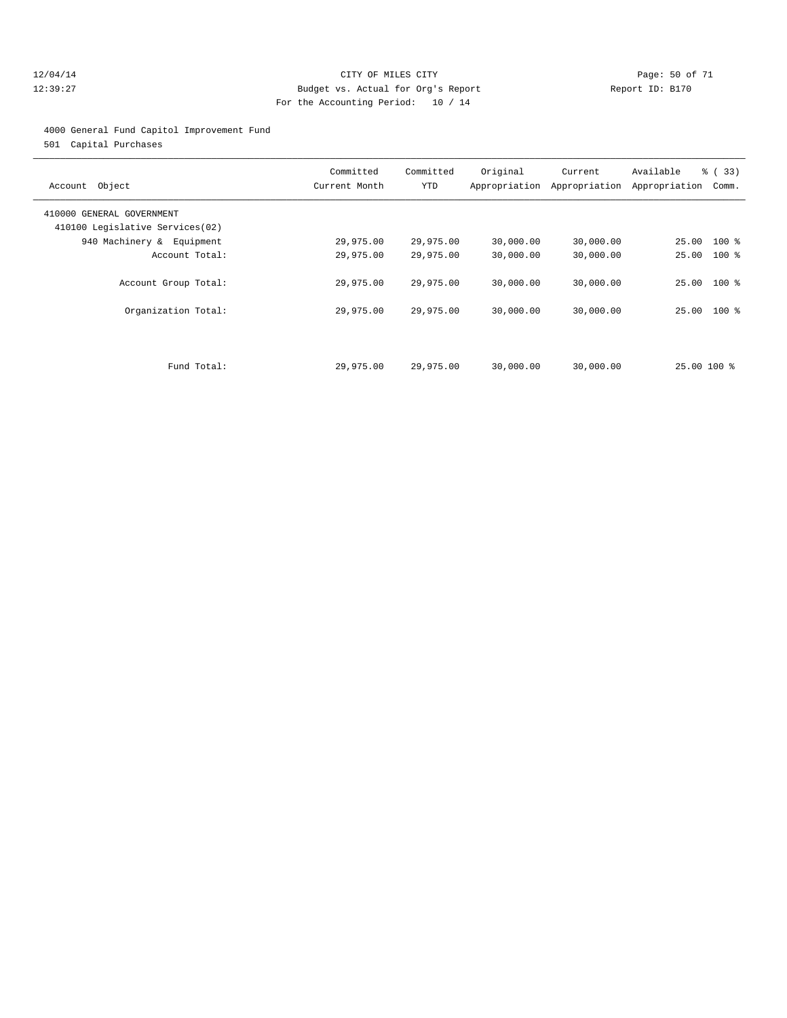#### 12/04/14 Page: 50 of 71 12:39:27 Budget vs. Actual for Org's Report Report ID: B170 For the Accounting Period: 10 / 14

#### 4000 General Fund Capitol Improvement Fund

501 Capital Purchases

| Object<br>Account                                            | Committed<br>Current Month | Committed<br>YTD | Original  | Current<br>Appropriation Appropriation | Available<br>Appropriation | % (33)<br>Comm. |
|--------------------------------------------------------------|----------------------------|------------------|-----------|----------------------------------------|----------------------------|-----------------|
| 410000 GENERAL GOVERNMENT<br>410100 Legislative Services(02) |                            |                  |           |                                        |                            |                 |
| 940 Machinery & Equipment                                    | 29,975.00                  | 29,975.00        | 30,000.00 | 30,000.00                              | 25.00 100 %                |                 |
| Account Total:                                               | 29,975.00                  | 29,975.00        | 30,000.00 | 30,000.00                              | 25.00                      | $100*$          |
| Account Group Total:                                         | 29,975.00                  | 29,975.00        | 30,000.00 | 30,000.00                              | 25.00 100 %                |                 |
| Organization Total:                                          | 29,975.00                  | 29,975.00        | 30,000.00 | 30,000.00                              | 25.00 100 %                |                 |
|                                                              |                            |                  |           |                                        |                            |                 |
| Fund Total:                                                  | 29,975.00                  | 29,975.00        | 30,000.00 | 30,000.00                              | 25.00 100 %                |                 |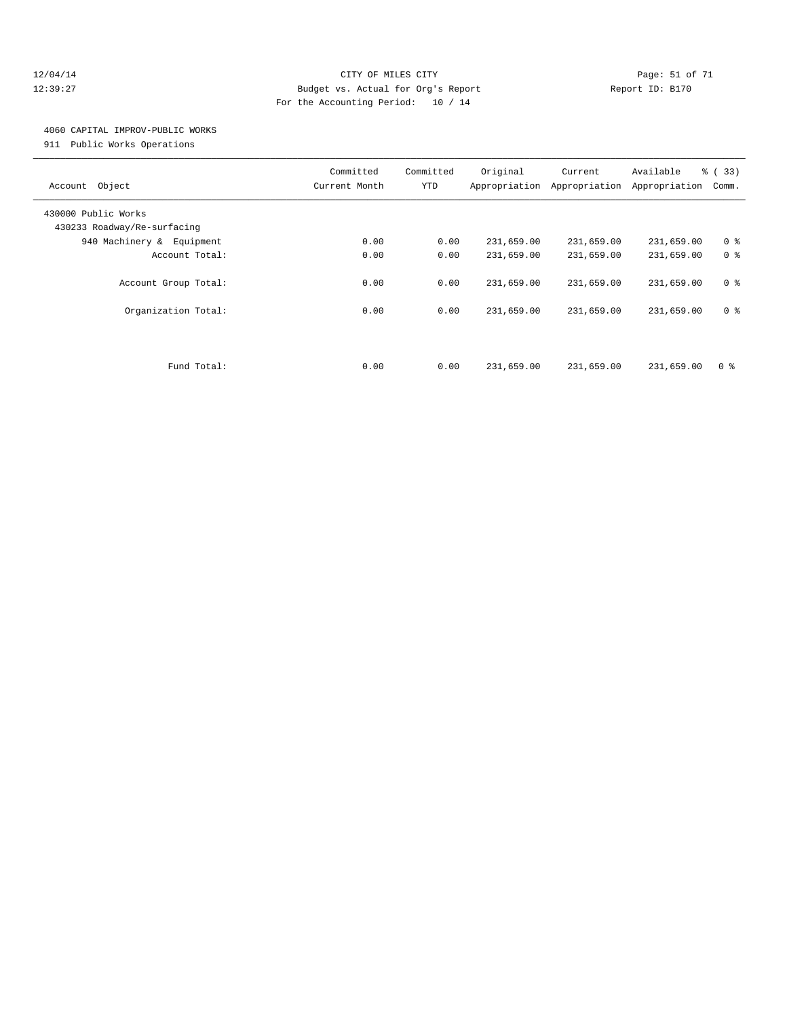#### 12/04/14 Page: 51 of 71 12:39:27 Budget vs. Actual for Org's Report Report ID: B170 For the Accounting Period: 10 / 14

## 4060 CAPITAL IMPROV-PUBLIC WORKS

911 Public Works Operations

| Object<br>Account                                  | Committed<br>Current Month | Committed<br>YTD | Original   | Current<br>Appropriation Appropriation | Available<br>Appropriation | % (33)<br>Comm. |
|----------------------------------------------------|----------------------------|------------------|------------|----------------------------------------|----------------------------|-----------------|
| 430000 Public Works<br>430233 Roadway/Re-surfacing |                            |                  |            |                                        |                            |                 |
| 940 Machinery & Equipment                          | 0.00                       | 0.00             | 231,659.00 | 231,659.00                             | 231,659.00                 | 0 <sup>8</sup>  |
| Account Total:                                     | 0.00                       | 0.00             | 231,659.00 | 231,659.00                             | 231,659.00                 | 0 <sup>8</sup>  |
| Account Group Total:                               | 0.00                       | 0.00             | 231,659.00 | 231,659.00                             | 231,659.00                 | 0 <sup>8</sup>  |
| Organization Total:                                | 0.00                       | 0.00             | 231,659.00 | 231,659.00                             | 231,659.00                 | 0 <sup>8</sup>  |
|                                                    |                            |                  |            |                                        |                            |                 |
| Fund Total:                                        | 0.00                       | 0.00             | 231,659.00 | 231,659.00                             | 231,659.00                 | 0 <sup>8</sup>  |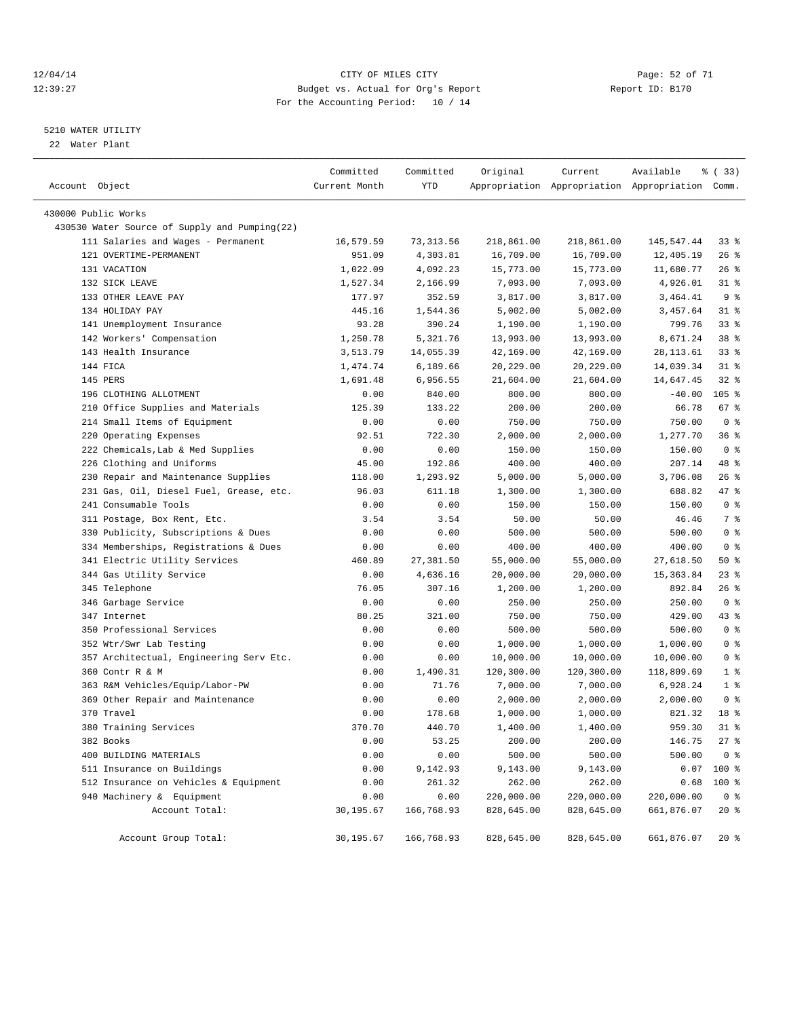#### 12/04/14 Page: 52 of 71 12:39:27 Budget vs. Actual for Org's Report Report ID: B170 For the Accounting Period: 10 / 14

————————————————————————————————————————————————————————————————————————————————————————————————————————————————————————————————————

#### 5210 WATER UTILITY

22 Water Plant

|                                               | Committed     | Committed  | Original   | Current    | Available                                       | % (33)         |
|-----------------------------------------------|---------------|------------|------------|------------|-------------------------------------------------|----------------|
| Account Object                                | Current Month | YTD        |            |            | Appropriation Appropriation Appropriation Comm. |                |
| 430000 Public Works                           |               |            |            |            |                                                 |                |
| 430530 Water Source of Supply and Pumping(22) |               |            |            |            |                                                 |                |
| 111 Salaries and Wages - Permanent            | 16,579.59     | 73,313.56  | 218,861.00 | 218,861.00 | 145,547.44                                      | 338            |
| 121 OVERTIME-PERMANENT                        | 951.09        | 4,303.81   | 16,709.00  | 16,709.00  | 12,405.19                                       | $26$ %         |
| 131 VACATION                                  | 1,022.09      | 4,092.23   | 15,773.00  | 15,773.00  | 11,680.77                                       | $26$ %         |
| 132 SICK LEAVE                                | 1,527.34      | 2,166.99   | 7,093.00   | 7,093.00   | 4,926.01                                        | $31$ %         |
| 133 OTHER LEAVE PAY                           | 177.97        | 352.59     | 3,817.00   | 3,817.00   | 3,464.41                                        | 9 <sub>8</sub> |
| 134 HOLIDAY PAY                               | 445.16        | 1,544.36   | 5,002.00   | 5,002.00   | 3,457.64                                        | $31$ %         |
| 141 Unemployment Insurance                    | 93.28         | 390.24     | 1,190.00   | 1,190.00   | 799.76                                          | 338            |
| 142 Workers' Compensation                     | 1,250.78      | 5,321.76   | 13,993.00  | 13,993.00  | 8,671.24                                        | 38 %           |
| 143 Health Insurance                          | 3,513.79      | 14,055.39  | 42,169.00  | 42,169.00  | 28, 113.61                                      | $33$ $%$       |
| 144 FICA                                      | 1,474.74      | 6,189.66   | 20,229.00  | 20,229.00  | 14,039.34                                       | $31$ %         |
| 145 PERS                                      | 1,691.48      | 6,956.55   | 21,604.00  | 21,604.00  | 14,647.45                                       | $32$ $%$       |
| 196 CLOTHING ALLOTMENT                        | 0.00          | 840.00     | 800.00     | 800.00     | $-40.00$                                        | $105$ %        |
| 210 Office Supplies and Materials             | 125.39        | 133.22     | 200.00     | 200.00     | 66.78                                           | 67%            |
| 214 Small Items of Equipment                  | 0.00          | 0.00       | 750.00     | 750.00     | 750.00                                          | 0 <sup>8</sup> |
| 220 Operating Expenses                        | 92.51         | 722.30     | 2,000.00   | 2,000.00   | 1,277.70                                        | 36%            |
| 222 Chemicals, Lab & Med Supplies             | 0.00          | 0.00       | 150.00     | 150.00     | 150.00                                          | 0 <sup>8</sup> |
| 226 Clothing and Uniforms                     | 45.00         | 192.86     | 400.00     | 400.00     | 207.14                                          | 48 %           |
| 230 Repair and Maintenance Supplies           | 118.00        | 1,293.92   | 5,000.00   | 5,000.00   | 3,706.08                                        | $26$ %         |
| 231 Gas, Oil, Diesel Fuel, Grease, etc.       | 96.03         | 611.18     | 1,300.00   | 1,300.00   | 688.82                                          | 47 %           |
| 241 Consumable Tools                          | 0.00          | 0.00       | 150.00     | 150.00     | 150.00                                          | 0 <sup>8</sup> |
| 311 Postage, Box Rent, Etc.                   | 3.54          | 3.54       | 50.00      | 50.00      | 46.46                                           | 7 %            |
| 330 Publicity, Subscriptions & Dues           | 0.00          | 0.00       | 500.00     | 500.00     | 500.00                                          | 0 <sup>8</sup> |
| 334 Memberships, Registrations & Dues         | 0.00          | 0.00       | 400.00     | 400.00     | 400.00                                          | 0 <sup>8</sup> |
| 341 Electric Utility Services                 | 460.89        | 27,381.50  | 55,000.00  | 55,000.00  | 27,618.50                                       | 50%            |
| 344 Gas Utility Service                       | 0.00          | 4,636.16   | 20,000.00  | 20,000.00  | 15,363.84                                       | $23$ $%$       |
| 345 Telephone                                 | 76.05         | 307.16     | 1,200.00   | 1,200.00   | 892.84                                          | $26$ %         |
| 346 Garbage Service                           | 0.00          | 0.00       | 250.00     | 250.00     | 250.00                                          | 0 <sup>8</sup> |
| 347 Internet                                  | 80.25         | 321.00     | 750.00     | 750.00     | 429.00                                          | 43 %           |
| 350 Professional Services                     | 0.00          | 0.00       | 500.00     | 500.00     | 500.00                                          | 0 <sup>8</sup> |
| 352 Wtr/Swr Lab Testing                       | 0.00          | 0.00       | 1,000.00   | 1,000.00   | 1,000.00                                        | 0 <sup>8</sup> |
| 357 Architectual, Engineering Serv Etc.       | 0.00          | 0.00       | 10,000.00  | 10,000.00  | 10,000.00                                       | 0 <sup>8</sup> |
| 360 Contr R & M                               | 0.00          | 1,490.31   | 120,300.00 | 120,300.00 | 118,809.69                                      | 1 <sup>8</sup> |
| 363 R&M Vehicles/Equip/Labor-PW               | 0.00          | 71.76      | 7,000.00   | 7,000.00   | 6,928.24                                        | 1 <sup>8</sup> |
| 369 Other Repair and Maintenance              | 0.00          | 0.00       | 2,000.00   | 2,000.00   | 2,000.00                                        | 0 <sup>8</sup> |
| 370 Travel                                    | 0.00          | 178.68     | 1,000.00   | 1,000.00   | 821.32                                          | 18 %           |
| 380 Training Services                         | 370.70        | 440.70     | 1,400.00   | 1,400.00   | 959.30                                          | $31$ %         |
| 382 Books                                     | 0.00          | 53.25      | 200.00     | 200.00     | 146.75                                          | $27$ %         |
| 400 BUILDING MATERIALS                        | 0.00          | 0.00       | 500.00     | 500.00     | 500.00                                          | 0 <sup>8</sup> |
| 511 Insurance on Buildings                    | 0.00          | 9,142.93   | 9,143.00   | 9,143.00   |                                                 | $0.07$ 100 %   |
| 512 Insurance on Vehicles & Equipment         | 0.00          | 261.32     | 262.00     | 262.00     | 0.68                                            | 100 %          |
| 940 Machinery & Equipment                     | 0.00          | 0.00       | 220,000.00 | 220,000.00 | 220,000.00                                      | 0 <sup>8</sup> |
| Account Total:                                | 30,195.67     | 166,768.93 | 828,645.00 | 828,645.00 | 661,876.07                                      | $20*$          |
| Account Group Total:                          | 30,195.67     | 166,768.93 | 828,645.00 | 828,645.00 | 661,876.07                                      | $20*$          |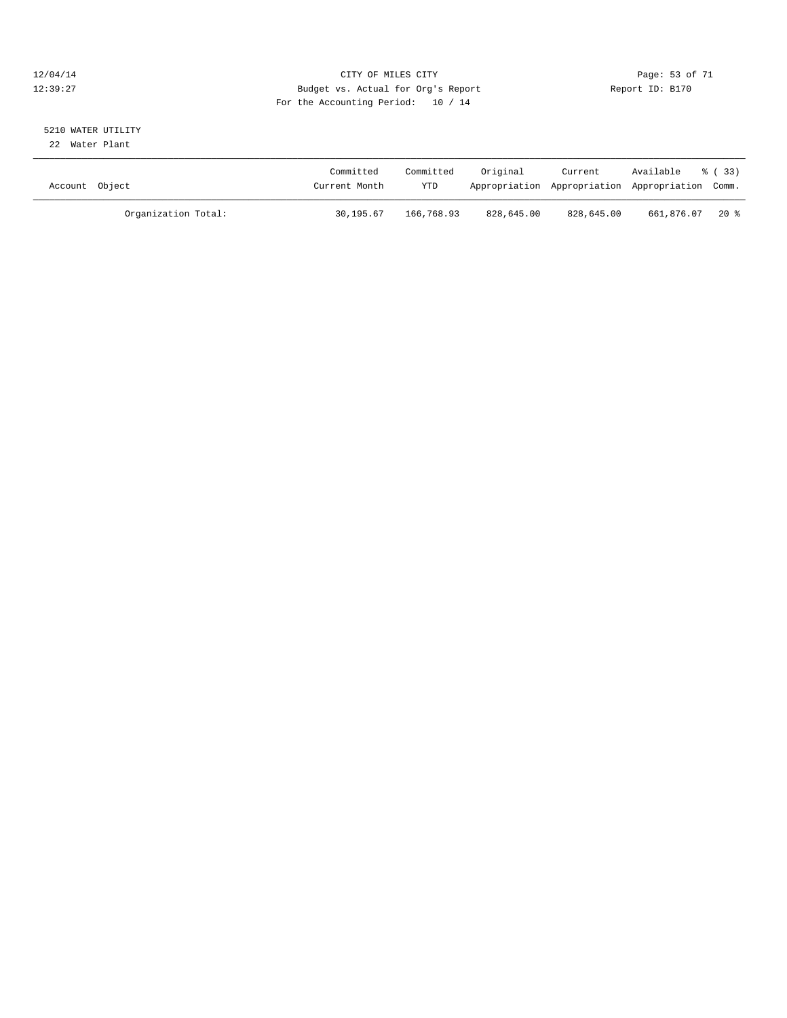#### 12/04/14 Page: 53 of 71 12:39:27 Budget vs. Actual for Org's Report Report ID: B170 For the Accounting Period: 10 / 14

# 5210 WATER UTILITY

22 Water Plant

| Account Object      | Committed<br>Current Month | Committed<br><b>YTD</b> | Original   | Current    | Available<br>Appropriation Appropriation Appropriation Comm. | 8 ( 33 ) |
|---------------------|----------------------------|-------------------------|------------|------------|--------------------------------------------------------------|----------|
| Organization Total: | 30,195.67                  | 166,768.93              | 828,645.00 | 828,645.00 | 661,876.07                                                   | 20 %     |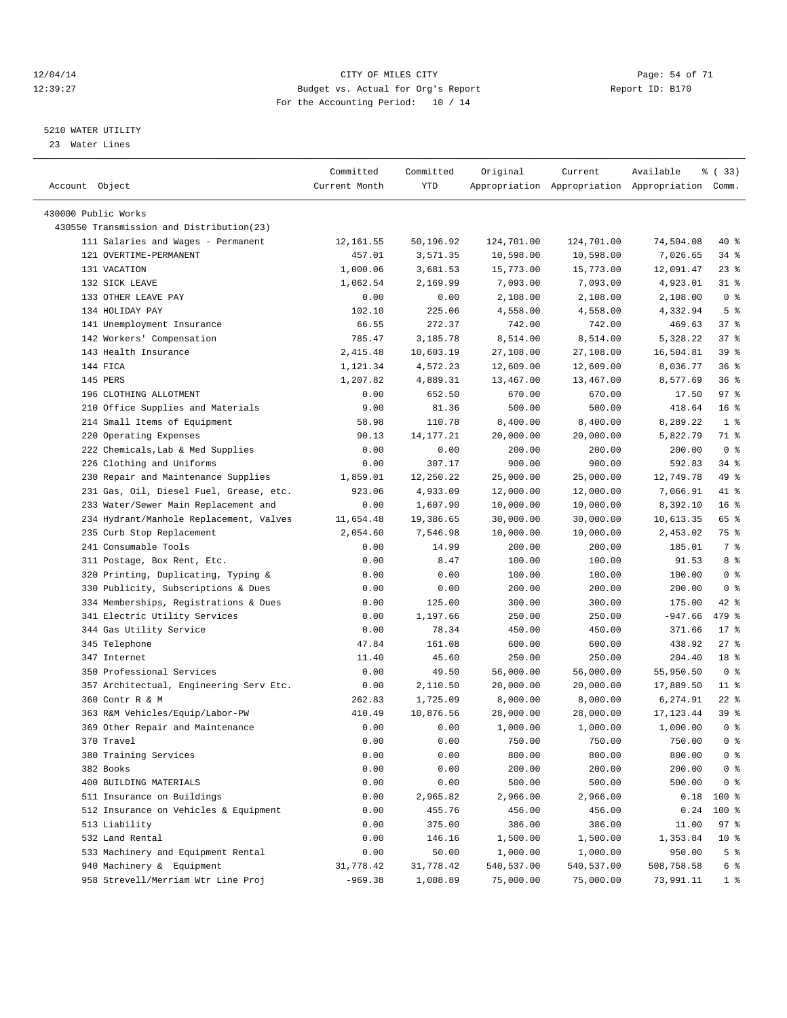#### 12/04/14 Page: 54 of 71 12:39:27 Budget vs. Actual for Org's Report Report ID: B170 For the Accounting Period: 10 / 14

————————————————————————————————————————————————————————————————————————————————————————————————————————————————————————————————————

#### 5210 WATER UTILITY

23 Water Lines

|                                                                        | Committed     | Committed      | Original   | Current          | Available                                       | १ (33)          |
|------------------------------------------------------------------------|---------------|----------------|------------|------------------|-------------------------------------------------|-----------------|
| Account Object                                                         | Current Month | YTD            |            |                  | Appropriation Appropriation Appropriation Comm. |                 |
| 430000 Public Works                                                    |               |                |            |                  |                                                 |                 |
| 430550 Transmission and Distribution(23)                               |               |                |            |                  |                                                 |                 |
| 111 Salaries and Wages - Permanent                                     | 12,161.55     | 50,196.92      | 124,701.00 | 124,701.00       | 74,504.08                                       | 40 %            |
| 121 OVERTIME-PERMANENT                                                 | 457.01        | 3,571.35       | 10,598.00  | 10,598.00        | 7,026.65                                        | 34 %            |
| 131 VACATION                                                           | 1,000.06      | 3,681.53       | 15,773.00  | 15,773.00        | 12,091.47                                       | $23$ $%$        |
| 132 SICK LEAVE                                                         | 1,062.54      | 2,169.99       | 7,093.00   | 7,093.00         | 4,923.01                                        | $31$ %          |
| 133 OTHER LEAVE PAY                                                    | 0.00          | 0.00           | 2,108.00   | 2,108.00         | 2,108.00                                        | 0 <sup>8</sup>  |
| 134 HOLIDAY PAY                                                        | 102.10        | 225.06         | 4,558.00   | 4,558.00         | 4,332.94                                        | 5 <sup>8</sup>  |
| 141 Unemployment Insurance                                             | 66.55         | 272.37         | 742.00     | 742.00           | 469.63                                          | 37%             |
| 142 Workers' Compensation                                              | 785.47        | 3,185.78       | 8,514.00   | 8,514.00         | 5,328.22                                        | 37%             |
| 143 Health Insurance                                                   | 2,415.48      | 10,603.19      | 27,108.00  | 27,108.00        | 16,504.81                                       | 39 %            |
| 144 FICA                                                               | 1,121.34      | 4,572.23       | 12,609.00  | 12,609.00        | 8,036.77                                        | 36%             |
| 145 PERS                                                               | 1,207.82      | 4,889.31       | 13,467.00  | 13,467.00        | 8,577.69                                        | 36%             |
| 196 CLOTHING ALLOTMENT                                                 | 0.00          | 652.50         | 670.00     | 670.00           | 17.50                                           | 97%             |
| 210 Office Supplies and Materials                                      | 9.00          | 81.36          | 500.00     | 500.00           | 418.64                                          | 16 <sup>8</sup> |
| 214 Small Items of Equipment                                           | 58.98         | 110.78         | 8,400.00   | 8,400.00         | 8,289.22                                        | 1 <sup>8</sup>  |
| 220 Operating Expenses                                                 | 90.13         | 14, 177. 21    | 20,000.00  | 20,000.00        | 5,822.79                                        | 71 %            |
| 222 Chemicals, Lab & Med Supplies                                      | 0.00          | 0.00           | 200.00     | 200.00           | 200.00                                          | 0 <sup>8</sup>  |
| 226 Clothing and Uniforms                                              | 0.00          | 307.17         | 900.00     | 900.00           | 592.83                                          | 34 %            |
| 230 Repair and Maintenance Supplies                                    | 1,859.01      | 12,250.22      | 25,000.00  | 25,000.00        | 12,749.78                                       | 49 %            |
| 231 Gas, Oil, Diesel Fuel, Grease, etc.                                | 923.06        | 4,933.09       | 12,000.00  | 12,000.00        | 7,066.91                                        | 41 %            |
| 233 Water/Sewer Main Replacement and                                   | 0.00          | 1,607.90       | 10,000.00  | 10,000.00        | 8,392.10                                        | 16 <sup>8</sup> |
| 234 Hydrant/Manhole Replacement, Valves                                | 11,654.48     | 19,386.65      | 30,000.00  | 30,000.00        | 10,613.35                                       | 65 %            |
| 235 Curb Stop Replacement                                              | 2,054.60      | 7,546.98       | 10,000.00  | 10,000.00        | 2,453.02                                        | 75 %            |
| 241 Consumable Tools                                                   | 0.00          | 14.99          | 200.00     | 200.00           | 185.01                                          | 7 %             |
|                                                                        | 0.00          | 8.47           | 100.00     | 100.00           | 91.53                                           | 8 %             |
| 311 Postage, Box Rent, Etc.<br>320 Printing, Duplicating, Typing &     | 0.00          | 0.00           | 100.00     | 100.00           | 100.00                                          | 0 <sup>8</sup>  |
| 330 Publicity, Subscriptions & Dues                                    |               |                | 200.00     |                  | 200.00                                          | 0 <sup>8</sup>  |
|                                                                        | 0.00          | 0.00<br>125.00 | 300.00     | 200.00<br>300.00 | 175.00                                          | 42 %            |
| 334 Memberships, Registrations & Dues<br>341 Electric Utility Services | 0.00<br>0.00  | 1,197.66       | 250.00     | 250.00           | $-947.66$                                       | 479 %           |
| 344 Gas Utility Service                                                | 0.00          | 78.34          | 450.00     | 450.00           | 371.66                                          | $17$ %          |
| 345 Telephone                                                          | 47.84         | 161.08         | 600.00     | 600.00           | 438.92                                          | $27$ %          |
| 347 Internet                                                           | 11.40         | 45.60          | 250.00     | 250.00           | 204.40                                          | 18 <sup>8</sup> |
| 350 Professional Services                                              | 0.00          | 49.50          | 56,000.00  | 56,000.00        | 55,950.50                                       | 0 <sup>8</sup>  |
| 357 Architectual, Engineering Serv Etc.                                | 0.00          | 2,110.50       | 20,000.00  | 20,000.00        | 17,889.50                                       | $11$ %          |
| 360 Contr R & M                                                        | 262.83        | 1,725.09       | 8,000.00   | 8,000.00         | 6,274.91                                        | $22$ %          |
| 363 R&M Vehicles/Equip/Labor-PW                                        | 410.49        | 10,876.56      | 28,000.00  | 28,000.00        | 17, 123.44                                      | 39 %            |
| 369 Other Repair and Maintenance                                       | 0.00          | 0.00           | 1,000.00   | 1,000.00         | 1,000.00                                        | 0 <sup>8</sup>  |
| 370 Travel                                                             | 0.00          | 0.00           | 750.00     | 750.00           | 750.00                                          | 0 %             |
| 380 Training Services                                                  | 0.00          | 0.00           | 800.00     | 800.00           | 800.00                                          | 0 %             |
| 382 Books                                                              | 0.00          | 0.00           | 200.00     | 200.00           | 200.00                                          | 0 <sup>8</sup>  |
| 400 BUILDING MATERIALS                                                 | 0.00          | 0.00           | 500.00     | 500.00           | 500.00                                          | 0 <sup>8</sup>  |
| 511 Insurance on Buildings                                             | 0.00          | 2,965.82       | 2,966.00   | 2,966.00         | 0.18                                            | 100 %           |
| 512 Insurance on Vehicles & Equipment                                  | 0.00          | 455.76         | 456.00     | 456.00           | 0.24                                            | 100 %           |
| 513 Liability                                                          | 0.00          | 375.00         | 386.00     | 386.00           | 11.00                                           | 97%             |
| 532 Land Rental                                                        | 0.00          | 146.16         | 1,500.00   | 1,500.00         | 1,353.84                                        | 10 <sup>°</sup> |
| 533 Machinery and Equipment Rental                                     | 0.00          | 50.00          | 1,000.00   | 1,000.00         | 950.00                                          | 5 <sup>°</sup>  |
| 940 Machinery & Equipment                                              | 31,778.42     | 31,778.42      | 540,537.00 | 540,537.00       | 508,758.58                                      | 6 %             |
| 958 Strevell/Merriam Wtr Line Proj                                     | $-969.38$     | 1,008.89       | 75,000.00  | 75,000.00        | 73,991.11                                       | 1 <sub>8</sub>  |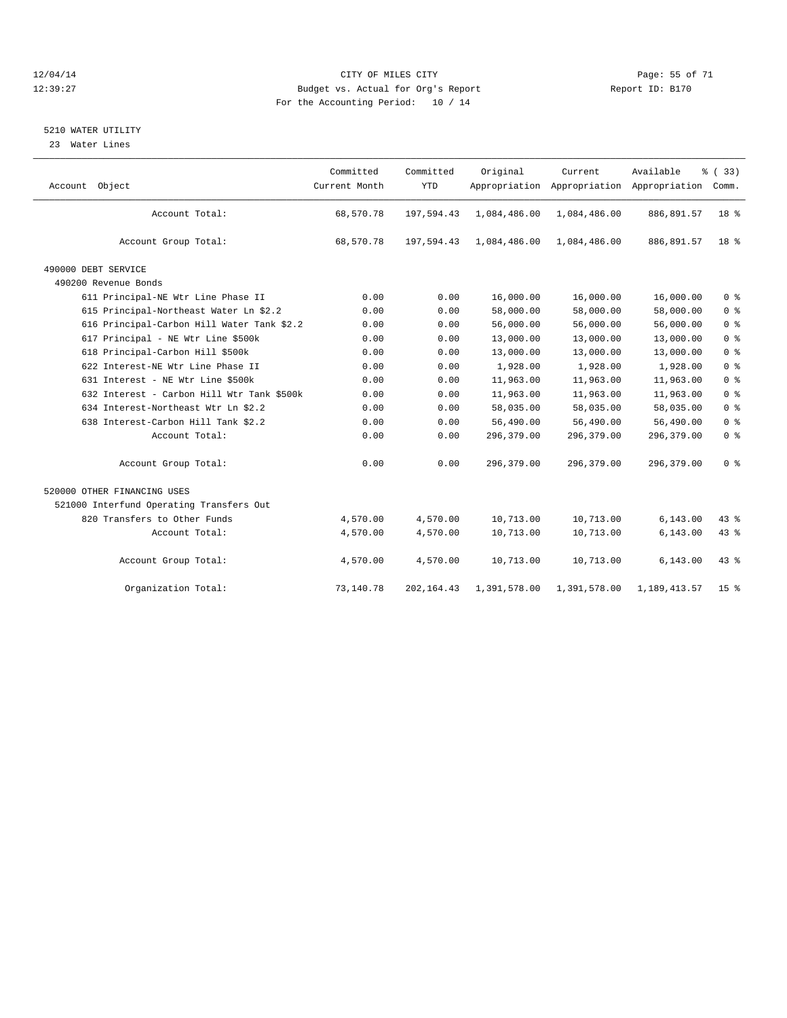#### 12/04/14 Page: 55 of 71 12:39:27 Budget vs. Actual for Org's Report Report ID: B170 For the Accounting Period: 10 / 14

#### 5210 WATER UTILITY

23 Water Lines

| Account Object                             | Committed<br>Current Month | Committed<br><b>YTD</b> | Original     | Current      | Available<br>Appropriation Appropriation Appropriation | % (33)<br>Comm. |
|--------------------------------------------|----------------------------|-------------------------|--------------|--------------|--------------------------------------------------------|-----------------|
| Account Total:                             | 68,570.78                  | 197,594.43              | 1,084,486.00 | 1,084,486.00 | 886,891.57                                             | 18 %            |
| Account Group Total:                       | 68,570.78                  | 197,594.43              | 1,084,486.00 | 1,084,486.00 | 886,891.57                                             | 18 <sup>8</sup> |
| 490000 DEBT SERVICE                        |                            |                         |              |              |                                                        |                 |
| 490200 Revenue Bonds                       |                            |                         |              |              |                                                        |                 |
| 611 Principal-NE Wtr Line Phase II         | 0.00                       | 0.00                    | 16,000.00    | 16,000.00    | 16,000.00                                              | 0 <sup>8</sup>  |
| 615 Principal-Northeast Water Ln \$2.2     | 0.00                       | 0.00                    | 58,000.00    | 58,000.00    | 58,000.00                                              | 0 <sup>8</sup>  |
| 616 Principal-Carbon Hill Water Tank \$2.2 | 0.00                       | 0.00                    | 56,000.00    | 56,000.00    | 56,000.00                                              | 0 <sup>°</sup>  |
| 617 Principal - NE Wtr Line \$500k         | 0.00                       | 0.00                    | 13,000.00    | 13,000.00    | 13,000.00                                              | 0 <sup>8</sup>  |
| 618 Principal-Carbon Hill \$500k           | 0.00                       | 0.00                    | 13,000.00    | 13,000.00    | 13,000.00                                              | 0 <sup>°</sup>  |
| 622 Interest-NE Wtr Line Phase II          | 0.00                       | 0.00                    | 1,928.00     | 1,928.00     | 1,928.00                                               | 0 <sup>°</sup>  |
| 631 Interest - NE Wtr Line \$500k          | 0.00                       | 0.00                    | 11,963.00    | 11,963.00    | 11,963.00                                              | 0 <sup>8</sup>  |
| 632 Interest - Carbon Hill Wtr Tank \$500k | 0.00                       | 0.00                    | 11,963.00    | 11,963.00    | 11,963.00                                              | 0 <sup>8</sup>  |
| 634 Interest-Northeast Wtr Ln \$2.2        | 0.00                       | 0.00                    | 58,035.00    | 58,035.00    | 58,035.00                                              | 0 <sup>8</sup>  |
| 638 Interest-Carbon Hill Tank \$2.2        | 0.00                       | 0.00                    | 56,490.00    | 56,490.00    | 56,490.00                                              | 0 <sup>°</sup>  |
| Account Total:                             | 0.00                       | 0.00                    | 296,379.00   | 296,379.00   | 296,379.00                                             | 0 <sup>8</sup>  |
| Account Group Total:                       | 0.00                       | 0.00                    | 296,379.00   | 296,379.00   | 296,379.00                                             | 0 <sup>8</sup>  |
| 520000 OTHER FINANCING USES                |                            |                         |              |              |                                                        |                 |
| 521000 Interfund Operating Transfers Out   |                            |                         |              |              |                                                        |                 |
| 820 Transfers to Other Funds               | 4,570.00                   | 4,570.00                | 10,713.00    | 10,713.00    | 6, 143.00                                              | 43 %            |
| Account Total:                             | 4,570.00                   | 4,570.00                | 10,713.00    | 10,713.00    | 6,143.00                                               | 43 %            |
| Account Group Total:                       | 4,570.00                   | 4,570.00                | 10,713.00    | 10,713.00    | 6, 143.00                                              | 43 %            |
| Organization Total:                        | 73,140.78                  | 202, 164.43             | 1,391,578.00 | 1,391,578.00 | 1,189,413.57                                           | 15 <sup>°</sup> |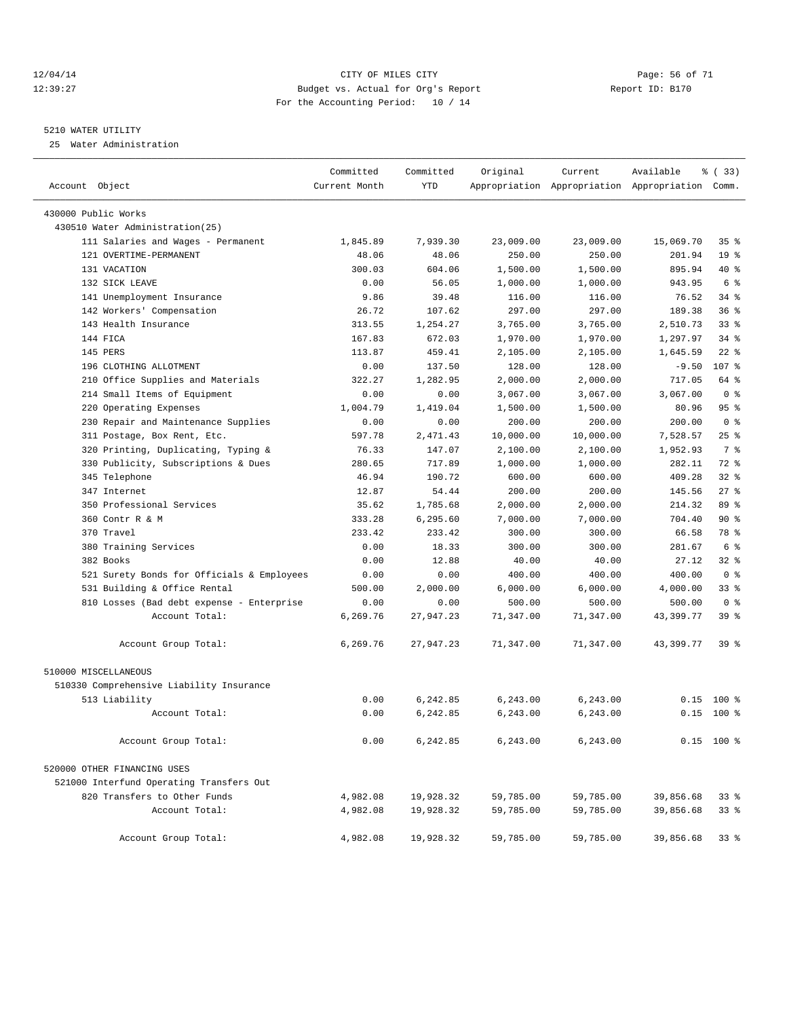#### 12/04/14 Page: 56 of 71 12:39:27 Budget vs. Actual for Org's Report Report ID: B170 For the Accounting Period: 10 / 14

————————————————————————————————————————————————————————————————————————————————————————————————————————————————————————————————————

#### 5210 WATER UTILITY

25 Water Administration

|                                            | Committed     | Committed  | Original  | Current   | Available                                       | 8 (33)          |
|--------------------------------------------|---------------|------------|-----------|-----------|-------------------------------------------------|-----------------|
| Account Object                             | Current Month | <b>YTD</b> |           |           | Appropriation Appropriation Appropriation Comm. |                 |
| 430000 Public Works                        |               |            |           |           |                                                 |                 |
| 430510 Water Administration(25)            |               |            |           |           |                                                 |                 |
| 111 Salaries and Wages - Permanent         | 1,845.89      | 7,939.30   | 23,009.00 | 23,009.00 | 15,069.70                                       | 35%             |
| 121 OVERTIME-PERMANENT                     | 48.06         | 48.06      | 250.00    | 250.00    | 201.94                                          | 19 <sup>°</sup> |
| 131 VACATION                               | 300.03        | 604.06     | 1,500.00  | 1,500.00  | 895.94                                          | 40 %            |
| 132 SICK LEAVE                             | 0.00          | 56.05      | 1,000.00  | 1,000.00  | 943.95                                          | 6 %             |
| 141 Unemployment Insurance                 | 9.86          | 39.48      | 116.00    | 116.00    | 76.52                                           | 34 %            |
| 142 Workers' Compensation                  | 26.72         | 107.62     | 297.00    | 297.00    | 189.38                                          | 36%             |
| 143 Health Insurance                       | 313.55        | 1,254.27   | 3,765.00  | 3,765.00  | 2,510.73                                        | $33$ $%$        |
| 144 FICA                                   | 167.83        | 672.03     | 1,970.00  | 1,970.00  | 1,297.97                                        | $34$ $%$        |
| 145 PERS                                   | 113.87        | 459.41     | 2,105.00  | 2,105.00  | 1,645.59                                        | $22$ %          |
| 196 CLOTHING ALLOTMENT                     | 0.00          | 137.50     | 128.00    | 128.00    | $-9.50$                                         | 107 %           |
| 210 Office Supplies and Materials          | 322.27        | 1,282.95   | 2,000.00  | 2,000.00  | 717.05                                          | 64 %            |
| 214 Small Items of Equipment               | 0.00          | 0.00       | 3,067.00  | 3,067.00  | 3,067.00                                        | 0 <sup>8</sup>  |
| 220 Operating Expenses                     | 1,004.79      | 1,419.04   | 1,500.00  | 1,500.00  | 80.96                                           | 95%             |
| 230 Repair and Maintenance Supplies        | 0.00          | 0.00       | 200.00    | 200.00    | 200.00                                          | 0 <sup>8</sup>  |
| 311 Postage, Box Rent, Etc.                | 597.78        | 2,471.43   | 10,000.00 | 10,000.00 | 7,528.57                                        | 25 %            |
| 320 Printing, Duplicating, Typing &        | 76.33         | 147.07     | 2,100.00  | 2,100.00  | 1,952.93                                        | 7 %             |
| 330 Publicity, Subscriptions & Dues        | 280.65        | 717.89     | 1,000.00  | 1,000.00  | 282.11                                          | 72 %            |
| 345 Telephone                              | 46.94         | 190.72     | 600.00    | 600.00    | 409.28                                          | $32$ $%$        |
| 347 Internet                               | 12.87         | 54.44      | 200.00    | 200.00    | 145.56                                          | $27$ %          |
| 350 Professional Services                  | 35.62         | 1,785.68   | 2,000.00  | 2,000.00  | 214.32                                          | 89 %            |
| 360 Contr R & M                            | 333.28        | 6,295.60   | 7,000.00  | 7,000.00  | 704.40                                          | 90%             |
| 370 Travel                                 | 233.42        | 233.42     | 300.00    | 300.00    | 66.58                                           | 78 %            |
| 380 Training Services                      | 0.00          | 18.33      | 300.00    | 300.00    | 281.67                                          | 6 %             |
| 382 Books                                  | 0.00          | 12.88      | 40.00     | 40.00     | 27.12                                           | $32$ $%$        |
| 521 Surety Bonds for Officials & Employees | 0.00          | 0.00       | 400.00    | 400.00    | 400.00                                          | 0 <sup>8</sup>  |
| 531 Building & Office Rental               | 500.00        | 2,000.00   | 6,000.00  | 6,000.00  | 4,000.00                                        | $33$ $%$        |
| 810 Losses (Bad debt expense - Enterprise  | 0.00          | 0.00       | 500.00    | 500.00    | 500.00                                          | 0 <sup>8</sup>  |
| Account Total:                             | 6,269.76      | 27,947.23  | 71,347.00 | 71,347.00 | 43,399.77                                       | 39 %            |
| Account Group Total:                       | 6,269.76      | 27,947.23  | 71,347.00 | 71,347.00 | 43,399.77                                       | 39 %            |
| 510000 MISCELLANEOUS                       |               |            |           |           |                                                 |                 |
| 510330 Comprehensive Liability Insurance   |               |            |           |           |                                                 |                 |
| 513 Liability                              | 0.00          | 6,242.85   | 6,243.00  | 6,243.00  | 0.15                                            | $100$ %         |
| Account Total:                             | 0.00          | 6,242.85   | 6,243.00  | 6,243.00  |                                                 | $0.15$ 100 %    |
| Account Group Total:                       | 0.00          | 6,242.85   | 6,243.00  | 6, 243.00 |                                                 | $0.15$ 100 %    |
| 520000 OTHER FINANCING USES                |               |            |           |           |                                                 |                 |
| 521000 Interfund Operating Transfers Out   |               |            |           |           |                                                 |                 |
| 820 Transfers to Other Funds               | 4,982.08      | 19,928.32  | 59,785.00 | 59,785.00 | 39,856.68                                       | 338             |
| Account Total:                             | 4,982.08      | 19,928.32  | 59,785.00 | 59,785.00 | 39,856.68                                       | 338             |
| Account Group Total:                       | 4,982.08      | 19,928.32  | 59,785.00 | 59,785.00 | 39,856.68                                       | 33 <sup>8</sup> |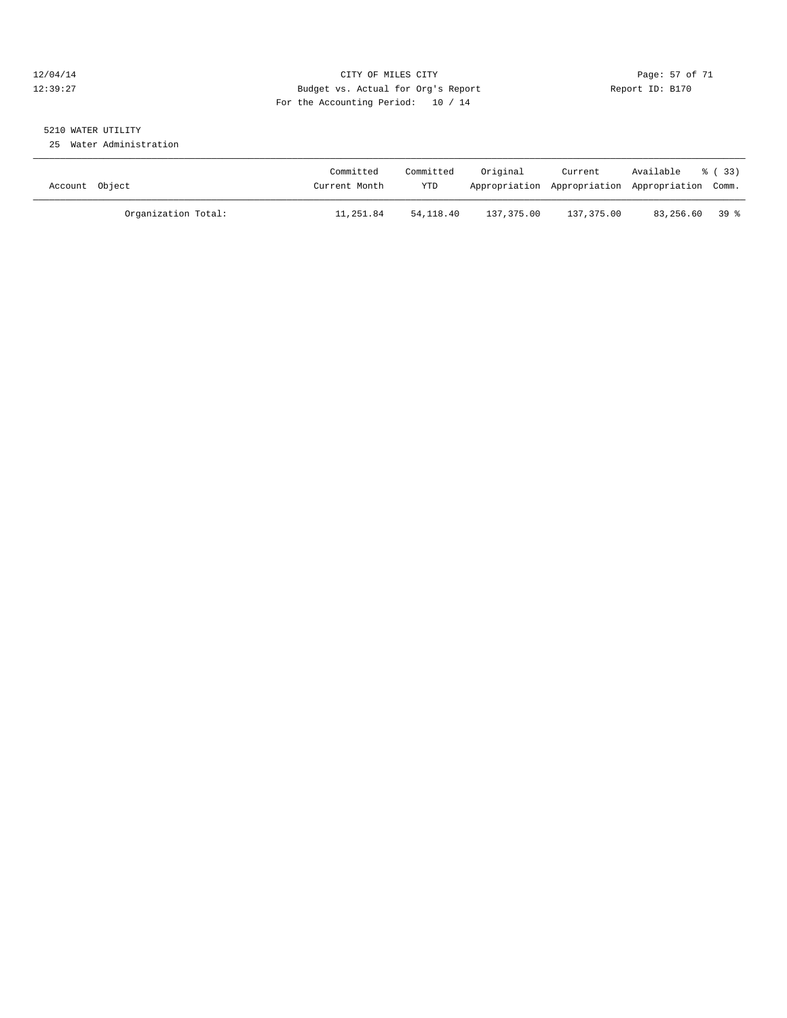#### 12/04/14 Page: 57 of 71 12:39:27 Budget vs. Actual for Org's Report Report ID: B170 For the Accounting Period: 10 / 14

## 5210 WATER UTILITY

25 Water Administration

| Account Object |                     | Committed<br>Current Month | Committed<br>YTD | Original   | Current<br>Appropriation Appropriation Appropriation Comm. | Available      | % (33) |
|----------------|---------------------|----------------------------|------------------|------------|------------------------------------------------------------|----------------|--------|
|                | Organization Total: | 11,251.84                  | 54,118.40        | 137,375.00 | 137,375.00                                                 | 83,256.60 39 % |        |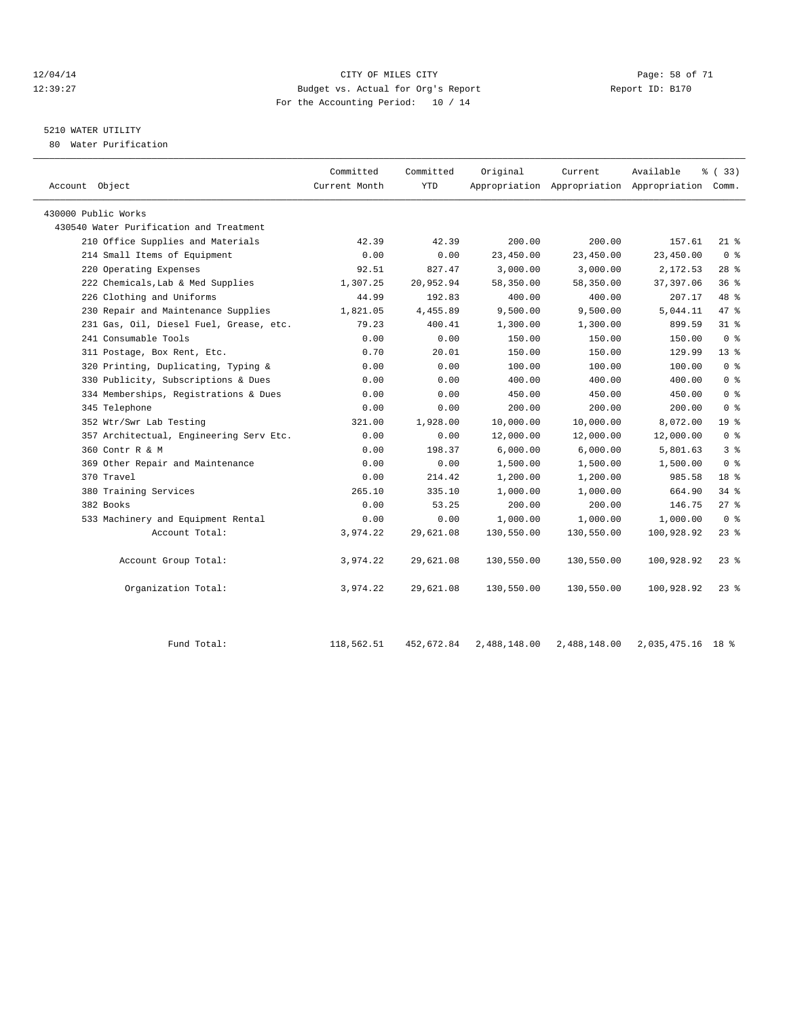#### 12/04/14 Page: 58 of 71 12:39:27 Budget vs. Actual for Org's Report Report ID: B170 For the Accounting Period: 10 / 14

## 5210 WATER UTILITY

80 Water Purification

| Account Object                          | Committed<br>Current Month | Committed<br><b>YTD</b> | Original   | Current    | Available<br>Appropriation Appropriation Appropriation Comm. | % ( 33 )        |
|-----------------------------------------|----------------------------|-------------------------|------------|------------|--------------------------------------------------------------|-----------------|
| 430000 Public Works                     |                            |                         |            |            |                                                              |                 |
| 430540 Water Purification and Treatment |                            |                         |            |            |                                                              |                 |
| 210 Office Supplies and Materials       | 42.39                      | 42.39                   | 200.00     | 200.00     | 157.61                                                       | $21*$           |
| 214 Small Items of Equipment            | 0.00                       | 0.00                    | 23,450.00  | 23,450.00  | 23,450.00                                                    | 0 <sup>8</sup>  |
| 220 Operating Expenses                  | 92.51                      | 827.47                  | 3,000.00   | 3,000.00   | 2,172.53                                                     | $28$ %          |
| 222 Chemicals, Lab & Med Supplies       | 1,307.25                   | 20,952.94               | 58,350.00  | 58,350.00  | 37, 397.06                                                   | 36%             |
| 226 Clothing and Uniforms               | 44.99                      | 192.83                  | 400.00     | 400.00     | 207.17                                                       | 48 %            |
| 230 Repair and Maintenance Supplies     | 1,821.05                   | 4,455.89                | 9,500.00   | 9,500.00   | 5,044.11                                                     | 47 %            |
| 231 Gas, Oil, Diesel Fuel, Grease, etc. | 79.23                      | 400.41                  | 1,300.00   | 1,300.00   | 899.59                                                       | 31.8            |
| 241 Consumable Tools                    | 0.00                       | 0.00                    | 150.00     | 150.00     | 150.00                                                       | 0 <sup>8</sup>  |
| 311 Postage, Box Rent, Etc.             | 0.70                       | 20.01                   | 150.00     | 150.00     | 129.99                                                       | 13 <sup>°</sup> |
| 320 Printing, Duplicating, Typing &     | 0.00                       | 0.00                    | 100.00     | 100.00     | 100.00                                                       | 0 <sup>8</sup>  |
| 330 Publicity, Subscriptions & Dues     | 0.00                       | 0.00                    | 400.00     | 400.00     | 400.00                                                       | 0 <sup>8</sup>  |
| 334 Memberships, Registrations & Dues   | 0.00                       | 0.00                    | 450.00     | 450.00     | 450.00                                                       | 0 <sup>8</sup>  |
| 345 Telephone                           | 0.00                       | 0.00                    | 200.00     | 200.00     | 200.00                                                       | 0 <sup>8</sup>  |
| 352 Wtr/Swr Lab Testing                 | 321.00                     | 1,928.00                | 10,000.00  | 10,000.00  | 8,072.00                                                     | 19 <sup>°</sup> |
| 357 Architectual, Engineering Serv Etc. | 0.00                       | 0.00                    | 12,000.00  | 12,000.00  | 12,000.00                                                    | 0 <sup>8</sup>  |
| 360 Contr R & M                         | 0.00                       | 198.37                  | 6,000.00   | 6,000.00   | 5,801.63                                                     | 3 <sup>8</sup>  |
| 369 Other Repair and Maintenance        | 0.00                       | 0.00                    | 1,500.00   | 1,500.00   | 1,500.00                                                     | 0 <sup>8</sup>  |
| 370 Travel                              | 0.00                       | 214.42                  | 1,200.00   | 1,200.00   | 985.58                                                       | 18 <sup>8</sup> |
| 380 Training Services                   | 265.10                     | 335.10                  | 1,000.00   | 1,000.00   | 664.90                                                       | 34.8            |
| 382 Books                               | 0.00                       | 53.25                   | 200.00     | 200.00     | 146.75                                                       | $27$ %          |
| 533 Machinery and Equipment Rental      | 0.00                       | 0.00                    | 1,000.00   | 1,000.00   | 1,000.00                                                     | 0 <sup>8</sup>  |
| Account Total:                          | 3,974.22                   | 29,621.08               | 130,550.00 | 130,550.00 | 100,928.92                                                   | $23*$           |
| Account Group Total:                    | 3,974.22                   | 29,621.08               | 130,550.00 | 130,550.00 | 100,928.92                                                   | 23%             |
| Organization Total:                     | 3,974.22                   | 29,621.08               | 130,550.00 | 130,550.00 | 100,928.92                                                   | $23$ %          |
|                                         |                            |                         |            |            |                                                              |                 |

Fund Total: 118,562.51 452,672.84 2,488,148.00 2,488,148.00 2,035,475.16 18 %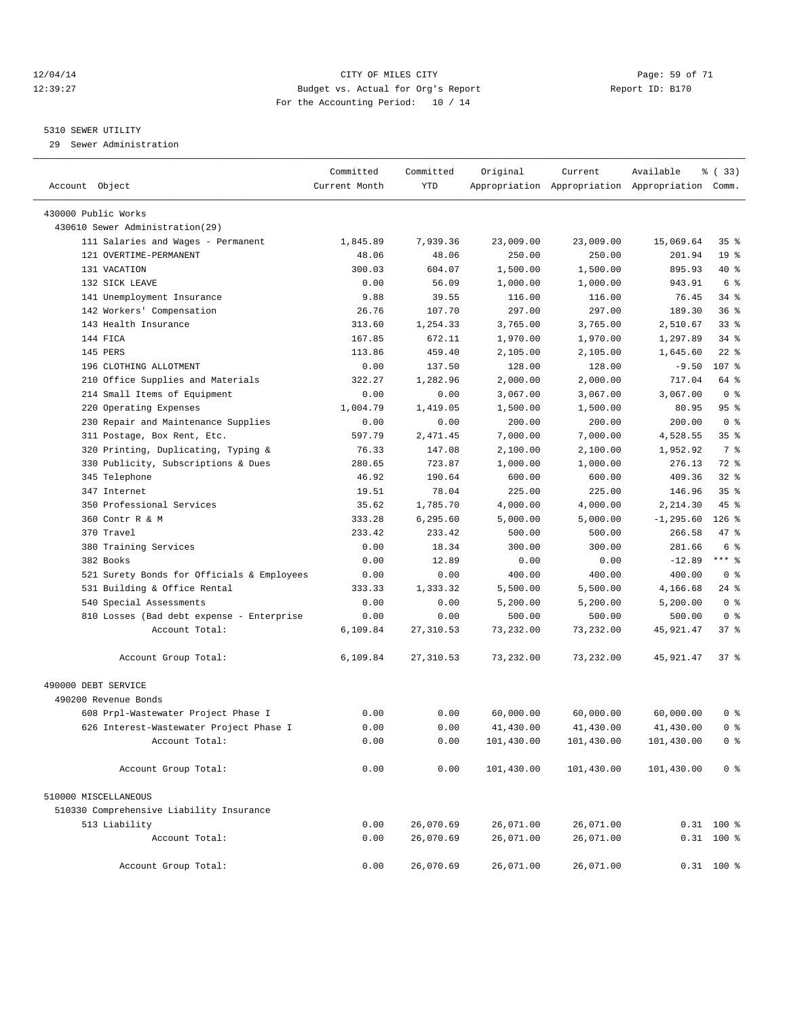#### 12/04/14 Page: 59 of 71 12:39:27 Budget vs. Actual for Org's Report Report ID: B170 For the Accounting Period: 10 / 14

————————————————————————————————————————————————————————————————————————————————————————————————————————————————————————————————————

#### 5310 SEWER UTILITY

29 Sewer Administration

|                                            | Committed     | Committed  | Original   | Current    | Available                                       | % (33)          |  |
|--------------------------------------------|---------------|------------|------------|------------|-------------------------------------------------|-----------------|--|
| Account Object                             | Current Month | YTD        |            |            | Appropriation Appropriation Appropriation Comm. |                 |  |
|                                            |               |            |            |            |                                                 |                 |  |
| 430000 Public Works                        |               |            |            |            |                                                 |                 |  |
| 430610 Sewer Administration(29)            |               |            |            |            |                                                 |                 |  |
| 111 Salaries and Wages - Permanent         | 1,845.89      | 7,939.36   | 23,009.00  | 23,009.00  | 15,069.64                                       | 35 <sub>8</sub> |  |
| 121 OVERTIME-PERMANENT                     | 48.06         | 48.06      | 250.00     | 250.00     | 201.94                                          | 19 <sup>°</sup> |  |
| 131 VACATION                               | 300.03        | 604.07     | 1,500.00   | 1,500.00   | 895.93                                          | $40*$           |  |
| 132 SICK LEAVE                             | 0.00          | 56.09      | 1,000.00   | 1,000.00   | 943.91                                          | 6 %             |  |
| 141 Unemployment Insurance                 | 9.88          | 39.55      | 116.00     | 116.00     | 76.45                                           | 34 %            |  |
| 142 Workers' Compensation                  | 26.76         | 107.70     | 297.00     | 297.00     | 189.30                                          | 36%             |  |
| 143 Health Insurance                       | 313.60        | 1,254.33   | 3,765.00   | 3,765.00   | 2,510.67                                        | $33$ $%$        |  |
| 144 FICA                                   | 167.85        | 672.11     | 1,970.00   | 1,970.00   | 1,297.89                                        | $34$ $%$        |  |
| 145 PERS                                   | 113.86        | 459.40     | 2,105.00   | 2,105.00   | 1,645.60                                        | $22$ %          |  |
| 196 CLOTHING ALLOTMENT                     | 0.00          | 137.50     | 128.00     | 128.00     | $-9.50$                                         | 107 %           |  |
| 210 Office Supplies and Materials          | 322.27        | 1,282.96   | 2,000.00   | 2,000.00   | 717.04                                          | 64 %            |  |
| 214 Small Items of Equipment               | 0.00          | 0.00       | 3,067.00   | 3,067.00   | 3,067.00                                        | 0 <sup>8</sup>  |  |
| 220 Operating Expenses                     | 1,004.79      | 1,419.05   | 1,500.00   | 1,500.00   | 80.95                                           | 95%             |  |
| 230 Repair and Maintenance Supplies        | 0.00          | 0.00       | 200.00     | 200.00     | 200.00                                          | 0 <sup>8</sup>  |  |
| 311 Postage, Box Rent, Etc.                | 597.79        | 2,471.45   | 7,000.00   | 7,000.00   | 4,528.55                                        | 35%             |  |
| 320 Printing, Duplicating, Typing &        | 76.33         | 147.08     | 2,100.00   | 2,100.00   | 1,952.92                                        | 7 %             |  |
| 330 Publicity, Subscriptions & Dues        | 280.65        | 723.87     | 1,000.00   | 1,000.00   | 276.13                                          | 72 %            |  |
| 345 Telephone                              | 46.92         | 190.64     | 600.00     | 600.00     | 409.36                                          | $32$ $%$        |  |
| 347 Internet                               | 19.51         | 78.04      | 225.00     | 225.00     | 146.96                                          | 35 <sup>8</sup> |  |
| 350 Professional Services                  | 35.62         | 1,785.70   | 4,000.00   | 4,000.00   | 2,214.30                                        | 45 %            |  |
| 360 Contr R & M                            | 333.28        | 6,295.60   | 5,000.00   | 5,000.00   | $-1, 295.60$                                    | $126$ %         |  |
| 370 Travel                                 | 233.42        | 233.42     | 500.00     | 500.00     | 266.58                                          | 47 %            |  |
| 380 Training Services                      | 0.00          | 18.34      | 300.00     | 300.00     | 281.66                                          | 6 %             |  |
| 382 Books                                  | 0.00          | 12.89      | 0.00       | 0.00       | $-12.89$                                        | $***$ 8         |  |
| 521 Surety Bonds for Officials & Employees | 0.00          | 0.00       | 400.00     | 400.00     | 400.00                                          | 0 <sup>8</sup>  |  |
| 531 Building & Office Rental               | 333.33        | 1,333.32   | 5,500.00   | 5,500.00   | 4,166.68                                        | 24 %            |  |
| 540 Special Assessments                    | 0.00          | 0.00       | 5,200.00   | 5,200.00   | 5,200.00                                        | 0 <sup>8</sup>  |  |
| 810 Losses (Bad debt expense - Enterprise  | 0.00          | 0.00       | 500.00     | 500.00     | 500.00                                          | 0 <sup>8</sup>  |  |
| Account Total:                             | 6,109.84      | 27, 310.53 | 73,232.00  | 73,232.00  | 45,921.47                                       | 37%             |  |
| Account Group Total:                       | 6,109.84      | 27,310.53  | 73,232.00  | 73,232.00  | 45,921.47                                       | 37 <sub>8</sub> |  |
| 490000 DEBT SERVICE                        |               |            |            |            |                                                 |                 |  |
| 490200 Revenue Bonds                       |               |            |            |            |                                                 |                 |  |
| 608 Prpl-Wastewater Project Phase I        | 0.00          | 0.00       | 60,000.00  | 60,000.00  | 60,000.00                                       | 0 %             |  |
| 626 Interest-Wastewater Project Phase I    | 0.00          | 0.00       | 41,430.00  | 41,430.00  | 41,430.00                                       | 0 <sup>8</sup>  |  |
| Account Total:                             | 0.00          | 0.00       | 101,430.00 | 101,430.00 | 101,430.00                                      | 0 <sup>8</sup>  |  |
| Account Group Total:                       | 0.00          | 0.00       | 101,430.00 | 101,430.00 | 101,430.00                                      | 0 <sup>8</sup>  |  |
| 510000 MISCELLANEOUS                       |               |            |            |            |                                                 |                 |  |
| 510330 Comprehensive Liability Insurance   |               |            |            |            |                                                 |                 |  |
| 513 Liability                              | 0.00          | 26,070.69  | 26,071.00  | 26,071.00  |                                                 | $0.31$ 100 %    |  |
| Account Total:                             | 0.00          | 26,070.69  | 26,071.00  | 26,071.00  |                                                 | $0.31$ 100 %    |  |
| Account Group Total:                       | 0.00          | 26,070.69  | 26,071.00  | 26,071.00  |                                                 | $0.31$ 100 %    |  |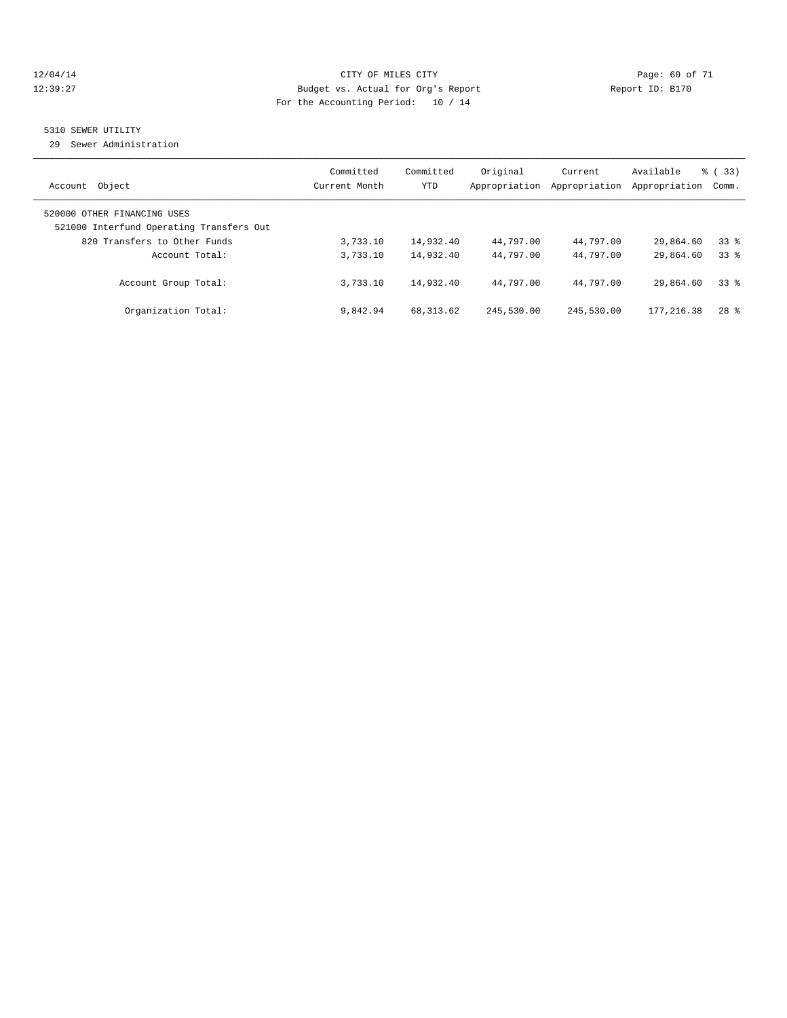#### 12/04/14 Page: 60 of 71 12:39:27 Budget vs. Actual for Org's Report Report ID: B170 For the Accounting Period: 10 / 14

#### 5310 SEWER UTILITY

29 Sewer Administration

| Object                                                                                                  | Committed     | Committed  | Original      | Current       | Available     | $\frac{6}{6}$ (33) |
|---------------------------------------------------------------------------------------------------------|---------------|------------|---------------|---------------|---------------|--------------------|
| Account                                                                                                 | Current Month | <b>YTD</b> | Appropriation | Appropriation | Appropriation | Comm.              |
| 520000 OTHER FINANCING USES<br>521000 Interfund Operating Transfers Out<br>820 Transfers to Other Funds | 3,733.10      | 14,932.40  | 44,797.00     | 44,797.00     | 29,864.60     | 338                |
| Account Total:                                                                                          | 3,733.10      | 14,932.40  | 44,797.00     | 44,797.00     | 29,864.60     | 338                |
| Account Group Total:                                                                                    | 3,733.10      | 14,932.40  | 44,797.00     | 44,797.00     | 29,864.60     | 338                |
| Organization Total:                                                                                     | 9,842.94      | 68, 313.62 | 245,530.00    | 245,530.00    | 177.216.38    | $28$ $%$           |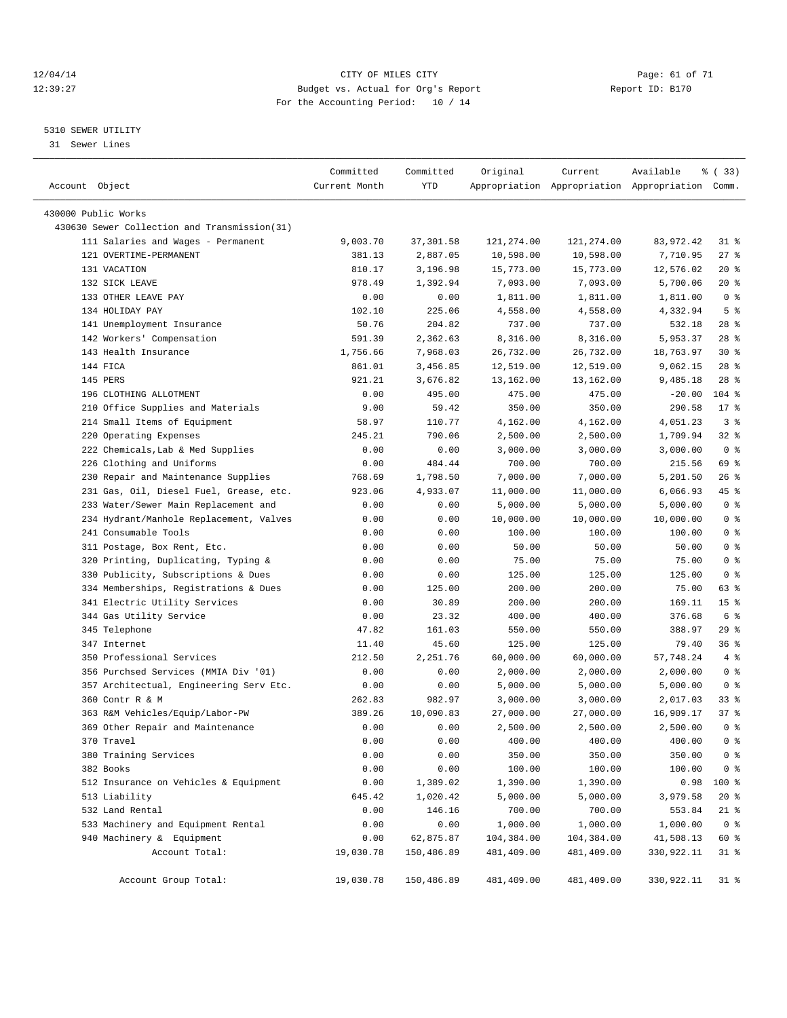#### 12/04/14 Page: 61 of 71 12:39:27 Budget vs. Actual for Org's Report Report ID: B170 For the Accounting Period: 10 / 14

————————————————————————————————————————————————————————————————————————————————————————————————————————————————————————————————————

#### 5310 SEWER UTILITY

31 Sewer Lines

| Account Object                               | Committed<br>Current Month | Committed<br>YTD | Original   | Current    | Available<br>Appropriation Appropriation Appropriation Comm. | % (33)          |
|----------------------------------------------|----------------------------|------------------|------------|------------|--------------------------------------------------------------|-----------------|
|                                              |                            |                  |            |            |                                                              |                 |
| 430000 Public Works                          |                            |                  |            |            |                                                              |                 |
| 430630 Sewer Collection and Transmission(31) |                            |                  |            |            |                                                              |                 |
| 111 Salaries and Wages - Permanent           | 9,003.70                   | 37, 301.58       | 121,274.00 | 121,274.00 | 83,972.42                                                    | 31 %            |
| 121 OVERTIME-PERMANENT                       | 381.13                     | 2,887.05         | 10,598.00  | 10,598.00  | 7,710.95                                                     | $27$ %          |
| 131 VACATION                                 | 810.17                     | 3,196.98         | 15,773.00  | 15,773.00  | 12,576.02                                                    | $20*$           |
| 132 SICK LEAVE                               | 978.49                     | 1,392.94         | 7,093.00   | 7,093.00   | 5,700.06                                                     | $20*$           |
| 133 OTHER LEAVE PAY                          | 0.00                       | 0.00             | 1,811.00   | 1,811.00   | 1,811.00                                                     | 0 <sup>8</sup>  |
| 134 HOLIDAY PAY                              | 102.10                     | 225.06           | 4,558.00   | 4,558.00   | 4,332.94                                                     | 5 <sup>°</sup>  |
| 141 Unemployment Insurance                   | 50.76                      | 204.82           | 737.00     | 737.00     | 532.18                                                       | 28%             |
| 142 Workers' Compensation                    | 591.39                     | 2,362.63         | 8,316.00   | 8,316.00   | 5,953.37                                                     | $28$ %          |
| 143 Health Insurance                         | 1,756.66                   | 7,968.03         | 26,732.00  | 26,732.00  | 18,763.97                                                    | $30*$           |
| 144 FICA                                     | 861.01                     | 3,456.85         | 12,519.00  | 12,519.00  | 9,062.15                                                     | $28$ %          |
| 145 PERS                                     | 921.21                     | 3,676.82         | 13,162.00  | 13,162.00  | 9,485.18                                                     | $28$ %          |
| 196 CLOTHING ALLOTMENT                       | 0.00                       | 495.00           | 475.00     | 475.00     | $-20.00$                                                     | $104$ %         |
| 210 Office Supplies and Materials            | 9.00                       | 59.42            | 350.00     | 350.00     | 290.58                                                       | $17$ %          |
| 214 Small Items of Equipment                 | 58.97                      | 110.77           | 4,162.00   | 4,162.00   | 4,051.23                                                     | 3 <sup>8</sup>  |
| 220 Operating Expenses                       | 245.21                     | 790.06           | 2,500.00   | 2,500.00   | 1,709.94                                                     | $32$ $%$        |
| 222 Chemicals, Lab & Med Supplies            | 0.00                       | 0.00             | 3,000.00   | 3,000.00   | 3,000.00                                                     | 0 <sup>8</sup>  |
| 226 Clothing and Uniforms                    | 0.00                       | 484.44           | 700.00     | 700.00     | 215.56                                                       | 69 %            |
| 230 Repair and Maintenance Supplies          | 768.69                     | 1,798.50         | 7,000.00   | 7,000.00   | 5,201.50                                                     | $26$ %          |
| 231 Gas, Oil, Diesel Fuel, Grease, etc.      | 923.06                     | 4,933.07         | 11,000.00  | 11,000.00  | 6,066.93                                                     | 45 %            |
| 233 Water/Sewer Main Replacement and         | 0.00                       | 0.00             | 5,000.00   | 5,000.00   | 5,000.00                                                     | 0 <sup>8</sup>  |
| 234 Hydrant/Manhole Replacement, Valves      | 0.00                       | 0.00             | 10,000.00  | 10,000.00  | 10,000.00                                                    | 0 <sup>8</sup>  |
| 241 Consumable Tools                         | 0.00                       | 0.00             | 100.00     | 100.00     | 100.00                                                       | 0 <sup>8</sup>  |
| 311 Postage, Box Rent, Etc.                  | 0.00                       | 0.00             | 50.00      | 50.00      | 50.00                                                        | 0 <sup>8</sup>  |
| 320 Printing, Duplicating, Typing &          | 0.00                       | 0.00             | 75.00      | 75.00      | 75.00                                                        | 0 <sup>8</sup>  |
| 330 Publicity, Subscriptions & Dues          | 0.00                       | 0.00             | 125.00     | 125.00     | 125.00                                                       | 0 <sup>8</sup>  |
| 334 Memberships, Registrations & Dues        | 0.00                       | 125.00           | 200.00     | 200.00     | 75.00                                                        | 63 %            |
| 341 Electric Utility Services                | 0.00                       | 30.89            | 200.00     | 200.00     | 169.11                                                       | 15 <sup>8</sup> |
| 344 Gas Utility Service                      | 0.00                       | 23.32            | 400.00     | 400.00     | 376.68                                                       | 6 %             |
| 345 Telephone                                | 47.82                      | 161.03           | 550.00     | 550.00     | 388.97                                                       | 29%             |
| 347 Internet                                 | 11.40                      | 45.60            | 125.00     | 125.00     | 79.40                                                        | 36%             |
| 350 Professional Services                    | 212.50                     | 2,251.76         | 60,000.00  | 60,000.00  | 57,748.24                                                    | 4%              |
| 356 Purchsed Services (MMIA Div '01)         | 0.00                       | 0.00             | 2,000.00   | 2,000.00   | 2,000.00                                                     | 0 <sup>8</sup>  |
| 357 Architectual, Engineering Serv Etc.      | 0.00                       | 0.00             | 5,000.00   | 5,000.00   | 5,000.00                                                     | 0 <sup>8</sup>  |
| 360 Contr R & M                              | 262.83                     | 982.97           | 3,000.00   | 3,000.00   | 2,017.03                                                     | 338             |
| 363 R&M Vehicles/Equip/Labor-PW              | 389.26                     | 10,090.83        | 27,000.00  | 27,000.00  | 16,909.17                                                    | 37%             |
| 369 Other Repair and Maintenance             | 0.00                       | 0.00             | 2,500.00   | 2,500.00   | 2,500.00                                                     | 0 <sup>8</sup>  |
| 370 Travel                                   | 0.00                       | 0.00             | 400.00     | 400.00     | 400.00                                                       | $0$ %           |
| 380 Training Services                        | 0.00                       | 0.00             | 350.00     | 350.00     | 350.00                                                       | 0 <sup>8</sup>  |
| 382 Books                                    | 0.00                       | 0.00             | 100.00     | 100.00     | 100.00                                                       | 0 <sup>8</sup>  |
| 512 Insurance on Vehicles & Equipment        | 0.00                       | 1,389.02         | 1,390.00   | 1,390.00   | 0.98                                                         | 100 %           |
| 513 Liability                                | 645.42                     | 1,020.42         | 5,000.00   | 5,000.00   | 3,979.58                                                     | $20*$           |
| 532 Land Rental                              | 0.00                       | 146.16           | 700.00     | 700.00     | 553.84                                                       | $21$ %          |
| 533 Machinery and Equipment Rental           | 0.00                       | 0.00             | 1,000.00   | 1,000.00   | 1,000.00                                                     | 0 <sup>8</sup>  |
| 940 Machinery & Equipment                    | 0.00                       | 62,875.87        | 104,384.00 | 104,384.00 | 41,508.13                                                    | 60 %            |
| Account Total:                               | 19,030.78                  | 150,486.89       | 481,409.00 | 481,409.00 | 330,922.11                                                   | $31$ %          |
| Account Group Total:                         | 19,030.78                  | 150,486.89       | 481,409.00 | 481,409.00 | 330,922.11                                                   | $31$ $8$        |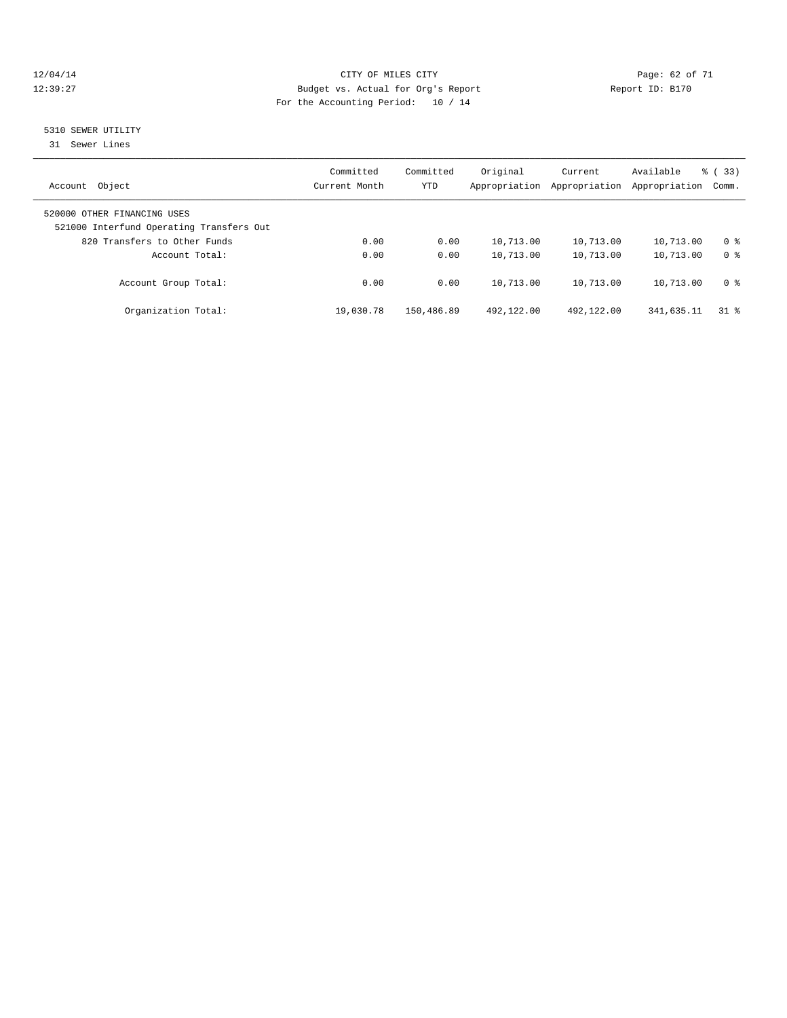#### 12/04/14 Page: 62 of 71 12:39:27 Budget vs. Actual for Org's Report Report ID: B170 For the Accounting Period: 10 / 14

#### 5310 SEWER UTILITY

31 Sewer Lines

| Object<br>Account                                                       | Committed<br>Current Month | Committed<br><b>YTD</b> | Original<br>Appropriation | Current<br>Appropriation | Available<br>Appropriation | % (33)<br>Comm. |
|-------------------------------------------------------------------------|----------------------------|-------------------------|---------------------------|--------------------------|----------------------------|-----------------|
| 520000 OTHER FINANCING USES<br>521000 Interfund Operating Transfers Out |                            |                         |                           |                          |                            |                 |
| 820 Transfers to Other Funds                                            | 0.00                       | 0.00                    | 10,713.00                 | 10,713.00                | 10,713.00                  | 0 <sup>8</sup>  |
| Account Total:                                                          | 0.00                       | 0.00                    | 10,713.00                 | 10,713.00                | 10,713.00                  | 0 <sup>8</sup>  |
| Account Group Total:                                                    | 0.00                       | 0.00                    | 10,713.00                 | 10,713.00                | 10,713.00                  | 0 <sup>8</sup>  |
| Organization Total:                                                     | 19,030.78                  | 150,486.89              | 492,122.00                | 492,122.00               | 341,635.11                 | 318             |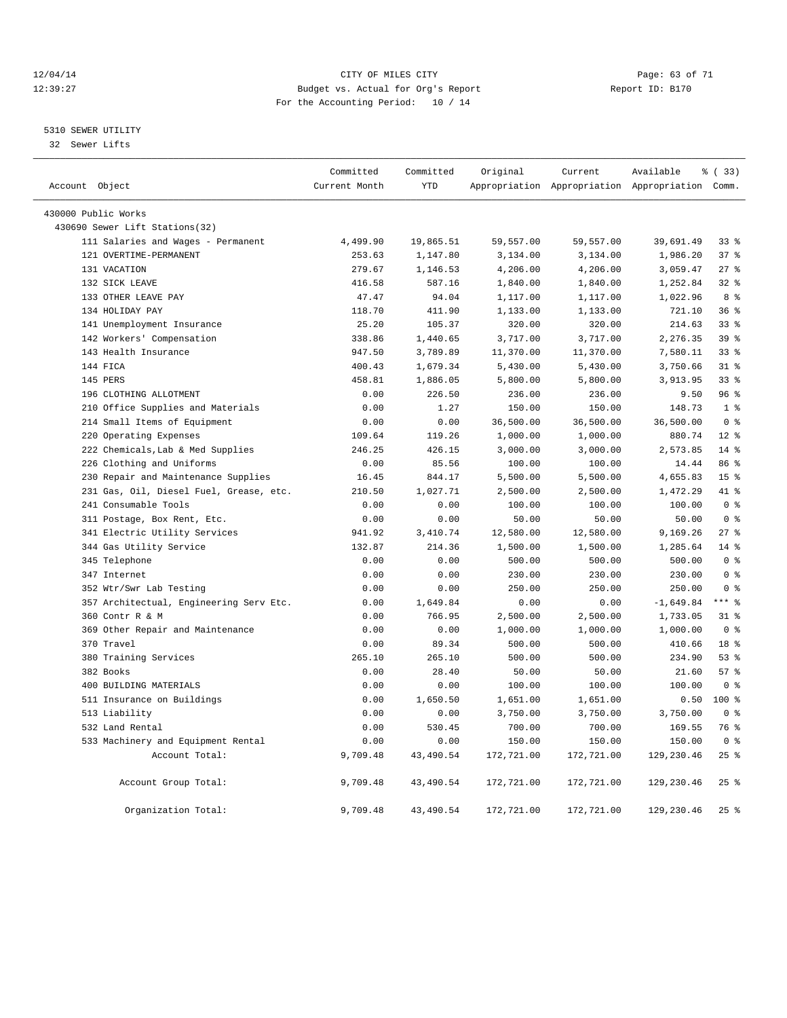#### 12/04/14 Page: 63 of 71 12:39:27 Budget vs. Actual for Org's Report Report ID: B170 For the Accounting Period: 10 / 14

————————————————————————————————————————————————————————————————————————————————————————————————————————————————————————————————————

#### 5310 SEWER UTILITY

32 Sewer Lifts

|                     |                                         | Committed     | Committed  | Original   | Current    | Available                                       | % (33)          |
|---------------------|-----------------------------------------|---------------|------------|------------|------------|-------------------------------------------------|-----------------|
| Account Object      |                                         | Current Month | <b>YTD</b> |            |            | Appropriation Appropriation Appropriation Comm. |                 |
| 430000 Public Works |                                         |               |            |            |            |                                                 |                 |
|                     | 430690 Sewer Lift Stations(32)          |               |            |            |            |                                                 |                 |
|                     | 111 Salaries and Wages - Permanent      | 4,499.90      | 19,865.51  | 59,557.00  | 59,557.00  | 39,691.49                                       | 33%             |
|                     | 121 OVERTIME-PERMANENT                  | 253.63        | 1,147.80   | 3,134.00   | 3,134.00   | 1,986.20                                        | 37%             |
|                     | 131 VACATION                            | 279.67        | 1,146.53   | 4,206.00   | 4,206.00   | 3,059.47                                        | $27$ %          |
|                     | 132 SICK LEAVE                          | 416.58        | 587.16     | 1,840.00   | 1,840.00   | 1,252.84                                        | 32%             |
|                     | 133 OTHER LEAVE PAY                     | 47.47         | 94.04      | 1,117.00   | 1,117.00   | 1,022.96                                        | 8 <sup>8</sup>  |
|                     | 134 HOLIDAY PAY                         | 118.70        | 411.90     | 1,133.00   | 1,133.00   | 721.10                                          | 36%             |
|                     | 141 Unemployment Insurance              | 25.20         | 105.37     | 320.00     | 320.00     | 214.63                                          | 33 <sup>8</sup> |
|                     | 142 Workers' Compensation               | 338.86        | 1,440.65   | 3,717.00   | 3,717.00   | 2,276.35                                        | 39 %            |
|                     | 143 Health Insurance                    | 947.50        | 3,789.89   | 11,370.00  | 11,370.00  | 7,580.11                                        | 33%             |
|                     | 144 FICA                                | 400.43        | 1,679.34   | 5,430.00   | 5,430.00   | 3,750.66                                        | $31$ %          |
|                     | 145 PERS                                | 458.81        | 1,886.05   | 5,800.00   | 5,800.00   | 3,913.95                                        | 33%             |
|                     | 196 CLOTHING ALLOTMENT                  | 0.00          | 226.50     | 236.00     | 236.00     | 9.50                                            | 96 <sup>8</sup> |
|                     | 210 Office Supplies and Materials       | 0.00          | 1.27       | 150.00     | 150.00     | 148.73                                          | 1 <sup>8</sup>  |
|                     | 214 Small Items of Equipment            | 0.00          | 0.00       | 36,500.00  | 36,500.00  | 36,500.00                                       | 0 <sup>8</sup>  |
|                     | 220 Operating Expenses                  | 109.64        | 119.26     | 1,000.00   | 1,000.00   | 880.74                                          | $12*$           |
|                     | 222 Chemicals, Lab & Med Supplies       | 246.25        | 426.15     | 3,000.00   | 3,000.00   | 2,573.85                                        | 14 %            |
|                     | 226 Clothing and Uniforms               | 0.00          | 85.56      | 100.00     | 100.00     | 14.44                                           | 86 %            |
|                     | 230 Repair and Maintenance Supplies     | 16.45         | 844.17     | 5,500.00   | 5,500.00   | 4,655.83                                        | 15 <sup>8</sup> |
|                     | 231 Gas, Oil, Diesel Fuel, Grease, etc. | 210.50        | 1,027.71   | 2,500.00   | 2,500.00   | 1,472.29                                        | 41 %            |
|                     | 241 Consumable Tools                    | 0.00          | 0.00       | 100.00     | 100.00     | 100.00                                          | 0 <sup>8</sup>  |
|                     | 311 Postage, Box Rent, Etc.             | 0.00          | 0.00       | 50.00      | 50.00      | 50.00                                           | 0 <sup>8</sup>  |
|                     | 341 Electric Utility Services           | 941.92        | 3,410.74   | 12,580.00  | 12,580.00  | 9,169.26                                        | 27%             |
|                     | 344 Gas Utility Service                 | 132.87        | 214.36     | 1,500.00   | 1,500.00   | 1,285.64                                        | 14.8            |
|                     | 345 Telephone                           | 0.00          | 0.00       | 500.00     | 500.00     | 500.00                                          | 0 <sup>8</sup>  |
|                     | 347 Internet                            | 0.00          | 0.00       | 230.00     | 230.00     | 230.00                                          | 0 <sup>8</sup>  |
|                     | 352 Wtr/Swr Lab Testing                 | 0.00          | 0.00       | 250.00     | 250.00     | 250.00                                          | 0 <sup>8</sup>  |
|                     | 357 Architectual, Engineering Serv Etc. | 0.00          | 1,649.84   | 0.00       | 0.00       | $-1,649.84$                                     | $***$ 8         |
|                     | 360 Contr R & M                         | 0.00          | 766.95     | 2,500.00   | 2,500.00   | 1,733.05                                        | 31.8            |
|                     | 369 Other Repair and Maintenance        | 0.00          | 0.00       | 1,000.00   | 1,000.00   | 1,000.00                                        | 0 <sup>8</sup>  |
|                     | 370 Travel                              | 0.00          | 89.34      | 500.00     | 500.00     | 410.66                                          | 18 %            |
|                     | 380 Training Services                   | 265.10        | 265.10     | 500.00     | 500.00     | 234.90                                          | 53%             |
|                     | 382 Books                               | 0.00          | 28.40      | 50.00      | 50.00      | 21.60                                           | 57%             |
|                     | 400 BUILDING MATERIALS                  | 0.00          | 0.00       | 100.00     | 100.00     | 100.00                                          | 0 <sup>8</sup>  |
|                     | 511 Insurance on Buildings              | 0.00          | 1,650.50   | 1,651.00   | 1,651.00   | 0.50                                            | $100*$          |
|                     | 513 Liability                           | 0.00          | 0.00       | 3,750.00   | 3,750.00   | 3,750.00                                        | 0 <sup>8</sup>  |
|                     | 532 Land Rental                         | 0.00          | 530.45     | 700.00     | 700.00     | 169.55                                          | 76 %            |
|                     | 533 Machinery and Equipment Rental      | 0.00          | 0.00       | 150.00     | 150.00     | 150.00                                          | 0 <sup>8</sup>  |
|                     | Account Total:                          | 9,709.48      | 43,490.54  | 172,721.00 | 172,721.00 | 129,230.46                                      | 25%             |
|                     | Account Group Total:                    | 9,709.48      | 43,490.54  | 172,721.00 | 172,721.00 | 129,230.46                                      | 25%             |
|                     | Organization Total:                     | 9,709.48      | 43,490.54  | 172,721.00 | 172,721.00 | 129,230.46                                      | 25%             |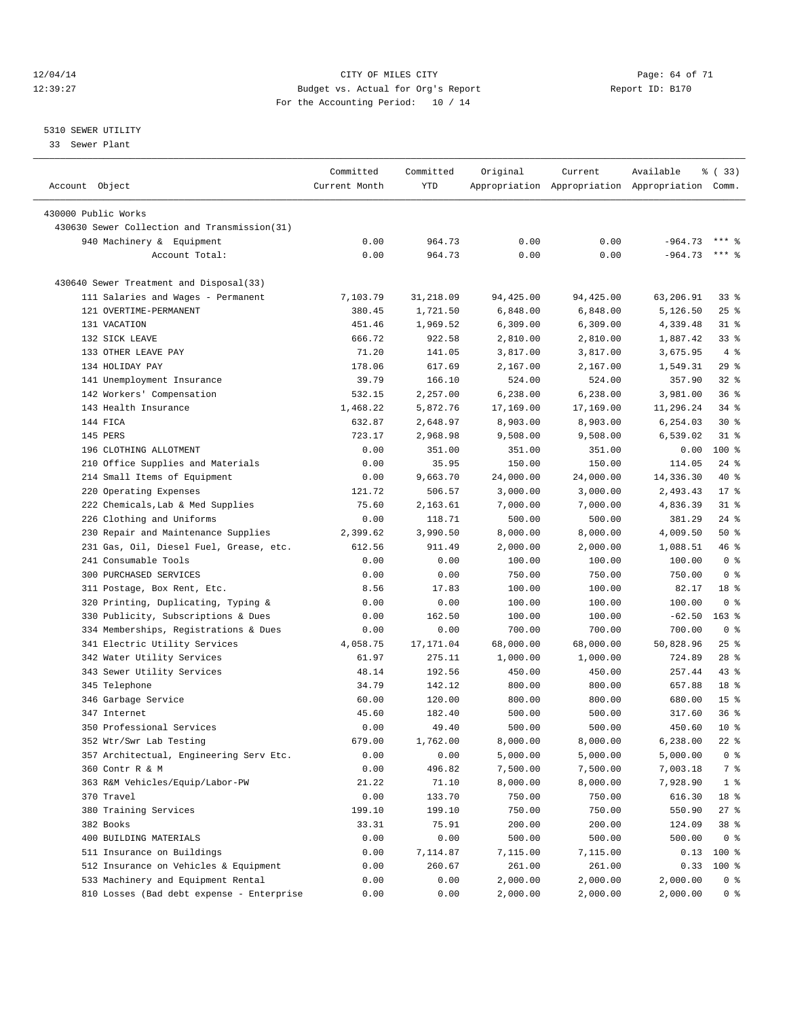12/04/14 Page: 64 of 71 12:39:27 Budget vs. Actual for Org's Report Report ID: B170 For the Accounting Period: 10 / 14

————————————————————————————————————————————————————————————————————————————————————————————————————————————————————————————————————

#### 5310 SEWER UTILITY

33 Sewer Plant

|                |                                              | Committed      | Committed        | Original         | Current          | Available                                       | <sub>ර</sub> ි (33) |
|----------------|----------------------------------------------|----------------|------------------|------------------|------------------|-------------------------------------------------|---------------------|
| Account Object |                                              | Current Month  | YTD              |                  |                  | Appropriation Appropriation Appropriation Comm. |                     |
|                | 430000 Public Works                          |                |                  |                  |                  |                                                 |                     |
|                | 430630 Sewer Collection and Transmission(31) |                |                  |                  |                  |                                                 |                     |
|                | 940 Machinery & Equipment                    | 0.00           | 964.73           | 0.00             | 0.00             | $-964.73$ *** \$                                |                     |
|                | Account Total:                               | 0.00           | 964.73           | 0.00             | 0.00             | $-964.73$                                       | *** 음               |
|                |                                              |                |                  |                  |                  |                                                 |                     |
|                | 430640 Sewer Treatment and Disposal(33)      |                |                  |                  |                  |                                                 |                     |
|                | 111 Salaries and Wages - Permanent           | 7,103.79       | 31,218.09        | 94,425.00        | 94,425.00        | 63,206.91                                       | 338                 |
|                | 121 OVERTIME-PERMANENT                       | 380.45         | 1,721.50         | 6,848.00         | 6,848.00         | 5,126.50                                        | $25$ %              |
|                | 131 VACATION                                 | 451.46         | 1,969.52         | 6,309.00         | 6,309.00         | 4,339.48                                        | $31$ %              |
|                | 132 SICK LEAVE                               | 666.72         | 922.58           | 2,810.00         | 2,810.00         | 1,887.42                                        | $33$ $%$            |
|                | 133 OTHER LEAVE PAY                          | 71.20          | 141.05           | 3,817.00         | 3,817.00         | 3,675.95                                        | 4%                  |
|                | 134 HOLIDAY PAY                              | 178.06         | 617.69           | 2,167.00         | 2,167.00         | 1,549.31                                        | 29%                 |
|                | 141 Unemployment Insurance                   | 39.79          | 166.10           | 524.00           | 524.00           | 357.90                                          | $32$ $%$            |
|                | 142 Workers' Compensation                    | 532.15         | 2,257.00         | 6,238.00         | 6,238.00         | 3,981.00                                        | 36%                 |
|                | 143 Health Insurance                         | 1,468.22       | 5,872.76         | 17,169.00        | 17,169.00        | 11,296.24                                       | 34 %                |
|                | 144 FICA                                     | 632.87         | 2,648.97         | 8,903.00         | 8,903.00         | 6,254.03                                        | $30*$               |
|                | 145 PERS                                     | 723.17         | 2,968.98         | 9,508.00         | 9,508.00         | 6,539.02                                        | $31$ $%$            |
|                | 196 CLOTHING ALLOTMENT                       | 0.00           | 351.00           | 351.00           | 351.00           | 0.00                                            | 100 %               |
|                | 210 Office Supplies and Materials            | 0.00           | 35.95            | 150.00           | 150.00           | 114.05                                          | $24$ %              |
|                | 214 Small Items of Equipment                 | 0.00           | 9,663.70         | 24,000.00        | 24,000.00        | 14,336.30                                       | 40 %                |
|                | 220 Operating Expenses                       | 121.72         | 506.57           | 3,000.00         | 3,000.00         | 2,493.43                                        | $17*$               |
|                | 222 Chemicals, Lab & Med Supplies            | 75.60          | 2,163.61         | 7,000.00         | 7,000.00         | 4,836.39                                        | $31$ $%$            |
|                | 226 Clothing and Uniforms                    | 0.00           | 118.71           | 500.00           | 500.00           | 381.29                                          | $24$ %              |
|                | 230 Repair and Maintenance Supplies          | 2,399.62       | 3,990.50         | 8,000.00         | 8,000.00         | 4,009.50                                        | 50%                 |
|                | 231 Gas, Oil, Diesel Fuel, Grease, etc.      | 612.56         | 911.49           | 2,000.00         | 2,000.00         | 1,088.51                                        | 46 %                |
|                | 241 Consumable Tools                         | 0.00           | 0.00             | 100.00           | 100.00           | 100.00                                          | 0 <sup>8</sup>      |
|                | 300 PURCHASED SERVICES                       | 0.00           | 0.00             | 750.00           | 750.00           | 750.00                                          | 0 <sup>8</sup>      |
|                | 311 Postage, Box Rent, Etc.                  | 8.56           | 17.83            | 100.00           | 100.00           | 82.17                                           | 18 %                |
|                | 320 Printing, Duplicating, Typing &          | 0.00           | 0.00             | 100.00           | 100.00           | 100.00                                          | 0 <sup>8</sup>      |
|                | 330 Publicity, Subscriptions & Dues          | 0.00           | 162.50           | 100.00           | 100.00           | $-62.50$                                        | $163$ %             |
|                | 334 Memberships, Registrations & Dues        | 0.00           | 0.00             | 700.00           | 700.00           | 700.00                                          | 0 <sup>8</sup>      |
|                | 341 Electric Utility Services                | 4,058.75       | 17,171.04        | 68,000.00        | 68,000.00        | 50,828.96                                       | $25$ $%$            |
|                | 342 Water Utility Services                   | 61.97          | 275.11           | 1,000.00         | 1,000.00         | 724.89                                          | $28$ %              |
|                | 343 Sewer Utility Services                   | 48.14          | 192.56           | 450.00           | 450.00           | 257.44                                          | $43$ $%$            |
|                | 345 Telephone                                | 34.79          | 142.12           | 800.00           | 800.00           | 657.88                                          | 18 <sup>°</sup>     |
|                | 346 Garbage Service                          | 60.00          | 120.00           | 800.00           | 800.00           | 680.00                                          | 15 <sup>°</sup>     |
|                | 347 Internet                                 | 45.60          | 182.40           | 500.00           | 500.00           | 317.60                                          | 36%                 |
|                | 350 Professional Services                    | 0.00           | 49.40            | 500.00           | 500.00           | 450.60                                          | $10*$               |
|                | 352 Wtr/Swr Lab Testing                      | 679.00         | 1,762.00         | 8,000.00         | 8,000.00         | 6,238.00                                        | $22$ %              |
|                | 357 Architectual, Engineering Serv Etc.      | 0.00           | 0.00             | 5,000.00         | 5,000.00         | 5,000.00                                        | 0 <sup>8</sup>      |
|                | 360 Contr R & M                              | 0.00           | 496.82           | 7,500.00         | 7,500.00         | 7,003.18                                        | 7 %                 |
|                | 363 R&M Vehicles/Equip/Labor-PW              | 21.22          | 71.10            | 8,000.00         | 8,000.00         | 7,928.90                                        | 1 <sup>°</sup>      |
|                |                                              |                |                  |                  |                  |                                                 |                     |
|                | 370 Travel<br>380 Training Services          | 0.00<br>199.10 | 133.70<br>199.10 | 750.00<br>750.00 | 750.00<br>750.00 | 616.30<br>550.90                                | 18 %<br>$27$ %      |
|                |                                              |                |                  |                  |                  |                                                 |                     |
|                | 382 Books                                    | 33.31          | 75.91            | 200.00           | 200.00           | 124.09                                          | 38 %                |
|                | 400 BUILDING MATERIALS                       | 0.00           | 0.00             | 500.00           | 500.00           | 500.00                                          | 0 <sup>8</sup>      |
|                | 511 Insurance on Buildings                   | 0.00           | 7,114.87         | 7,115.00         | 7,115.00         | 0.13                                            | 100 %               |
|                | 512 Insurance on Vehicles & Equipment        | 0.00           | 260.67           | 261.00           | 261.00           | 0.33                                            | 100 %               |
|                | 533 Machinery and Equipment Rental           | 0.00           | 0.00             | 2,000.00         | 2,000.00         | 2,000.00                                        | 0 %                 |
|                | 810 Losses (Bad debt expense - Enterprise    | 0.00           | 0.00             | 2,000.00         | 2,000.00         | 2,000.00                                        | 0 %                 |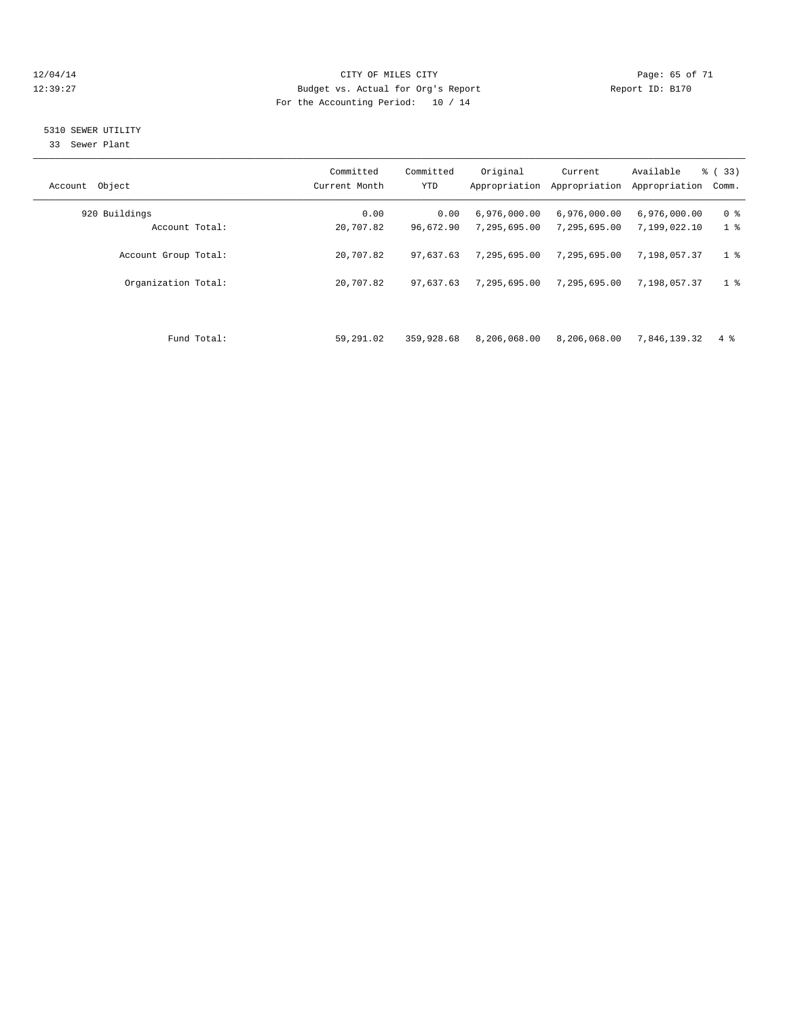#### 12/04/14 Page: 65 of 71 12:39:27 Budget vs. Actual for Org's Report Report ID: B170 For the Accounting Period: 10 / 14

### 5310 SEWER UTILITY

33 Sewer Plant

| Object<br>Account    | Committed<br>Current Month | Committed<br><b>YTD</b> | Original<br>Appropriation | Current<br>Appropriation | Available<br>Appropriation | % (33)<br>Comm. |
|----------------------|----------------------------|-------------------------|---------------------------|--------------------------|----------------------------|-----------------|
| 920 Buildings        | 0.00                       | 0.00                    | 6,976,000.00              | 6,976,000.00             | 6,976,000.00               | 0 <sup>8</sup>  |
| Account Total:       | 20,707.82                  | 96,672.90               | 7,295,695.00              | 7,295,695.00             | 7,199,022.10               | 1 <sup>8</sup>  |
| Account Group Total: | 20,707.82                  | 97,637.63               | 7,295,695.00              | 7,295,695.00             | 7,198,057.37               | 1 <sup>°</sup>  |
| Organization Total:  | 20,707.82                  | 97,637.63               | 7,295,695.00              | 7,295,695.00             | 7,198,057.37               | 1 <sup>8</sup>  |
|                      |                            |                         |                           |                          |                            |                 |
| Fund Total:          | 59,291.02                  | 359,928.68              | 8,206,068.00              | 8,206,068.00             | 7,846,139.32               | $4\degree$      |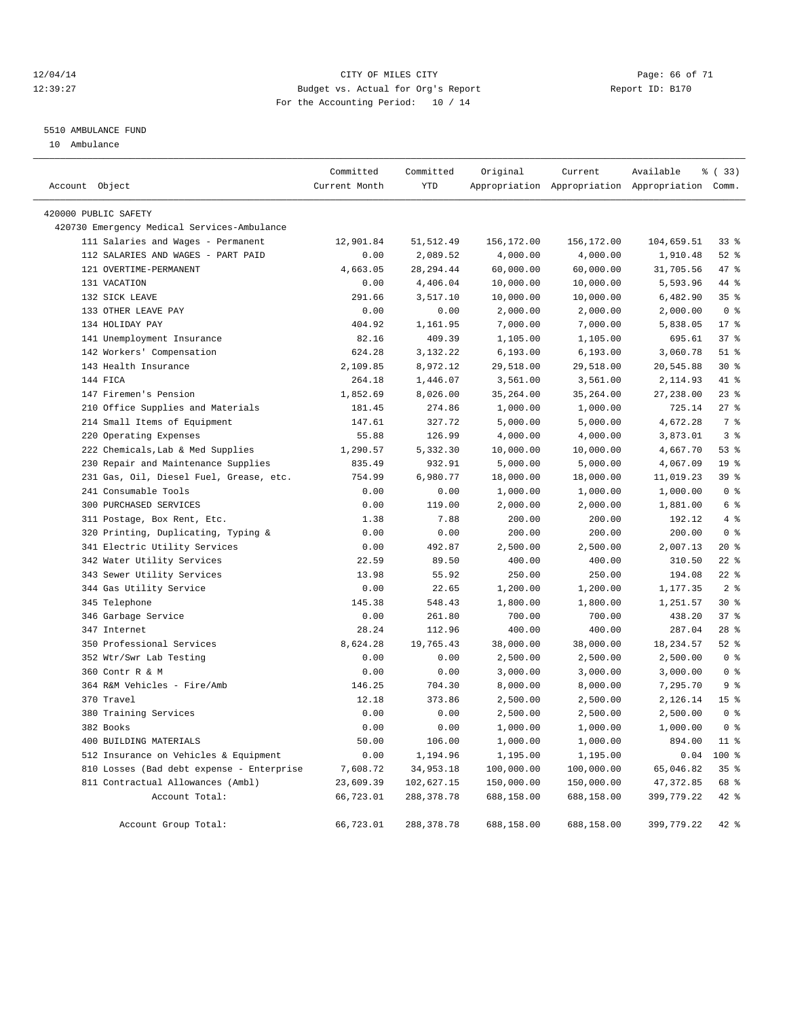#### 12/04/14 Page: 66 of 71 12:39:27 Budget vs. Actual for Org's Report Report ID: B170 For the Accounting Period: 10 / 14

#### 5510 AMBULANCE FUND

10 Ambulance

| Account Object |                                             | Committed<br>Current Month | Committed<br>YTD | Original   | Current    | Available<br>Appropriation Appropriation Appropriation Comm. | % (33)          |
|----------------|---------------------------------------------|----------------------------|------------------|------------|------------|--------------------------------------------------------------|-----------------|
|                | 420000 PUBLIC SAFETY                        |                            |                  |            |            |                                                              |                 |
|                | 420730 Emergency Medical Services-Ambulance |                            |                  |            |            |                                                              |                 |
|                | 111 Salaries and Wages - Permanent          | 12,901.84                  | 51, 512.49       | 156,172.00 | 156,172.00 | 104,659.51                                                   | $33$ $%$        |
|                | 112 SALARIES AND WAGES - PART PAID          | 0.00                       | 2,089.52         | 4,000.00   | 4,000.00   | 1,910.48                                                     | $52$ $%$        |
|                | 121 OVERTIME-PERMANENT                      | 4,663.05                   | 28, 294.44       | 60,000.00  | 60,000.00  | 31,705.56                                                    | 47 %            |
|                | 131 VACATION                                | 0.00                       | 4,406.04         | 10,000.00  | 10,000.00  | 5,593.96                                                     | 44 %            |
|                | 132 SICK LEAVE                              | 291.66                     | 3,517.10         | 10,000.00  | 10,000.00  | 6,482.90                                                     | 35%             |
|                | 133 OTHER LEAVE PAY                         | 0.00                       | 0.00             | 2,000.00   | 2,000.00   | 2,000.00                                                     | 0 <sup>8</sup>  |
|                | 134 HOLIDAY PAY                             | 404.92                     | 1,161.95         | 7,000.00   | 7,000.00   | 5,838.05                                                     | $17*$           |
|                | 141 Unemployment Insurance                  | 82.16                      | 409.39           | 1,105.00   | 1,105.00   | 695.61                                                       | 37%             |
|                | 142 Workers' Compensation                   | 624.28                     | 3,132.22         | 6, 193.00  | 6, 193.00  | 3,060.78                                                     | $51$ %          |
|                | 143 Health Insurance                        | 2,109.85                   | 8,972.12         | 29,518.00  | 29,518.00  | 20,545.88                                                    | $30*$           |
|                | 144 FICA                                    | 264.18                     | 1,446.07         | 3,561.00   | 3,561.00   | 2,114.93                                                     | 41 %            |
|                | 147 Firemen's Pension                       | 1,852.69                   | 8,026.00         | 35, 264.00 | 35,264.00  | 27,238.00                                                    | 23%             |
|                | 210 Office Supplies and Materials           | 181.45                     | 274.86           | 1,000.00   | 1,000.00   | 725.14                                                       | 27%             |
|                | 214 Small Items of Equipment                | 147.61                     | 327.72           | 5,000.00   | 5,000.00   | 4,672.28                                                     | 7 %             |
|                | 220 Operating Expenses                      | 55.88                      | 126.99           | 4,000.00   | 4,000.00   | 3,873.01                                                     | 3 <sup>8</sup>  |
|                | 222 Chemicals, Lab & Med Supplies           | 1,290.57                   | 5,332.30         | 10,000.00  | 10,000.00  | 4,667.70                                                     | 53%             |
|                | 230 Repair and Maintenance Supplies         | 835.49                     | 932.91           | 5,000.00   | 5,000.00   | 4,067.09                                                     | 19 <sup>°</sup> |
|                | 231 Gas, Oil, Diesel Fuel, Grease, etc.     | 754.99                     | 6,980.77         | 18,000.00  | 18,000.00  | 11,019.23                                                    | 39 %            |
|                | 241 Consumable Tools                        | 0.00                       | 0.00             | 1,000.00   | 1,000.00   | 1,000.00                                                     | 0 <sup>8</sup>  |
|                | 300 PURCHASED SERVICES                      | 0.00                       | 119.00           | 2,000.00   | 2,000.00   | 1,881.00                                                     | 6 %             |
|                | 311 Postage, Box Rent, Etc.                 | 1.38                       | 7.88             | 200.00     | 200.00     | 192.12                                                       | 4%              |
|                | 320 Printing, Duplicating, Typing &         | 0.00                       | 0.00             | 200.00     | 200.00     | 200.00                                                       | 0 <sup>8</sup>  |
|                | 341 Electric Utility Services               | 0.00                       | 492.87           | 2,500.00   | 2,500.00   | 2,007.13                                                     | $20*$           |
|                | 342 Water Utility Services                  | 22.59                      | 89.50            | 400.00     | 400.00     | 310.50                                                       | $22$ %          |
|                | 343 Sewer Utility Services                  | 13.98                      | 55.92            | 250.00     | 250.00     | 194.08                                                       | $22$ %          |
|                | 344 Gas Utility Service                     | 0.00                       | 22.65            | 1,200.00   | 1,200.00   | 1,177.35                                                     | 2 <sup>°</sup>  |
|                | 345 Telephone                               | 145.38                     | 548.43           | 1,800.00   | 1,800.00   | 1,251.57                                                     | $30*$           |
|                | 346 Garbage Service                         | 0.00                       | 261.80           | 700.00     | 700.00     | 438.20                                                       | 37%             |
|                | 347 Internet                                | 28.24                      | 112.96           | 400.00     | 400.00     | 287.04                                                       | $28$ %          |
|                | 350 Professional Services                   | 8,624.28                   | 19,765.43        | 38,000.00  | 38,000.00  | 18, 234.57                                                   | $52$ $%$        |
|                | 352 Wtr/Swr Lab Testing                     | 0.00                       | 0.00             | 2,500.00   | 2,500.00   | 2,500.00                                                     | 0 <sup>8</sup>  |
|                | 360 Contr R & M                             | 0.00                       | 0.00             | 3,000.00   | 3,000.00   | 3,000.00                                                     | 0 <sup>8</sup>  |
|                | 364 R&M Vehicles - Fire/Amb                 | 146.25                     | 704.30           | 8,000.00   | 8,000.00   | 7,295.70                                                     | 9 <sup>°</sup>  |
|                | 370 Travel                                  | 12.18                      | 373.86           | 2,500.00   | 2,500.00   | 2,126.14                                                     | 15 <sup>8</sup> |
|                | 380 Training Services                       | 0.00                       | 0.00             | 2,500.00   | 2,500.00   | 2,500.00                                                     | 0 <sup>8</sup>  |
|                | 382 Books                                   | 0.00                       | 0.00             | 1,000.00   | 1,000.00   | 1,000.00                                                     | 0 <sup>8</sup>  |
|                | 400 BUILDING MATERIALS                      | 50.00                      | 106.00           | 1,000.00   | 1,000.00   | 894.00                                                       | $11$ %          |
|                | 512 Insurance on Vehicles & Equipment       | 0.00                       | 1,194.96         | 1,195.00   | 1,195.00   | 0.04                                                         | 100 %           |
|                | 810 Losses (Bad debt expense - Enterprise   | 7,608.72                   | 34,953.18        | 100,000.00 | 100,000.00 | 65,046.82                                                    | 35%             |
|                | 811 Contractual Allowances (Ambl)           | 23,609.39                  | 102,627.15       | 150,000.00 | 150,000.00 | 47, 372.85                                                   | 68 %            |
|                | Account Total:                              | 66,723.01                  | 288, 378.78      | 688,158.00 | 688,158.00 | 399,779.22                                                   | 42 %            |
|                | Account Group Total:                        | 66,723.01                  | 288,378.78       | 688,158.00 | 688,158.00 | 399,779.22                                                   | $42$ %          |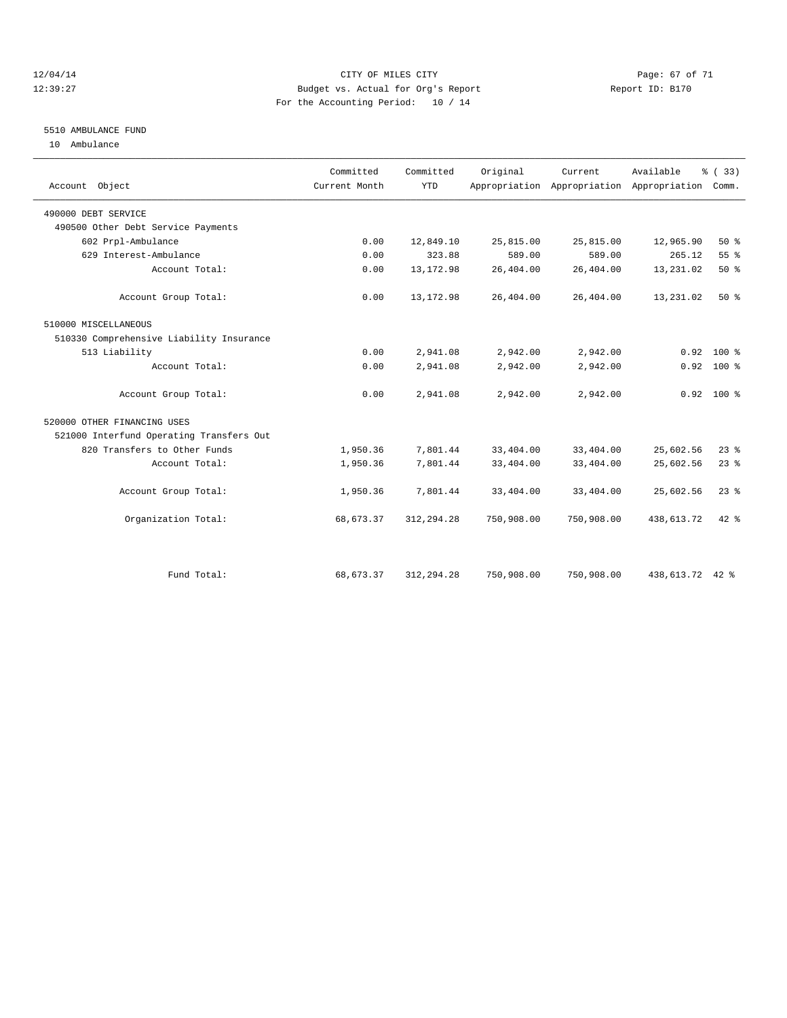#### 12/04/14 Page: 67 of 71 12:39:27 Budget vs. Actual for Org's Report Report ID: B170 For the Accounting Period: 10 / 14

#### 5510 AMBULANCE FUND

10 Ambulance

| Account Object                           | Committed<br>Current Month | Committed<br><b>YTD</b> | Original   | Current.   | Available<br>Appropriation Appropriation Appropriation Comm. | % (33)       |
|------------------------------------------|----------------------------|-------------------------|------------|------------|--------------------------------------------------------------|--------------|
| 490000 DEBT SERVICE                      |                            |                         |            |            |                                                              |              |
| 490500 Other Debt Service Payments       |                            |                         |            |            |                                                              |              |
| 602 Prpl-Ambulance                       | 0.00                       | 12,849.10               | 25,815.00  | 25,815.00  | 12,965.90                                                    | 50%          |
| 629 Interest-Ambulance                   | 0.00                       | 323.88                  | 589.00     | 589.00     | 265.12                                                       | 55 %         |
| Account Total:                           | 0.00                       | 13, 172.98              | 26,404.00  | 26,404.00  | 13,231.02                                                    | 50%          |
| Account Group Total:                     | 0.00                       | 13, 172.98              | 26,404.00  | 26,404.00  | 13,231.02                                                    | 50%          |
| 510000 MISCELLANEOUS                     |                            |                         |            |            |                                                              |              |
| 510330 Comprehensive Liability Insurance |                            |                         |            |            |                                                              |              |
| 513 Liability                            | 0.00                       | 2,941.08                | 2,942.00   | 2,942.00   | 0.92                                                         | $100*$       |
| Account Total:                           | 0.00                       | 2,941.08                | 2,942.00   | 2,942.00   | 0.92                                                         | 100 %        |
| Account Group Total:                     | 0.00                       | 2,941.08                | 2,942.00   | 2,942.00   |                                                              | $0.92$ 100 % |
| 520000 OTHER FINANCING USES              |                            |                         |            |            |                                                              |              |
| 521000 Interfund Operating Transfers Out |                            |                         |            |            |                                                              |              |
| 820 Transfers to Other Funds             | 1,950.36                   | 7,801.44                | 33,404.00  | 33,404.00  | 25,602.56                                                    | 23%          |
| Account Total:                           | 1,950.36                   | 7,801.44                | 33,404.00  | 33,404.00  | 25,602.56                                                    | 23%          |
| Account Group Total:                     | 1,950.36                   | 7,801.44                | 33,404.00  | 33,404.00  | 25,602.56                                                    | $23$ $%$     |
| Organization Total:                      | 68, 673.37                 | 312, 294.28             | 750,908.00 | 750,908.00 | 438,613.72                                                   | $42*$        |
|                                          |                            |                         |            |            |                                                              |              |
| Fund Total:                              | 68,673.37                  | 312, 294.28             | 750,908.00 | 750,908.00 | 438,613.72 42 %                                              |              |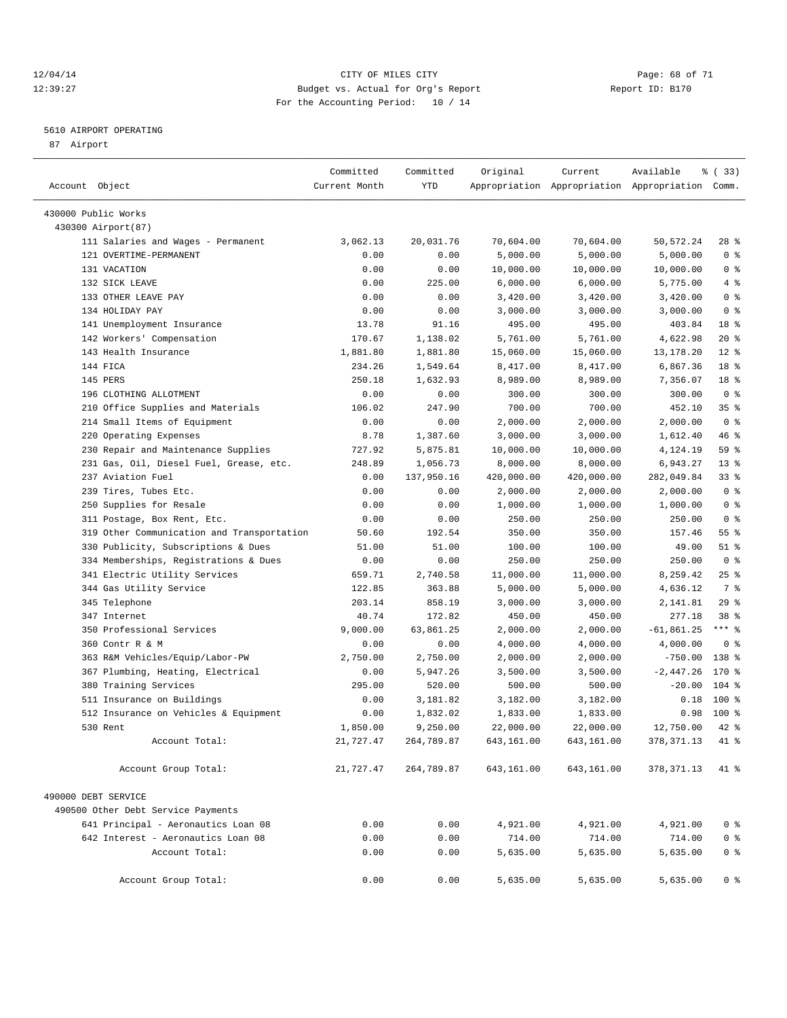#### 12/04/14 Page: 68 of 71 12:39:27 Budget vs. Actual for Org's Report Report ID: B170 For the Accounting Period: 10 / 14

————————————————————————————————————————————————————————————————————————————————————————————————————————————————————————————————————

#### 5610 AIRPORT OPERATING

87 Airport

|                                            | Committed     | Committed  | Original   | Current    | Available                                       | १ (33)          |
|--------------------------------------------|---------------|------------|------------|------------|-------------------------------------------------|-----------------|
| Account Object                             | Current Month | YTD        |            |            | Appropriation Appropriation Appropriation Comm. |                 |
| 430000 Public Works                        |               |            |            |            |                                                 |                 |
| 430300 Airport (87)                        |               |            |            |            |                                                 |                 |
| 111 Salaries and Wages - Permanent         | 3,062.13      | 20,031.76  | 70,604.00  | 70,604.00  | 50, 572.24                                      | $28$ %          |
| 121 OVERTIME-PERMANENT                     | 0.00          | 0.00       | 5,000.00   | 5,000.00   | 5,000.00                                        | 0 <sup>8</sup>  |
| 131 VACATION                               | 0.00          | 0.00       | 10,000.00  | 10,000.00  | 10,000.00                                       | 0 <sup>8</sup>  |
| 132 SICK LEAVE                             | 0.00          | 225.00     | 6,000.00   | 6,000.00   | 5,775.00                                        | $4 - 8$         |
| 133 OTHER LEAVE PAY                        | 0.00          | 0.00       | 3,420.00   | 3,420.00   | 3,420.00                                        | 0 <sup>8</sup>  |
| 134 HOLIDAY PAY                            | 0.00          | 0.00       | 3,000.00   | 3,000.00   | 3,000.00                                        | 0 <sup>8</sup>  |
| 141 Unemployment Insurance                 | 13.78         | 91.16      | 495.00     | 495.00     | 403.84                                          | 18 %            |
| 142 Workers' Compensation                  | 170.67        | 1,138.02   | 5,761.00   | 5,761.00   | 4,622.98                                        | $20*$           |
| 143 Health Insurance                       | 1,881.80      | 1,881.80   | 15,060.00  | 15,060.00  | 13,178.20                                       | $12*$           |
| 144 FICA                                   | 234.26        | 1,549.64   | 8,417.00   | 8,417.00   | 6,867.36                                        | 18 %            |
| 145 PERS                                   | 250.18        | 1,632.93   | 8,989.00   | 8,989.00   | 7,356.07                                        | 18 %            |
| 196 CLOTHING ALLOTMENT                     | 0.00          | 0.00       | 300.00     | 300.00     | 300.00                                          | 0 <sup>8</sup>  |
| 210 Office Supplies and Materials          | 106.02        | 247.90     | 700.00     | 700.00     | 452.10                                          | 35 <sup>8</sup> |
| 214 Small Items of Equipment               | 0.00          | 0.00       | 2,000.00   | 2,000.00   | 2,000.00                                        | 0 <sup>8</sup>  |
| 220 Operating Expenses                     | 8.78          | 1,387.60   | 3,000.00   | 3,000.00   | 1,612.40                                        | 46 %            |
| 230 Repair and Maintenance Supplies        | 727.92        | 5,875.81   | 10,000.00  | 10,000.00  | 4,124.19                                        | 59 %            |
| 231 Gas, Oil, Diesel Fuel, Grease, etc.    | 248.89        | 1,056.73   | 8,000.00   | 8,000.00   | 6,943.27                                        | $13*$           |
| 237 Aviation Fuel                          | 0.00          | 137,950.16 | 420,000.00 | 420,000.00 | 282,049.84                                      | 33%             |
| 239 Tires, Tubes Etc.                      | 0.00          | 0.00       | 2,000.00   | 2,000.00   | 2,000.00                                        | 0 <sup>8</sup>  |
| 250 Supplies for Resale                    | 0.00          | 0.00       | 1,000.00   | 1,000.00   | 1,000.00                                        | 0 <sup>8</sup>  |
| 311 Postage, Box Rent, Etc.                | 0.00          | 0.00       | 250.00     | 250.00     | 250.00                                          | 0 <sup>8</sup>  |
| 319 Other Communication and Transportation | 50.60         | 192.54     | 350.00     | 350.00     | 157.46                                          | 55 <sup>8</sup> |
| 330 Publicity, Subscriptions & Dues        | 51.00         | 51.00      | 100.00     | 100.00     | 49.00                                           | $51$ %          |
| 334 Memberships, Registrations & Dues      | 0.00          | 0.00       | 250.00     | 250.00     | 250.00                                          | 0 <sup>8</sup>  |
| 341 Electric Utility Services              | 659.71        | 2,740.58   | 11,000.00  | 11,000.00  | 8,259.42                                        | $25$ $%$        |
| 344 Gas Utility Service                    | 122.85        | 363.88     | 5,000.00   | 5,000.00   | 4,636.12                                        | 7 %             |
| 345 Telephone                              | 203.14        | 858.19     | 3,000.00   | 3,000.00   | 2,141.81                                        | 29%             |
| 347 Internet                               | 40.74         | 172.82     | 450.00     | 450.00     | 277.18                                          | 38 %            |
| 350 Professional Services                  | 9,000.00      | 63,861.25  | 2,000.00   | 2,000.00   | $-61,861.25$                                    | $***$ $-$       |
| 360 Contr R & M                            | 0.00          | 0.00       | 4,000.00   | 4,000.00   | 4,000.00                                        | 0 <sup>8</sup>  |
| 363 R&M Vehicles/Equip/Labor-PW            | 2,750.00      | 2,750.00   | 2,000.00   | 2,000.00   | $-750.00$                                       | 138 %           |
| 367 Plumbing, Heating, Electrical          | 0.00          | 5,947.26   | 3,500.00   | 3,500.00   | $-2,447.26$                                     | 170 %           |
| 380 Training Services                      | 295.00        | 520.00     | 500.00     | 500.00     | $-20.00$                                        | $104$ %         |
| 511 Insurance on Buildings                 | 0.00          | 3,181.82   | 3,182.00   | 3,182.00   | 0.18                                            | 100 %           |
| 512 Insurance on Vehicles & Equipment      | 0.00          | 1,832.02   | 1,833.00   | 1,833.00   | 0.98                                            | 100 %           |
| 530 Rent                                   | 1,850.00      | 9,250.00   | 22,000.00  | 22,000.00  | 12,750.00                                       | 42 %            |
| Account Total:                             | 21,727.47     | 264,789.87 | 643,161.00 | 643,161.00 | 378, 371.13                                     | 41 %            |
| Account Group Total:                       | 21,727.47     | 264,789.87 | 643,161.00 | 643,161.00 | 378,371.13                                      | $41*$           |
|                                            |               |            |            |            |                                                 |                 |
| 490000 DEBT SERVICE                        |               |            |            |            |                                                 |                 |
| 490500 Other Debt Service Payments         |               |            |            |            |                                                 |                 |
| 641 Principal - Aeronautics Loan 08        | 0.00          | 0.00       | 4,921.00   | 4,921.00   | 4,921.00                                        | 0 %             |
| 642 Interest - Aeronautics Loan 08         | 0.00          | 0.00       | 714.00     | 714.00     | 714.00                                          | 0 <sup>8</sup>  |
| Account Total:                             | 0.00          | 0.00       | 5,635.00   | 5,635.00   | 5,635.00                                        | 0 <sup>8</sup>  |
| Account Group Total:                       | 0.00          | 0.00       | 5,635.00   | 5,635.00   | 5,635.00                                        | 0 <sup>8</sup>  |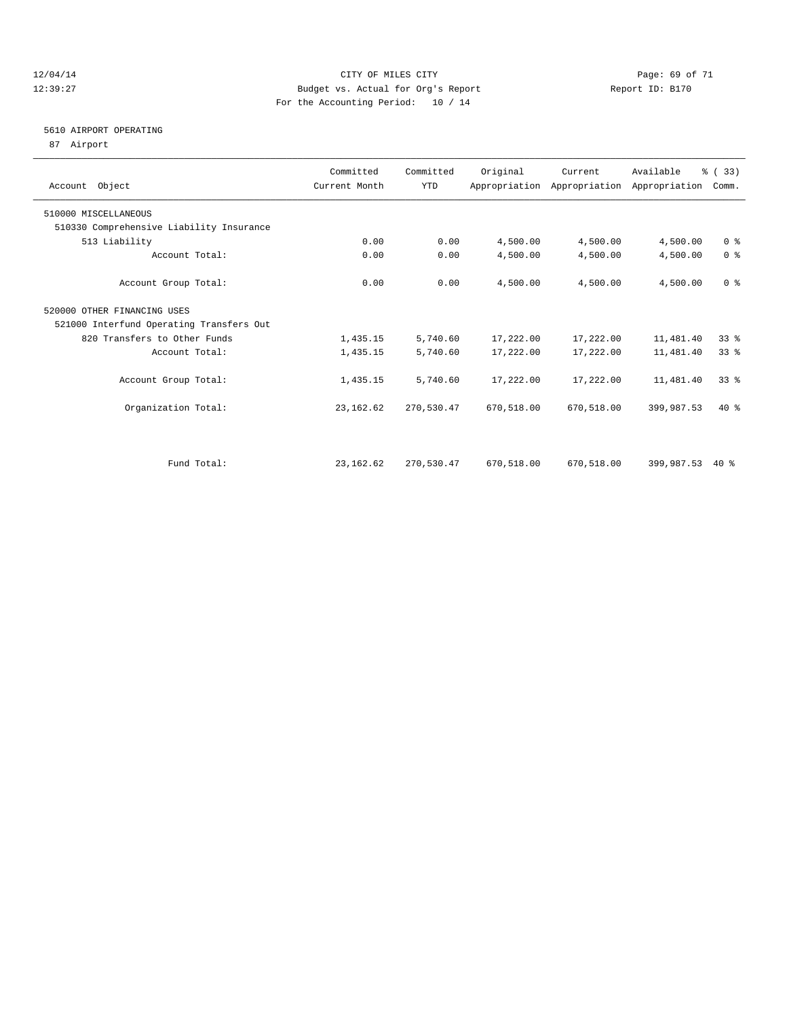#### 12/04/14 Page: 69 of 71 12:39:27 Budget vs. Actual for Org's Report Report ID: B170 For the Accounting Period: 10 / 14

#### 5610 AIRPORT OPERATING

87 Airport

| Account Object                           | Committed<br>Current Month | Committed<br><b>YTD</b> | Original   | Current    | Available<br>Appropriation Appropriation Appropriation | % (33)<br>Comm. |  |
|------------------------------------------|----------------------------|-------------------------|------------|------------|--------------------------------------------------------|-----------------|--|
| 510000 MISCELLANEOUS                     |                            |                         |            |            |                                                        |                 |  |
| 510330 Comprehensive Liability Insurance |                            |                         |            |            |                                                        |                 |  |
| 513 Liability                            | 0.00                       | 0.00                    | 4,500.00   | 4,500.00   | 4,500.00                                               | 0 <sup>8</sup>  |  |
| Account Total:                           | 0.00                       | 0.00                    | 4,500.00   | 4,500.00   | 4,500.00                                               | 0 <sup>8</sup>  |  |
| Account Group Total:                     | 0.00                       | 0.00                    | 4,500.00   | 4,500.00   | 4,500.00                                               | 0 <sup>8</sup>  |  |
| 520000 OTHER FINANCING USES              |                            |                         |            |            |                                                        |                 |  |
| 521000 Interfund Operating Transfers Out |                            |                         |            |            |                                                        |                 |  |
| 820 Transfers to Other Funds             | 1,435.15                   | 5,740.60                | 17,222.00  | 17,222.00  | 11,481.40                                              | 338             |  |
| Account Total:                           | 1,435.15                   | 5,740.60                | 17,222.00  | 17,222.00  | 11,481.40                                              | 33 <sup>8</sup> |  |
| Account Group Total:                     | 1,435.15                   | 5,740.60                | 17,222.00  | 17,222.00  | 11,481.40                                              | 33 <sup>8</sup> |  |
| Organization Total:                      | 23, 162.62                 | 270,530.47              | 670,518.00 | 670,518.00 | 399,987.53                                             | $40*$           |  |
|                                          |                            |                         |            |            |                                                        |                 |  |
| Fund Total:                              | 23, 162.62                 | 270,530.47              | 670,518.00 | 670,518.00 | 399,987.53                                             | $40*$           |  |